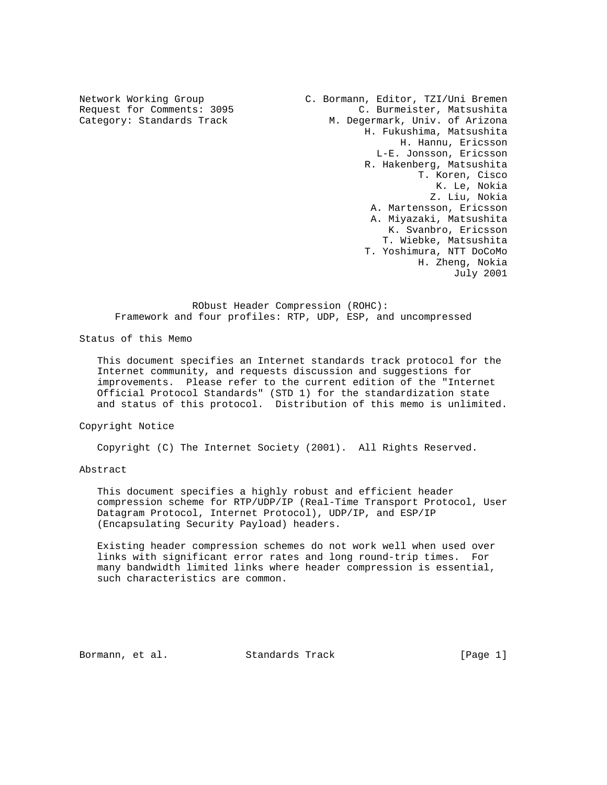Network Working Group C. Bormann, Editor, TZI/Uni Bremen Request for Comments: 3095<br>
C. Burmeister, Matsushita<br>
C. Burmeister, Matsushita<br>
C. Burmeister, Matsushita Category: Standards Track M. Degermark, Univ. of Arizona H. Fukushima, Matsushita H. Hannu, Ericsson L-E. Jonsson, Ericsson R. Hakenberg, Matsushita T. Koren, Cisco K. Le, Nokia Z. Liu, Nokia A. Martensson, Ericsson A. Miyazaki, Matsushita K. Svanbro, Ericsson T. Wiebke, Matsushita T. Yoshimura, NTT DoCoMo H. Zheng, Nokia July 2001

 RObust Header Compression (ROHC): Framework and four profiles: RTP, UDP, ESP, and uncompressed

Status of this Memo

 This document specifies an Internet standards track protocol for the Internet community, and requests discussion and suggestions for improvements. Please refer to the current edition of the "Internet Official Protocol Standards" (STD 1) for the standardization state and status of this protocol. Distribution of this memo is unlimited.

Copyright Notice

Copyright (C) The Internet Society (2001). All Rights Reserved.

# Abstract

 This document specifies a highly robust and efficient header compression scheme for RTP/UDP/IP (Real-Time Transport Protocol, User Datagram Protocol, Internet Protocol), UDP/IP, and ESP/IP (Encapsulating Security Payload) headers.

 Existing header compression schemes do not work well when used over links with significant error rates and long round-trip times. For many bandwidth limited links where header compression is essential, such characteristics are common.

Bormann, et al. Standards Track [Page 1]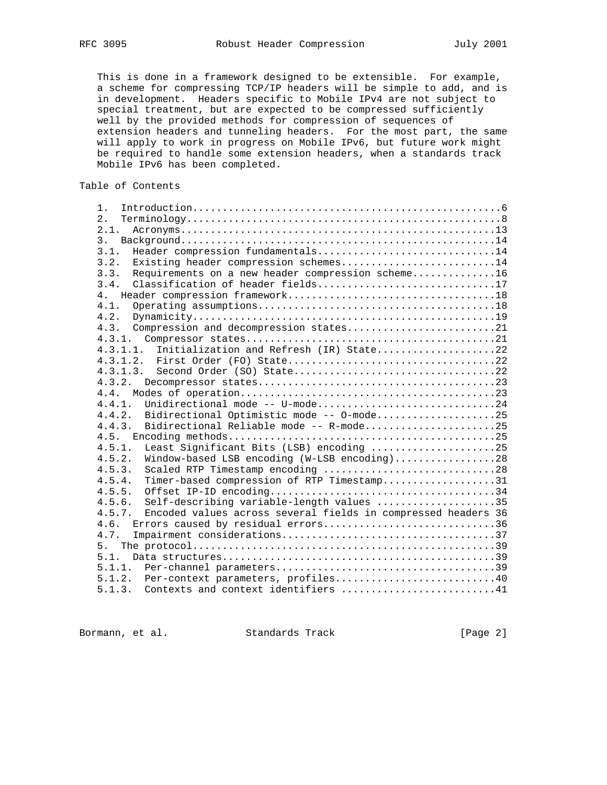This is done in a framework designed to be extensible. For example, a scheme for compressing TCP/IP headers will be simple to add, and is in development. Headers specific to Mobile IPv4 are not subject to special treatment, but are expected to be compressed sufficiently well by the provided methods for compression of sequences of extension headers and tunneling headers. For the most part, the same will apply to work in progress on Mobile IPv6, but future work might be required to handle some extension headers, when a standards track Mobile IPv6 has been completed.

Table of Contents

| 1 <sub>1</sub>                                                          |
|-------------------------------------------------------------------------|
|                                                                         |
| 2.                                                                      |
| 2.1.                                                                    |
| 3.                                                                      |
| 3.1.<br>Header compression fundamentals14                               |
| Existing header compression schemes14<br>3.2.                           |
| Requirements on a new header compression scheme16<br>3.3.               |
| Classification of header fields17<br>3.4.                               |
| 4.                                                                      |
| 4.1.                                                                    |
| 4.2.                                                                    |
| 4.3. Compression and decompression states21                             |
|                                                                         |
| Initialization and Refresh (IR) State22<br>4, 3, 1, 1,                  |
|                                                                         |
|                                                                         |
|                                                                         |
| 4.4.                                                                    |
| Unidirectional mode -- U-mode24<br>4.4.1.                               |
| Bidirectional Optimistic mode -- 0-mode25<br>4.4.2.                     |
| Bidirectional Reliable mode -- R-mode25<br>4.4.3.                       |
| 4.5.                                                                    |
| Least Significant Bits (LSB) encoding 25<br>4.5.1.                      |
| Window-based LSB encoding (W-LSB encoding)28<br>4.5.2.                  |
| Scaled RTP Timestamp encoding 28<br>4.5.3.                              |
| 4.5.4.<br>Timer-based compression of RTP Timestamp31                    |
| 4.5.5.                                                                  |
| 4.5.6.<br>Self-describing variable-length values 35                     |
| 4.5.7.<br>Encoded values across several fields in compressed headers 36 |
| Errors caused by residual errors36<br>4.6.                              |
| 4.7.                                                                    |
| 5.                                                                      |
| 5.1.                                                                    |
| 5.1.1.                                                                  |
| 5.1.2. Per-context parameters, profiles40                               |
| 5.1.3. Contexts and context identifiers 41                              |
|                                                                         |

Bormann, et al. Standards Track [Page 2]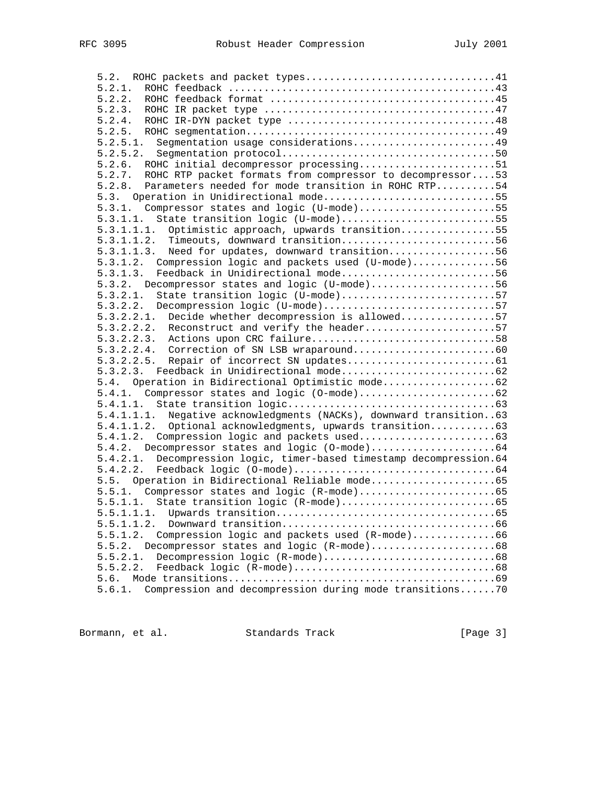| 5.2.1.                                                               |  |
|----------------------------------------------------------------------|--|
| 5.2.2.                                                               |  |
| 5.2.3.                                                               |  |
| 5.2.4.                                                               |  |
|                                                                      |  |
| Segmentation usage considerations49<br>5.2.5.1.                      |  |
| 5.2.5.2.                                                             |  |
| ROHC initial decompressor processing51<br>5.2.6.                     |  |
| ROHC RTP packet formats from compressor to decompressor53<br>5.2.7.  |  |
| Parameters needed for mode transition in ROHC RTP54<br>5.2.8.        |  |
| 5.3. Operation in Unidirectional mode55                              |  |
| 5.3.1. Compressor states and logic (U-mode)55                        |  |
| State transition logic (U-mode)55<br>5.3.1.1.                        |  |
|                                                                      |  |
| 5.3.1.1.1. Optimistic approach, upwards transition55                 |  |
| 5.3.1.1.2. Timeouts, downward transition56                           |  |
| 5.3.1.1.3. Need for updates, downward transition56                   |  |
| 5.3.1.2. Compression logic and packets used (U-mode)56               |  |
| 5.3.1.3. Feedback in Unidirectional mode56                           |  |
| 5.3.2. Decompressor states and logic (U-mode)56                      |  |
| State transition logic (U-mode)57<br>5.3.2.1.                        |  |
| 5.3.2.2. Decompression logic (U-mode)57                              |  |
| 5.3.2.2.1. Decide whether decompression is allowed57                 |  |
| 5.3.2.2.2. Reconstruct and verify the header57                       |  |
|                                                                      |  |
|                                                                      |  |
| 5.3.2.2.5.                                                           |  |
| 5.3.2.3.                                                             |  |
| 5.4. Operation in Bidirectional Optimistic mode                      |  |
|                                                                      |  |
|                                                                      |  |
| 5.4.1.1.1. Negative acknowledgments (NACKs), downward transition63   |  |
| 5.4.1.1.2. Optional acknowledgments, upwards transition 63           |  |
|                                                                      |  |
|                                                                      |  |
| 5.4.2.1. Decompression logic, timer-based timestamp decompression.64 |  |
| 5.4.2.2.                                                             |  |
|                                                                      |  |
|                                                                      |  |
|                                                                      |  |
|                                                                      |  |
|                                                                      |  |
| Compression logic and packets used (R-mode)66<br>5.5.1.2.            |  |
| Decompressor states and logic (R-mode)68<br>5.5.2.                   |  |
| 5.5.2.1.                                                             |  |
| 5.5.2.2.                                                             |  |
| 5.6.                                                                 |  |
| Compression and decompression during mode transitions70<br>5.6.1.    |  |

Bormann, et al. Standards Track [Page 3]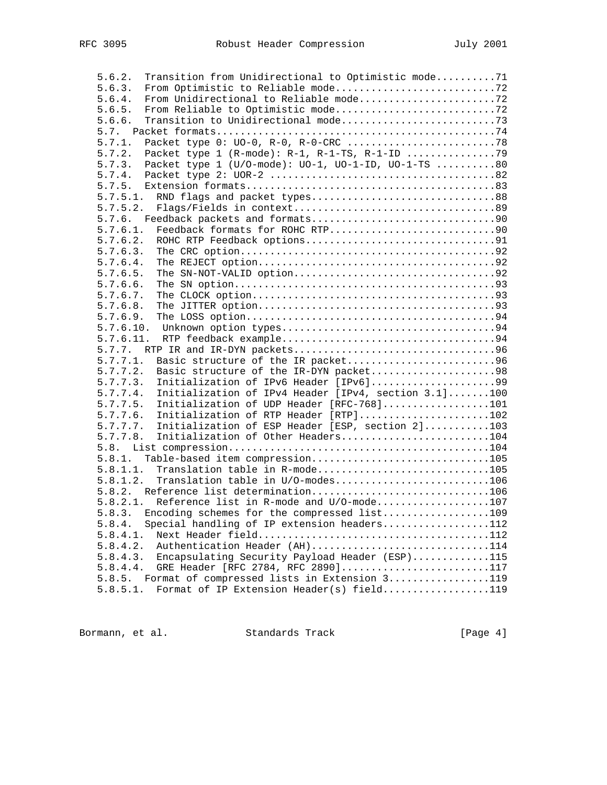| 5.6.2.<br>Transition from Unidirectional to Optimistic mode71    |  |
|------------------------------------------------------------------|--|
|                                                                  |  |
| 5.6.3.                                                           |  |
| 5.6.4.                                                           |  |
| 5.6.5.                                                           |  |
| 5.6.6.                                                           |  |
| 5.7.                                                             |  |
| 5.7.1.                                                           |  |
| 5.7.2.                                                           |  |
| Packet type 1 (U/O-mode): UO-1, UO-1-ID, UO-1-TS 80<br>5.7.3.    |  |
|                                                                  |  |
|                                                                  |  |
|                                                                  |  |
| RND flags and packet types88<br>5.7.5.1.                         |  |
| 5.7.5.2.                                                         |  |
|                                                                  |  |
| 5.7.6.1.                                                         |  |
| 5.7.6.2.                                                         |  |
| 5.7.6.3.                                                         |  |
| 5.7.6.4.                                                         |  |
| 5.7.6.5.                                                         |  |
| 5.7.6.6.                                                         |  |
| 5.7.6.7.                                                         |  |
| 5.7.6.8.                                                         |  |
|                                                                  |  |
| 5.7.6.9.                                                         |  |
| 5.7.6.10.                                                        |  |
| 5.7.6.11.                                                        |  |
|                                                                  |  |
| 5.7.7.1.<br>Basic structure of the IR packet96                   |  |
| 5.7.7.2.<br>Basic structure of the IR-DYN packet98               |  |
| Initialization of IPv6 Header [IPv6]99<br>5.7.7.3.               |  |
| Initialization of IPv4 Header [IPv4, section 3.1]100<br>5.7.7.4. |  |
| Initialization of UDP Header [RFC-768]101<br>5.7.7.5.            |  |
| Initialization of RTP Header [RTP]102<br>5.7.7.6.                |  |
| Initialization of ESP Header [ESP, section 2]103<br>5.7.7.7.     |  |
|                                                                  |  |
| Initialization of Other Headers104<br>5.7.7.8.                   |  |
|                                                                  |  |
| Table-based item compression105<br>5.8.1.                        |  |
| Translation table in R-mode105<br>5.8.1.1.                       |  |
| Translation table in U/O-modes106<br>5.8.1.2.                    |  |
| 5.8.2. Reference list determination106                           |  |
| $5.8.2.1$ . Reference list in R-mode and U/O-mode107             |  |
| 5.8.3. Encoding schemes for the compressed list109               |  |
| Special handling of IP extension headers112<br>5.8.4.            |  |
| 5.8.4.1.                                                         |  |
| Authentication Header (AH)114                                    |  |
| 5.8.4.2.                                                         |  |
| Encapsulating Security Payload Header (ESP)115<br>5.8.4.3.       |  |
| GRE Header [RFC 2784, RFC 2890]117<br>5.8.4.4.                   |  |
| Format of compressed lists in Extension 3119<br>5.8.5.           |  |
| Format of IP Extension Header(s) field119<br>5.8.5.1.            |  |

Bormann, et al. Standards Track [Page 4]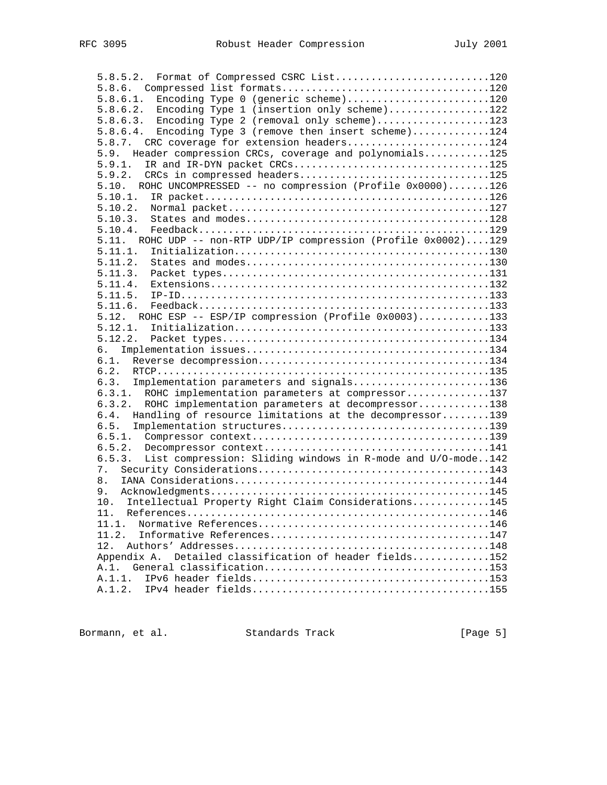5.8.5.2. Format of Compressed CSRC List..........................120 5.8.6. Compressed list formats...................................120 5.8.6.1. Encoding Type 0 (generic scheme)........................120 5.8.6.2. Encoding Type 1 (insertion only scheme).................122 5.8.6.3. Encoding Type 2 (removal only scheme)...................123 5.8.6.4. Encoding Type 3 (remove then insert scheme).............124 5.8.7. CRC coverage for extension headers........................124 5.9. Header compression CRCs, coverage and polynomials...........125 5.9.1. IR and IR-DYN packet CRCs.................................125 5.9.2. CRCs in compressed headers................................125 5.10. ROHC UNCOMPRESSED -- no compression (Profile 0x0000).......126 5.10.1. IR packet................................................126 5.10.2. Normal packet............................................127 5.10.3. States and modes.........................................128 5.10.4. Feedback.................................................129 5.11. ROHC UDP -- non-RTP UDP/IP compression (Profile 0x0002)....129 5.11.1. Initialization...........................................130 5.11.2. States and modes.........................................130 5.11.3. Packet types.............................................131 5.11.4. Extensions...............................................132 5.11.5. IP-ID....................................................133 5.11.6. Feedback.................................................133 5.12. ROHC ESP -- ESP/IP compression (Profile 0x0003)............133 5.12.1. Initialization...........................................133 5.12.2. Packet types.............................................134 6. Implementation issues.........................................134 6.1. Reverse decompression.......................................134 6.2. RTCP........................................................135 6.3. Implementation parameters and signals.......................136 6.3.1. ROHC implementation parameters at compressor..............137 6.3.2. ROHC implementation parameters at decompressor............138 6.4. Handling of resource limitations at the decompressor........139 6.5. Implementation structures...................................139 6.5.1. Compressor context........................................139 6.5.2. Decompressor context......................................141 6.5.3. List compression: Sliding windows in R-mode and U/O-mode..142 7. Security Considerations.......................................143 8. IANA Considerations...........................................144 9. Acknowledgments...............................................145 10. Intellectual Property Right Claim Considerations.............145 11. References...................................................146 11.1. Normative References.......................................146 11.2. Informative References.....................................147 12. Authors' Addresses...........................................148 Appendix A. Detailed classification of header fields.............152 A.1. General classification......................................153 A.1.1. IPv6 header fields........................................153 A.1.2. IPv4 header fields........................................155

Bormann, et al. Standards Track [Page 5]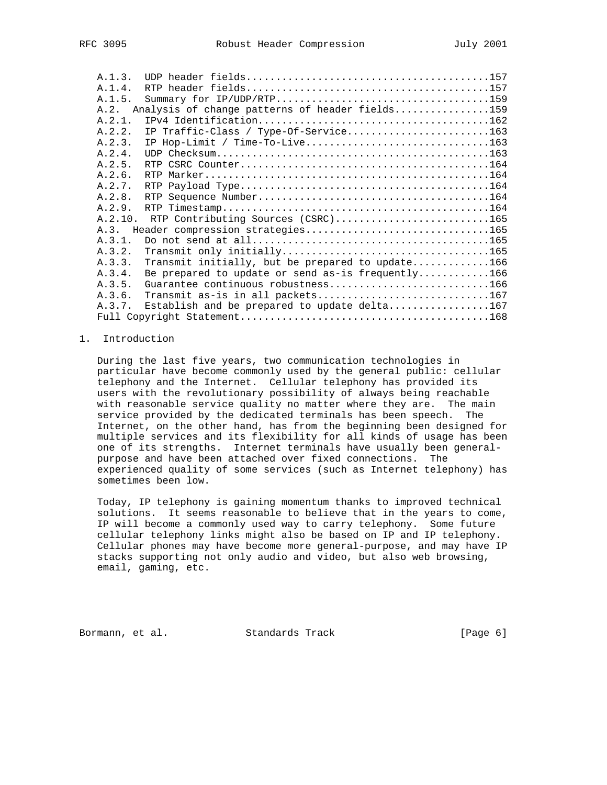| A.1.3. |                                                   |                                                                                                                                                                           |
|--------|---------------------------------------------------|---------------------------------------------------------------------------------------------------------------------------------------------------------------------------|
| A.1.4. |                                                   |                                                                                                                                                                           |
| A.1.5. |                                                   |                                                                                                                                                                           |
| A.2.   |                                                   |                                                                                                                                                                           |
| A.2.1. |                                                   |                                                                                                                                                                           |
| A.2.2. |                                                   |                                                                                                                                                                           |
| A.2.3. |                                                   |                                                                                                                                                                           |
| A.2.4. |                                                   |                                                                                                                                                                           |
| A.2.5. |                                                   |                                                                                                                                                                           |
| A.2.6. |                                                   |                                                                                                                                                                           |
| A.2.7. |                                                   |                                                                                                                                                                           |
| A.2.8. |                                                   |                                                                                                                                                                           |
| A.2.9. |                                                   |                                                                                                                                                                           |
|        | RTP Contributing Sources (CSRC)165                |                                                                                                                                                                           |
| A.3.   |                                                   |                                                                                                                                                                           |
| A.3.1. |                                                   |                                                                                                                                                                           |
| A.3.2. |                                                   |                                                                                                                                                                           |
| A.3.3. | Transmit initially, but be prepared to update166  |                                                                                                                                                                           |
| A.3.4. | Be prepared to update or send as-is frequently166 |                                                                                                                                                                           |
| A.3.5. | Guarantee continuous robustness166                |                                                                                                                                                                           |
| A.3.6. | Transmit as-is in all packets167                  |                                                                                                                                                                           |
| A.3.7. | Establish and be prepared to update delta167      |                                                                                                                                                                           |
|        |                                                   |                                                                                                                                                                           |
|        |                                                   | Analysis of change patterns of header fields159<br>IP Traffic-Class / Type-Of-Service163<br>IP Hop-Limit / Time-To-Live163<br>A.2.10.<br>Header compression strategies165 |

# 1. Introduction

 During the last five years, two communication technologies in particular have become commonly used by the general public: cellular telephony and the Internet. Cellular telephony has provided its users with the revolutionary possibility of always being reachable with reasonable service quality no matter where they are. The main service provided by the dedicated terminals has been speech. The Internet, on the other hand, has from the beginning been designed for multiple services and its flexibility for all kinds of usage has been one of its strengths. Internet terminals have usually been general purpose and have been attached over fixed connections. The experienced quality of some services (such as Internet telephony) has sometimes been low.

 Today, IP telephony is gaining momentum thanks to improved technical solutions. It seems reasonable to believe that in the years to come, IP will become a commonly used way to carry telephony. Some future cellular telephony links might also be based on IP and IP telephony. Cellular phones may have become more general-purpose, and may have IP stacks supporting not only audio and video, but also web browsing, email, gaming, etc.

Bormann, et al. Standards Track [Page 6]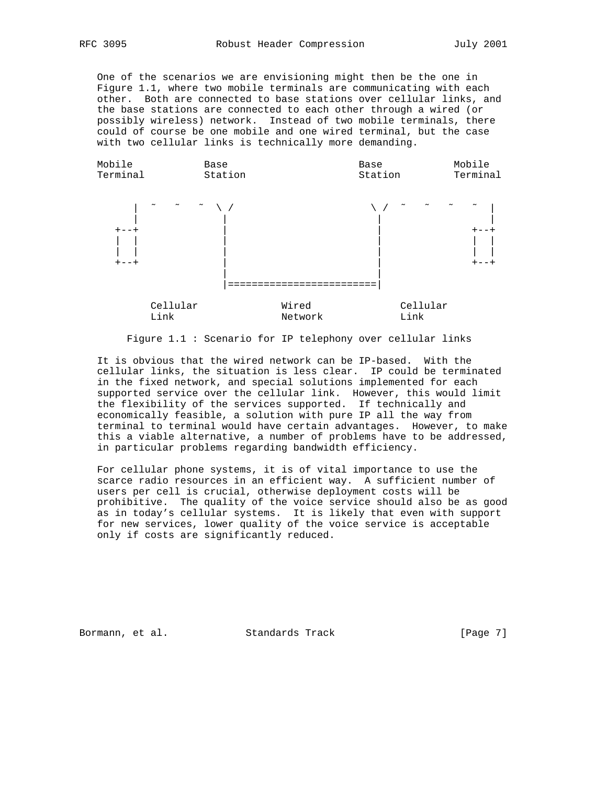One of the scenarios we are envisioning might then be the one in Figure 1.1, where two mobile terminals are communicating with each other. Both are connected to base stations over cellular links, and the base stations are connected to each other through a wired (or possibly wireless) network. Instead of two mobile terminals, there could of course be one mobile and one wired terminal, but the case with two cellular links is technically more demanding.



Figure 1.1 : Scenario for IP telephony over cellular links

 It is obvious that the wired network can be IP-based. With the cellular links, the situation is less clear. IP could be terminated in the fixed network, and special solutions implemented for each supported service over the cellular link. However, this would limit the flexibility of the services supported. If technically and economically feasible, a solution with pure IP all the way from terminal to terminal would have certain advantages. However, to make this a viable alternative, a number of problems have to be addressed, in particular problems regarding bandwidth efficiency.

 For cellular phone systems, it is of vital importance to use the scarce radio resources in an efficient way. A sufficient number of users per cell is crucial, otherwise deployment costs will be prohibitive. The quality of the voice service should also be as good as in today's cellular systems. It is likely that even with support for new services, lower quality of the voice service is acceptable only if costs are significantly reduced.

Bormann, et al. Standards Track [Page 7]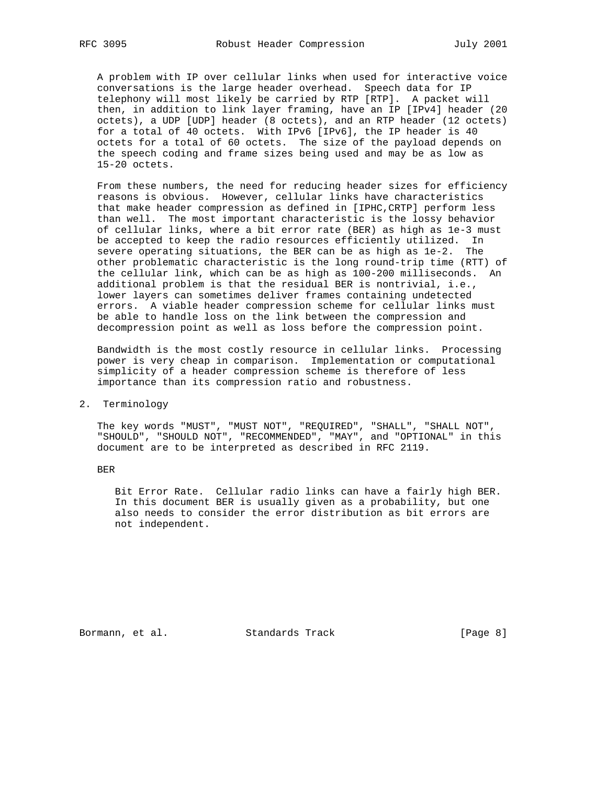A problem with IP over cellular links when used for interactive voice conversations is the large header overhead. Speech data for IP telephony will most likely be carried by RTP [RTP]. A packet will then, in addition to link layer framing, have an IP [IPv4] header (20 octets), a UDP [UDP] header (8 octets), and an RTP header (12 octets) for a total of 40 octets. With IPv6 [IPv6], the IP header is 40 octets for a total of 60 octets. The size of the payload depends on the speech coding and frame sizes being used and may be as low as 15-20 octets.

 From these numbers, the need for reducing header sizes for efficiency reasons is obvious. However, cellular links have characteristics that make header compression as defined in [IPHC,CRTP] perform less than well. The most important characteristic is the lossy behavior of cellular links, where a bit error rate (BER) as high as 1e-3 must be accepted to keep the radio resources efficiently utilized. In severe operating situations, the BER can be as high as 1e-2. The other problematic characteristic is the long round-trip time (RTT) of the cellular link, which can be as high as 100-200 milliseconds. An additional problem is that the residual BER is nontrivial, i.e., lower layers can sometimes deliver frames containing undetected errors. A viable header compression scheme for cellular links must be able to handle loss on the link between the compression and decompression point as well as loss before the compression point.

 Bandwidth is the most costly resource in cellular links. Processing power is very cheap in comparison. Implementation or computational simplicity of a header compression scheme is therefore of less importance than its compression ratio and robustness.

### 2. Terminology

 The key words "MUST", "MUST NOT", "REQUIRED", "SHALL", "SHALL NOT", "SHOULD", "SHOULD NOT", "RECOMMENDED", "MAY", and "OPTIONAL" in this document are to be interpreted as described in RFC 2119.

BER

 Bit Error Rate. Cellular radio links can have a fairly high BER. In this document BER is usually given as a probability, but one also needs to consider the error distribution as bit errors are not independent.

Bormann, et al. Standards Track [Page 8]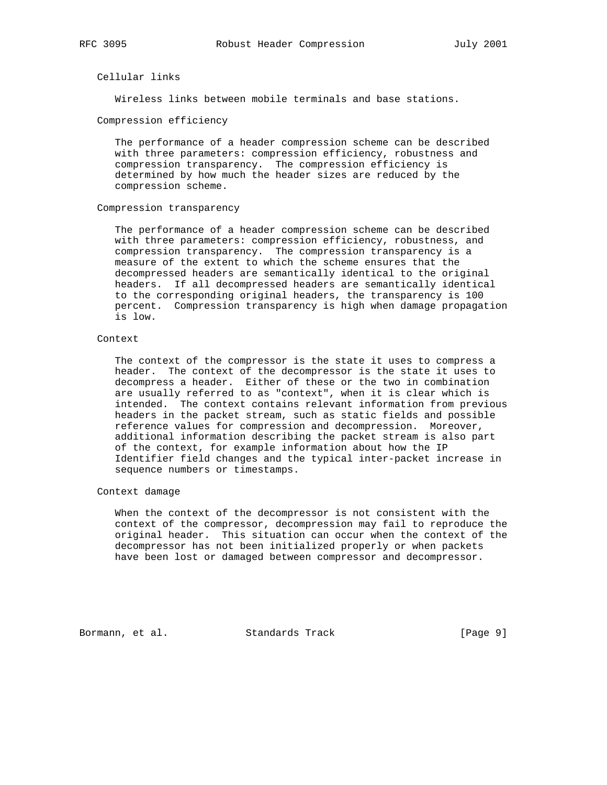# Cellular links

Wireless links between mobile terminals and base stations.

#### Compression efficiency

 The performance of a header compression scheme can be described with three parameters: compression efficiency, robustness and compression transparency. The compression efficiency is determined by how much the header sizes are reduced by the compression scheme.

#### Compression transparency

 The performance of a header compression scheme can be described with three parameters: compression efficiency, robustness, and compression transparency. The compression transparency is a measure of the extent to which the scheme ensures that the decompressed headers are semantically identical to the original headers. If all decompressed headers are semantically identical to the corresponding original headers, the transparency is 100 percent. Compression transparency is high when damage propagation is low.

# Context

 The context of the compressor is the state it uses to compress a header. The context of the decompressor is the state it uses to decompress a header. Either of these or the two in combination are usually referred to as "context", when it is clear which is intended. The context contains relevant information from previous headers in the packet stream, such as static fields and possible reference values for compression and decompression. Moreover, additional information describing the packet stream is also part of the context, for example information about how the IP Identifier field changes and the typical inter-packet increase in sequence numbers or timestamps.

### Context damage

 When the context of the decompressor is not consistent with the context of the compressor, decompression may fail to reproduce the original header. This situation can occur when the context of the decompressor has not been initialized properly or when packets have been lost or damaged between compressor and decompressor.

Bormann, et al. Standards Track [Page 9]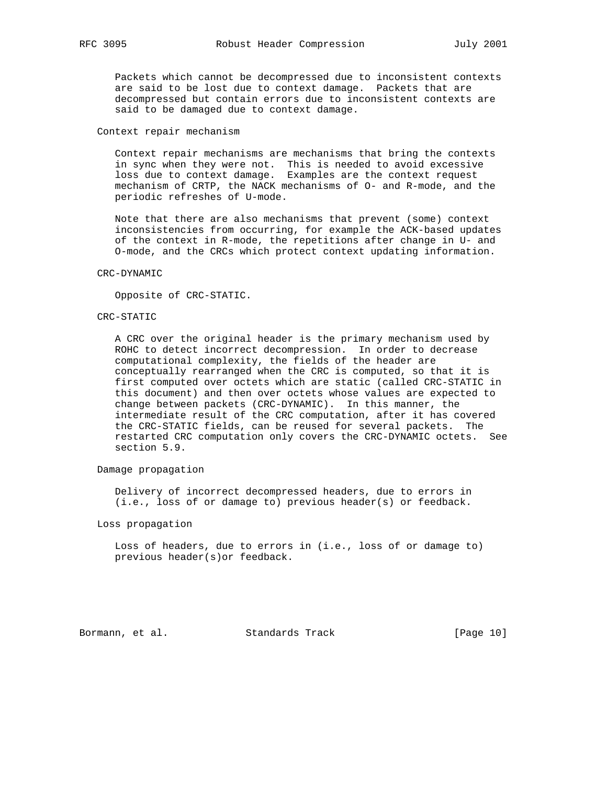Packets which cannot be decompressed due to inconsistent contexts are said to be lost due to context damage. Packets that are decompressed but contain errors due to inconsistent contexts are said to be damaged due to context damage.

#### Context repair mechanism

 Context repair mechanisms are mechanisms that bring the contexts in sync when they were not. This is needed to avoid excessive loss due to context damage. Examples are the context request mechanism of CRTP, the NACK mechanisms of O- and R-mode, and the periodic refreshes of U-mode.

 Note that there are also mechanisms that prevent (some) context inconsistencies from occurring, for example the ACK-based updates of the context in R-mode, the repetitions after change in U- and O-mode, and the CRCs which protect context updating information.

#### CRC-DYNAMIC

Opposite of CRC-STATIC.

#### CRC-STATIC

 A CRC over the original header is the primary mechanism used by ROHC to detect incorrect decompression. In order to decrease computational complexity, the fields of the header are conceptually rearranged when the CRC is computed, so that it is first computed over octets which are static (called CRC-STATIC in this document) and then over octets whose values are expected to change between packets (CRC-DYNAMIC). In this manner, the intermediate result of the CRC computation, after it has covered the CRC-STATIC fields, can be reused for several packets. The restarted CRC computation only covers the CRC-DYNAMIC octets. See section 5.9.

# Damage propagation

 Delivery of incorrect decompressed headers, due to errors in (i.e., loss of or damage to) previous header(s) or feedback.

Loss propagation

 Loss of headers, due to errors in (i.e., loss of or damage to) previous header(s)or feedback.

Bormann, et al. Standards Track [Page 10]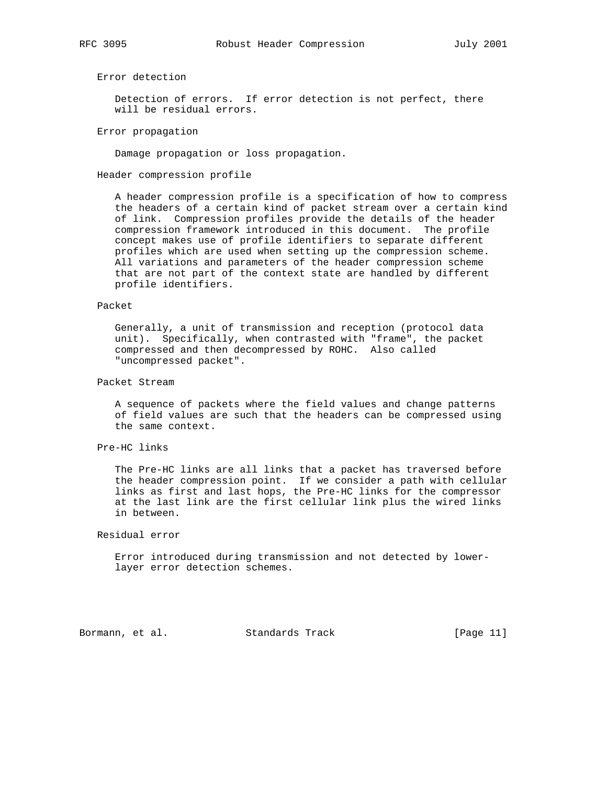Error detection

 Detection of errors. If error detection is not perfect, there will be residual errors.

Error propagation

Damage propagation or loss propagation.

Header compression profile

 A header compression profile is a specification of how to compress the headers of a certain kind of packet stream over a certain kind of link. Compression profiles provide the details of the header compression framework introduced in this document. The profile concept makes use of profile identifiers to separate different profiles which are used when setting up the compression scheme. All variations and parameters of the header compression scheme that are not part of the context state are handled by different profile identifiers.

### Packet

 Generally, a unit of transmission and reception (protocol data unit). Specifically, when contrasted with "frame", the packet compressed and then decompressed by ROHC. Also called "uncompressed packet".

# Packet Stream

 A sequence of packets where the field values and change patterns of field values are such that the headers can be compressed using the same context.

Pre-HC links

 The Pre-HC links are all links that a packet has traversed before the header compression point. If we consider a path with cellular links as first and last hops, the Pre-HC links for the compressor at the last link are the first cellular link plus the wired links in between.

# Residual error

 Error introduced during transmission and not detected by lower layer error detection schemes.

Bormann, et al. Standards Track [Page 11]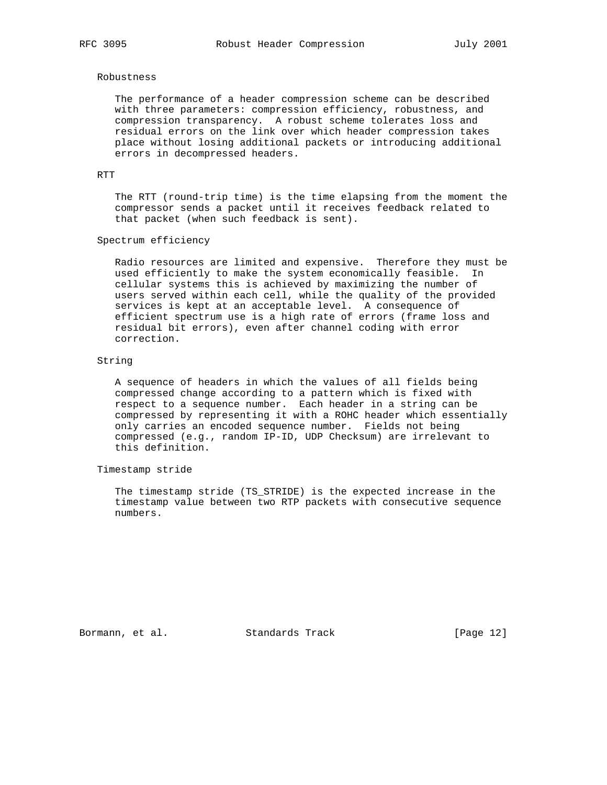#### Robustness

 The performance of a header compression scheme can be described with three parameters: compression efficiency, robustness, and compression transparency. A robust scheme tolerates loss and residual errors on the link over which header compression takes place without losing additional packets or introducing additional errors in decompressed headers.

# RTT

 The RTT (round-trip time) is the time elapsing from the moment the compressor sends a packet until it receives feedback related to that packet (when such feedback is sent).

# Spectrum efficiency

 Radio resources are limited and expensive. Therefore they must be used efficiently to make the system economically feasible. In cellular systems this is achieved by maximizing the number of users served within each cell, while the quality of the provided services is kept at an acceptable level. A consequence of efficient spectrum use is a high rate of errors (frame loss and residual bit errors), even after channel coding with error correction.

#### String

 A sequence of headers in which the values of all fields being compressed change according to a pattern which is fixed with respect to a sequence number. Each header in a string can be compressed by representing it with a ROHC header which essentially only carries an encoded sequence number. Fields not being compressed (e.g., random IP-ID, UDP Checksum) are irrelevant to this definition.

# Timestamp stride

 The timestamp stride (TS\_STRIDE) is the expected increase in the timestamp value between two RTP packets with consecutive sequence numbers.

Bormann, et al. Standards Track [Page 12]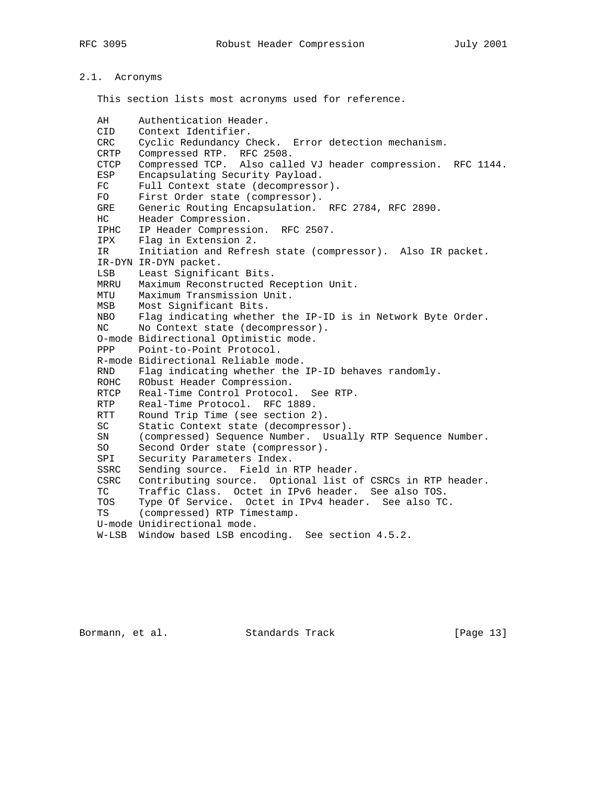# 2.1. Acronyms

This section lists most acronyms used for reference.

| AH          | Authentication Header.                                       |
|-------------|--------------------------------------------------------------|
| CID         | Context Identifier.                                          |
| CRC         | Cyclic Redundancy Check. Error detection mechanism.          |
| CRTP        | RFC 2508.<br>Compressed RTP.                                 |
| <b>CTCP</b> | Compressed TCP. Also called VJ header compression. RFC 1144. |
| ESP         | Encapsulating Security Payload.                              |
| FC.         |                                                              |
|             | Full Context state (decompressor).                           |
| FO.         | First Order state (compressor).                              |
| GRE<br>HC.  | Generic Routing Encapsulation. RFC 2784, RFC 2890.           |
|             | Header Compression.                                          |
| IPHC        | IP Header Compression. RFC 2507.                             |
| IPX         | Flag in Extension 2.                                         |
| IR          | Initiation and Refresh state (compressor). Also IR packet.   |
|             | IR-DYN IR-DYN packet.                                        |
| LSB         | Least Significant Bits.                                      |
| MRRU        | Maximum Reconstructed Reception Unit.                        |
| MTU         | Maximum Transmission Unit.                                   |
| MSB         | Most Significant Bits.                                       |
| NBO         | Flag indicating whether the IP-ID is in Network Byte Order.  |
| NC.         | No Context state (decompressor).                             |
|             | O-mode Bidirectional Optimistic mode.                        |
| PPP         | Point-to-Point Protocol.                                     |
|             | R-mode Bidirectional Reliable mode.                          |
| <b>RND</b>  | Flag indicating whether the IP-ID behaves randomly.          |
| ROHC        | RObust Header Compression.                                   |
| RTCP        | Real-Time Control Protocol. See RTP.                         |
| RTP         | Real-Time Protocol, RFC 1889.                                |
| RTT         | Round Trip Time (see section 2).                             |
| SC          | Static Context state (decompressor).                         |
| SN          | (compressed) Sequence Number. Usually RTP Sequence Number.   |
| SO          | Second Order state (compressor).                             |
| SPI         | Security Parameters Index.                                   |
| SSRC        | Sending source. Field in RTP header.                         |
| CSRC        | Contributing source. Optional list of CSRCs in RTP header.   |
| <b>TC</b>   | Traffic Class. Octet in IPv6 header. See also TOS.           |
| TOS         | Type Of Service. Octet in IPv4 header. See also TC.          |
| TS          | (compressed) RTP Timestamp.                                  |
|             | U-mode Unidirectional mode.                                  |
| W-LSB       | Window based LSB encoding. See section 4.5.2.                |

Bormann, et al. Standards Track [Page 13]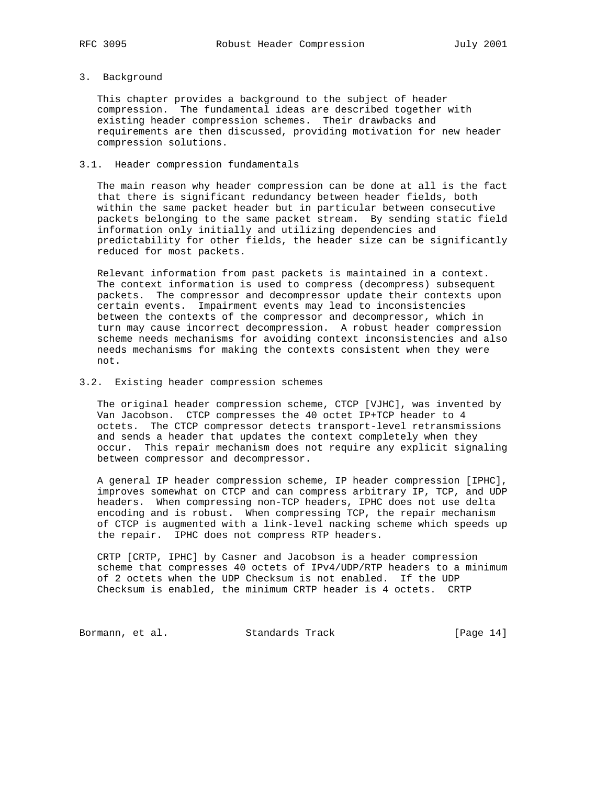# 3. Background

 This chapter provides a background to the subject of header compression. The fundamental ideas are described together with existing header compression schemes. Their drawbacks and requirements are then discussed, providing motivation for new header compression solutions.

## 3.1. Header compression fundamentals

 The main reason why header compression can be done at all is the fact that there is significant redundancy between header fields, both within the same packet header but in particular between consecutive packets belonging to the same packet stream. By sending static field information only initially and utilizing dependencies and predictability for other fields, the header size can be significantly reduced for most packets.

 Relevant information from past packets is maintained in a context. The context information is used to compress (decompress) subsequent packets. The compressor and decompressor update their contexts upon certain events. Impairment events may lead to inconsistencies between the contexts of the compressor and decompressor, which in turn may cause incorrect decompression. A robust header compression scheme needs mechanisms for avoiding context inconsistencies and also needs mechanisms for making the contexts consistent when they were not.

# 3.2. Existing header compression schemes

 The original header compression scheme, CTCP [VJHC], was invented by Van Jacobson. CTCP compresses the 40 octet IP+TCP header to 4 octets. The CTCP compressor detects transport-level retransmissions and sends a header that updates the context completely when they occur. This repair mechanism does not require any explicit signaling between compressor and decompressor.

 A general IP header compression scheme, IP header compression [IPHC], improves somewhat on CTCP and can compress arbitrary IP, TCP, and UDP headers. When compressing non-TCP headers, IPHC does not use delta encoding and is robust. When compressing TCP, the repair mechanism of CTCP is augmented with a link-level nacking scheme which speeds up the repair. IPHC does not compress RTP headers.

 CRTP [CRTP, IPHC] by Casner and Jacobson is a header compression scheme that compresses 40 octets of IPv4/UDP/RTP headers to a minimum of 2 octets when the UDP Checksum is not enabled. If the UDP Checksum is enabled, the minimum CRTP header is 4 octets. CRTP

Bormann, et al. Standards Track [Page 14]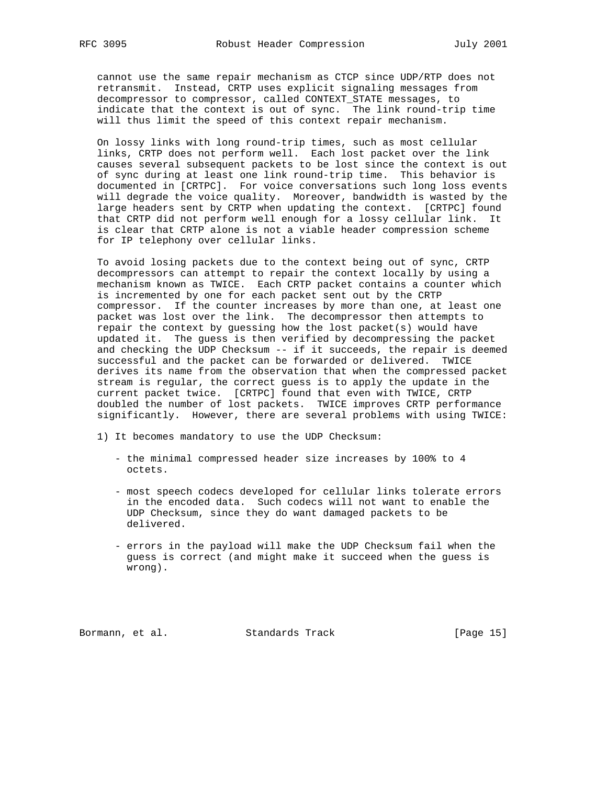cannot use the same repair mechanism as CTCP since UDP/RTP does not retransmit. Instead, CRTP uses explicit signaling messages from decompressor to compressor, called CONTEXT\_STATE messages, to indicate that the context is out of sync. The link round-trip time will thus limit the speed of this context repair mechanism.

 On lossy links with long round-trip times, such as most cellular links, CRTP does not perform well. Each lost packet over the link causes several subsequent packets to be lost since the context is out of sync during at least one link round-trip time. This behavior is documented in [CRTPC]. For voice conversations such long loss events will degrade the voice quality. Moreover, bandwidth is wasted by the large headers sent by CRTP when updating the context. [CRTPC] found that CRTP did not perform well enough for a lossy cellular link. It is clear that CRTP alone is not a viable header compression scheme for IP telephony over cellular links.

 To avoid losing packets due to the context being out of sync, CRTP decompressors can attempt to repair the context locally by using a mechanism known as TWICE. Each CRTP packet contains a counter which is incremented by one for each packet sent out by the CRTP compressor. If the counter increases by more than one, at least one packet was lost over the link. The decompressor then attempts to repair the context by guessing how the lost packet(s) would have updated it. The guess is then verified by decompressing the packet and checking the UDP Checksum -- if it succeeds, the repair is deemed successful and the packet can be forwarded or delivered. TWICE derives its name from the observation that when the compressed packet stream is regular, the correct guess is to apply the update in the current packet twice. [CRTPC] found that even with TWICE, CRTP doubled the number of lost packets. TWICE improves CRTP performance significantly. However, there are several problems with using TWICE:

- 1) It becomes mandatory to use the UDP Checksum:
	- the minimal compressed header size increases by 100% to 4 octets.
	- most speech codecs developed for cellular links tolerate errors in the encoded data. Such codecs will not want to enable the UDP Checksum, since they do want damaged packets to be delivered.
	- errors in the payload will make the UDP Checksum fail when the guess is correct (and might make it succeed when the guess is wrong).

Bormann, et al. Standards Track [Page 15]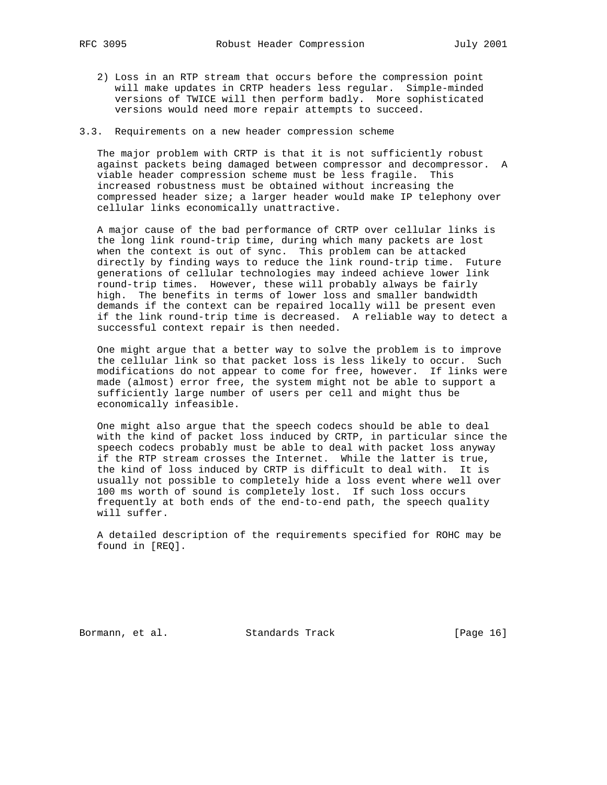- 2) Loss in an RTP stream that occurs before the compression point will make updates in CRTP headers less regular. Simple-minded versions of TWICE will then perform badly. More sophisticated versions would need more repair attempts to succeed.
- 3.3. Requirements on a new header compression scheme

 The major problem with CRTP is that it is not sufficiently robust against packets being damaged between compressor and decompressor. A viable header compression scheme must be less fragile. This increased robustness must be obtained without increasing the compressed header size; a larger header would make IP telephony over cellular links economically unattractive.

 A major cause of the bad performance of CRTP over cellular links is the long link round-trip time, during which many packets are lost when the context is out of sync. This problem can be attacked directly by finding ways to reduce the link round-trip time. Future generations of cellular technologies may indeed achieve lower link round-trip times. However, these will probably always be fairly high. The benefits in terms of lower loss and smaller bandwidth demands if the context can be repaired locally will be present even if the link round-trip time is decreased. A reliable way to detect a successful context repair is then needed.

 One might argue that a better way to solve the problem is to improve the cellular link so that packet loss is less likely to occur. Such modifications do not appear to come for free, however. If links were made (almost) error free, the system might not be able to support a sufficiently large number of users per cell and might thus be economically infeasible.

 One might also argue that the speech codecs should be able to deal with the kind of packet loss induced by CRTP, in particular since the speech codecs probably must be able to deal with packet loss anyway if the RTP stream crosses the Internet. While the latter is true, the kind of loss induced by CRTP is difficult to deal with. It is usually not possible to completely hide a loss event where well over 100 ms worth of sound is completely lost. If such loss occurs frequently at both ends of the end-to-end path, the speech quality will suffer.

 A detailed description of the requirements specified for ROHC may be found in [REQ].

Bormann, et al. Standards Track [Page 16]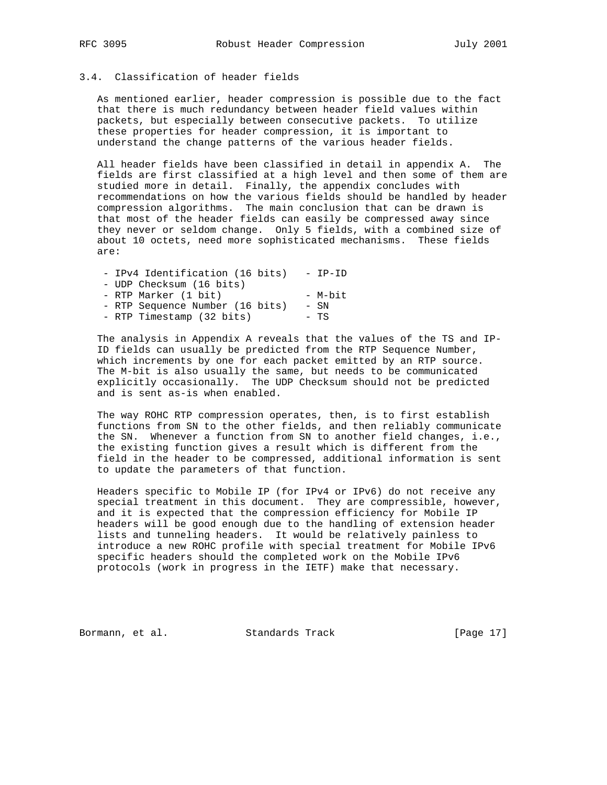# 3.4. Classification of header fields

 As mentioned earlier, header compression is possible due to the fact that there is much redundancy between header field values within packets, but especially between consecutive packets. To utilize these properties for header compression, it is important to understand the change patterns of the various header fields.

 All header fields have been classified in detail in appendix A. The fields are first classified at a high level and then some of them are studied more in detail. Finally, the appendix concludes with recommendations on how the various fields should be handled by header compression algorithms. The main conclusion that can be drawn is that most of the header fields can easily be compressed away since they never or seldom change. Only 5 fields, with a combined size of about 10 octets, need more sophisticated mechanisms. These fields are:

| - IPv4 Identification (16 bits) | - TP-TD |
|---------------------------------|---------|
| - UDP Checksum (16 bits)        |         |
| - RTP Marker (1 bit)            | - M-bit |
| - RTP Sequence Number (16 bits) | $-$ SN  |
| - RTP Timestamp (32 bits)       | – TS    |

 The analysis in Appendix A reveals that the values of the TS and IP- ID fields can usually be predicted from the RTP Sequence Number, which increments by one for each packet emitted by an RTP source. The M-bit is also usually the same, but needs to be communicated explicitly occasionally. The UDP Checksum should not be predicted and is sent as-is when enabled.

 The way ROHC RTP compression operates, then, is to first establish functions from SN to the other fields, and then reliably communicate the SN. Whenever a function from SN to another field changes, i.e., the existing function gives a result which is different from the field in the header to be compressed, additional information is sent to update the parameters of that function.

 Headers specific to Mobile IP (for IPv4 or IPv6) do not receive any special treatment in this document. They are compressible, however, and it is expected that the compression efficiency for Mobile IP headers will be good enough due to the handling of extension header lists and tunneling headers. It would be relatively painless to introduce a new ROHC profile with special treatment for Mobile IPv6 specific headers should the completed work on the Mobile IPv6 protocols (work in progress in the IETF) make that necessary.

Bormann, et al. Standards Track [Page 17]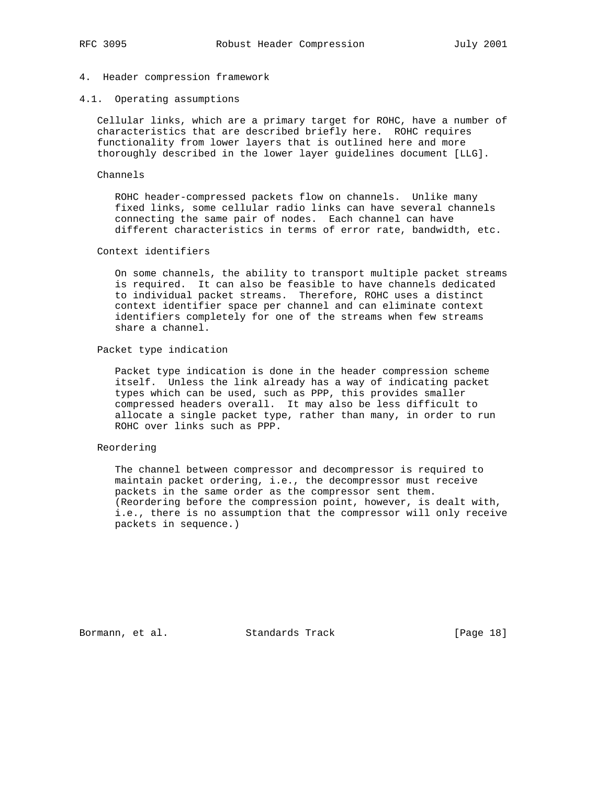# 4. Header compression framework

4.1. Operating assumptions

 Cellular links, which are a primary target for ROHC, have a number of characteristics that are described briefly here. ROHC requires functionality from lower layers that is outlined here and more thoroughly described in the lower layer guidelines document [LLG].

#### Channels

 ROHC header-compressed packets flow on channels. Unlike many fixed links, some cellular radio links can have several channels connecting the same pair of nodes. Each channel can have different characteristics in terms of error rate, bandwidth, etc.

### Context identifiers

 On some channels, the ability to transport multiple packet streams is required. It can also be feasible to have channels dedicated to individual packet streams. Therefore, ROHC uses a distinct context identifier space per channel and can eliminate context identifiers completely for one of the streams when few streams share a channel.

#### Packet type indication

 Packet type indication is done in the header compression scheme itself. Unless the link already has a way of indicating packet types which can be used, such as PPP, this provides smaller compressed headers overall. It may also be less difficult to allocate a single packet type, rather than many, in order to run ROHC over links such as PPP.

# Reordering

 The channel between compressor and decompressor is required to maintain packet ordering, i.e., the decompressor must receive packets in the same order as the compressor sent them. (Reordering before the compression point, however, is dealt with, i.e., there is no assumption that the compressor will only receive packets in sequence.)

Bormann, et al. Standards Track [Page 18]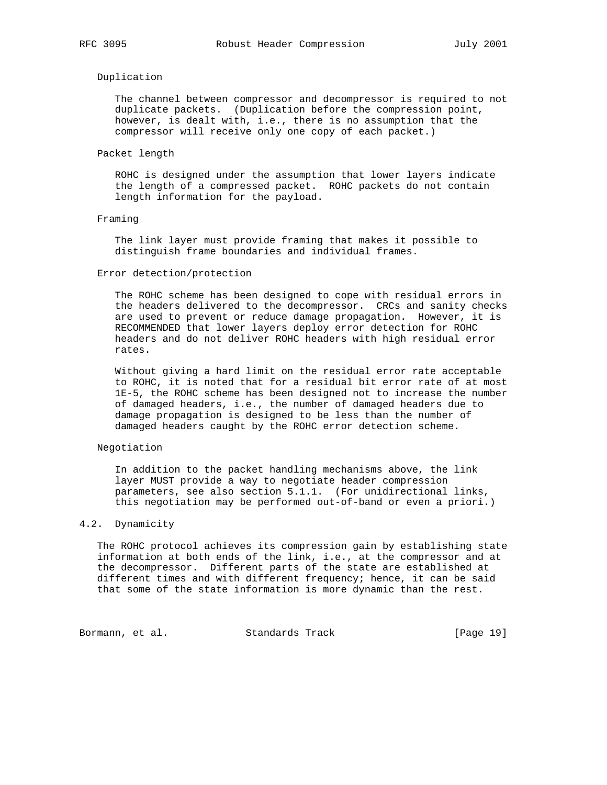# Duplication

 The channel between compressor and decompressor is required to not duplicate packets. (Duplication before the compression point, however, is dealt with, i.e., there is no assumption that the compressor will receive only one copy of each packet.)

#### Packet length

 ROHC is designed under the assumption that lower layers indicate the length of a compressed packet. ROHC packets do not contain length information for the payload.

### Framing

 The link layer must provide framing that makes it possible to distinguish frame boundaries and individual frames.

#### Error detection/protection

 The ROHC scheme has been designed to cope with residual errors in the headers delivered to the decompressor. CRCs and sanity checks are used to prevent or reduce damage propagation. However, it is RECOMMENDED that lower layers deploy error detection for ROHC headers and do not deliver ROHC headers with high residual error rates.

 Without giving a hard limit on the residual error rate acceptable to ROHC, it is noted that for a residual bit error rate of at most 1E-5, the ROHC scheme has been designed not to increase the number of damaged headers, i.e., the number of damaged headers due to damage propagation is designed to be less than the number of damaged headers caught by the ROHC error detection scheme.

# Negotiation

 In addition to the packet handling mechanisms above, the link layer MUST provide a way to negotiate header compression parameters, see also section 5.1.1. (For unidirectional links, this negotiation may be performed out-of-band or even a priori.)

# 4.2. Dynamicity

 The ROHC protocol achieves its compression gain by establishing state information at both ends of the link, i.e., at the compressor and at the decompressor. Different parts of the state are established at different times and with different frequency; hence, it can be said that some of the state information is more dynamic than the rest.

Bormann, et al. Standards Track [Page 19]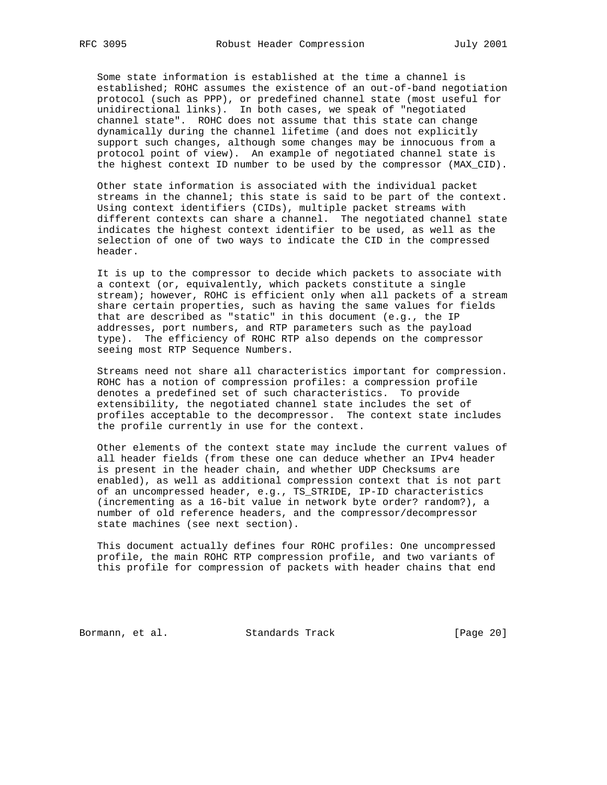Some state information is established at the time a channel is established; ROHC assumes the existence of an out-of-band negotiation protocol (such as PPP), or predefined channel state (most useful for unidirectional links). In both cases, we speak of "negotiated channel state". ROHC does not assume that this state can change dynamically during the channel lifetime (and does not explicitly support such changes, although some changes may be innocuous from a protocol point of view). An example of negotiated channel state is the highest context ID number to be used by the compressor (MAX\_CID).

 Other state information is associated with the individual packet streams in the channel; this state is said to be part of the context. Using context identifiers (CIDs), multiple packet streams with different contexts can share a channel. The negotiated channel state indicates the highest context identifier to be used, as well as the selection of one of two ways to indicate the CID in the compressed header.

 It is up to the compressor to decide which packets to associate with a context (or, equivalently, which packets constitute a single stream); however, ROHC is efficient only when all packets of a stream share certain properties, such as having the same values for fields that are described as "static" in this document (e.g., the IP addresses, port numbers, and RTP parameters such as the payload type). The efficiency of ROHC RTP also depends on the compressor seeing most RTP Sequence Numbers.

 Streams need not share all characteristics important for compression. ROHC has a notion of compression profiles: a compression profile denotes a predefined set of such characteristics. To provide extensibility, the negotiated channel state includes the set of profiles acceptable to the decompressor. The context state includes the profile currently in use for the context.

 Other elements of the context state may include the current values of all header fields (from these one can deduce whether an IPv4 header is present in the header chain, and whether UDP Checksums are enabled), as well as additional compression context that is not part of an uncompressed header, e.g., TS\_STRIDE, IP-ID characteristics (incrementing as a 16-bit value in network byte order? random?), a number of old reference headers, and the compressor/decompressor state machines (see next section).

 This document actually defines four ROHC profiles: One uncompressed profile, the main ROHC RTP compression profile, and two variants of this profile for compression of packets with header chains that end

Bormann, et al. Standards Track [Page 20]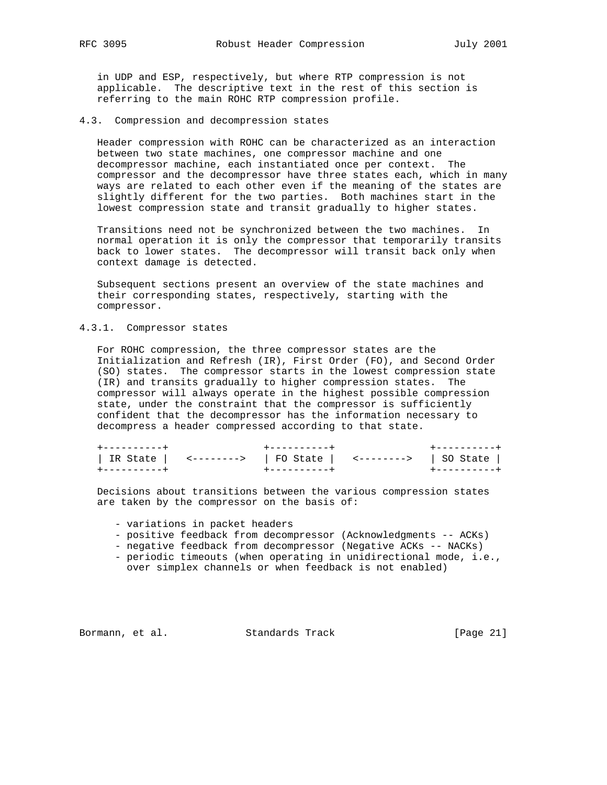in UDP and ESP, respectively, but where RTP compression is not applicable. The descriptive text in the rest of this section is referring to the main ROHC RTP compression profile.

# 4.3. Compression and decompression states

 Header compression with ROHC can be characterized as an interaction between two state machines, one compressor machine and one decompressor machine, each instantiated once per context. The compressor and the decompressor have three states each, which in many ways are related to each other even if the meaning of the states are slightly different for the two parties. Both machines start in the lowest compression state and transit gradually to higher states.

 Transitions need not be synchronized between the two machines. In normal operation it is only the compressor that temporarily transits back to lower states. The decompressor will transit back only when context damage is detected.

 Subsequent sections present an overview of the state machines and their corresponding states, respectively, starting with the compressor.

# 4.3.1. Compressor states

 For ROHC compression, the three compressor states are the Initialization and Refresh (IR), First Order (FO), and Second Order (SO) states. The compressor starts in the lowest compression state (IR) and transits gradually to higher compression states. The compressor will always operate in the highest possible compression state, under the constraint that the compressor is sufficiently confident that the decompressor has the information necessary to decompress a header compressed according to that state.

|  | IR State $\vert$ <-------> $\vert$ FO State $\vert$ <--------> $\vert$ SO State $\vert$ |  |
|--|-----------------------------------------------------------------------------------------|--|
|  |                                                                                         |  |

 Decisions about transitions between the various compression states are taken by the compressor on the basis of:

- variations in packet headers
- positive feedback from decompressor (Acknowledgments -- ACKs)
- negative feedback from decompressor (Negative ACKs -- NACKs)
- periodic timeouts (when operating in unidirectional mode, i.e., over simplex channels or when feedback is not enabled)

Bormann, et al. Standards Track [Page 21]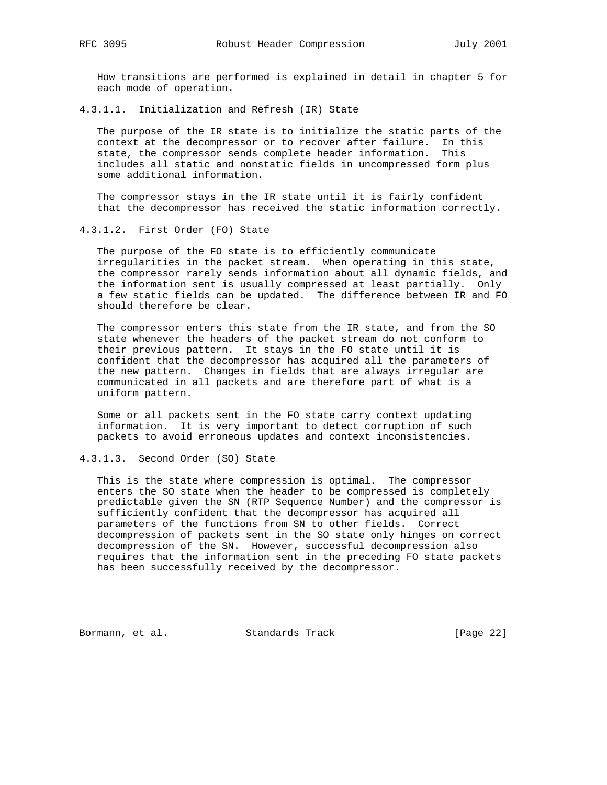How transitions are performed is explained in detail in chapter 5 for each mode of operation.

4.3.1.1. Initialization and Refresh (IR) State

 The purpose of the IR state is to initialize the static parts of the context at the decompressor or to recover after failure. In this state, the compressor sends complete header information. This includes all static and nonstatic fields in uncompressed form plus some additional information.

 The compressor stays in the IR state until it is fairly confident that the decompressor has received the static information correctly.

# 4.3.1.2. First Order (FO) State

 The purpose of the FO state is to efficiently communicate irregularities in the packet stream. When operating in this state, the compressor rarely sends information about all dynamic fields, and the information sent is usually compressed at least partially. Only a few static fields can be updated. The difference between IR and FO should therefore be clear.

 The compressor enters this state from the IR state, and from the SO state whenever the headers of the packet stream do not conform to their previous pattern. It stays in the FO state until it is confident that the decompressor has acquired all the parameters of the new pattern. Changes in fields that are always irregular are communicated in all packets and are therefore part of what is a uniform pattern.

 Some or all packets sent in the FO state carry context updating information. It is very important to detect corruption of such packets to avoid erroneous updates and context inconsistencies.

## 4.3.1.3. Second Order (SO) State

 This is the state where compression is optimal. The compressor enters the SO state when the header to be compressed is completely predictable given the SN (RTP Sequence Number) and the compressor is sufficiently confident that the decompressor has acquired all parameters of the functions from SN to other fields. Correct decompression of packets sent in the SO state only hinges on correct decompression of the SN. However, successful decompression also requires that the information sent in the preceding FO state packets has been successfully received by the decompressor.

Bormann, et al. Standards Track [Page 22]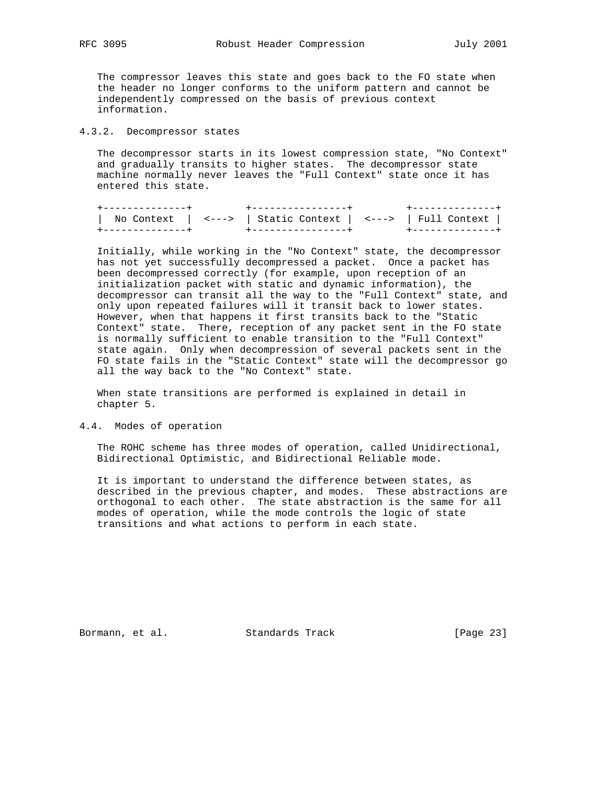The compressor leaves this state and goes back to the FO state when the header no longer conforms to the uniform pattern and cannot be independently compressed on the basis of previous context information.

# 4.3.2. Decompressor states

 The decompressor starts in its lowest compression state, "No Context" and gradually transits to higher states. The decompressor state machine normally never leaves the "Full Context" state once it has entered this state.

|  | No Context $\vert$ <---> $\vert$ Static Context $\vert$ <---> $\vert$ Full Context |  |
|--|------------------------------------------------------------------------------------|--|
|  |                                                                                    |  |

 Initially, while working in the "No Context" state, the decompressor has not yet successfully decompressed a packet. Once a packet has been decompressed correctly (for example, upon reception of an initialization packet with static and dynamic information), the decompressor can transit all the way to the "Full Context" state, and only upon repeated failures will it transit back to lower states. However, when that happens it first transits back to the "Static Context" state. There, reception of any packet sent in the FO state is normally sufficient to enable transition to the "Full Context" state again. Only when decompression of several packets sent in the FO state fails in the "Static Context" state will the decompressor go all the way back to the "No Context" state.

 When state transitions are performed is explained in detail in chapter 5.

# 4.4. Modes of operation

 The ROHC scheme has three modes of operation, called Unidirectional, Bidirectional Optimistic, and Bidirectional Reliable mode.

 It is important to understand the difference between states, as described in the previous chapter, and modes. These abstractions are orthogonal to each other. The state abstraction is the same for all modes of operation, while the mode controls the logic of state transitions and what actions to perform in each state.

Bormann, et al. Standards Track [Page 23]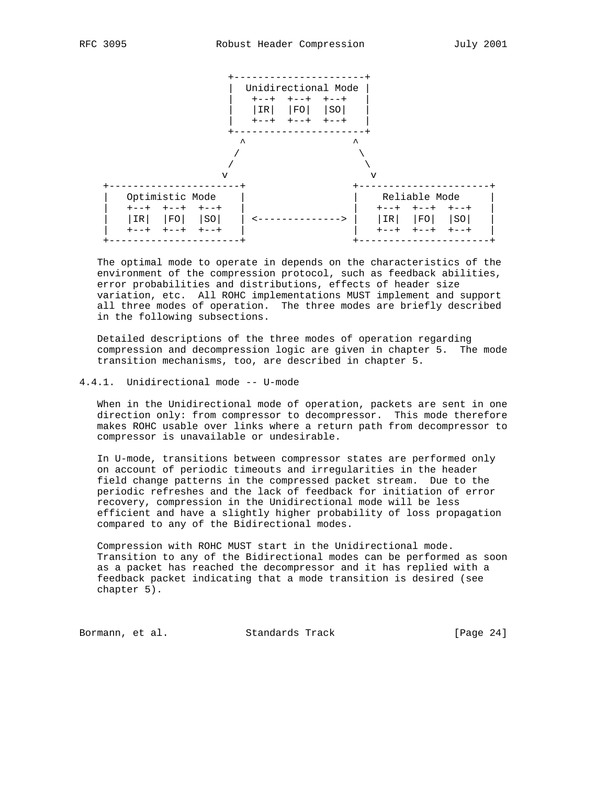

 The optimal mode to operate in depends on the characteristics of the environment of the compression protocol, such as feedback abilities, error probabilities and distributions, effects of header size variation, etc. All ROHC implementations MUST implement and support all three modes of operation. The three modes are briefly described in the following subsections.

 Detailed descriptions of the three modes of operation regarding compression and decompression logic are given in chapter 5. The mode transition mechanisms, too, are described in chapter 5.

# 4.4.1. Unidirectional mode -- U-mode

 When in the Unidirectional mode of operation, packets are sent in one direction only: from compressor to decompressor. This mode therefore makes ROHC usable over links where a return path from decompressor to compressor is unavailable or undesirable.

 In U-mode, transitions between compressor states are performed only on account of periodic timeouts and irregularities in the header field change patterns in the compressed packet stream. Due to the periodic refreshes and the lack of feedback for initiation of error recovery, compression in the Unidirectional mode will be less efficient and have a slightly higher probability of loss propagation compared to any of the Bidirectional modes.

 Compression with ROHC MUST start in the Unidirectional mode. Transition to any of the Bidirectional modes can be performed as soon as a packet has reached the decompressor and it has replied with a feedback packet indicating that a mode transition is desired (see chapter 5).

Bormann, et al. Standards Track [Page 24]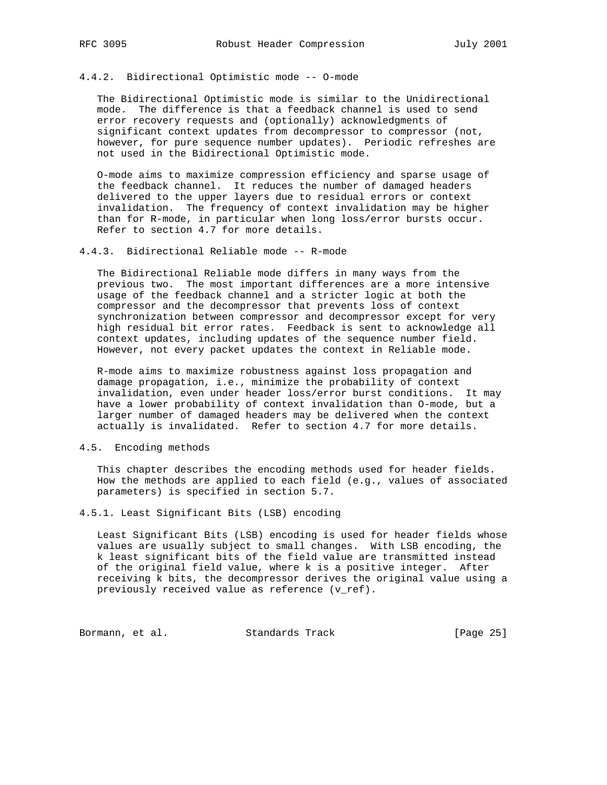# 4.4.2. Bidirectional Optimistic mode -- O-mode

 The Bidirectional Optimistic mode is similar to the Unidirectional mode. The difference is that a feedback channel is used to send error recovery requests and (optionally) acknowledgments of significant context updates from decompressor to compressor (not, however, for pure sequence number updates). Periodic refreshes are not used in the Bidirectional Optimistic mode.

 O-mode aims to maximize compression efficiency and sparse usage of the feedback channel. It reduces the number of damaged headers delivered to the upper layers due to residual errors or context invalidation. The frequency of context invalidation may be higher than for R-mode, in particular when long loss/error bursts occur. Refer to section 4.7 for more details.

# 4.4.3. Bidirectional Reliable mode -- R-mode

 The Bidirectional Reliable mode differs in many ways from the previous two. The most important differences are a more intensive usage of the feedback channel and a stricter logic at both the compressor and the decompressor that prevents loss of context synchronization between compressor and decompressor except for very high residual bit error rates. Feedback is sent to acknowledge all context updates, including updates of the sequence number field. However, not every packet updates the context in Reliable mode.

 R-mode aims to maximize robustness against loss propagation and damage propagation, i.e., minimize the probability of context invalidation, even under header loss/error burst conditions. It may have a lower probability of context invalidation than O-mode, but a larger number of damaged headers may be delivered when the context actually is invalidated. Refer to section 4.7 for more details.

# 4.5. Encoding methods

 This chapter describes the encoding methods used for header fields. How the methods are applied to each field (e.g., values of associated parameters) is specified in section 5.7.

# 4.5.1. Least Significant Bits (LSB) encoding

 Least Significant Bits (LSB) encoding is used for header fields whose values are usually subject to small changes. With LSB encoding, the k least significant bits of the field value are transmitted instead of the original field value, where k is a positive integer. After receiving k bits, the decompressor derives the original value using a previously received value as reference (v\_ref).

Bormann, et al. Standards Track [Page 25]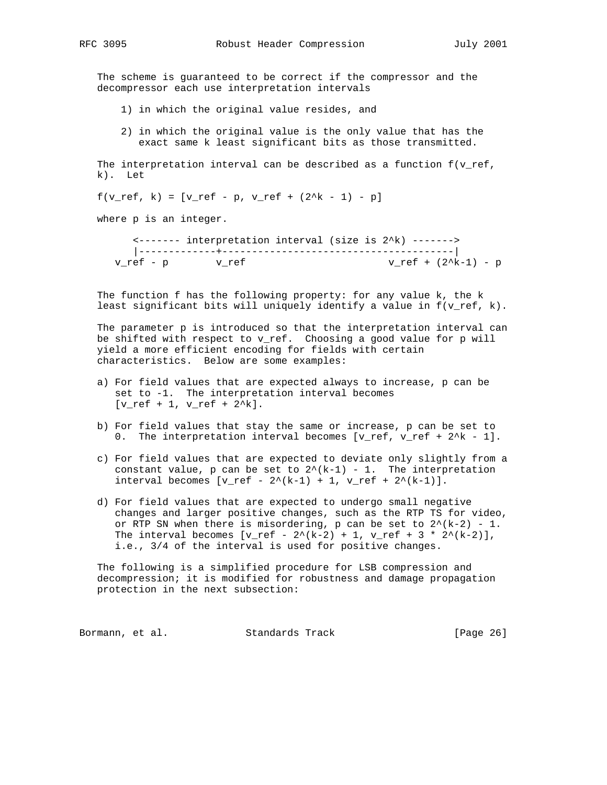The scheme is guaranteed to be correct if the compressor and the decompressor each use interpretation intervals

- 1) in which the original value resides, and
- 2) in which the original value is the only value that has the exact same k least significant bits as those transmitted.

The interpretation interval can be described as a function  $f(v_{ref},$ k). Let

 $f(v_ref, k) = [v_ref - p, v_ref + (2^k - 1) - p]$ 

where p is an integer.

 <------- interpretation interval (size is 2^k) -------> |-------------+---------------------------------------|  $v_ref - p$   $v_ref$   $v_ref$   $v_ref + (2^k-1) - p$ 

 The function f has the following property: for any value k, the k least significant bits will uniquely identify a value in f(v\_ref, k).

 The parameter p is introduced so that the interpretation interval can be shifted with respect to v\_ref. Choosing a good value for p will yield a more efficient encoding for fields with certain characteristics. Below are some examples:

- a) For field values that are expected always to increase, p can be set to -1. The interpretation interval becomes  $[v_ref + 1, v_ref + 2^k].$
- b) For field values that stay the same or increase, p can be set to 0. The interpretation interval becomes  $[v_ref, v_ref + 2^k - 1]$ .
- c) For field values that are expected to deviate only slightly from a constant value, p can be set to  $2^{(k-1)} - 1$ . The interpretation interval becomes  $[v_ref - 2^(k-1) + 1, v_ref + 2^(k-1)].$
- d) For field values that are expected to undergo small negative changes and larger positive changes, such as the RTP TS for video, or RTP SN when there is misordering, p can be set to  $2^{(k-2)} - 1$ . The interval becomes  $[v_ref - 2^{(k-2)} + 1, v_ref + 3 * 2^{(k-2)}],$ i.e., 3/4 of the interval is used for positive changes.

 The following is a simplified procedure for LSB compression and decompression; it is modified for robustness and damage propagation protection in the next subsection:

Bormann, et al. Standards Track [Page 26]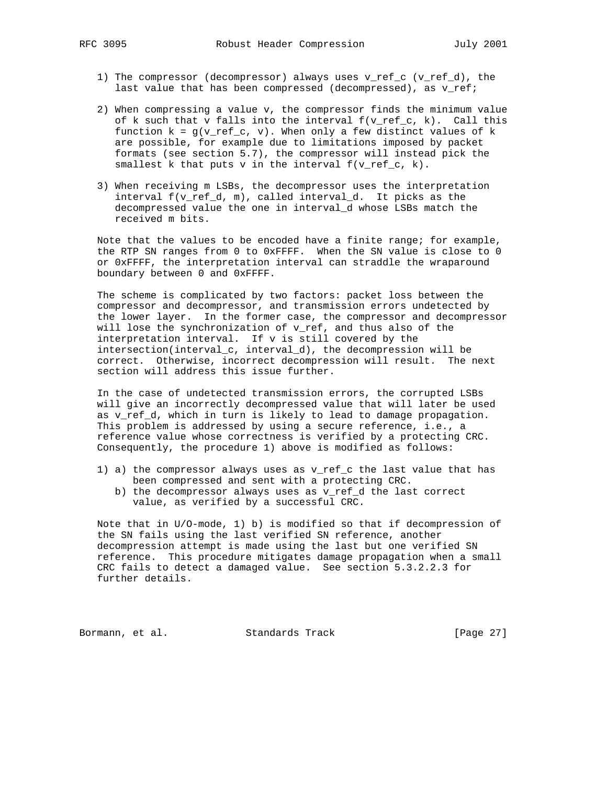- 1) The compressor (decompressor) always uses v\_ref\_c (v\_ref\_d), the last value that has been compressed (decompressed), as v\_ref;
- 2) When compressing a value v, the compressor finds the minimum value of k such that v falls into the interval  $f(v_ref_c, k)$ . Call this function  $k = g(v_ref_c, v)$ . When only a few distinct values of k are possible, for example due to limitations imposed by packet formats (see section 5.7), the compressor will instead pick the smallest k that puts v in the interval  $f(v_ref_c, k)$ .
- 3) When receiving m LSBs, the decompressor uses the interpretation interval f(v\_ref\_d, m), called interval\_d. It picks as the decompressed value the one in interval\_d whose LSBs match the received m bits.

 Note that the values to be encoded have a finite range; for example, the RTP SN ranges from 0 to 0xFFFF. When the SN value is close to 0 or 0xFFFF, the interpretation interval can straddle the wraparound boundary between 0 and 0xFFFF.

 The scheme is complicated by two factors: packet loss between the compressor and decompressor, and transmission errors undetected by the lower layer. In the former case, the compressor and decompressor will lose the synchronization of v\_ref, and thus also of the interpretation interval. If v is still covered by the intersection(interval\_c, interval\_d), the decompression will be correct. Otherwise, incorrect decompression will result. The next section will address this issue further.

 In the case of undetected transmission errors, the corrupted LSBs will give an incorrectly decompressed value that will later be used as v\_ref\_d, which in turn is likely to lead to damage propagation. This problem is addressed by using a secure reference, i.e., a reference value whose correctness is verified by a protecting CRC. Consequently, the procedure 1) above is modified as follows:

- 1) a) the compressor always uses as v\_ref\_c the last value that has been compressed and sent with a protecting CRC.
	- b) the decompressor always uses as v\_ref\_d the last correct value, as verified by a successful CRC.

 Note that in U/O-mode, 1) b) is modified so that if decompression of the SN fails using the last verified SN reference, another decompression attempt is made using the last but one verified SN reference. This procedure mitigates damage propagation when a small CRC fails to detect a damaged value. See section 5.3.2.2.3 for further details.

Bormann, et al. Standards Track [Page 27]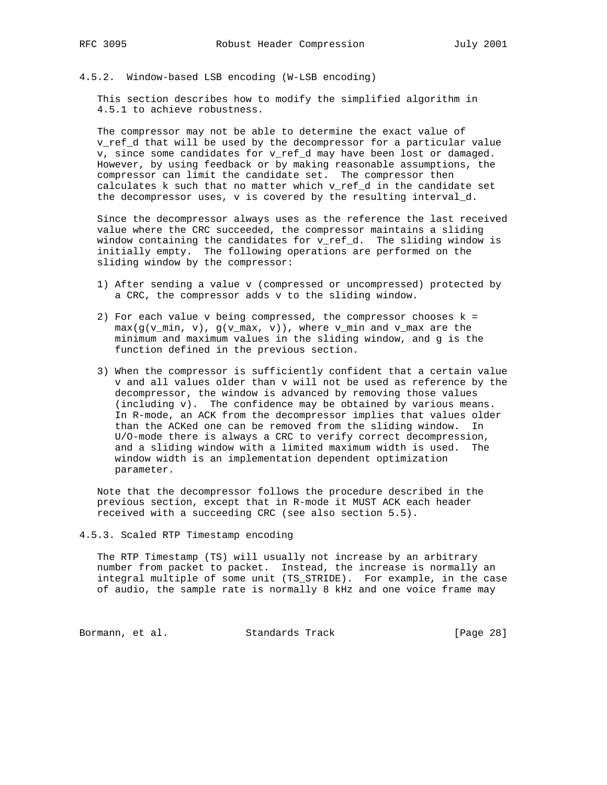# 4.5.2. Window-based LSB encoding (W-LSB encoding)

 This section describes how to modify the simplified algorithm in 4.5.1 to achieve robustness.

 The compressor may not be able to determine the exact value of v\_ref\_d that will be used by the decompressor for a particular value v, since some candidates for v\_ref\_d may have been lost or damaged. However, by using feedback or by making reasonable assumptions, the compressor can limit the candidate set. The compressor then calculates k such that no matter which v\_ref\_d in the candidate set the decompressor uses, v is covered by the resulting interval\_d.

 Since the decompressor always uses as the reference the last received value where the CRC succeeded, the compressor maintains a sliding window containing the candidates for v\_ref\_d. The sliding window is initially empty. The following operations are performed on the sliding window by the compressor:

- 1) After sending a value v (compressed or uncompressed) protected by a CRC, the compressor adds v to the sliding window.
- 2) For each value v being compressed, the compressor chooses k =  $max(g(v_{min}, v), g(v_{max}, v))$ , where v\_min and v\_max are the minimum and maximum values in the sliding window, and g is the function defined in the previous section.
- 3) When the compressor is sufficiently confident that a certain value v and all values older than v will not be used as reference by the decompressor, the window is advanced by removing those values (including v). The confidence may be obtained by various means. In R-mode, an ACK from the decompressor implies that values older than the ACKed one can be removed from the sliding window. In U/O-mode there is always a CRC to verify correct decompression, and a sliding window with a limited maximum width is used. The window width is an implementation dependent optimization parameter.

 Note that the decompressor follows the procedure described in the previous section, except that in R-mode it MUST ACK each header received with a succeeding CRC (see also section 5.5).

# 4.5.3. Scaled RTP Timestamp encoding

 The RTP Timestamp (TS) will usually not increase by an arbitrary number from packet to packet. Instead, the increase is normally an integral multiple of some unit (TS\_STRIDE). For example, in the case of audio, the sample rate is normally 8 kHz and one voice frame may

Bormann, et al. Standards Track [Page 28]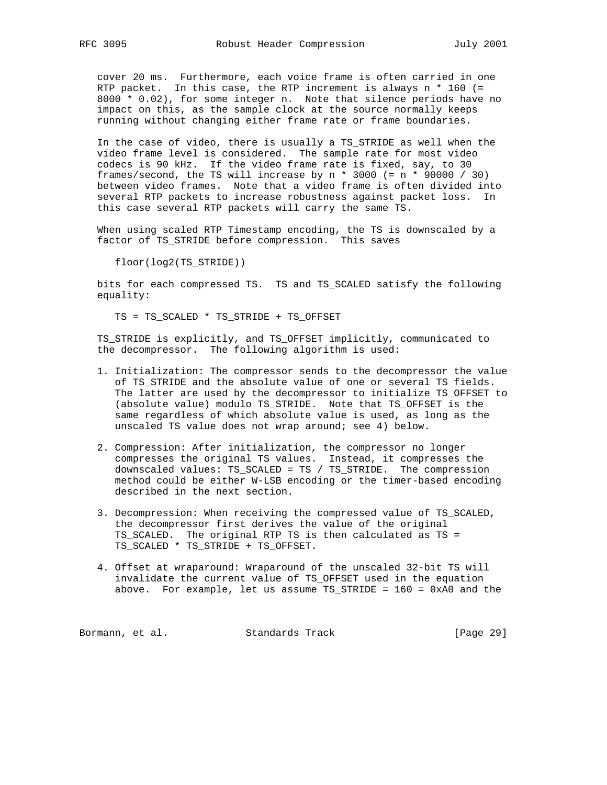cover 20 ms. Furthermore, each voice frame is often carried in one RTP packet. In this case, the RTP increment is always n \* 160 (= 8000 \* 0.02), for some integer n. Note that silence periods have no impact on this, as the sample clock at the source normally keeps running without changing either frame rate or frame boundaries.

 In the case of video, there is usually a TS\_STRIDE as well when the video frame level is considered. The sample rate for most video codecs is 90 kHz. If the video frame rate is fixed, say, to 30 frames/second, the TS will increase by  $n * 3000 (= n * 90000 / 30)$  between video frames. Note that a video frame is often divided into several RTP packets to increase robustness against packet loss. In this case several RTP packets will carry the same TS.

 When using scaled RTP Timestamp encoding, the TS is downscaled by a factor of TS\_STRIDE before compression. This saves

floor(log2(TS\_STRIDE))

 bits for each compressed TS. TS and TS\_SCALED satisfy the following equality:

TS = TS\_SCALED \* TS\_STRIDE + TS\_OFFSET

 TS\_STRIDE is explicitly, and TS\_OFFSET implicitly, communicated to the decompressor. The following algorithm is used:

- 1. Initialization: The compressor sends to the decompressor the value of TS\_STRIDE and the absolute value of one or several TS fields. The latter are used by the decompressor to initialize TS\_OFFSET to (absolute value) modulo TS\_STRIDE. Note that TS\_OFFSET is the same regardless of which absolute value is used, as long as the unscaled TS value does not wrap around; see 4) below.
- 2. Compression: After initialization, the compressor no longer compresses the original TS values. Instead, it compresses the downscaled values: TS\_SCALED = TS / TS\_STRIDE. The compression method could be either W-LSB encoding or the timer-based encoding described in the next section.
- 3. Decompression: When receiving the compressed value of TS\_SCALED, the decompressor first derives the value of the original TS\_SCALED. The original RTP TS is then calculated as TS = TS\_SCALED \* TS\_STRIDE + TS\_OFFSET.
- 4. Offset at wraparound: Wraparound of the unscaled 32-bit TS will invalidate the current value of TS\_OFFSET used in the equation above. For example, let us assume TS\_STRIDE = 160 = 0xA0 and the

Bormann, et al. Standards Track [Page 29]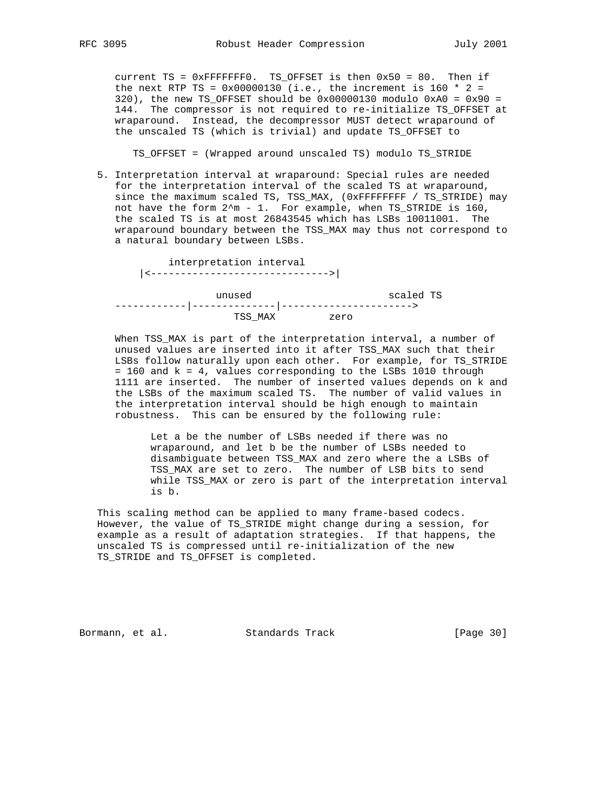current TS = 0xFFFFFFF0. TS\_OFFSET is then 0x50 = 80. Then if the next RTP TS =  $0 \times 00000130$  (i.e., the increment is 160 \* 2 = 320), the new TS\_OFFSET should be  $0 \times 000000130$  modulo  $0 \times A0 = 0 \times 90 = 0$  144. The compressor is not required to re-initialize TS\_OFFSET at wraparound. Instead, the decompressor MUST detect wraparound of the unscaled TS (which is trivial) and update TS\_OFFSET to

TS\_OFFSET = (Wrapped around unscaled TS) modulo TS\_STRIDE

 5. Interpretation interval at wraparound: Special rules are needed for the interpretation interval of the scaled TS at wraparound, since the maximum scaled TS, TSS\_MAX, (0xFFFFFFFF / TS\_STRIDE) may not have the form  $2^m - 1$ . For example, when TS\_STRIDE is 160, the scaled TS is at most 26843545 which has LSBs 10011001. The wraparound boundary between the TSS\_MAX may thus not correspond to a natural boundary between LSBs.

 interpretation interval |<------------------------------>| unused scaled TS ------------|--------------|----------------------> TSS\_MAX zero

 When TSS\_MAX is part of the interpretation interval, a number of unused values are inserted into it after TSS\_MAX such that their LSBs follow naturally upon each other. For example, for TS\_STRIDE = 160 and k = 4, values corresponding to the LSBs 1010 through 1111 are inserted. The number of inserted values depends on k and the LSBs of the maximum scaled TS. The number of valid values in the interpretation interval should be high enough to maintain robustness. This can be ensured by the following rule:

 Let a be the number of LSBs needed if there was no wraparound, and let b be the number of LSBs needed to disambiguate between TSS\_MAX and zero where the a LSBs of TSS\_MAX are set to zero. The number of LSB bits to send while TSS\_MAX or zero is part of the interpretation interval is b.

 This scaling method can be applied to many frame-based codecs. However, the value of TS\_STRIDE might change during a session, for example as a result of adaptation strategies. If that happens, the unscaled TS is compressed until re-initialization of the new TS\_STRIDE and TS\_OFFSET is completed.

Bormann, et al. Standards Track [Page 30]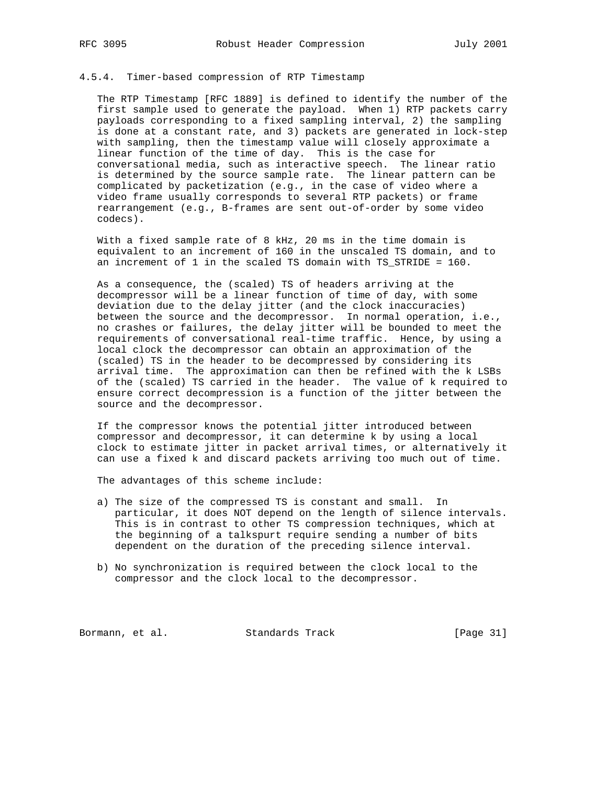# 4.5.4. Timer-based compression of RTP Timestamp

 The RTP Timestamp [RFC 1889] is defined to identify the number of the first sample used to generate the payload. When 1) RTP packets carry payloads corresponding to a fixed sampling interval, 2) the sampling is done at a constant rate, and 3) packets are generated in lock-step with sampling, then the timestamp value will closely approximate a linear function of the time of day. This is the case for conversational media, such as interactive speech. The linear ratio is determined by the source sample rate. The linear pattern can be complicated by packetization (e.g., in the case of video where a video frame usually corresponds to several RTP packets) or frame rearrangement (e.g., B-frames are sent out-of-order by some video codecs).

 With a fixed sample rate of 8 kHz, 20 ms in the time domain is equivalent to an increment of 160 in the unscaled TS domain, and to an increment of 1 in the scaled TS domain with TS\_STRIDE = 160.

 As a consequence, the (scaled) TS of headers arriving at the decompressor will be a linear function of time of day, with some deviation due to the delay jitter (and the clock inaccuracies) between the source and the decompressor. In normal operation, i.e., no crashes or failures, the delay jitter will be bounded to meet the requirements of conversational real-time traffic. Hence, by using a local clock the decompressor can obtain an approximation of the (scaled) TS in the header to be decompressed by considering its arrival time. The approximation can then be refined with the k LSBs of the (scaled) TS carried in the header. The value of k required to ensure correct decompression is a function of the jitter between the source and the decompressor.

 If the compressor knows the potential jitter introduced between compressor and decompressor, it can determine k by using a local clock to estimate jitter in packet arrival times, or alternatively it can use a fixed k and discard packets arriving too much out of time.

The advantages of this scheme include:

- a) The size of the compressed TS is constant and small. In particular, it does NOT depend on the length of silence intervals. This is in contrast to other TS compression techniques, which at the beginning of a talkspurt require sending a number of bits dependent on the duration of the preceding silence interval.
- b) No synchronization is required between the clock local to the compressor and the clock local to the decompressor.

Bormann, et al. Standards Track [Page 31]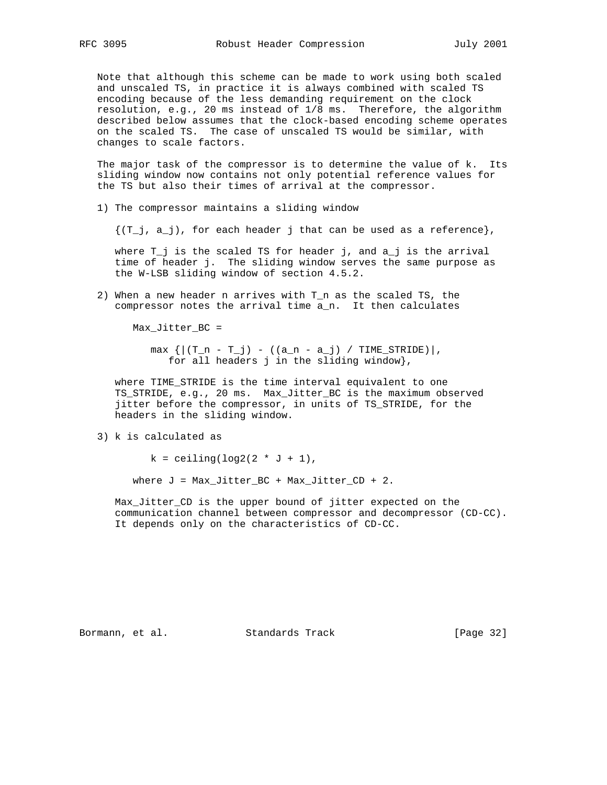Note that although this scheme can be made to work using both scaled and unscaled TS, in practice it is always combined with scaled TS encoding because of the less demanding requirement on the clock resolution, e.g., 20 ms instead of 1/8 ms. Therefore, the algorithm described below assumes that the clock-based encoding scheme operates on the scaled TS. The case of unscaled TS would be similar, with changes to scale factors.

 The major task of the compressor is to determine the value of k. Its sliding window now contains not only potential reference values for the TS but also their times of arrival at the compressor.

1) The compressor maintains a sliding window

 $\{(T_i, a_i)\}$ , for each header j that can be used as a reference,

 where T\_j is the scaled TS for header j, and a\_j is the arrival time of header j. The sliding window serves the same purpose as the W-LSB sliding window of section 4.5.2.

 2) When a new header n arrives with T\_n as the scaled TS, the compressor notes the arrival time a\_n. It then calculates

Max\_Jitter\_BC =

 $max \{ | (T_n - T_j) - ((a_n - a_j) / TIME_STRUE) | ,$ for all headers j in the sliding window},

 where TIME\_STRIDE is the time interval equivalent to one TS\_STRIDE, e.g., 20 ms. Max\_Jitter\_BC is the maximum observed jitter before the compressor, in units of TS\_STRIDE, for the headers in the sliding window.

3) k is calculated as

 $k =$  ceiling(log2(2  $*$  J + 1),

where  $J = Max_Jitter\_BC + Max_Jitter\_CD + 2$ .

 Max\_Jitter\_CD is the upper bound of jitter expected on the communication channel between compressor and decompressor (CD-CC). It depends only on the characteristics of CD-CC.

Bormann, et al. Standards Track [Page 32]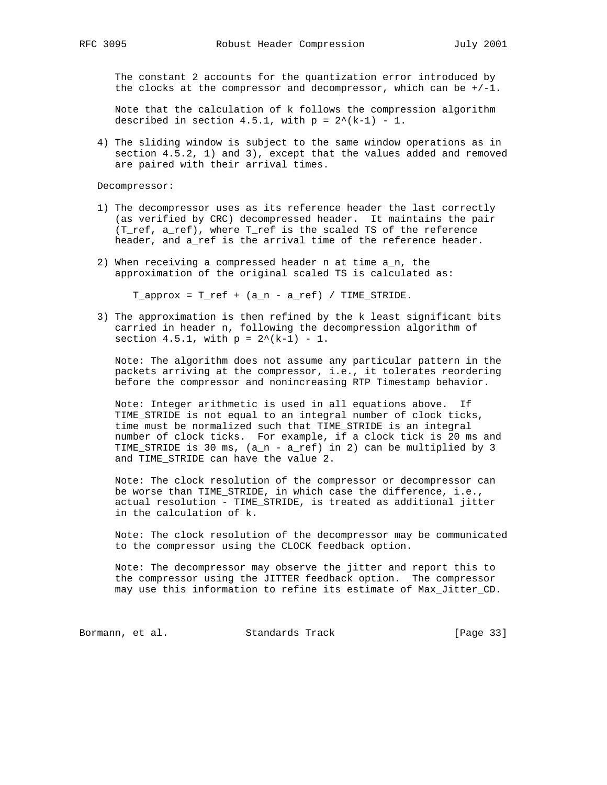The constant 2 accounts for the quantization error introduced by the clocks at the compressor and decompressor, which can be  $+/-1$ .

 Note that the calculation of k follows the compression algorithm described in section 4.5.1, with  $p = 2^*(k-1) - 1$ .

 4) The sliding window is subject to the same window operations as in section 4.5.2, 1) and 3), except that the values added and removed are paired with their arrival times.

Decompressor:

- 1) The decompressor uses as its reference header the last correctly (as verified by CRC) decompressed header. It maintains the pair (T\_ref, a\_ref), where T\_ref is the scaled TS of the reference header, and a\_ref is the arrival time of the reference header.
- 2) When receiving a compressed header n at time a\_n, the approximation of the original scaled TS is calculated as:

 $T$ \_approx =  $T$ \_ref +  $(a_n - a_ref)$  /  $TIME$ \_STRIDE.

 3) The approximation is then refined by the k least significant bits carried in header n, following the decompression algorithm of section 4.5.1, with  $p = 2^*(k-1) - 1$ .

 Note: The algorithm does not assume any particular pattern in the packets arriving at the compressor, i.e., it tolerates reordering before the compressor and nonincreasing RTP Timestamp behavior.

 Note: Integer arithmetic is used in all equations above. If TIME\_STRIDE is not equal to an integral number of clock ticks, time must be normalized such that TIME\_STRIDE is an integral number of clock ticks. For example, if a clock tick is 20 ms and TIME\_STRIDE is 30 ms, (a\_n - a\_ref) in 2) can be multiplied by 3 and TIME\_STRIDE can have the value 2.

 Note: The clock resolution of the compressor or decompressor can be worse than TIME\_STRIDE, in which case the difference, i.e., actual resolution - TIME\_STRIDE, is treated as additional jitter in the calculation of k.

 Note: The clock resolution of the decompressor may be communicated to the compressor using the CLOCK feedback option.

 Note: The decompressor may observe the jitter and report this to the compressor using the JITTER feedback option. The compressor may use this information to refine its estimate of Max\_Jitter\_CD.

Bormann, et al. Standards Track [Page 33]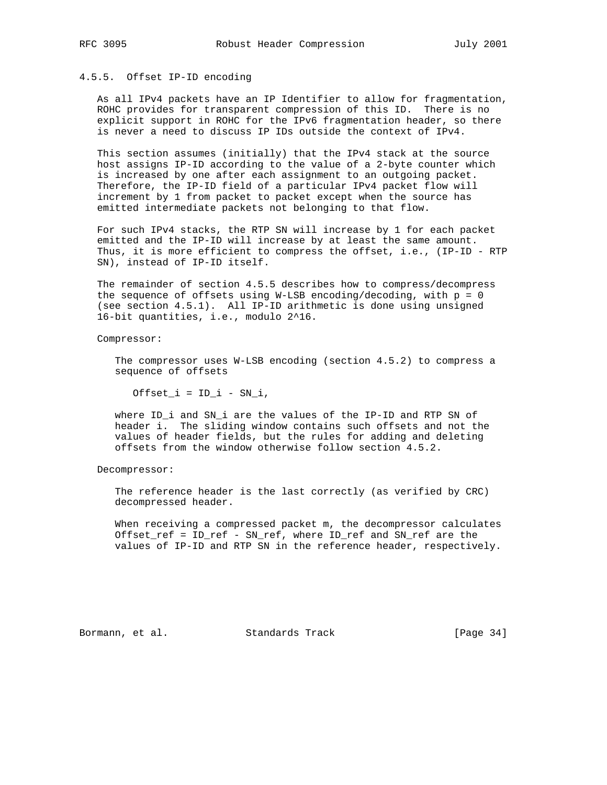# 4.5.5. Offset IP-ID encoding

 As all IPv4 packets have an IP Identifier to allow for fragmentation, ROHC provides for transparent compression of this ID. There is no explicit support in ROHC for the IPv6 fragmentation header, so there is never a need to discuss IP IDs outside the context of IPv4.

 This section assumes (initially) that the IPv4 stack at the source host assigns IP-ID according to the value of a 2-byte counter which is increased by one after each assignment to an outgoing packet. Therefore, the IP-ID field of a particular IPv4 packet flow will increment by 1 from packet to packet except when the source has emitted intermediate packets not belonging to that flow.

 For such IPv4 stacks, the RTP SN will increase by 1 for each packet emitted and the IP-ID will increase by at least the same amount. Thus, it is more efficient to compress the offset, i.e., (IP-ID - RTP SN), instead of IP-ID itself.

 The remainder of section 4.5.5 describes how to compress/decompress the sequence of offsets using W-LSB encoding/decoding, with  $p = 0$  (see section 4.5.1). All IP-ID arithmetic is done using unsigned 16-bit quantities, i.e., modulo 2^16.

Compressor:

 The compressor uses W-LSB encoding (section 4.5.2) to compress a sequence of offsets

 $Offset_i = ID_i - SN_i,$ 

 where ID\_i and SN\_i are the values of the IP-ID and RTP SN of header i. The sliding window contains such offsets and not the values of header fields, but the rules for adding and deleting offsets from the window otherwise follow section 4.5.2.

Decompressor:

 The reference header is the last correctly (as verified by CRC) decompressed header.

 When receiving a compressed packet m, the decompressor calculates Offset\_ref = ID\_ref - SN\_ref, where ID\_ref and SN\_ref are the values of IP-ID and RTP SN in the reference header, respectively.

Bormann, et al. Standards Track [Page 34]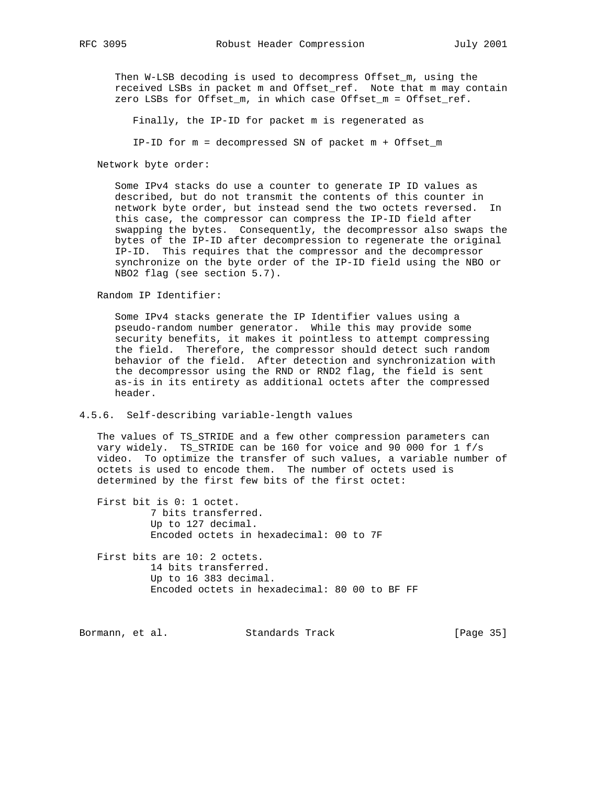Then W-LSB decoding is used to decompress Offset\_m, using the received LSBs in packet m and Offset\_ref. Note that m may contain zero LSBs for Offset\_m, in which case Offset\_m = Offset\_ref.

Finally, the IP-ID for packet m is regenerated as

IP-ID for m = decompressed SN of packet m + Offset\_m

Network byte order:

 Some IPv4 stacks do use a counter to generate IP ID values as described, but do not transmit the contents of this counter in network byte order, but instead send the two octets reversed. In this case, the compressor can compress the IP-ID field after swapping the bytes. Consequently, the decompressor also swaps the bytes of the IP-ID after decompression to regenerate the original IP-ID. This requires that the compressor and the decompressor synchronize on the byte order of the IP-ID field using the NBO or NBO2 flag (see section 5.7).

Random IP Identifier:

 Some IPv4 stacks generate the IP Identifier values using a pseudo-random number generator. While this may provide some security benefits, it makes it pointless to attempt compressing the field. Therefore, the compressor should detect such random behavior of the field. After detection and synchronization with the decompressor using the RND or RND2 flag, the field is sent as-is in its entirety as additional octets after the compressed header.

#### 4.5.6. Self-describing variable-length values

 The values of TS\_STRIDE and a few other compression parameters can vary widely. TS\_STRIDE can be 160 for voice and 90 000 for 1 f/s video. To optimize the transfer of such values, a variable number of octets is used to encode them. The number of octets used is determined by the first few bits of the first octet:

 First bit is 0: 1 octet. 7 bits transferred. Up to 127 decimal. Encoded octets in hexadecimal: 00 to 7F

First bits are 10: 2 octets. 14 bits transferred. Up to 16 383 decimal. Encoded octets in hexadecimal: 80 00 to BF FF

Bormann, et al. Standards Track [Page 35]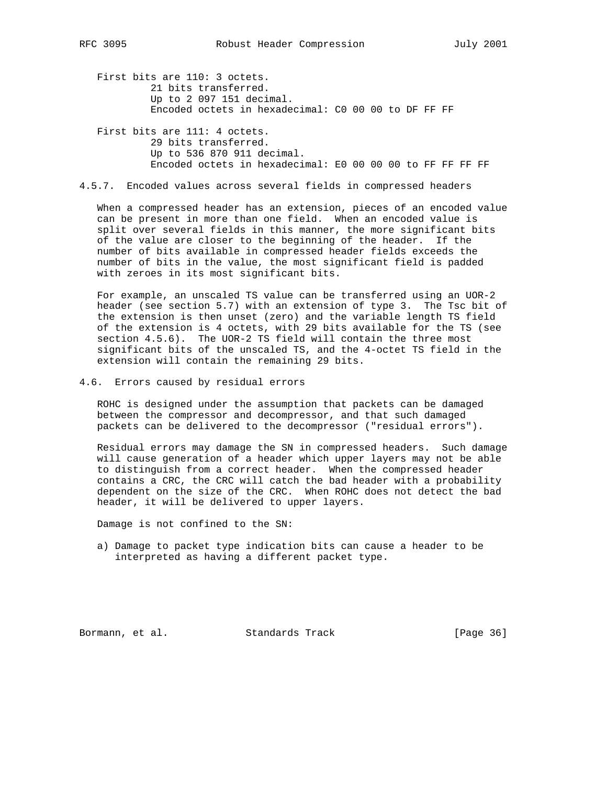First bits are 110: 3 octets. 21 bits transferred. Up to 2 097 151 decimal. Encoded octets in hexadecimal: C0 00 00 to DF FF FF

 First bits are 111: 4 octets. 29 bits transferred. Up to 536 870 911 decimal. Encoded octets in hexadecimal: E0 00 00 00 to FF FF FF FF

# 4.5.7. Encoded values across several fields in compressed headers

 When a compressed header has an extension, pieces of an encoded value can be present in more than one field. When an encoded value is split over several fields in this manner, the more significant bits of the value are closer to the beginning of the header. If the number of bits available in compressed header fields exceeds the number of bits in the value, the most significant field is padded with zeroes in its most significant bits.

 For example, an unscaled TS value can be transferred using an UOR-2 header (see section 5.7) with an extension of type 3. The Tsc bit of the extension is then unset (zero) and the variable length TS field of the extension is 4 octets, with 29 bits available for the TS (see section 4.5.6). The UOR-2 TS field will contain the three most significant bits of the unscaled TS, and the 4-octet TS field in the extension will contain the remaining 29 bits.

4.6. Errors caused by residual errors

 ROHC is designed under the assumption that packets can be damaged between the compressor and decompressor, and that such damaged packets can be delivered to the decompressor ("residual errors").

 Residual errors may damage the SN in compressed headers. Such damage will cause generation of a header which upper layers may not be able to distinguish from a correct header. When the compressed header contains a CRC, the CRC will catch the bad header with a probability dependent on the size of the CRC. When ROHC does not detect the bad header, it will be delivered to upper layers.

Damage is not confined to the SN:

 a) Damage to packet type indication bits can cause a header to be interpreted as having a different packet type.

Bormann, et al. Standards Track [Page 36]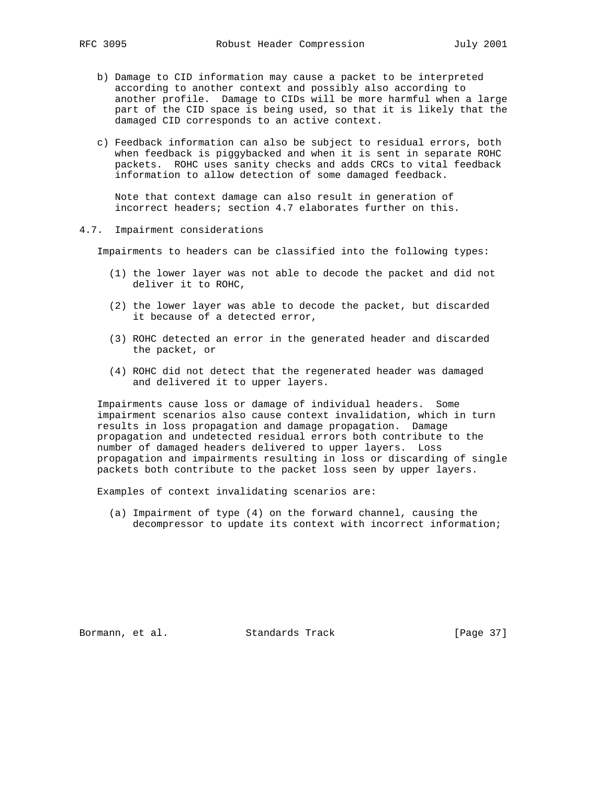- b) Damage to CID information may cause a packet to be interpreted according to another context and possibly also according to another profile. Damage to CIDs will be more harmful when a large part of the CID space is being used, so that it is likely that the damaged CID corresponds to an active context.
- c) Feedback information can also be subject to residual errors, both when feedback is piggybacked and when it is sent in separate ROHC packets. ROHC uses sanity checks and adds CRCs to vital feedback information to allow detection of some damaged feedback.

 Note that context damage can also result in generation of incorrect headers; section 4.7 elaborates further on this.

4.7. Impairment considerations

Impairments to headers can be classified into the following types:

- (1) the lower layer was not able to decode the packet and did not deliver it to ROHC,
- (2) the lower layer was able to decode the packet, but discarded it because of a detected error,
- (3) ROHC detected an error in the generated header and discarded the packet, or
- (4) ROHC did not detect that the regenerated header was damaged and delivered it to upper layers.

 Impairments cause loss or damage of individual headers. Some impairment scenarios also cause context invalidation, which in turn results in loss propagation and damage propagation. Damage propagation and undetected residual errors both contribute to the number of damaged headers delivered to upper layers. Loss propagation and impairments resulting in loss or discarding of single packets both contribute to the packet loss seen by upper layers.

Examples of context invalidating scenarios are:

 (a) Impairment of type (4) on the forward channel, causing the decompressor to update its context with incorrect information;

Bormann, et al. Standards Track [Page 37]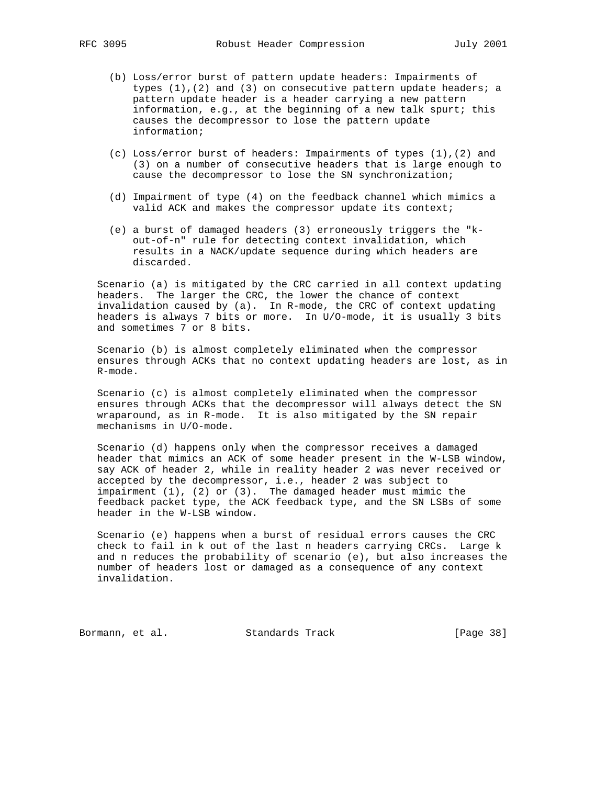- (b) Loss/error burst of pattern update headers: Impairments of types  $(1)$ ,  $(2)$  and  $(3)$  on consecutive pattern update headers; a pattern update header is a header carrying a new pattern information, e.g., at the beginning of a new talk spurt; this causes the decompressor to lose the pattern update information;
- (c) Loss/error burst of headers: Impairments of types (1),(2) and (3) on a number of consecutive headers that is large enough to cause the decompressor to lose the SN synchronization;
- (d) Impairment of type (4) on the feedback channel which mimics a valid ACK and makes the compressor update its context;
- (e) a burst of damaged headers (3) erroneously triggers the "k out-of-n" rule for detecting context invalidation, which results in a NACK/update sequence during which headers are discarded.

 Scenario (a) is mitigated by the CRC carried in all context updating headers. The larger the CRC, the lower the chance of context invalidation caused by (a). In R-mode, the CRC of context updating headers is always 7 bits or more. In U/O-mode, it is usually 3 bits and sometimes 7 or 8 bits.

 Scenario (b) is almost completely eliminated when the compressor ensures through ACKs that no context updating headers are lost, as in R-mode.

 Scenario (c) is almost completely eliminated when the compressor ensures through ACKs that the decompressor will always detect the SN wraparound, as in R-mode. It is also mitigated by the SN repair mechanisms in U/O-mode.

 Scenario (d) happens only when the compressor receives a damaged header that mimics an ACK of some header present in the W-LSB window, say ACK of header 2, while in reality header 2 was never received or accepted by the decompressor, i.e., header 2 was subject to impairment (1), (2) or (3). The damaged header must mimic the feedback packet type, the ACK feedback type, and the SN LSBs of some header in the W-LSB window.

 Scenario (e) happens when a burst of residual errors causes the CRC check to fail in k out of the last n headers carrying CRCs. Large k and n reduces the probability of scenario (e), but also increases the number of headers lost or damaged as a consequence of any context invalidation.

Bormann, et al. Standards Track [Page 38]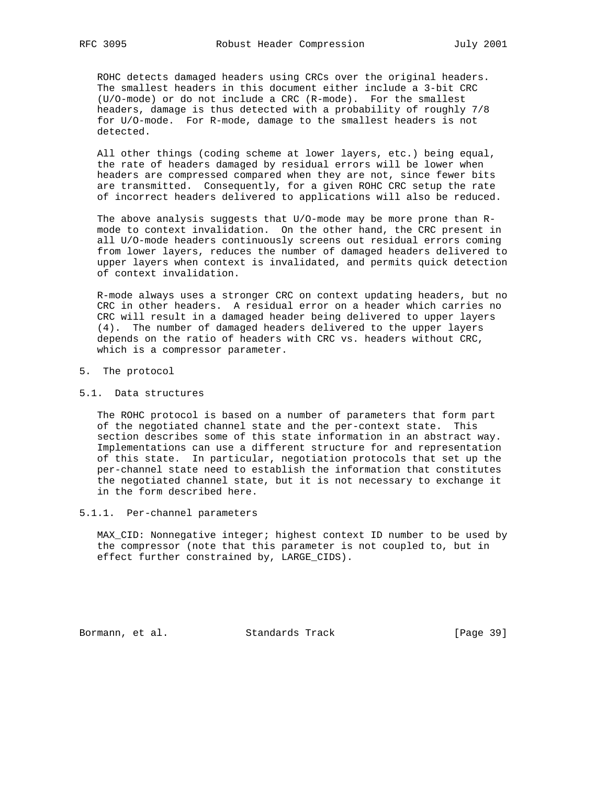ROHC detects damaged headers using CRCs over the original headers. The smallest headers in this document either include a 3-bit CRC (U/O-mode) or do not include a CRC (R-mode). For the smallest headers, damage is thus detected with a probability of roughly 7/8 for U/O-mode. For R-mode, damage to the smallest headers is not detected.

 All other things (coding scheme at lower layers, etc.) being equal, the rate of headers damaged by residual errors will be lower when headers are compressed compared when they are not, since fewer bits are transmitted. Consequently, for a given ROHC CRC setup the rate of incorrect headers delivered to applications will also be reduced.

 The above analysis suggests that U/O-mode may be more prone than R mode to context invalidation. On the other hand, the CRC present in all U/O-mode headers continuously screens out residual errors coming from lower layers, reduces the number of damaged headers delivered to upper layers when context is invalidated, and permits quick detection of context invalidation.

 R-mode always uses a stronger CRC on context updating headers, but no CRC in other headers. A residual error on a header which carries no CRC will result in a damaged header being delivered to upper layers (4). The number of damaged headers delivered to the upper layers depends on the ratio of headers with CRC vs. headers without CRC, which is a compressor parameter.

- 5. The protocol
- 5.1. Data structures

 The ROHC protocol is based on a number of parameters that form part of the negotiated channel state and the per-context state. This section describes some of this state information in an abstract way. Implementations can use a different structure for and representation of this state. In particular, negotiation protocols that set up the per-channel state need to establish the information that constitutes the negotiated channel state, but it is not necessary to exchange it in the form described here.

5.1.1. Per-channel parameters

 MAX\_CID: Nonnegative integer; highest context ID number to be used by the compressor (note that this parameter is not coupled to, but in effect further constrained by, LARGE\_CIDS).

Bormann, et al. Standards Track [Page 39]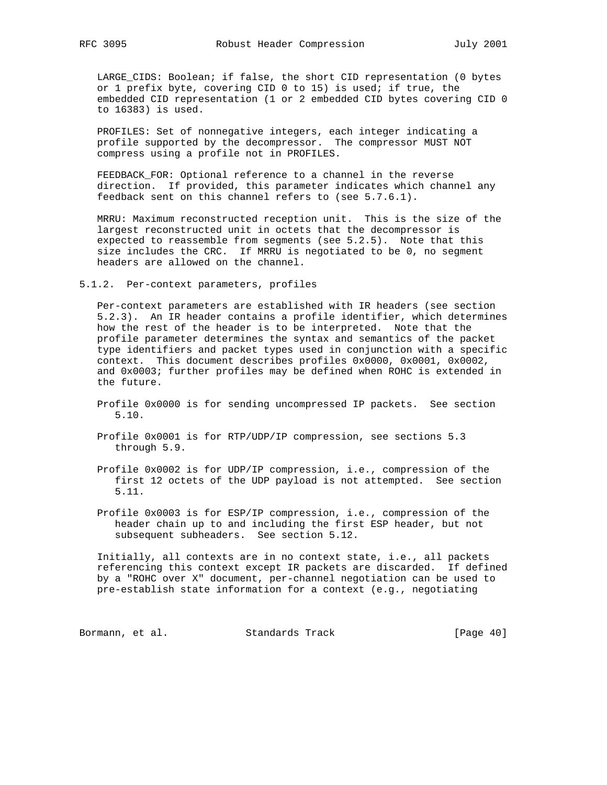LARGE\_CIDS: Boolean; if false, the short CID representation (0 bytes or 1 prefix byte, covering CID 0 to 15) is used; if true, the embedded CID representation (1 or 2 embedded CID bytes covering CID 0 to 16383) is used.

 PROFILES: Set of nonnegative integers, each integer indicating a profile supported by the decompressor. The compressor MUST NOT compress using a profile not in PROFILES.

 FEEDBACK\_FOR: Optional reference to a channel in the reverse direction. If provided, this parameter indicates which channel any feedback sent on this channel refers to (see 5.7.6.1).

 MRRU: Maximum reconstructed reception unit. This is the size of the largest reconstructed unit in octets that the decompressor is expected to reassemble from segments (see 5.2.5). Note that this size includes the CRC. If MRRU is negotiated to be 0, no segment headers are allowed on the channel.

5.1.2. Per-context parameters, profiles

 Per-context parameters are established with IR headers (see section 5.2.3). An IR header contains a profile identifier, which determines how the rest of the header is to be interpreted. Note that the profile parameter determines the syntax and semantics of the packet type identifiers and packet types used in conjunction with a specific context. This document describes profiles 0x0000, 0x0001, 0x0002, and 0x0003; further profiles may be defined when ROHC is extended in the future.

- Profile 0x0000 is for sending uncompressed IP packets. See section 5.10.
- Profile 0x0001 is for RTP/UDP/IP compression, see sections 5.3 through 5.9.
- Profile 0x0002 is for UDP/IP compression, i.e., compression of the first 12 octets of the UDP payload is not attempted. See section 5.11.
- Profile 0x0003 is for ESP/IP compression, i.e., compression of the header chain up to and including the first ESP header, but not subsequent subheaders. See section 5.12.

 Initially, all contexts are in no context state, i.e., all packets referencing this context except IR packets are discarded. If defined by a "ROHC over X" document, per-channel negotiation can be used to pre-establish state information for a context (e.g., negotiating

Bormann, et al. Standards Track [Page 40]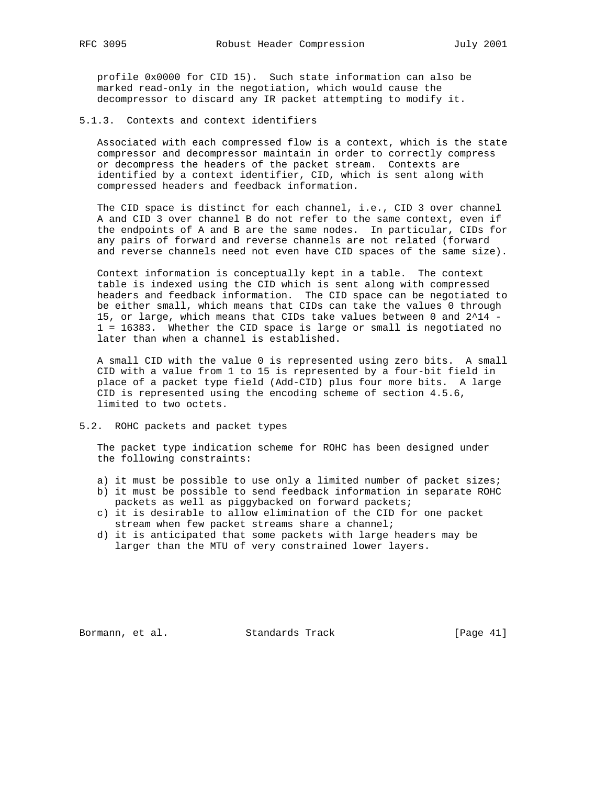profile 0x0000 for CID 15). Such state information can also be marked read-only in the negotiation, which would cause the decompressor to discard any IR packet attempting to modify it.

#### 5.1.3. Contexts and context identifiers

 Associated with each compressed flow is a context, which is the state compressor and decompressor maintain in order to correctly compress or decompress the headers of the packet stream. Contexts are identified by a context identifier, CID, which is sent along with compressed headers and feedback information.

 The CID space is distinct for each channel, i.e., CID 3 over channel A and CID 3 over channel B do not refer to the same context, even if the endpoints of A and B are the same nodes. In particular, CIDs for any pairs of forward and reverse channels are not related (forward and reverse channels need not even have CID spaces of the same size).

 Context information is conceptually kept in a table. The context table is indexed using the CID which is sent along with compressed headers and feedback information. The CID space can be negotiated to be either small, which means that CIDs can take the values 0 through 15, or large, which means that CIDs take values between 0 and 2^14 - 1 = 16383. Whether the CID space is large or small is negotiated no later than when a channel is established.

 A small CID with the value 0 is represented using zero bits. A small CID with a value from 1 to 15 is represented by a four-bit field in place of a packet type field (Add-CID) plus four more bits. A large CID is represented using the encoding scheme of section 4.5.6, limited to two octets.

#### 5.2. ROHC packets and packet types

 The packet type indication scheme for ROHC has been designed under the following constraints:

- a) it must be possible to use only a limited number of packet sizes;
- b) it must be possible to send feedback information in separate ROHC packets as well as piggybacked on forward packets;
- c) it is desirable to allow elimination of the CID for one packet stream when few packet streams share a channel;
- d) it is anticipated that some packets with large headers may be larger than the MTU of very constrained lower layers.

Bormann, et al. Standards Track [Page 41]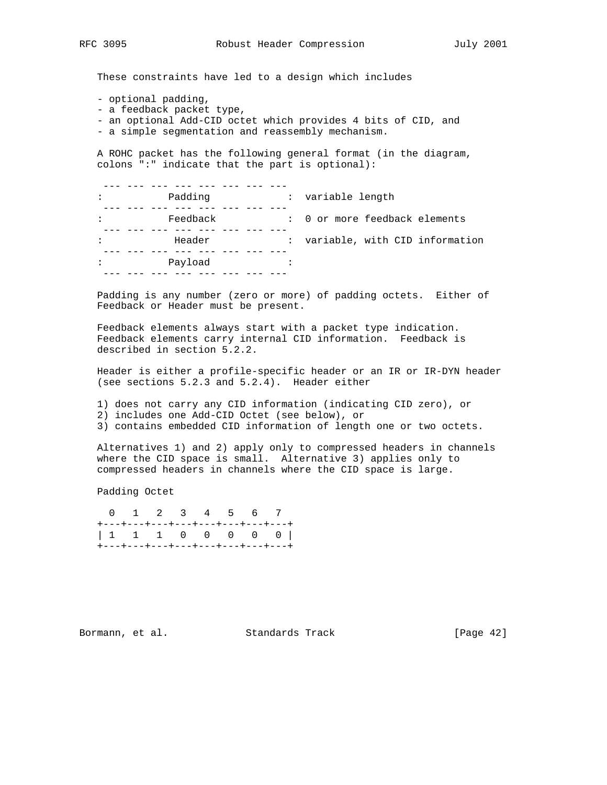These constraints have led to a design which includes

- optional padding,
- a feedback packet type,
- an optional Add-CID octet which provides 4 bits of CID, and
- a simple segmentation and reassembly mechanism.

 A ROHC packet has the following general format (in the diagram, colons ":" indicate that the part is optional):

| $\ddot{\phantom{a}}$ | Padding  | : variable length                |
|----------------------|----------|----------------------------------|
|                      |          |                                  |
|                      | Feedback | : 0 or more feedback elements    |
|                      |          |                                  |
| ٠                    | Header   | : variable, with CID information |
|                      |          |                                  |
| ٠                    | Payload  |                                  |
|                      |          |                                  |
|                      |          |                                  |

 Padding is any number (zero or more) of padding octets. Either of Feedback or Header must be present.

 Feedback elements always start with a packet type indication. Feedback elements carry internal CID information. Feedback is described in section 5.2.2.

 Header is either a profile-specific header or an IR or IR-DYN header (see sections 5.2.3 and 5.2.4). Header either

1) does not carry any CID information (indicating CID zero), or

2) includes one Add-CID Octet (see below), or

3) contains embedded CID information of length one or two octets.

 Alternatives 1) and 2) apply only to compressed headers in channels where the CID space is small. Alternative 3) applies only to compressed headers in channels where the CID space is large.

Padding Octet

 0 1 2 3 4 5 6 7 +---+---+---+---+---+---+---+---+ | 1 1 1 0 0 0 0 0 | +---+---+---+---+---+---+---+---+

Bormann, et al. Standards Track [Page 42]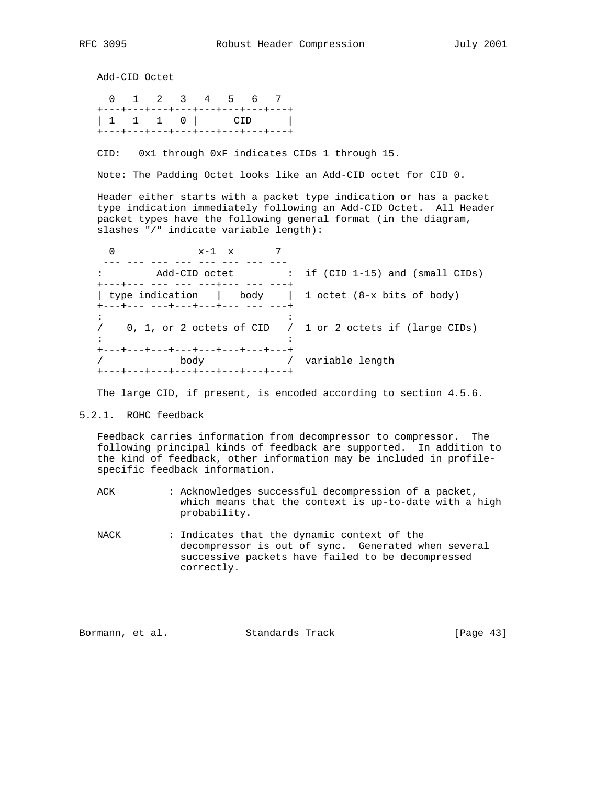Add-CID Octet

 0 1 2 3 4 5 6 7 +---+---+---+---+---+---+---+---+ | 1 1 1 0 | CID | +---+---+---+---+---+---+---+---+

CID: 0x1 through 0xF indicates CIDs 1 through 15.

Note: The Padding Octet looks like an Add-CID octet for CID 0.

 Header either starts with a packet type indication or has a packet type indication immediately following an Add-CID Octet. All Header packet types have the following general format (in the diagram, slashes "/" indicate variable length):

0  $x-1$  x 7 --- --- --- --- --- --- --- --- : Add-CID octet : if (CID 1-15) and (small CIDs) +---+--- --- --- ---+--- --- ---+ | type indication | body | 1 octet (8-x bits of body) +---+--- ---+---+---+--- --- ---+  $\mathbf{r} \cdot \mathbf{r} = \mathbf{r} \cdot \mathbf{r}$  :  $\mathbf{r} \cdot \mathbf{r} = \mathbf{r} \cdot \mathbf{r}$  ,  $\mathbf{r} \cdot \mathbf{r} = \mathbf{r} \cdot \mathbf{r}$  / 0, 1, or 2 octets of CID / 1 or 2 octets if (large CIDs)  $\mathbf{r} \cdot \mathbf{r} = \mathbf{r} \cdot \mathbf{r}$  :  $\mathbf{r} \cdot \mathbf{r} = \mathbf{r} \cdot \mathbf{r}$  ,  $\mathbf{r} \cdot \mathbf{r} = \mathbf{r} \cdot \mathbf{r}$  +---+---+---+---+---+---+---+---+ / body / variable length +---+---+---+---+---+---+---+---+

The large CID, if present, is encoded according to section 4.5.6.

5.2.1. ROHC feedback

 Feedback carries information from decompressor to compressor. The following principal kinds of feedback are supported. In addition to the kind of feedback, other information may be included in profile specific feedback information.

ACK : Acknowledges successful decompression of a packet, which means that the context is up-to-date with a high probability.

 NACK : Indicates that the dynamic context of the decompressor is out of sync. Generated when several successive packets have failed to be decompressed correctly.

Bormann, et al. Standards Track [Page 43]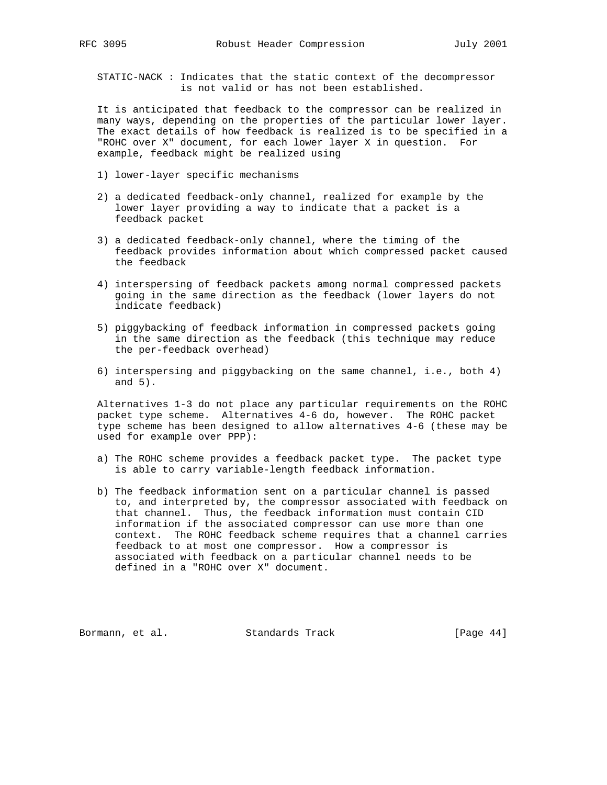STATIC-NACK : Indicates that the static context of the decompressor is not valid or has not been established.

 It is anticipated that feedback to the compressor can be realized in many ways, depending on the properties of the particular lower layer. The exact details of how feedback is realized is to be specified in a "ROHC over X" document, for each lower layer X in question. For example, feedback might be realized using

- 1) lower-layer specific mechanisms
- 2) a dedicated feedback-only channel, realized for example by the lower layer providing a way to indicate that a packet is a feedback packet
- 3) a dedicated feedback-only channel, where the timing of the feedback provides information about which compressed packet caused the feedback
- 4) interspersing of feedback packets among normal compressed packets going in the same direction as the feedback (lower layers do not indicate feedback)
- 5) piggybacking of feedback information in compressed packets going in the same direction as the feedback (this technique may reduce the per-feedback overhead)
- 6) interspersing and piggybacking on the same channel, i.e., both 4) and 5).

 Alternatives 1-3 do not place any particular requirements on the ROHC packet type scheme. Alternatives 4-6 do, however. The ROHC packet type scheme has been designed to allow alternatives 4-6 (these may be used for example over PPP):

- a) The ROHC scheme provides a feedback packet type. The packet type is able to carry variable-length feedback information.
- b) The feedback information sent on a particular channel is passed to, and interpreted by, the compressor associated with feedback on that channel. Thus, the feedback information must contain CID information if the associated compressor can use more than one context. The ROHC feedback scheme requires that a channel carries feedback to at most one compressor. How a compressor is associated with feedback on a particular channel needs to be defined in a "ROHC over X" document.

Bormann, et al. Standards Track [Page 44]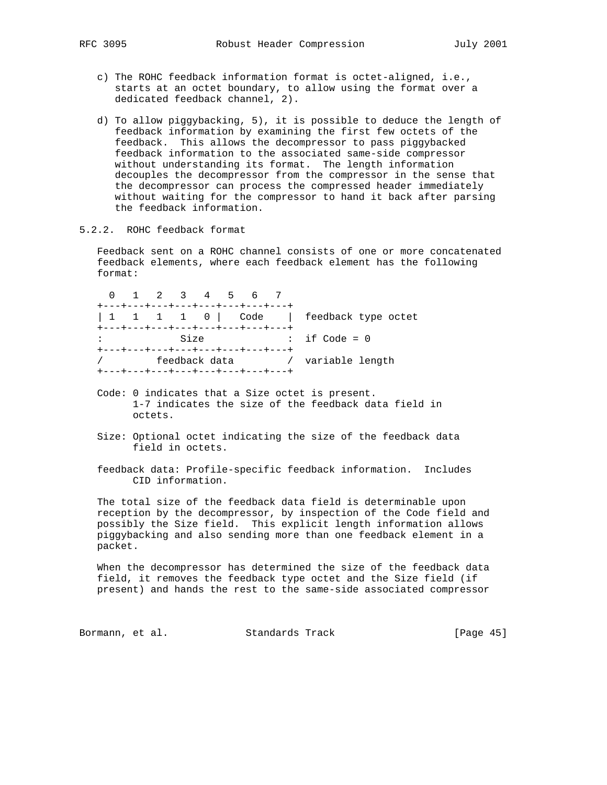- c) The ROHC feedback information format is octet-aligned, i.e., starts at an octet boundary, to allow using the format over a dedicated feedback channel, 2).
- d) To allow piggybacking, 5), it is possible to deduce the length of feedback information by examining the first few octets of the feedback. This allows the decompressor to pass piggybacked feedback information to the associated same-side compressor without understanding its format. The length information decouples the decompressor from the compressor in the sense that the decompressor can process the compressed header immediately without waiting for the compressor to hand it back after parsing the feedback information.
- 5.2.2. ROHC feedback format

 Feedback sent on a ROHC channel consists of one or more concatenated feedback elements, where each feedback element has the following format:

 0 1 2 3 4 5 6 7 +---+---+---+---+---+---+---+---+ | 1 1 1 1 0 | Code | feedback type octet +---+---+---+---+---+---+---+---+<br>: Size : : Size : if Code = 0 +---+---+---+---+---+---+---+---+ / feedback data / variable length +---+---+---+---+---+---+---+---+

- Code: 0 indicates that a Size octet is present. 1-7 indicates the size of the feedback data field in octets.
- Size: Optional octet indicating the size of the feedback data field in octets.
- feedback data: Profile-specific feedback information. Includes CID information.

 The total size of the feedback data field is determinable upon reception by the decompressor, by inspection of the Code field and possibly the Size field. This explicit length information allows piggybacking and also sending more than one feedback element in a packet.

 When the decompressor has determined the size of the feedback data field, it removes the feedback type octet and the Size field (if present) and hands the rest to the same-side associated compressor

Bormann, et al. Standards Track [Page 45]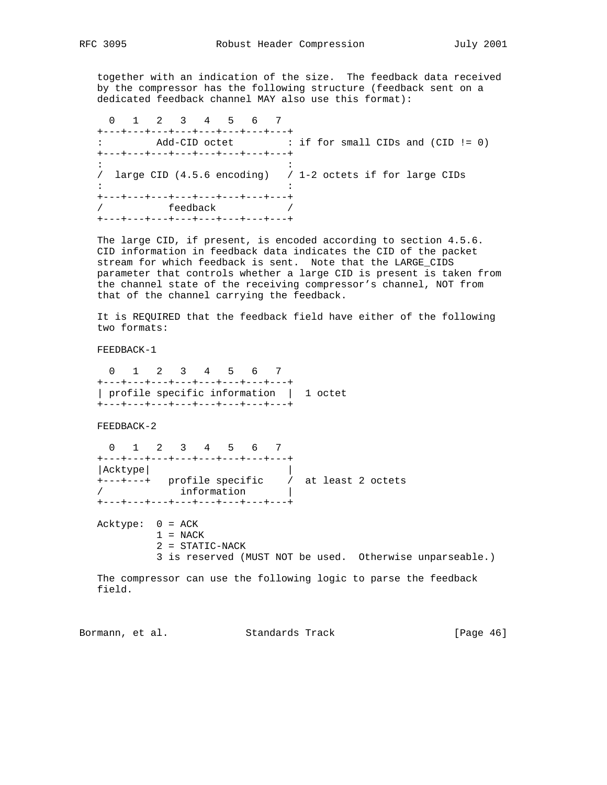together with an indication of the size. The feedback data received by the compressor has the following structure (feedback sent on a dedicated feedback channel MAY also use this format):

 0 1 2 3 4 5 6 7 +---+---+---+---+---+---+---+---+ : Add-CID octet : if for small CIDs and (CID != 0) +---+---+---+---+---+---+---+---+ the distribution of the state of the state of the state of the state of the state of the state of the state of / large CID (4.5.6 encoding) / 1-2 octets if for large CIDs  $\mathbf{r} \cdot \mathbf{r} = \mathbf{r} \cdot \mathbf{r}$  :  $\mathbf{r} \cdot \mathbf{r} = \mathbf{r} \cdot \mathbf{r}$  ,  $\mathbf{r} \cdot \mathbf{r} = \mathbf{r} \cdot \mathbf{r}$  +---+---+---+---+---+---+---+---+ / feedback / +---+---+---+---+---+---+---+---+

 The large CID, if present, is encoded according to section 4.5.6. CID information in feedback data indicates the CID of the packet stream for which feedback is sent. Note that the LARGE\_CIDS parameter that controls whether a large CID is present is taken from the channel state of the receiving compressor's channel, NOT from that of the channel carrying the feedback.

 It is REQUIRED that the feedback field have either of the following two formats:

FEEDBACK-1

 0 1 2 3 4 5 6 7 +---+---+---+---+---+---+---+---+ | profile specific information | 1 octet +---+---+---+---+---+---+---+---+

FEEDBACK-2

 0 1 2 3 4 5 6 7 +---+---+---+---+---+---+---+---+ |Acktype| | +---+---+ profile specific / at least 2 octets / information | +---+---+---+---+---+---+---+---+

 Acktype: 0 = ACK  $1 = NACK$  2 = STATIC-NACK 3 is reserved (MUST NOT be used. Otherwise unparseable.)

 The compressor can use the following logic to parse the feedback field.

Bormann, et al. Standards Track [Page 46]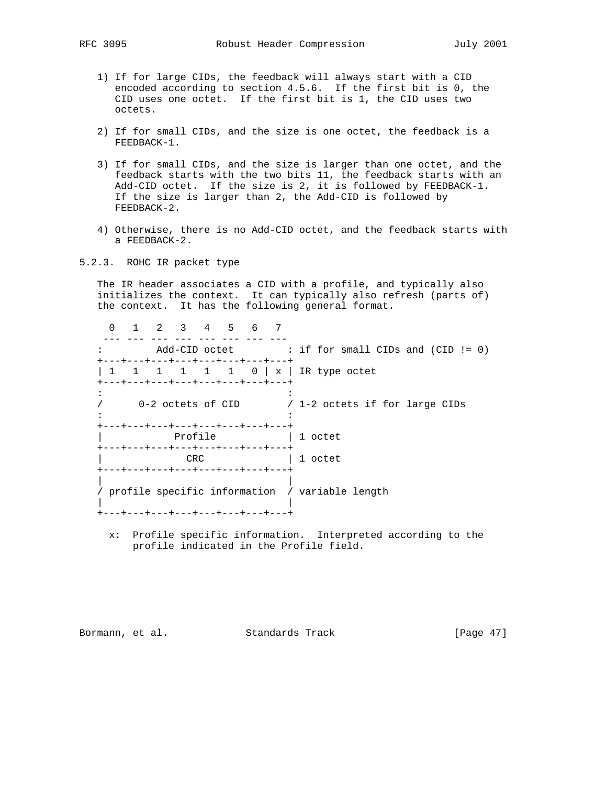- 1) If for large CIDs, the feedback will always start with a CID encoded according to section 4.5.6. If the first bit is 0, the CID uses one octet. If the first bit is 1, the CID uses two octets.
- 2) If for small CIDs, and the size is one octet, the feedback is a FEEDBACK-1.
- 3) If for small CIDs, and the size is larger than one octet, and the feedback starts with the two bits 11, the feedback starts with an Add-CID octet. If the size is 2, it is followed by FEEDBACK-1. If the size is larger than 2, the Add-CID is followed by FEEDBACK-2.
- 4) Otherwise, there is no Add-CID octet, and the feedback starts with a FEEDBACK-2.
- 5.2.3. ROHC IR packet type

 The IR header associates a CID with a profile, and typically also initializes the context. It can typically also refresh (parts of) the context. It has the following general format.

 0 1 2 3 4 5 6 7 --- --- --- --- --- --- --- --- : Add-CID octet : if for small CIDs and (CID != 0) +---+---+---+---+---+---+---+---+ | 1 1 1 1 1 0 | x | IR type octet +---+---+---+---+---+---+---+---+ the distribution of the state of the state of the state of the state of the state of the state of the state of / 0-2 octets of CID / 1-2 octets if for large CIDs  $\mathbf{r} \cdot \mathbf{r} = \mathbf{r} \cdot \mathbf{r}$  :  $\mathbf{r} \cdot \mathbf{r} = \mathbf{r} \cdot \mathbf{r}$  ,  $\mathbf{r} \cdot \mathbf{r} = \mathbf{r} \cdot \mathbf{r}$  +---+---+---+---+---+---+---+---+ Profile  $| 1$  octet +---+---+---+---+---+---+---+---+ | CRC | 1 octet +---+---+---+---+---+---+---+---+ | | / profile specific information / variable length | | +---+---+---+---+---+---+---+---+

 x: Profile specific information. Interpreted according to the profile indicated in the Profile field.

Bormann, et al. Standards Track [Page 47]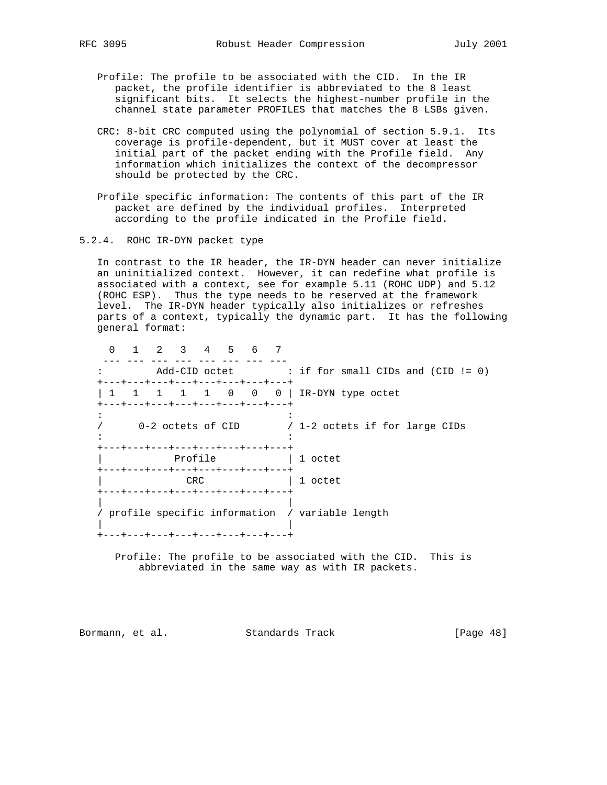- Profile: The profile to be associated with the CID. In the IR packet, the profile identifier is abbreviated to the 8 least significant bits. It selects the highest-number profile in the channel state parameter PROFILES that matches the 8 LSBs given.
- CRC: 8-bit CRC computed using the polynomial of section 5.9.1. Its coverage is profile-dependent, but it MUST cover at least the initial part of the packet ending with the Profile field. Any information which initializes the context of the decompressor should be protected by the CRC.
- Profile specific information: The contents of this part of the IR packet are defined by the individual profiles. Interpreted according to the profile indicated in the Profile field.
- 5.2.4. ROHC IR-DYN packet type

 In contrast to the IR header, the IR-DYN header can never initialize an uninitialized context. However, it can redefine what profile is associated with a context, see for example 5.11 (ROHC UDP) and 5.12 (ROHC ESP). Thus the type needs to be reserved at the framework level. The IR-DYN header typically also initializes or refreshes parts of a context, typically the dynamic part. It has the following general format:

 $0 \quad 1 \quad 2 \quad 3 \quad 4 \quad 5 \quad 6 \quad 7$ <br>--- --- --- --- --- --- --- --- --- --- --- --- --- --- --- --- : Add-CID octet : if for small CIDs and (CID != 0) +---+---+---+---+---+---+---+---+ | 1 1 1 1 1 0 0 0 | IR-DYN type octet +---+---+---+---+---+---+---+---+  $\mathbf{r} \cdot \mathbf{r} = \mathbf{r} \cdot \mathbf{r}$  :  $\mathbf{r} \cdot \mathbf{r} = \mathbf{r} \cdot \mathbf{r}$  ,  $\mathbf{r} \cdot \mathbf{r} = \mathbf{r} \cdot \mathbf{r}$  / 0-2 octets of CID / 1-2 octets if for large CIDs  $\mathbf{r} \cdot \mathbf{r} = \mathbf{r} \cdot \mathbf{r}$  :  $\mathbf{r} \cdot \mathbf{r} = \mathbf{r} \cdot \mathbf{r}$  ,  $\mathbf{r} \cdot \mathbf{r} = \mathbf{r} \cdot \mathbf{r}$  +---+---+---+---+---+---+---+---+ Profile  $| 1$  octet +---+---+---+---+---+---+---+---+ CRC | 1 octet +---+---+---+---+---+---+---+---+ | | / profile specific information / variable length | | +---+---+---+---+---+---+---+---+

 Profile: The profile to be associated with the CID. This is abbreviated in the same way as with IR packets.

Bormann, et al. Standards Track [Page 48]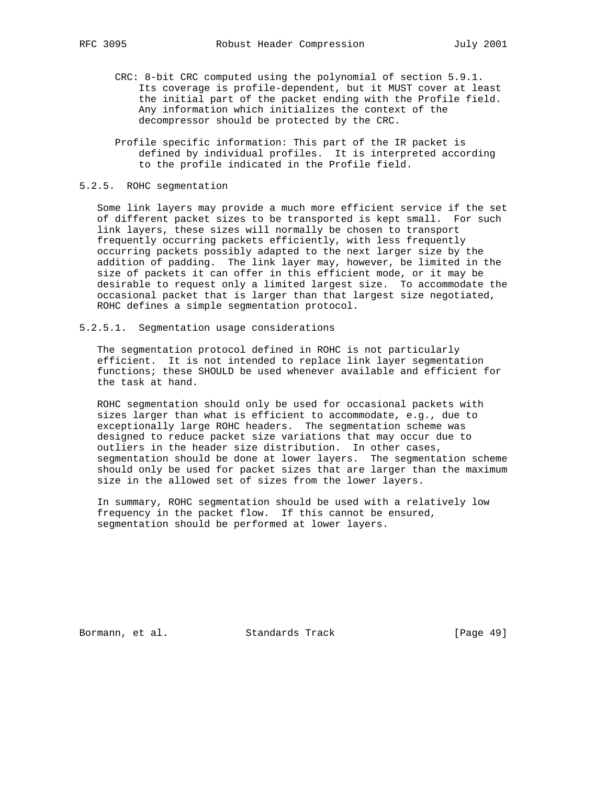- CRC: 8-bit CRC computed using the polynomial of section 5.9.1. Its coverage is profile-dependent, but it MUST cover at least the initial part of the packet ending with the Profile field. Any information which initializes the context of the decompressor should be protected by the CRC.
- Profile specific information: This part of the IR packet is defined by individual profiles. It is interpreted according to the profile indicated in the Profile field.

#### 5.2.5. ROHC segmentation

 Some link layers may provide a much more efficient service if the set of different packet sizes to be transported is kept small. For such link layers, these sizes will normally be chosen to transport frequently occurring packets efficiently, with less frequently occurring packets possibly adapted to the next larger size by the addition of padding. The link layer may, however, be limited in the size of packets it can offer in this efficient mode, or it may be desirable to request only a limited largest size. To accommodate the occasional packet that is larger than that largest size negotiated, ROHC defines a simple segmentation protocol.

5.2.5.1. Segmentation usage considerations

 The segmentation protocol defined in ROHC is not particularly efficient. It is not intended to replace link layer segmentation functions; these SHOULD be used whenever available and efficient for the task at hand.

 ROHC segmentation should only be used for occasional packets with sizes larger than what is efficient to accommodate, e.g., due to exceptionally large ROHC headers. The segmentation scheme was designed to reduce packet size variations that may occur due to outliers in the header size distribution. In other cases, segmentation should be done at lower layers. The segmentation scheme should only be used for packet sizes that are larger than the maximum size in the allowed set of sizes from the lower layers.

 In summary, ROHC segmentation should be used with a relatively low frequency in the packet flow. If this cannot be ensured, segmentation should be performed at lower layers.

Bormann, et al. Standards Track [Page 49]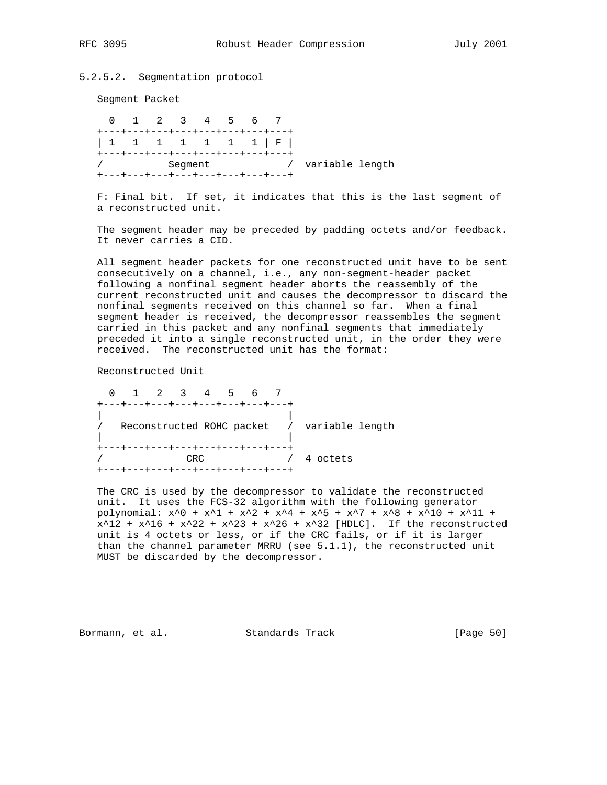5.2.5.2. Segmentation protocol

Segment Packet

 0 1 2 3 4 5 6 7 +---+---+---+---+---+---+---+---+ | 1 1 1 1 1 1 1 | F | +---+---+---+---+---+---+---+---+ / Segment / variable length +---+---+---+---+---+---+---+---+

 F: Final bit. If set, it indicates that this is the last segment of a reconstructed unit.

 The segment header may be preceded by padding octets and/or feedback. It never carries a CID.

 All segment header packets for one reconstructed unit have to be sent consecutively on a channel, i.e., any non-segment-header packet following a nonfinal segment header aborts the reassembly of the current reconstructed unit and causes the decompressor to discard the nonfinal segments received on this channel so far. When a final segment header is received, the decompressor reassembles the segment carried in this packet and any nonfinal segments that immediately preceded it into a single reconstructed unit, in the order they were received. The reconstructed unit has the format:

Reconstructed Unit

 0 1 2 3 4 5 6 7 +---+---+---+---+---+---+---+---+ | | / Reconstructed ROHC packet / variable length | | +---+---+---+---+---+---+---+---+ / CRC / 4 octets +---+---+---+---+---+---+---+---+

 The CRC is used by the decompressor to validate the reconstructed unit. It uses the FCS-32 algorithm with the following generator polynomial:  $x^0 + x^1 + x^2 + x^4 + x^5 + x^7 + x^8 + x^10 + x^11 +$  $x^12 + x^16 + x^22 + x^23 + x^26 + x^32$  [HDLC]. If the reconstructed unit is 4 octets or less, or if the CRC fails, or if it is larger than the channel parameter MRRU (see 5.1.1), the reconstructed unit MUST be discarded by the decompressor.

Bormann, et al. Standards Track [Page 50]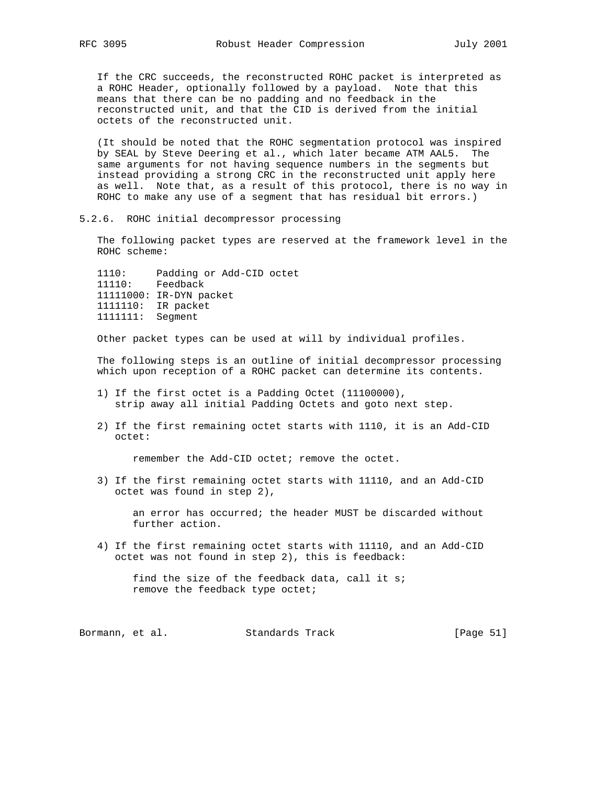If the CRC succeeds, the reconstructed ROHC packet is interpreted as a ROHC Header, optionally followed by a payload. Note that this means that there can be no padding and no feedback in the reconstructed unit, and that the CID is derived from the initial octets of the reconstructed unit.

 (It should be noted that the ROHC segmentation protocol was inspired by SEAL by Steve Deering et al., which later became ATM AAL5. The same arguments for not having sequence numbers in the segments but instead providing a strong CRC in the reconstructed unit apply here as well. Note that, as a result of this protocol, there is no way in ROHC to make any use of a segment that has residual bit errors.)

5.2.6. ROHC initial decompressor processing

 The following packet types are reserved at the framework level in the ROHC scheme:

 1110: Padding or Add-CID octet 11110: Feedback 11111000: IR-DYN packet 1111110: IR packet 1111111: Segment

Other packet types can be used at will by individual profiles.

 The following steps is an outline of initial decompressor processing which upon reception of a ROHC packet can determine its contents.

- 1) If the first octet is a Padding Octet (11100000), strip away all initial Padding Octets and goto next step.
- 2) If the first remaining octet starts with 1110, it is an Add-CID octet:

remember the Add-CID octet; remove the octet.

 3) If the first remaining octet starts with 11110, and an Add-CID octet was found in step 2),

 an error has occurred; the header MUST be discarded without further action.

 4) If the first remaining octet starts with 11110, and an Add-CID octet was not found in step 2), this is feedback:

 find the size of the feedback data, call it s; remove the feedback type octet;

Bormann, et al. Standards Track [Page 51]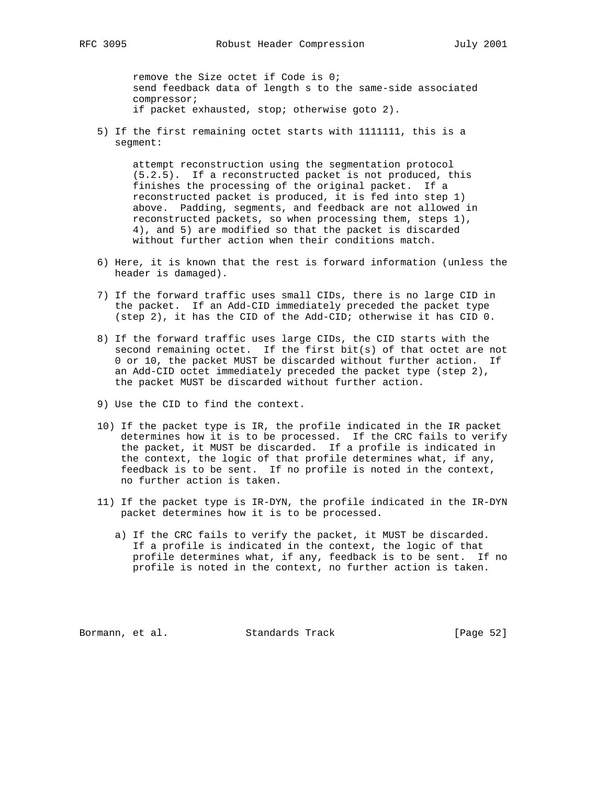remove the Size octet if Code is 0; send feedback data of length s to the same-side associated compressor; if packet exhausted, stop; otherwise goto 2).

 5) If the first remaining octet starts with 1111111, this is a segment:

 attempt reconstruction using the segmentation protocol (5.2.5). If a reconstructed packet is not produced, this finishes the processing of the original packet. If a reconstructed packet is produced, it is fed into step 1) above. Padding, segments, and feedback are not allowed in reconstructed packets, so when processing them, steps 1), 4), and 5) are modified so that the packet is discarded without further action when their conditions match.

- 6) Here, it is known that the rest is forward information (unless the header is damaged).
- 7) If the forward traffic uses small CIDs, there is no large CID in the packet. If an Add-CID immediately preceded the packet type (step 2), it has the CID of the Add-CID; otherwise it has CID 0.
- 8) If the forward traffic uses large CIDs, the CID starts with the second remaining octet. If the first bit(s) of that octet are not 0 or 10, the packet MUST be discarded without further action. If an Add-CID octet immediately preceded the packet type (step 2), the packet MUST be discarded without further action.
- 9) Use the CID to find the context.
- 10) If the packet type is IR, the profile indicated in the IR packet determines how it is to be processed. If the CRC fails to verify the packet, it MUST be discarded. If a profile is indicated in the context, the logic of that profile determines what, if any, feedback is to be sent. If no profile is noted in the context, no further action is taken.
- 11) If the packet type is IR-DYN, the profile indicated in the IR-DYN packet determines how it is to be processed.
	- a) If the CRC fails to verify the packet, it MUST be discarded. If a profile is indicated in the context, the logic of that profile determines what, if any, feedback is to be sent. If no profile is noted in the context, no further action is taken.

Bormann, et al. Standards Track [Page 52]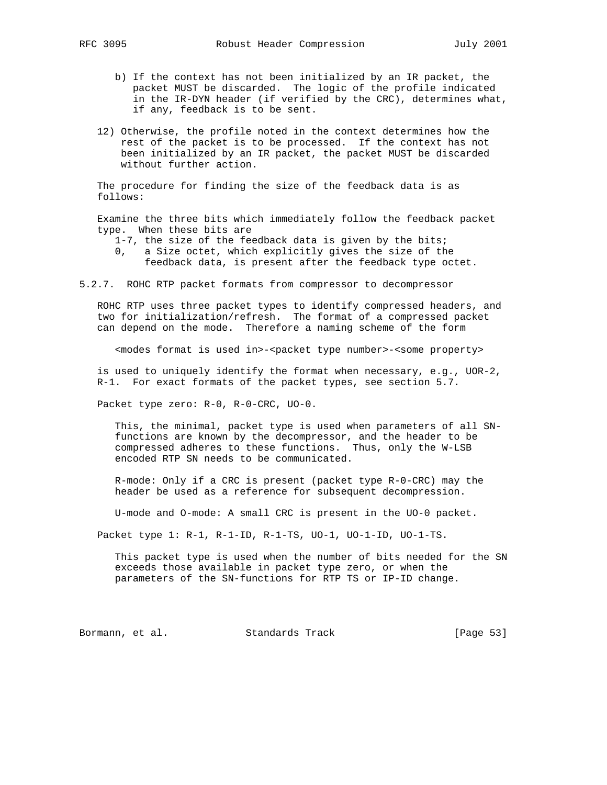- b) If the context has not been initialized by an IR packet, the packet MUST be discarded. The logic of the profile indicated in the IR-DYN header (if verified by the CRC), determines what, if any, feedback is to be sent.
- 12) Otherwise, the profile noted in the context determines how the rest of the packet is to be processed. If the context has not been initialized by an IR packet, the packet MUST be discarded without further action.

 The procedure for finding the size of the feedback data is as follows:

 Examine the three bits which immediately follow the feedback packet type. When these bits are

- 1-7, the size of the feedback data is given by the bits;
- 0, a Size octet, which explicitly gives the size of the feedback data, is present after the feedback type octet.
- 5.2.7. ROHC RTP packet formats from compressor to decompressor

 ROHC RTP uses three packet types to identify compressed headers, and two for initialization/refresh. The format of a compressed packet can depend on the mode. Therefore a naming scheme of the form

<modes format is used in>-<packet type number>-<some property>

 is used to uniquely identify the format when necessary, e.g., UOR-2, R-1. For exact formats of the packet types, see section 5.7.

Packet type zero: R-0, R-0-CRC, UO-0.

 This, the minimal, packet type is used when parameters of all SN functions are known by the decompressor, and the header to be compressed adheres to these functions. Thus, only the W-LSB encoded RTP SN needs to be communicated.

 R-mode: Only if a CRC is present (packet type R-0-CRC) may the header be used as a reference for subsequent decompression.

U-mode and O-mode: A small CRC is present in the UO-0 packet.

Packet type 1: R-1, R-1-ID, R-1-TS, UO-1, UO-1-ID, UO-1-TS.

 This packet type is used when the number of bits needed for the SN exceeds those available in packet type zero, or when the parameters of the SN-functions for RTP TS or IP-ID change.

Bormann, et al. Standards Track [Page 53]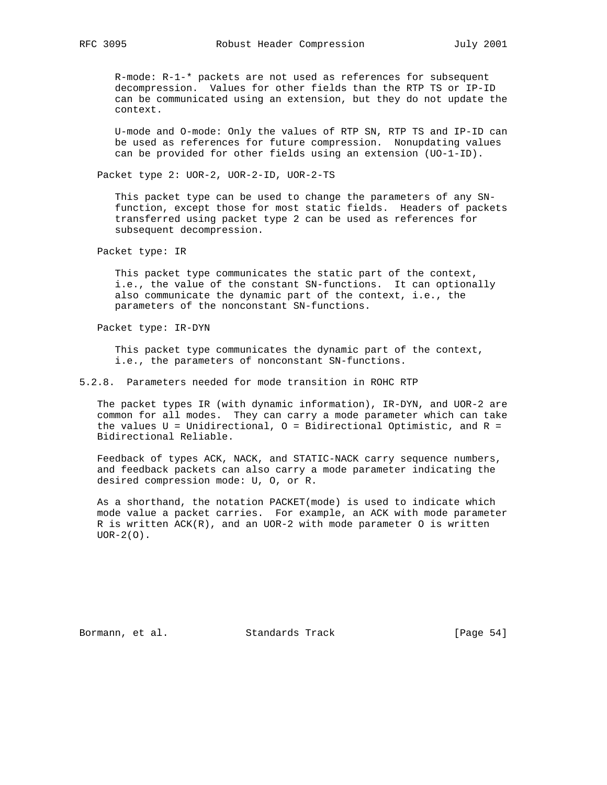R-mode: R-1-\* packets are not used as references for subsequent decompression. Values for other fields than the RTP TS or IP-ID can be communicated using an extension, but they do not update the context.

 U-mode and O-mode: Only the values of RTP SN, RTP TS and IP-ID can be used as references for future compression. Nonupdating values can be provided for other fields using an extension (UO-1-ID).

Packet type 2: UOR-2, UOR-2-ID, UOR-2-TS

 This packet type can be used to change the parameters of any SN function, except those for most static fields. Headers of packets transferred using packet type 2 can be used as references for subsequent decompression.

Packet type: IR

 This packet type communicates the static part of the context, i.e., the value of the constant SN-functions. It can optionally also communicate the dynamic part of the context, i.e., the parameters of the nonconstant SN-functions.

Packet type: IR-DYN

 This packet type communicates the dynamic part of the context, i.e., the parameters of nonconstant SN-functions.

5.2.8. Parameters needed for mode transition in ROHC RTP

 The packet types IR (with dynamic information), IR-DYN, and UOR-2 are common for all modes. They can carry a mode parameter which can take the values  $U = Unidirectional, O = Bidirectional$  Optimistic, and  $R =$ Bidirectional Reliable.

 Feedback of types ACK, NACK, and STATIC-NACK carry sequence numbers, and feedback packets can also carry a mode parameter indicating the desired compression mode: U, O, or R.

 As a shorthand, the notation PACKET(mode) is used to indicate which mode value a packet carries. For example, an ACK with mode parameter R is written  $ACK(R)$ , and an UOR-2 with mode parameter O is written  $UOR-2(O)$ .

Bormann, et al. Standards Track [Page 54]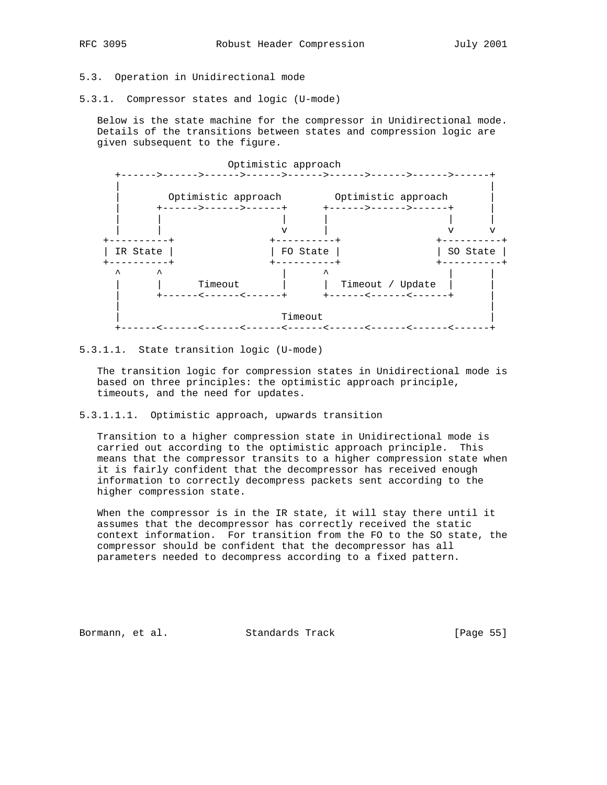# 5.3. Operation in Unidirectional mode

5.3.1. Compressor states and logic (U-mode)

 Below is the state machine for the compressor in Unidirectional mode. Details of the transitions between states and compression logic are given subsequent to the figure.



#### 5.3.1.1. State transition logic (U-mode)

 The transition logic for compression states in Unidirectional mode is based on three principles: the optimistic approach principle, timeouts, and the need for updates.

5.3.1.1.1. Optimistic approach, upwards transition

 Transition to a higher compression state in Unidirectional mode is carried out according to the optimistic approach principle. This means that the compressor transits to a higher compression state when it is fairly confident that the decompressor has received enough information to correctly decompress packets sent according to the higher compression state.

 When the compressor is in the IR state, it will stay there until it assumes that the decompressor has correctly received the static context information. For transition from the FO to the SO state, the compressor should be confident that the decompressor has all parameters needed to decompress according to a fixed pattern.

Bormann, et al. Standards Track [Page 55]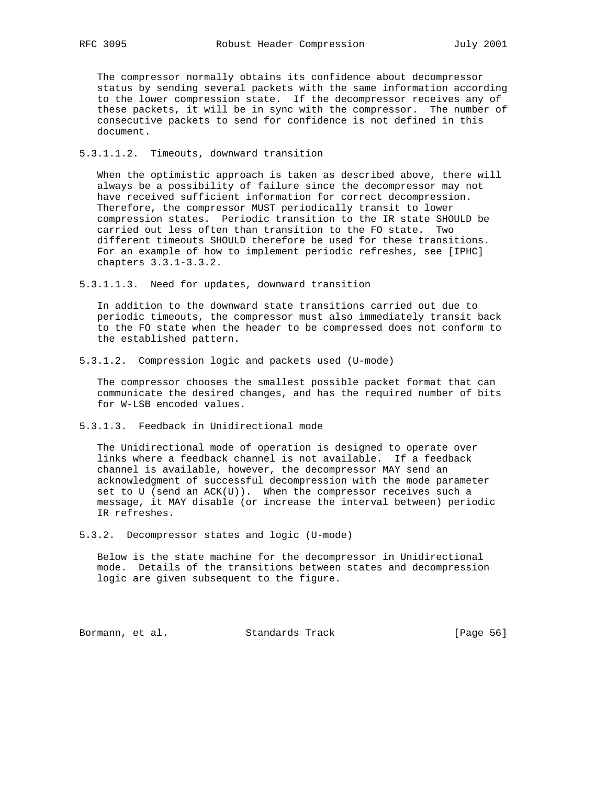The compressor normally obtains its confidence about decompressor status by sending several packets with the same information according to the lower compression state. If the decompressor receives any of these packets, it will be in sync with the compressor. The number of consecutive packets to send for confidence is not defined in this document.

5.3.1.1.2. Timeouts, downward transition

 When the optimistic approach is taken as described above, there will always be a possibility of failure since the decompressor may not have received sufficient information for correct decompression. Therefore, the compressor MUST periodically transit to lower compression states. Periodic transition to the IR state SHOULD be carried out less often than transition to the FO state. Two different timeouts SHOULD therefore be used for these transitions. For an example of how to implement periodic refreshes, see [IPHC] chapters 3.3.1-3.3.2.

5.3.1.1.3. Need for updates, downward transition

 In addition to the downward state transitions carried out due to periodic timeouts, the compressor must also immediately transit back to the FO state when the header to be compressed does not conform to the established pattern.

5.3.1.2. Compression logic and packets used (U-mode)

 The compressor chooses the smallest possible packet format that can communicate the desired changes, and has the required number of bits for W-LSB encoded values.

5.3.1.3. Feedback in Unidirectional mode

 The Unidirectional mode of operation is designed to operate over links where a feedback channel is not available. If a feedback channel is available, however, the decompressor MAY send an acknowledgment of successful decompression with the mode parameter set to U (send an  $ACK(U)$ ). When the compressor receives such a message, it MAY disable (or increase the interval between) periodic IR refreshes.

5.3.2. Decompressor states and logic (U-mode)

 Below is the state machine for the decompressor in Unidirectional mode. Details of the transitions between states and decompression logic are given subsequent to the figure.

Bormann, et al. Standards Track [Page 56]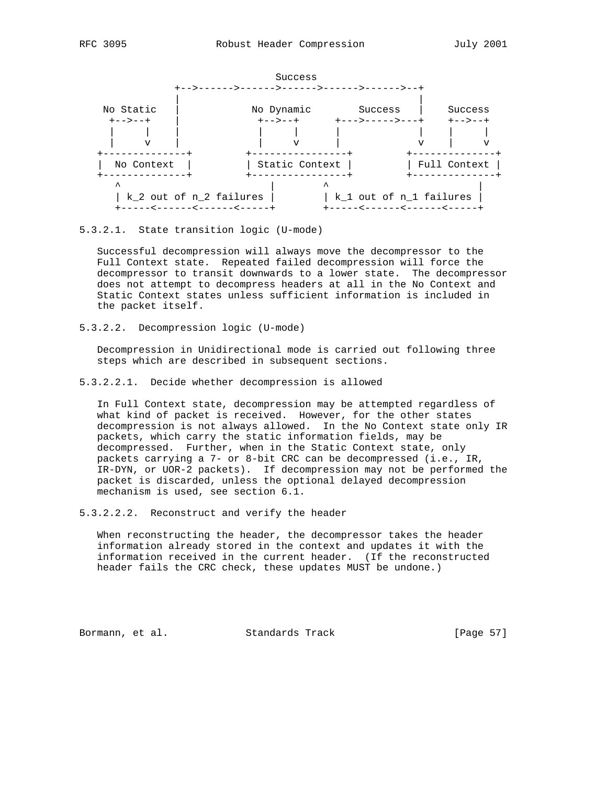

#### 5.3.2.1. State transition logic (U-mode)

 Successful decompression will always move the decompressor to the Full Context state. Repeated failed decompression will force the decompressor to transit downwards to a lower state. The decompressor does not attempt to decompress headers at all in the No Context and Static Context states unless sufficient information is included in the packet itself.

5.3.2.2. Decompression logic (U-mode)

 Decompression in Unidirectional mode is carried out following three steps which are described in subsequent sections.

5.3.2.2.1. Decide whether decompression is allowed

 In Full Context state, decompression may be attempted regardless of what kind of packet is received. However, for the other states decompression is not always allowed. In the No Context state only IR packets, which carry the static information fields, may be decompressed. Further, when in the Static Context state, only packets carrying a 7- or 8-bit CRC can be decompressed (i.e., IR, IR-DYN, or UOR-2 packets). If decompression may not be performed the packet is discarded, unless the optional delayed decompression mechanism is used, see section 6.1.

5.3.2.2.2. Reconstruct and verify the header

 When reconstructing the header, the decompressor takes the header information already stored in the context and updates it with the information received in the current header. (If the reconstructed header fails the CRC check, these updates MUST be undone.)

Bormann, et al. Standards Track [Page 57]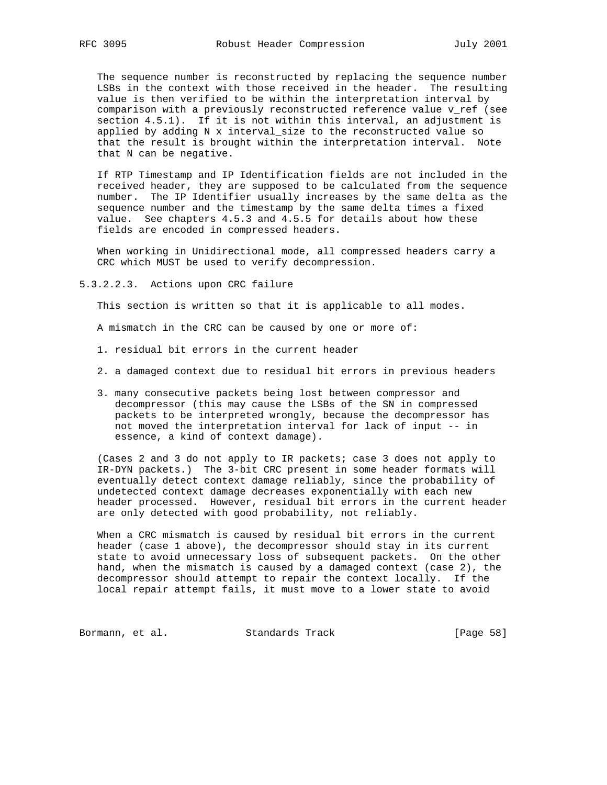The sequence number is reconstructed by replacing the sequence number LSBs in the context with those received in the header. The resulting value is then verified to be within the interpretation interval by comparison with a previously reconstructed reference value v\_ref (see section 4.5.1). If it is not within this interval, an adjustment is applied by adding N x interval\_size to the reconstructed value so that the result is brought within the interpretation interval. Note that N can be negative.

 If RTP Timestamp and IP Identification fields are not included in the received header, they are supposed to be calculated from the sequence number. The IP Identifier usually increases by the same delta as the sequence number and the timestamp by the same delta times a fixed value. See chapters 4.5.3 and 4.5.5 for details about how these fields are encoded in compressed headers.

 When working in Unidirectional mode, all compressed headers carry a CRC which MUST be used to verify decompression.

5.3.2.2.3. Actions upon CRC failure

This section is written so that it is applicable to all modes.

A mismatch in the CRC can be caused by one or more of:

- 1. residual bit errors in the current header
- 2. a damaged context due to residual bit errors in previous headers
- 3. many consecutive packets being lost between compressor and decompressor (this may cause the LSBs of the SN in compressed packets to be interpreted wrongly, because the decompressor has not moved the interpretation interval for lack of input -- in essence, a kind of context damage).

 (Cases 2 and 3 do not apply to IR packets; case 3 does not apply to IR-DYN packets.) The 3-bit CRC present in some header formats will eventually detect context damage reliably, since the probability of undetected context damage decreases exponentially with each new header processed. However, residual bit errors in the current header are only detected with good probability, not reliably.

 When a CRC mismatch is caused by residual bit errors in the current header (case 1 above), the decompressor should stay in its current state to avoid unnecessary loss of subsequent packets. On the other hand, when the mismatch is caused by a damaged context (case 2), the decompressor should attempt to repair the context locally. If the local repair attempt fails, it must move to a lower state to avoid

Bormann, et al. Standards Track [Page 58]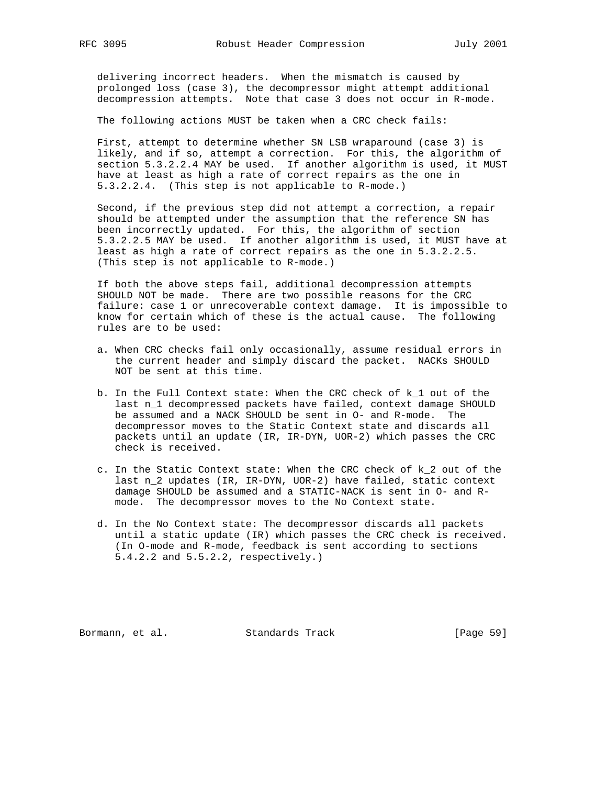delivering incorrect headers. When the mismatch is caused by prolonged loss (case 3), the decompressor might attempt additional decompression attempts. Note that case 3 does not occur in R-mode.

The following actions MUST be taken when a CRC check fails:

 First, attempt to determine whether SN LSB wraparound (case 3) is likely, and if so, attempt a correction. For this, the algorithm of section 5.3.2.2.4 MAY be used. If another algorithm is used, it MUST have at least as high a rate of correct repairs as the one in 5.3.2.2.4. (This step is not applicable to R-mode.)

 Second, if the previous step did not attempt a correction, a repair should be attempted under the assumption that the reference SN has been incorrectly updated. For this, the algorithm of section 5.3.2.2.5 MAY be used. If another algorithm is used, it MUST have at least as high a rate of correct repairs as the one in 5.3.2.2.5. (This step is not applicable to R-mode.)

 If both the above steps fail, additional decompression attempts SHOULD NOT be made. There are two possible reasons for the CRC failure: case 1 or unrecoverable context damage. It is impossible to know for certain which of these is the actual cause. The following rules are to be used:

- a. When CRC checks fail only occasionally, assume residual errors in the current header and simply discard the packet. NACKs SHOULD NOT be sent at this time.
- b. In the Full Context state: When the CRC check of k\_1 out of the last n\_1 decompressed packets have failed, context damage SHOULD be assumed and a NACK SHOULD be sent in O- and R-mode. The decompressor moves to the Static Context state and discards all packets until an update (IR, IR-DYN, UOR-2) which passes the CRC check is received.
- c. In the Static Context state: When the CRC check of k\_2 out of the last n\_2 updates (IR, IR-DYN, UOR-2) have failed, static context damage SHOULD be assumed and a STATIC-NACK is sent in O- and R mode. The decompressor moves to the No Context state.
- d. In the No Context state: The decompressor discards all packets until a static update (IR) which passes the CRC check is received. (In O-mode and R-mode, feedback is sent according to sections 5.4.2.2 and 5.5.2.2, respectively.)

Bormann, et al. Standards Track [Page 59]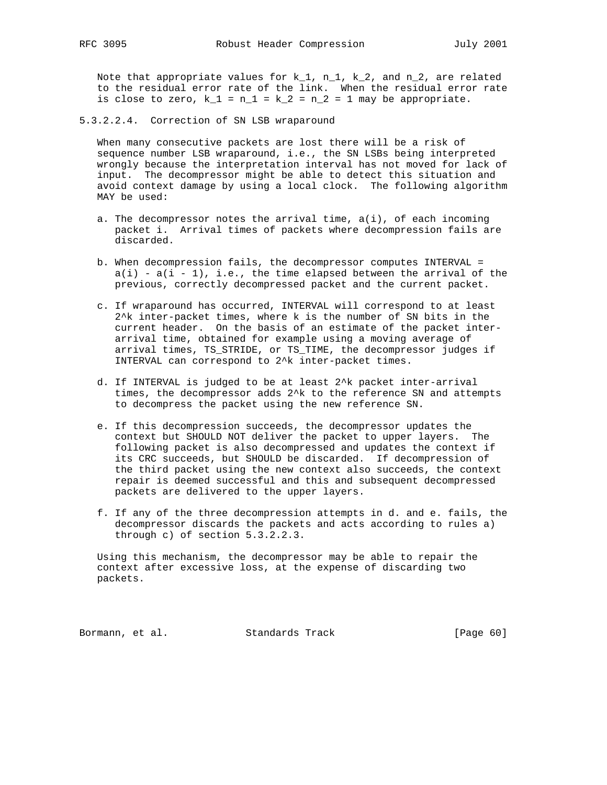Note that appropriate values for  $k_1$ ,  $n_1$ ,  $k_2$ , and  $n_2$ , are related to the residual error rate of the link. When the residual error rate is close to zero,  $k_1 = n_1 = k_2 = n_2 = 1$  may be appropriate.

5.3.2.2.4. Correction of SN LSB wraparound

 When many consecutive packets are lost there will be a risk of sequence number LSB wraparound, i.e., the SN LSBs being interpreted wrongly because the interpretation interval has not moved for lack of input. The decompressor might be able to detect this situation and avoid context damage by using a local clock. The following algorithm MAY be used:

- a. The decompressor notes the arrival time,  $a(i)$ , of each incoming packet i. Arrival times of packets where decompression fails are discarded.
- b. When decompression fails, the decompressor computes INTERVAL =  $a(i) - a(i - 1)$ , i.e., the time elapsed between the arrival of the previous, correctly decompressed packet and the current packet.
- c. If wraparound has occurred, INTERVAL will correspond to at least 2^k inter-packet times, where k is the number of SN bits in the current header. On the basis of an estimate of the packet inter arrival time, obtained for example using a moving average of arrival times, TS\_STRIDE, or TS\_TIME, the decompressor judges if INTERVAL can correspond to 2^k inter-packet times.
- d. If INTERVAL is judged to be at least 2^k packet inter-arrival times, the decompressor adds 2^k to the reference SN and attempts to decompress the packet using the new reference SN.
- e. If this decompression succeeds, the decompressor updates the context but SHOULD NOT deliver the packet to upper layers. The following packet is also decompressed and updates the context if its CRC succeeds, but SHOULD be discarded. If decompression of the third packet using the new context also succeeds, the context repair is deemed successful and this and subsequent decompressed packets are delivered to the upper layers.
- f. If any of the three decompression attempts in d. and e. fails, the decompressor discards the packets and acts according to rules a) through c) of section 5.3.2.2.3.

 Using this mechanism, the decompressor may be able to repair the context after excessive loss, at the expense of discarding two packets.

Bormann, et al. Standards Track [Page 60]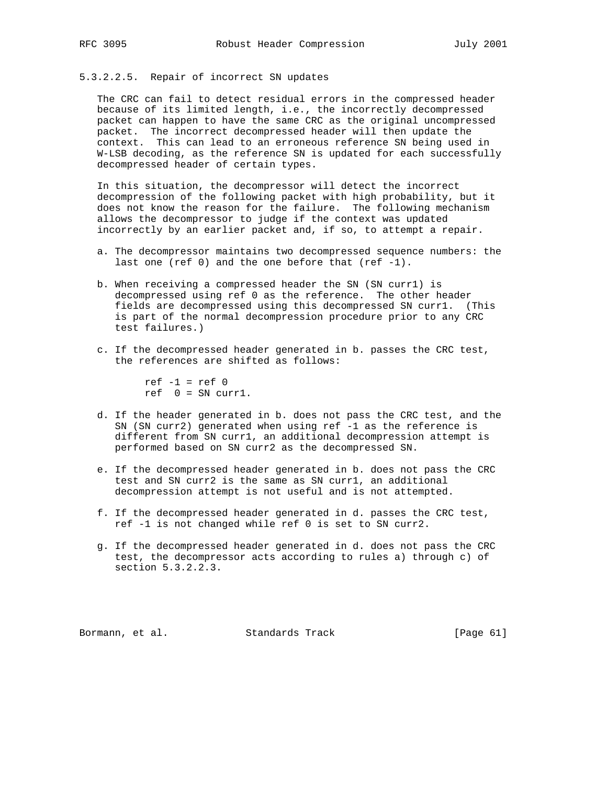# 5.3.2.2.5. Repair of incorrect SN updates

 The CRC can fail to detect residual errors in the compressed header because of its limited length, i.e., the incorrectly decompressed packet can happen to have the same CRC as the original uncompressed packet. The incorrect decompressed header will then update the context. This can lead to an erroneous reference SN being used in W-LSB decoding, as the reference SN is updated for each successfully decompressed header of certain types.

 In this situation, the decompressor will detect the incorrect decompression of the following packet with high probability, but it does not know the reason for the failure. The following mechanism allows the decompressor to judge if the context was updated incorrectly by an earlier packet and, if so, to attempt a repair.

- a. The decompressor maintains two decompressed sequence numbers: the last one (ref  $0$ ) and the one before that (ref  $-1$ ).
- b. When receiving a compressed header the SN (SN curr1) is decompressed using ref 0 as the reference. The other header fields are decompressed using this decompressed SN curr1. (This is part of the normal decompression procedure prior to any CRC test failures.)
- c. If the decompressed header generated in b. passes the CRC test, the references are shifted as follows:

 $ref -1 = ref 0$  $ref \quad 0 = SN \; curl.$ 

- d. If the header generated in b. does not pass the CRC test, and the SN (SN curr2) generated when using ref -1 as the reference is different from SN curr1, an additional decompression attempt is performed based on SN curr2 as the decompressed SN.
- e. If the decompressed header generated in b. does not pass the CRC test and SN curr2 is the same as SN curr1, an additional decompression attempt is not useful and is not attempted.
- f. If the decompressed header generated in d. passes the CRC test, ref -1 is not changed while ref 0 is set to SN curr2.
- g. If the decompressed header generated in d. does not pass the CRC test, the decompressor acts according to rules a) through c) of section 5.3.2.2.3.

Bormann, et al. Standards Track [Page 61]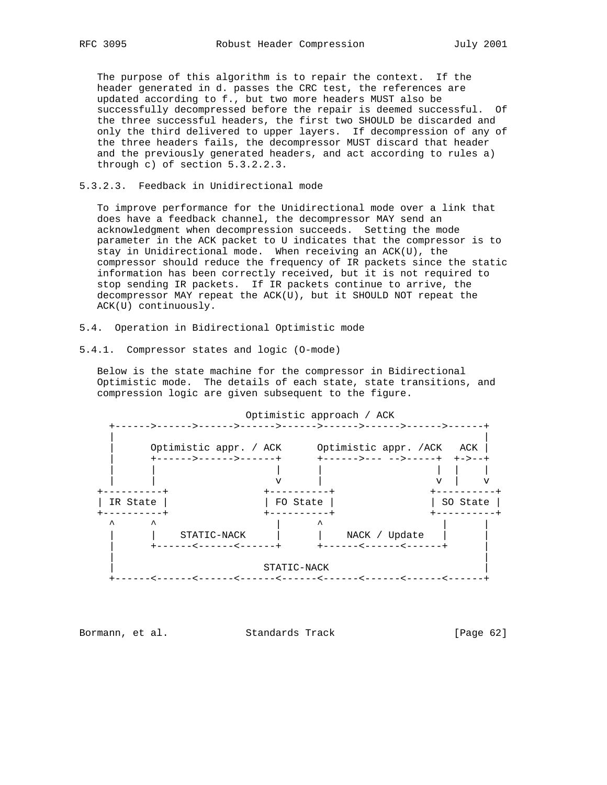The purpose of this algorithm is to repair the context. If the header generated in d. passes the CRC test, the references are updated according to f., but two more headers MUST also be successfully decompressed before the repair is deemed successful. Of the three successful headers, the first two SHOULD be discarded and only the third delivered to upper layers. If decompression of any of the three headers fails, the decompressor MUST discard that header and the previously generated headers, and act according to rules a) through c) of section 5.3.2.2.3.

5.3.2.3. Feedback in Unidirectional mode

 To improve performance for the Unidirectional mode over a link that does have a feedback channel, the decompressor MAY send an acknowledgment when decompression succeeds. Setting the mode parameter in the ACK packet to U indicates that the compressor is to stay in Unidirectional mode. When receiving an ACK(U), the compressor should reduce the frequency of IR packets since the static information has been correctly received, but it is not required to stop sending IR packets. If IR packets continue to arrive, the decompressor MAY repeat the ACK(U), but it SHOULD NOT repeat the ACK(U) continuously.

- 5.4. Operation in Bidirectional Optimistic mode
- 5.4.1. Compressor states and logic (O-mode)

 Below is the state machine for the compressor in Bidirectional Optimistic mode. The details of each state, state transitions, and compression logic are given subsequent to the figure.



Bormann, et al. Standards Track [Page 62]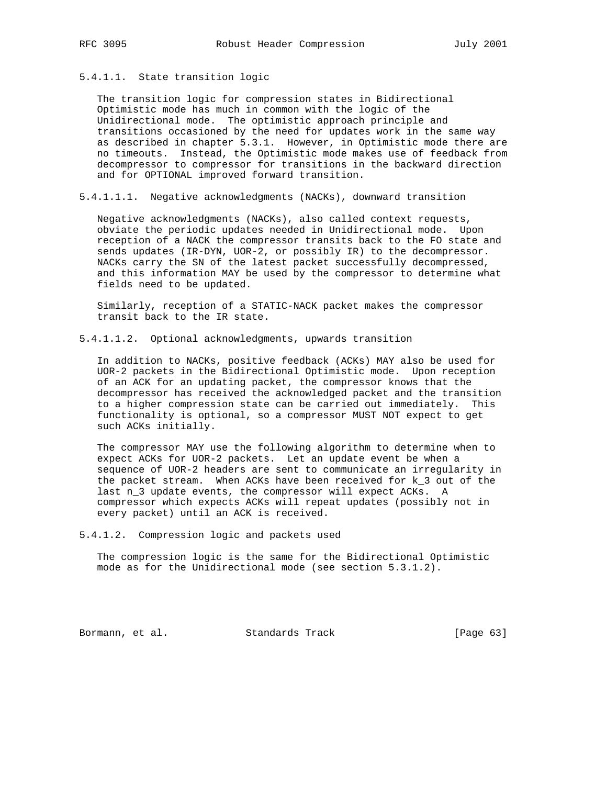### 5.4.1.1. State transition logic

 The transition logic for compression states in Bidirectional Optimistic mode has much in common with the logic of the Unidirectional mode. The optimistic approach principle and transitions occasioned by the need for updates work in the same way as described in chapter 5.3.1. However, in Optimistic mode there are no timeouts. Instead, the Optimistic mode makes use of feedback from decompressor to compressor for transitions in the backward direction and for OPTIONAL improved forward transition.

5.4.1.1.1. Negative acknowledgments (NACKs), downward transition

 Negative acknowledgments (NACKs), also called context requests, obviate the periodic updates needed in Unidirectional mode. Upon reception of a NACK the compressor transits back to the FO state and sends updates (IR-DYN, UOR-2, or possibly IR) to the decompressor. NACKs carry the SN of the latest packet successfully decompressed, and this information MAY be used by the compressor to determine what fields need to be updated.

 Similarly, reception of a STATIC-NACK packet makes the compressor transit back to the IR state.

5.4.1.1.2. Optional acknowledgments, upwards transition

 In addition to NACKs, positive feedback (ACKs) MAY also be used for UOR-2 packets in the Bidirectional Optimistic mode. Upon reception of an ACK for an updating packet, the compressor knows that the decompressor has received the acknowledged packet and the transition to a higher compression state can be carried out immediately. This functionality is optional, so a compressor MUST NOT expect to get such ACKs initially.

 The compressor MAY use the following algorithm to determine when to expect ACKs for UOR-2 packets. Let an update event be when a sequence of UOR-2 headers are sent to communicate an irregularity in the packet stream. When ACKs have been received for k\_3 out of the last n\_3 update events, the compressor will expect ACKs. A compressor which expects ACKs will repeat updates (possibly not in every packet) until an ACK is received.

5.4.1.2. Compression logic and packets used

 The compression logic is the same for the Bidirectional Optimistic mode as for the Unidirectional mode (see section 5.3.1.2).

Bormann, et al. Standards Track [Page 63]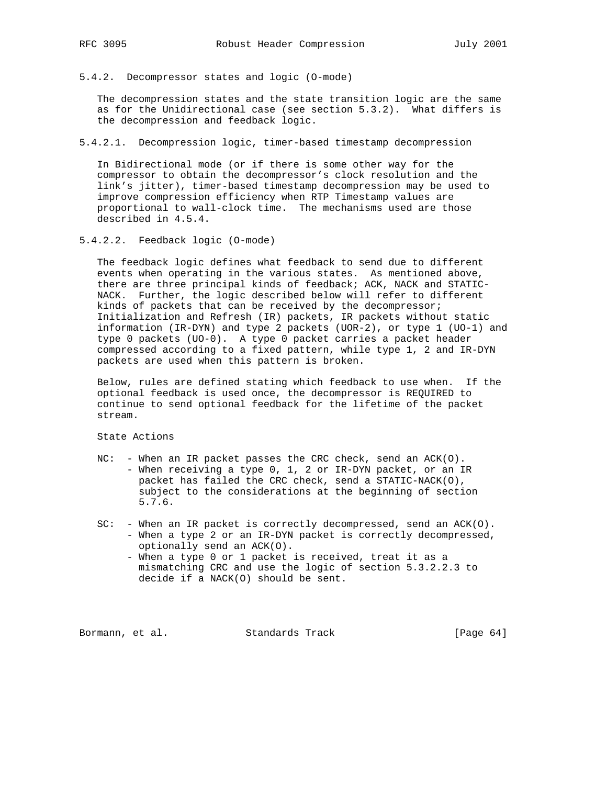5.4.2. Decompressor states and logic (O-mode)

 The decompression states and the state transition logic are the same as for the Unidirectional case (see section 5.3.2). What differs is the decompression and feedback logic.

5.4.2.1. Decompression logic, timer-based timestamp decompression

 In Bidirectional mode (or if there is some other way for the compressor to obtain the decompressor's clock resolution and the link's jitter), timer-based timestamp decompression may be used to improve compression efficiency when RTP Timestamp values are proportional to wall-clock time. The mechanisms used are those described in 4.5.4.

5.4.2.2. Feedback logic (O-mode)

 The feedback logic defines what feedback to send due to different events when operating in the various states. As mentioned above, there are three principal kinds of feedback; ACK, NACK and STATIC- NACK. Further, the logic described below will refer to different kinds of packets that can be received by the decompressor; Initialization and Refresh (IR) packets, IR packets without static information (IR-DYN) and type 2 packets (UOR-2), or type 1 (UO-1) and type 0 packets (UO-0). A type 0 packet carries a packet header compressed according to a fixed pattern, while type 1, 2 and IR-DYN packets are used when this pattern is broken.

 Below, rules are defined stating which feedback to use when. If the optional feedback is used once, the decompressor is REQUIRED to continue to send optional feedback for the lifetime of the packet stream.

State Actions

- NC: When an IR packet passes the CRC check, send an ACK(O). - When receiving a type 0, 1, 2 or IR-DYN packet, or an IR packet has failed the CRC check, send a STATIC-NACK(O), subject to the considerations at the beginning of section 5.7.6.
- SC: When an IR packet is correctly decompressed, send an ACK(O). - When a type 2 or an IR-DYN packet is correctly decompressed, optionally send an ACK(O).
	- When a type 0 or 1 packet is received, treat it as a mismatching CRC and use the logic of section 5.3.2.2.3 to decide if a NACK(O) should be sent.

Bormann, et al. Standards Track [Page 64]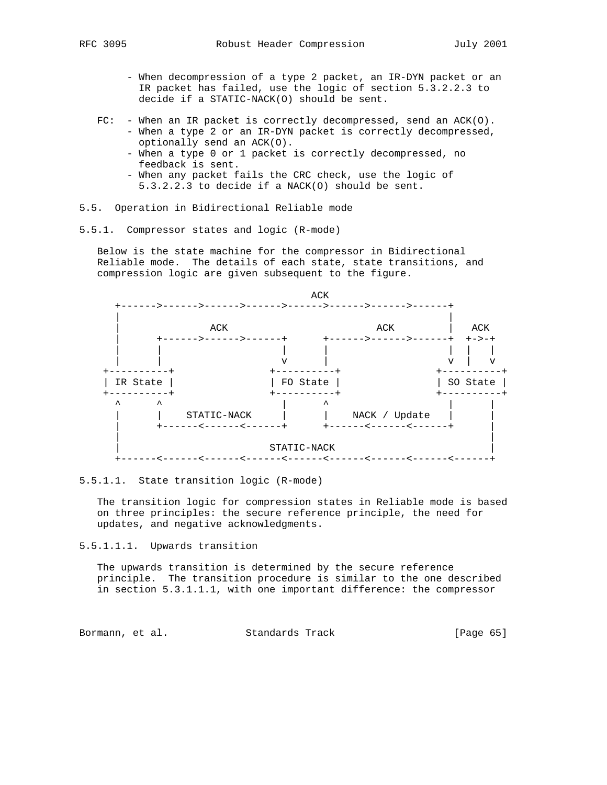- - When decompression of a type 2 packet, an IR-DYN packet or an IR packet has failed, use the logic of section 5.3.2.2.3 to decide if a STATIC-NACK(O) should be sent.
- FC: When an IR packet is correctly decompressed, send an ACK(O). - When a type 2 or an IR-DYN packet is correctly decompressed,
	- optionally send an ACK(O).
	- When a type 0 or 1 packet is correctly decompressed, no feedback is sent.
	- When any packet fails the CRC check, use the logic of 5.3.2.2.3 to decide if a NACK(O) should be sent.
- 5.5. Operation in Bidirectional Reliable mode
- 5.5.1. Compressor states and logic (R-mode)

 Below is the state machine for the compressor in Bidirectional Reliable mode. The details of each state, state transitions, and compression logic are given subsequent to the figure.



#### 5.5.1.1. State transition logic (R-mode)

 The transition logic for compression states in Reliable mode is based on three principles: the secure reference principle, the need for updates, and negative acknowledgments.

5.5.1.1.1. Upwards transition

 The upwards transition is determined by the secure reference principle. The transition procedure is similar to the one described in section 5.3.1.1.1, with one important difference: the compressor

Bormann, et al. Standards Track [Page 65]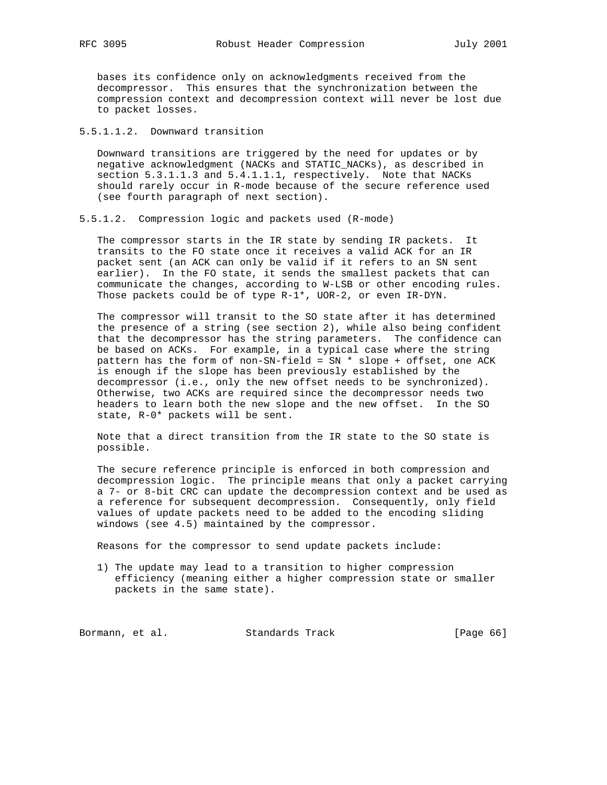bases its confidence only on acknowledgments received from the decompressor. This ensures that the synchronization between the compression context and decompression context will never be lost due to packet losses.

# 5.5.1.1.2. Downward transition

 Downward transitions are triggered by the need for updates or by negative acknowledgment (NACKs and STATIC\_NACKs), as described in section 5.3.1.1.3 and 5.4.1.1.1, respectively. Note that NACKs should rarely occur in R-mode because of the secure reference used (see fourth paragraph of next section).

5.5.1.2. Compression logic and packets used (R-mode)

 The compressor starts in the IR state by sending IR packets. It transits to the FO state once it receives a valid ACK for an IR packet sent (an ACK can only be valid if it refers to an SN sent earlier). In the FO state, it sends the smallest packets that can communicate the changes, according to W-LSB or other encoding rules. Those packets could be of type R-1\*, UOR-2, or even IR-DYN.

 The compressor will transit to the SO state after it has determined the presence of a string (see section 2), while also being confident that the decompressor has the string parameters. The confidence can be based on ACKs. For example, in a typical case where the string pattern has the form of non-SN-field = SN \* slope + offset, one ACK is enough if the slope has been previously established by the decompressor (i.e., only the new offset needs to be synchronized). Otherwise, two ACKs are required since the decompressor needs two headers to learn both the new slope and the new offset. In the SO state, R-0\* packets will be sent.

 Note that a direct transition from the IR state to the SO state is possible.

 The secure reference principle is enforced in both compression and decompression logic. The principle means that only a packet carrying a 7- or 8-bit CRC can update the decompression context and be used as a reference for subsequent decompression. Consequently, only field values of update packets need to be added to the encoding sliding windows (see 4.5) maintained by the compressor.

Reasons for the compressor to send update packets include:

 1) The update may lead to a transition to higher compression efficiency (meaning either a higher compression state or smaller packets in the same state).

Bormann, et al. Standards Track [Page 66]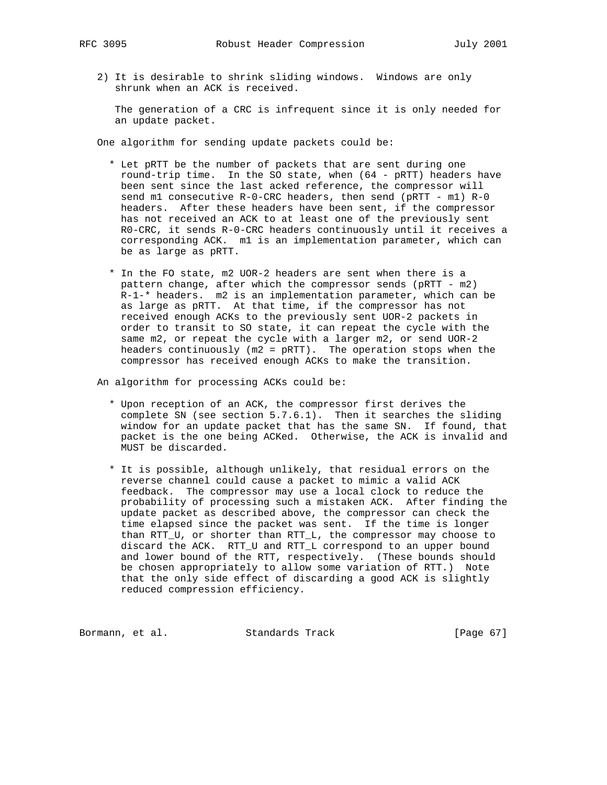- - 2) It is desirable to shrink sliding windows. Windows are only shrunk when an ACK is received.

 The generation of a CRC is infrequent since it is only needed for an update packet.

One algorithm for sending update packets could be:

- \* Let pRTT be the number of packets that are sent during one round-trip time. In the SO state, when (64 - pRTT) headers have been sent since the last acked reference, the compressor will send m1 consecutive R-0-CRC headers, then send (pRTT - m1) R-0 headers. After these headers have been sent, if the compressor has not received an ACK to at least one of the previously sent R0-CRC, it sends R-0-CRC headers continuously until it receives a corresponding ACK. m1 is an implementation parameter, which can be as large as pRTT.
- \* In the FO state, m2 UOR-2 headers are sent when there is a pattern change, after which the compressor sends (pRTT - m2) R-1-\* headers. m2 is an implementation parameter, which can be as large as pRTT. At that time, if the compressor has not received enough ACKs to the previously sent UOR-2 packets in order to transit to SO state, it can repeat the cycle with the same m2, or repeat the cycle with a larger m2, or send UOR-2 headers continuously  $(m2 = pRTT)$ . The operation stops when the compressor has received enough ACKs to make the transition.

An algorithm for processing ACKs could be:

- \* Upon reception of an ACK, the compressor first derives the complete SN (see section 5.7.6.1). Then it searches the sliding window for an update packet that has the same SN. If found, that packet is the one being ACKed. Otherwise, the ACK is invalid and MUST be discarded.
- \* It is possible, although unlikely, that residual errors on the reverse channel could cause a packet to mimic a valid ACK feedback. The compressor may use a local clock to reduce the probability of processing such a mistaken ACK. After finding the update packet as described above, the compressor can check the time elapsed since the packet was sent. If the time is longer than RTT\_U, or shorter than RTT\_L, the compressor may choose to discard the ACK. RTT\_U and RTT\_L correspond to an upper bound and lower bound of the RTT, respectively. (These bounds should be chosen appropriately to allow some variation of RTT.) Note that the only side effect of discarding a good ACK is slightly reduced compression efficiency.

Bormann, et al. Standards Track [Page 67]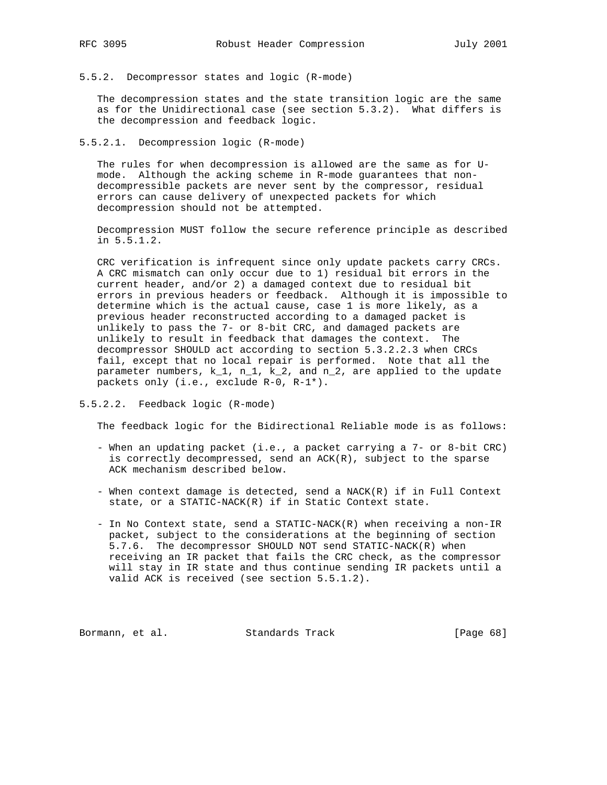5.5.2. Decompressor states and logic (R-mode)

 The decompression states and the state transition logic are the same as for the Unidirectional case (see section 5.3.2). What differs is the decompression and feedback logic.

5.5.2.1. Decompression logic (R-mode)

 The rules for when decompression is allowed are the same as for U mode. Although the acking scheme in R-mode guarantees that non decompressible packets are never sent by the compressor, residual errors can cause delivery of unexpected packets for which decompression should not be attempted.

 Decompression MUST follow the secure reference principle as described in 5.5.1.2.

 CRC verification is infrequent since only update packets carry CRCs. A CRC mismatch can only occur due to 1) residual bit errors in the current header, and/or 2) a damaged context due to residual bit errors in previous headers or feedback. Although it is impossible to determine which is the actual cause, case 1 is more likely, as a previous header reconstructed according to a damaged packet is unlikely to pass the 7- or 8-bit CRC, and damaged packets are unlikely to result in feedback that damages the context. The decompressor SHOULD act according to section 5.3.2.2.3 when CRCs fail, except that no local repair is performed. Note that all the parameter numbers, k\_1, n\_1, k\_2, and n\_2, are applied to the update packets only (i.e., exclude R-0, R-1\*).

5.5.2.2. Feedback logic (R-mode)

The feedback logic for the Bidirectional Reliable mode is as follows:

- When an updating packet (i.e., a packet carrying a 7- or 8-bit CRC) is correctly decompressed, send an ACK(R), subject to the sparse ACK mechanism described below.
- When context damage is detected, send a NACK(R) if in Full Context state, or a STATIC-NACK(R) if in Static Context state.
- In No Context state, send a STATIC-NACK(R) when receiving a non-IR packet, subject to the considerations at the beginning of section 5.7.6. The decompressor SHOULD NOT send STATIC-NACK(R) when receiving an IR packet that fails the CRC check, as the compressor will stay in IR state and thus continue sending IR packets until a valid ACK is received (see section 5.5.1.2).

Bormann, et al. Standards Track [Page 68]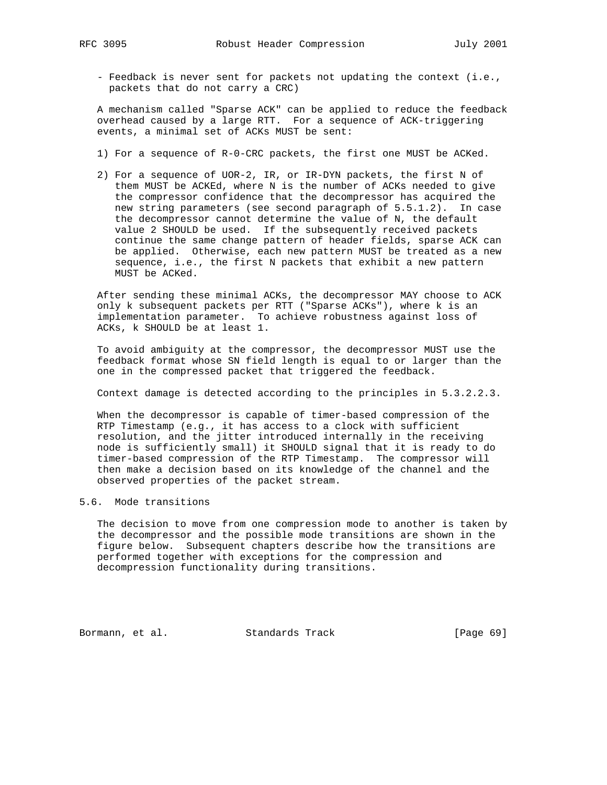- Feedback is never sent for packets not updating the context (i.e., packets that do not carry a CRC)

 A mechanism called "Sparse ACK" can be applied to reduce the feedback overhead caused by a large RTT. For a sequence of ACK-triggering events, a minimal set of ACKs MUST be sent:

- 1) For a sequence of R-0-CRC packets, the first one MUST be ACKed.
- 2) For a sequence of UOR-2, IR, or IR-DYN packets, the first N of them MUST be ACKEd, where N is the number of ACKs needed to give the compressor confidence that the decompressor has acquired the new string parameters (see second paragraph of 5.5.1.2). In case the decompressor cannot determine the value of N, the default value 2 SHOULD be used. If the subsequently received packets continue the same change pattern of header fields, sparse ACK can be applied. Otherwise, each new pattern MUST be treated as a new sequence, i.e., the first N packets that exhibit a new pattern MUST be ACKed.

 After sending these minimal ACKs, the decompressor MAY choose to ACK only k subsequent packets per RTT ("Sparse ACKs"), where k is an implementation parameter. To achieve robustness against loss of ACKs, k SHOULD be at least 1.

 To avoid ambiguity at the compressor, the decompressor MUST use the feedback format whose SN field length is equal to or larger than the one in the compressed packet that triggered the feedback.

Context damage is detected according to the principles in 5.3.2.2.3.

 When the decompressor is capable of timer-based compression of the RTP Timestamp (e.g., it has access to a clock with sufficient resolution, and the jitter introduced internally in the receiving node is sufficiently small) it SHOULD signal that it is ready to do timer-based compression of the RTP Timestamp. The compressor will then make a decision based on its knowledge of the channel and the observed properties of the packet stream.

### 5.6. Mode transitions

 The decision to move from one compression mode to another is taken by the decompressor and the possible mode transitions are shown in the figure below. Subsequent chapters describe how the transitions are performed together with exceptions for the compression and decompression functionality during transitions.

Bormann, et al. Standards Track [Page 69]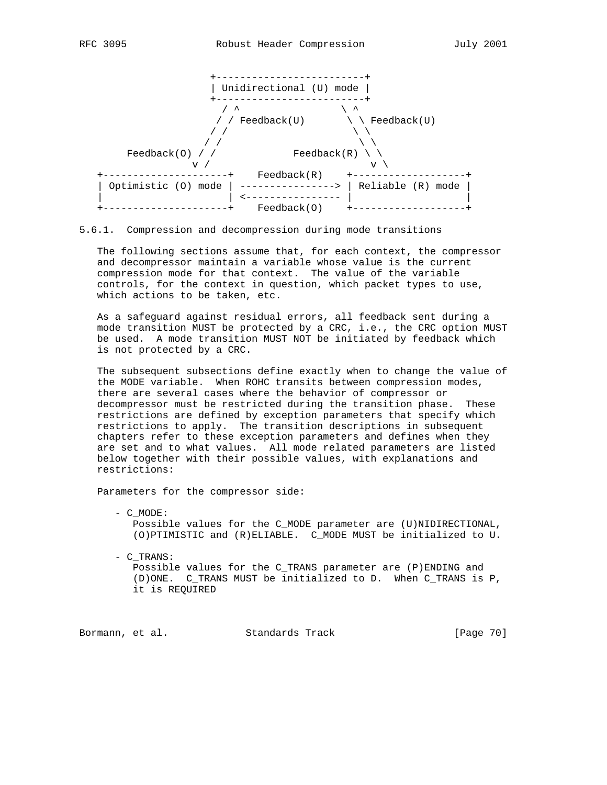



### 5.6.1. Compression and decompression during mode transitions

 The following sections assume that, for each context, the compressor and decompressor maintain a variable whose value is the current compression mode for that context. The value of the variable controls, for the context in question, which packet types to use, which actions to be taken, etc.

 As a safeguard against residual errors, all feedback sent during a mode transition MUST be protected by a CRC, i.e., the CRC option MUST be used. A mode transition MUST NOT be initiated by feedback which is not protected by a CRC.

 The subsequent subsections define exactly when to change the value of the MODE variable. When ROHC transits between compression modes, there are several cases where the behavior of compressor or decompressor must be restricted during the transition phase. These restrictions are defined by exception parameters that specify which restrictions to apply. The transition descriptions in subsequent chapters refer to these exception parameters and defines when they are set and to what values. All mode related parameters are listed below together with their possible values, with explanations and restrictions:

Parameters for the compressor side:

 - C\_MODE: Possible values for the C\_MODE parameter are (U)NIDIRECTIONAL, (O)PTIMISTIC and (R)ELIABLE. C\_MODE MUST be initialized to U.

 - C\_TRANS: Possible values for the C\_TRANS parameter are (P)ENDING and (D)ONE. C\_TRANS MUST be initialized to D. When C\_TRANS is P, it is REQUIRED

Bormann, et al. Standards Track [Page 70]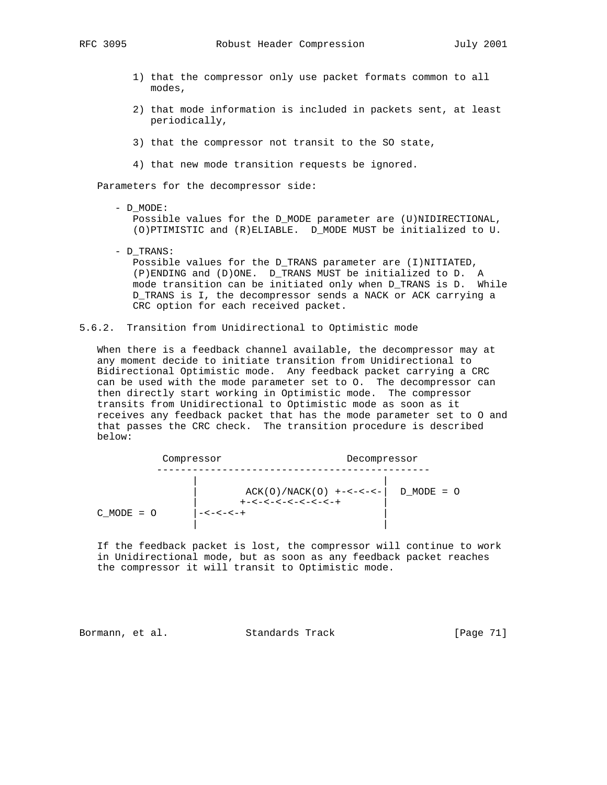- 1) that the compressor only use packet formats common to all modes,
- 2) that mode information is included in packets sent, at least periodically,
- 3) that the compressor not transit to the SO state,
- 4) that new mode transition requests be ignored.

Parameters for the decompressor side:

- D\_MODE:

 Possible values for the D\_MODE parameter are (U)NIDIRECTIONAL, (O)PTIMISTIC and (R)ELIABLE. D\_MODE MUST be initialized to U.

- D\_TRANS: Possible values for the D\_TRANS parameter are (I)NITIATED, (P)ENDING and (D)ONE. D\_TRANS MUST be initialized to D. A mode transition can be initiated only when D\_TRANS is D. While D\_TRANS is I, the decompressor sends a NACK or ACK carrying a CRC option for each received packet.
- 5.6.2. Transition from Unidirectional to Optimistic mode

 When there is a feedback channel available, the decompressor may at any moment decide to initiate transition from Unidirectional to Bidirectional Optimistic mode. Any feedback packet carrying a CRC can be used with the mode parameter set to O. The decompressor can then directly start working in Optimistic mode. The compressor transits from Unidirectional to Optimistic mode as soon as it receives any feedback packet that has the mode parameter set to O and that passes the CRC check. The transition procedure is described below:

|                | Compressor                                                                        | Decompressor   |  |
|----------------|-----------------------------------------------------------------------------------|----------------|--|
| $C$ MODE = $O$ | $ACK(O)/NACK(O)$ +-<-<-- <br>$+ - < - < - < - < - < - < - +$<br>$- < - < - < - +$ | $D$ MODE = $O$ |  |

 If the feedback packet is lost, the compressor will continue to work in Unidirectional mode, but as soon as any feedback packet reaches the compressor it will transit to Optimistic mode.

Bormann, et al. Standards Track [Page 71]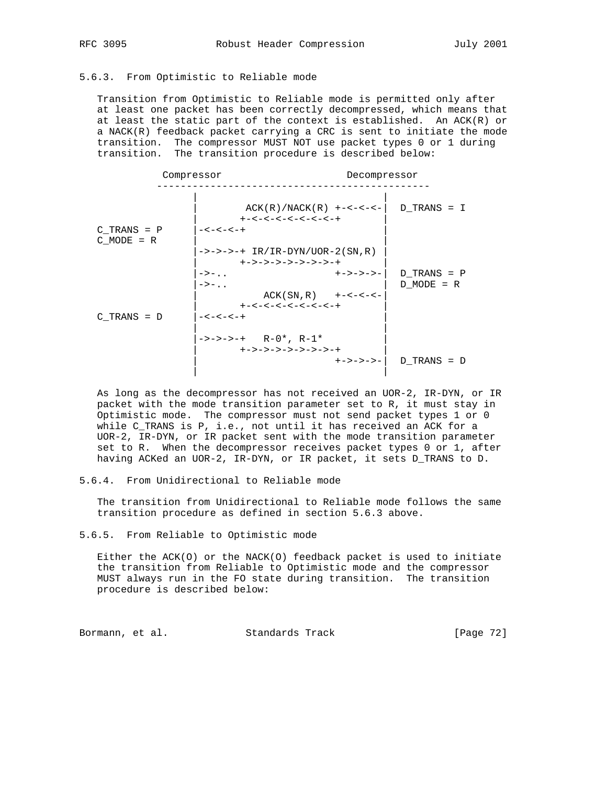## 5.6.3. From Optimistic to Reliable mode

 Transition from Optimistic to Reliable mode is permitted only after at least one packet has been correctly decompressed, which means that at least the static part of the context is established. An ACK(R) or a NACK(R) feedback packet carrying a CRC is sent to initiate the mode transition. The compressor MUST NOT use packet types 0 or 1 during transition. The transition procedure is described below:

| Compressor      |                                                              | Decompressor      |                 |  |
|-----------------|--------------------------------------------------------------|-------------------|-----------------|--|
|                 | $ACK(R)/NACK(R)$ +-<-<-<-<br>$+ - < - < - < - < - < - < - +$ |                   | D TRANS = I     |  |
| $C$ TRANS = $P$ | $- < - < - < - +$                                            |                   |                 |  |
| $C$ MODE = R    |                                                              |                   |                 |  |
|                 | $->->->-+ IR/IR-DYN/UOR-2(SN,R))$                            |                   |                 |  |
|                 | +->->->->->->->-+                                            |                   |                 |  |
|                 | $\rightarrow$ $\rightarrow$ $\ldots$                         | $+ - > - > - > -$ | $D$ TRANS = $P$ |  |
|                 | $\rightarrow -$                                              |                   | $D$ MODE = R    |  |
|                 | $ACK(SN, R)$ +-<-<-<-                                        |                   |                 |  |
|                 | $+ - < - < - < - < - < - < - +$                              |                   |                 |  |
| $C$ TRANS = $D$ | $- < - < - < - +$                                            |                   |                 |  |
|                 |                                                              |                   |                 |  |
|                 | $->->->-+- R-0*, R-1*$                                       |                   |                 |  |
|                 | +->->->->->->->-+                                            |                   |                 |  |
|                 |                                                              | +->->->-          | $D$ TRANS = $D$ |  |
|                 |                                                              |                   |                 |  |

 As long as the decompressor has not received an UOR-2, IR-DYN, or IR packet with the mode transition parameter set to R, it must stay in Optimistic mode. The compressor must not send packet types 1 or 0 while C\_TRANS is P, i.e., not until it has received an ACK for a UOR-2, IR-DYN, or IR packet sent with the mode transition parameter set to R. When the decompressor receives packet types 0 or 1, after having ACKed an UOR-2, IR-DYN, or IR packet, it sets D\_TRANS to D.

# 5.6.4. From Unidirectional to Reliable mode

 The transition from Unidirectional to Reliable mode follows the same transition procedure as defined in section 5.6.3 above.

#### 5.6.5. From Reliable to Optimistic mode

 Either the ACK(O) or the NACK(O) feedback packet is used to initiate the transition from Reliable to Optimistic mode and the compressor MUST always run in the FO state during transition. The transition procedure is described below:

Bormann, et al. Standards Track [Page 72]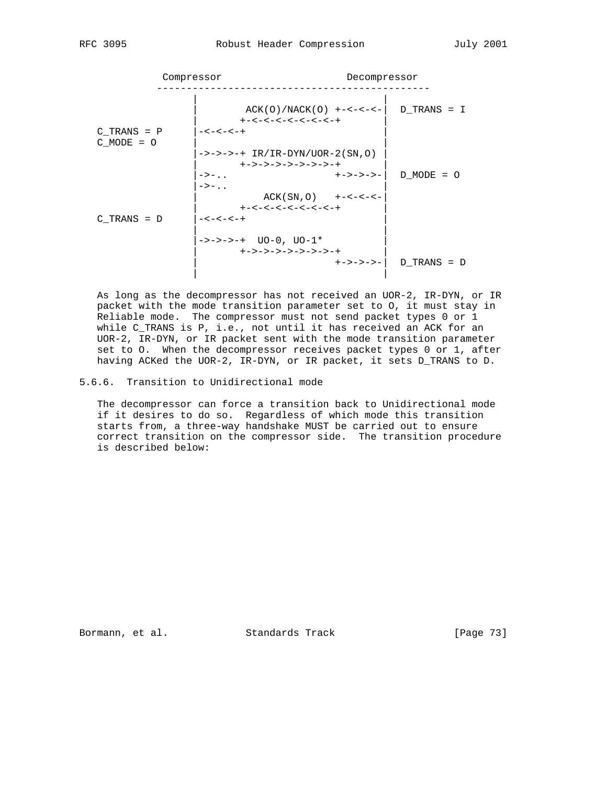| Compressor                        |                                                              | Decompressor |                 |  |  |
|-----------------------------------|--------------------------------------------------------------|--------------|-----------------|--|--|
|                                   | $ACK(O)/NACK(O)$ +-<-<-- <br>$+ - < - < - < - < - < - < - +$ |              | D TRANS = I     |  |  |
| $C$ TRANS = $P$<br>$C$ MODE = $O$ | $- < - < - < - +$                                            |              |                 |  |  |
|                                   | $->->->-+ IR/IR-DYN/UOR-2(SN,O))$<br>+->->->->->->->-+       |              |                 |  |  |
|                                   | $->-$<br>$\rightarrow -$                                     | +->->->-     | $D$ MODE = $O$  |  |  |
|                                   | $ACK(SN, 0)$ +-<-<--<br>$+ - < - < - < - < - < - < - +$      |              |                 |  |  |
| $C$ TRANS = $D$                   | -<-<-<-+                                                     |              |                 |  |  |
|                                   | $->->->-+- U0-0, U0-1*$<br>+->->->->->->->-+                 |              |                 |  |  |
|                                   |                                                              | +->->->-     | $D$ TRANS = $D$ |  |  |

 As long as the decompressor has not received an UOR-2, IR-DYN, or IR packet with the mode transition parameter set to O, it must stay in Reliable mode. The compressor must not send packet types 0 or 1 while C\_TRANS is P, i.e., not until it has received an ACK for an UOR-2, IR-DYN, or IR packet sent with the mode transition parameter set to O. When the decompressor receives packet types 0 or 1, after having ACKed the UOR-2, IR-DYN, or IR packet, it sets D\_TRANS to D.

5.6.6. Transition to Unidirectional mode

 The decompressor can force a transition back to Unidirectional mode if it desires to do so. Regardless of which mode this transition starts from, a three-way handshake MUST be carried out to ensure correct transition on the compressor side. The transition procedure is described below:

Bormann, et al. Standards Track [Page 73]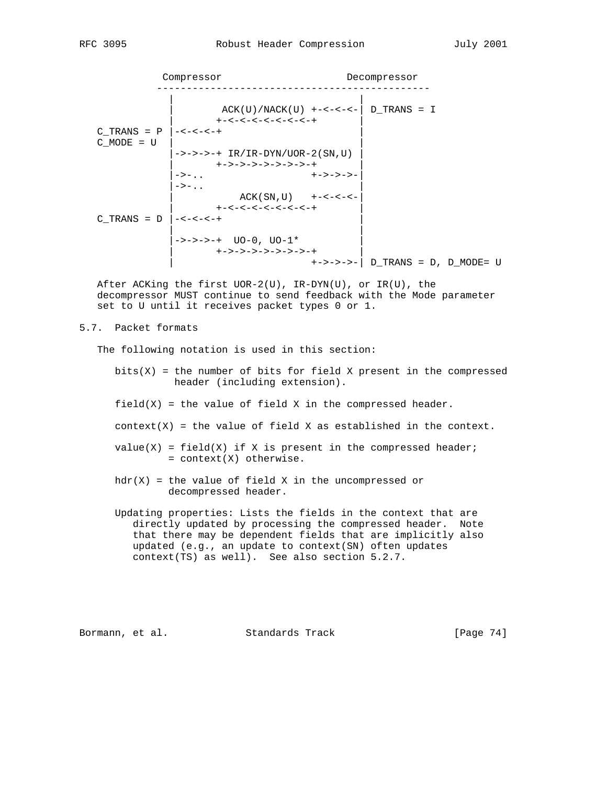Compressor Decompressor ---------------------------------------------- | |  $ACK(U)/NACK(U)$  +-<-<-<-|  $D_TRANS = I$  | +-<-<-<-<-<-<-<-+ |  $C_TRANS = P \Big| -<-<-+$  $C_MODE = U$  |->->->-+ IR/IR-DYN/UOR-2(SN,U) | | +->->->->->->->-+ | |->-.. +->->->-|  $|\rightarrow-\ldots$  | | ACK ( SN , U ) +-<-<-<-|  $|\qquad \qquad +<-<-<-<-<-<-<-+$  $C_TRRAS = D \Big| - < - < - < +$  | | |->->->-+ UO-0, UO-1\* | | +->->->->->->->-+ | | +->->->-| D\_TRANS = D, D\_MODE= U

After ACKing the first  $UOR-2(U)$ ,  $IR-DYN(U)$ , or  $IR(U)$ , the decompressor MUST continue to send feedback with the Mode parameter set to U until it receives packet types 0 or 1.

### 5.7. Packet formats

The following notation is used in this section:

- $bits(X)$  = the number of bits for field X present in the compressed header (including extension).
- $field(X)$  = the value of field X in the compressed header.
- $context(X)$  = the value of field X as established in the context.
- $value(X) = field(X)$  if X is present in the compressed header; = context(X) otherwise.
- $hdr(X)$  = the value of field X in the uncompressed or decompressed header.
- Updating properties: Lists the fields in the context that are directly updated by processing the compressed header. Note that there may be dependent fields that are implicitly also updated (e.g., an update to context(SN) often updates context(TS) as well). See also section 5.2.7.

Bormann, et al. Standards Track [Page 74]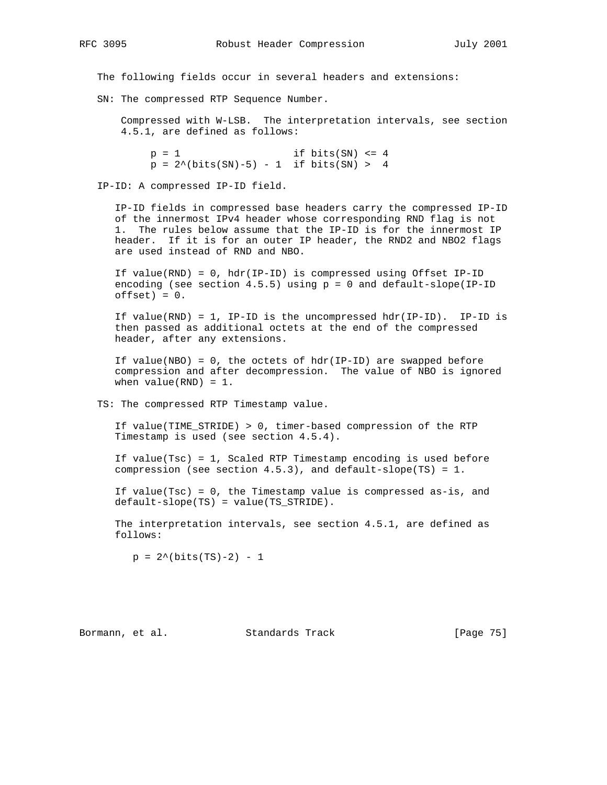The following fields occur in several headers and extensions:

SN: The compressed RTP Sequence Number.

 Compressed with W-LSB. The interpretation intervals, see section 4.5.1, are defined as follows:

 $p = 1$  if bits(SN) <= 4  $p = 2^{\wedge}(\text{bits(SN)} - 5) - 1$  if bits(SN) > 4

IP-ID: A compressed IP-ID field.

 IP-ID fields in compressed base headers carry the compressed IP-ID of the innermost IPv4 header whose corresponding RND flag is not 1. The rules below assume that the IP-ID is for the innermost IP header. If it is for an outer IP header, the RND2 and NBO2 flags are used instead of RND and NBO.

 If value(RND) = 0, hdr(IP-ID) is compressed using Offset IP-ID encoding (see section  $4.5.5$ ) using  $p = 0$  and default-slope(IP-ID  $offset) = 0.$ 

 If value(RND) = 1, IP-ID is the uncompressed hdr(IP-ID). IP-ID is then passed as additional octets at the end of the compressed header, after any extensions.

If value(NBO) =  $0$ , the octets of hdr(IP-ID) are swapped before compression and after decompression. The value of NBO is ignored when  $value(RND) = 1$ .

TS: The compressed RTP Timestamp value.

 If value(TIME\_STRIDE) > 0, timer-based compression of the RTP Timestamp is used (see section 4.5.4).

 If value(Tsc) = 1, Scaled RTP Timestamp encoding is used before compression (see section 4.5.3), and default-slope(TS) = 1.

 If value(Tsc) = 0, the Timestamp value is compressed as-is, and default-slope(TS) = value(TS\_STRIDE).

 The interpretation intervals, see section 4.5.1, are defined as follows:

 $p = 2^{\wedge}(\text{bits(TS)}-2) - 1$ 

Bormann, et al. Standards Track [Page 75]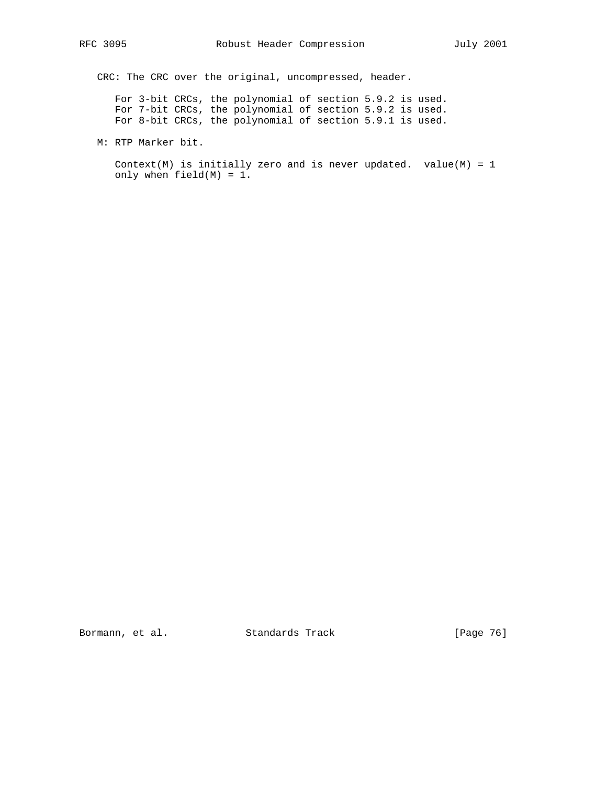CRC: The CRC over the original, uncompressed, header.

 For 3-bit CRCs, the polynomial of section 5.9.2 is used. For 7-bit CRCs, the polynomial of section 5.9.2 is used. For 8-bit CRCs, the polynomial of section 5.9.1 is used.

M: RTP Marker bit.

Context(M) is initially zero and is never updated. value(M) =  $1$ only when field(M) = 1.

Bormann, et al. Standards Track [Page 76]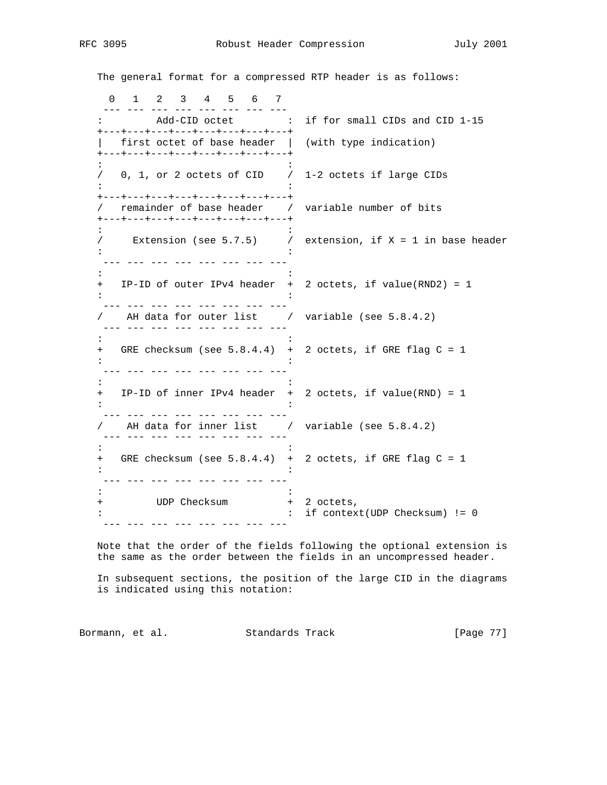The general format for a compressed RTP header is as follows:

|         | $2^{\circ}$<br>3 4 5 6<br>$\mathsf{O}$<br>$\mathbf{1}$<br>7                                                                  |     |                                                             |
|---------|------------------------------------------------------------------------------------------------------------------------------|-----|-------------------------------------------------------------|
|         | Add-CID octet :<br>+---+---+---+---+---+---+---+---+                                                                         |     | if for small CIDs and CID 1-15                              |
|         | first octet of base header  <br>+---+---+---+---+---+---+---+---+                                                            |     | (with type indication)                                      |
|         | $0, 1,$ or 2 octets of CID /                                                                                                 |     | 1-2 octets if large CIDs                                    |
|         | +---+---+---+---+---+---+---+---+<br>remainder of base header / variable number of bits<br>+---+---+---+---+---+---+---+---+ |     |                                                             |
|         | $/$ Extension (see 5.7.5) $/$                                                                                                |     | extension, if $X = 1$ in base header                        |
| $+$ $-$ |                                                                                                                              |     | IP-ID of outer IPv4 header $+$ 2 octets, if value(RND2) = 1 |
|         | AH data for outer list / variable (see 5.8.4.2)<br><u> 222 222 222 222 222 222 2</u>                                         |     |                                                             |
|         | + GRE checksum (see 5.8.4.4) + 2 octets, if GRE flag C = 1                                                                   |     |                                                             |
|         | + IP-ID of inner IPv4 header +                                                                                               |     | 2 octets, if value(RND) = $1$                               |
|         | AH data for inner list / variable (see 5.8.4.2)                                                                              |     |                                                             |
| $^{+}$  | GRE checksum (see $5.8.4.4$ ) +                                                                                              |     | 2 octets, if GRE flag $C = 1$                               |
| $^{+}$  | UDP Checksum                                                                                                                 | $+$ | 2 octets,<br>if $context(UDP Checksum) != 0$                |
|         |                                                                                                                              |     |                                                             |

 Note that the order of the fields following the optional extension is the same as the order between the fields in an uncompressed header.

 In subsequent sections, the position of the large CID in the diagrams is indicated using this notation:

Bormann, et al. Standards Track [Page 77]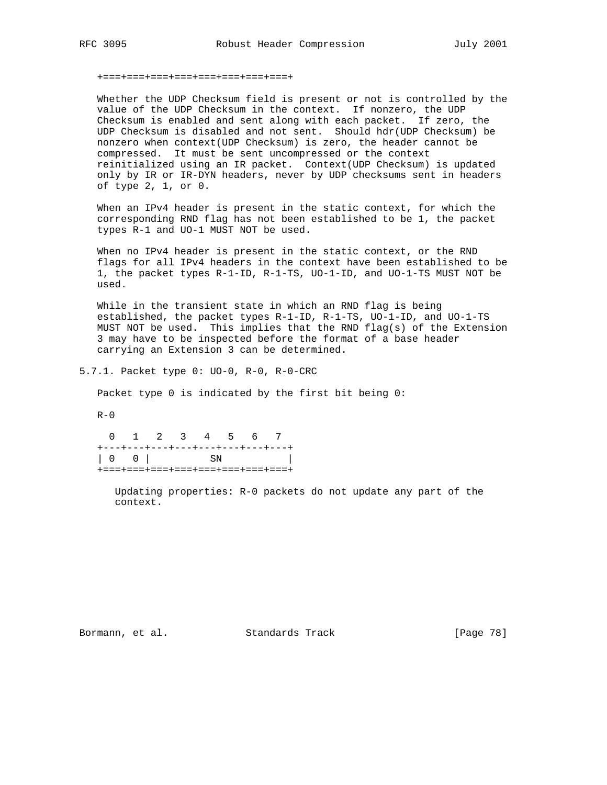### +===+===+===+===+===+===+===+===+

 Whether the UDP Checksum field is present or not is controlled by the value of the UDP Checksum in the context. If nonzero, the UDP Checksum is enabled and sent along with each packet. If zero, the UDP Checksum is disabled and not sent. Should hdr(UDP Checksum) be nonzero when context(UDP Checksum) is zero, the header cannot be compressed. It must be sent uncompressed or the context reinitialized using an IR packet. Context(UDP Checksum) is updated only by IR or IR-DYN headers, never by UDP checksums sent in headers of type 2, 1, or 0.

 When an IPv4 header is present in the static context, for which the corresponding RND flag has not been established to be 1, the packet types R-1 and UO-1 MUST NOT be used.

 When no IPv4 header is present in the static context, or the RND flags for all IPv4 headers in the context have been established to be 1, the packet types R-1-ID, R-1-TS, UO-1-ID, and UO-1-TS MUST NOT be used.

 While in the transient state in which an RND flag is being established, the packet types R-1-ID, R-1-TS, UO-1-ID, and UO-1-TS MUST NOT be used. This implies that the RND flag(s) of the Extension 3 may have to be inspected before the format of a base header carrying an Extension 3 can be determined.

5.7.1. Packet type 0: UO-0, R-0, R-0-CRC

Packet type 0 is indicated by the first bit being 0:

 $R-0$ 

 0 1 2 3 4 5 6 7 +---+---+---+---+---+---+---+---+ | 0 0 | SN | +===+===+===+===+===+===+===+===+

 Updating properties: R-0 packets do not update any part of the context.

Bormann, et al. Standards Track [Page 78]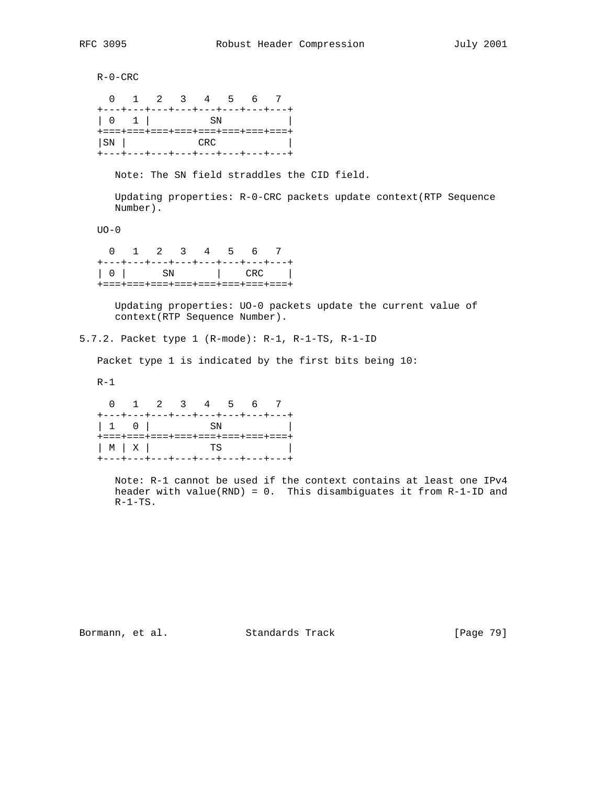R-0-CRC 0 1 2 3 4 5 6 7 +---+---+---+---+---+---+---+---+ | 0 1 | SN | +===+===+===+===+===+===+===+===+ | SN | CRC | CRC | CRC | CRC | CRC | CRC | CRC | CRC | CRC | CRC | CRC | CRC | CRC | CRC | CRC | CRC | CRC | CRC | CRC | CRC | CRC | CRC | CRC | CRC | CRC | CRC | CRC | CRC | CRC | CRC | CRC | CRC | CRC | CRC | CRC | CRC | +---+---+---+---+---+---+---+---+ Note: The SN field straddles the CID field. Updating properties: R-0-CRC packets update context(RTP Sequence Number). UO-0 0 1 2 3 4 5 6 7 +---+---+---+---+---+---+---+---+ | 0 | SN | CRC | +===+===+===+===+===+===+===+===+ Updating properties: UO-0 packets update the current value of context(RTP Sequence Number). 5.7.2. Packet type 1 (R-mode): R-1, R-1-TS, R-1-ID Packet type 1 is indicated by the first bits being 10:  $R-1$  0 1 2 3 4 5 6 7 +---+---+---+---+---+---+---+---+ | 1 0 | SN | | +===+===+===+===+===+===+===+===+ | M | X | TS | +---+---+---+---+---+---+---+---+ Note: R-1 cannot be used if the context contains at least one IPv4 header with value(RND) =  $0$ . This disambiguates it from R-1-ID and

 $R-1-TS$ .

Bormann, et al. Standards Track [Page 79]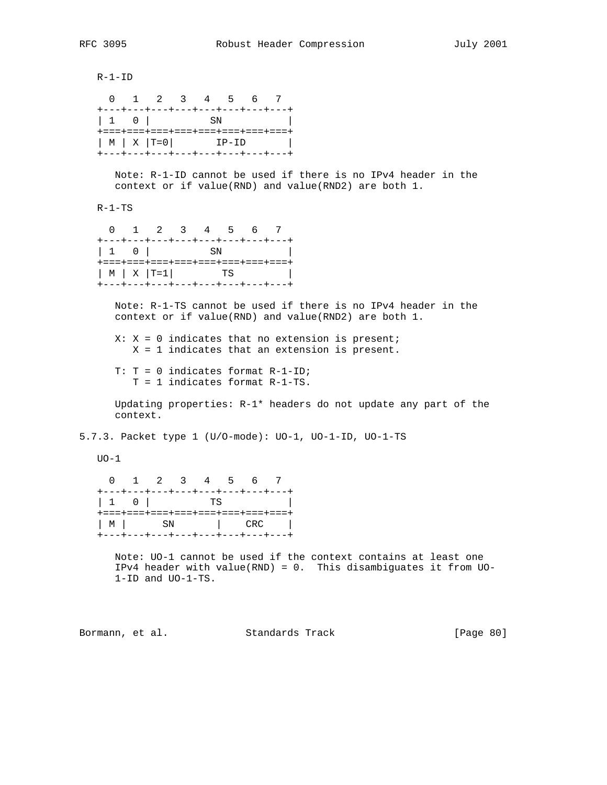R-1-ID 0 1 2 3 4 5 6 7

|                                                                   | +---+---+---+---+---+---+---+---+ |  |
|-------------------------------------------------------------------|-----------------------------------|--|
| $\begin{array}{ccc} \end{array}$ $\begin{array}{ccc} \end{array}$ | - SN                              |  |
|                                                                   | +===+===+===+===+===+===+===+===+ |  |
| $ M  X   T=0$                                                     | TP-TD                             |  |
|                                                                   | +---+---+---+---+---+---+---+---  |  |

 Note: R-1-ID cannot be used if there is no IPv4 header in the context or if value(RND) and value(RND2) are both 1.

R-1-TS

|                                   | 0 1 2 3 4 5 6 7 |  |  |      |
|-----------------------------------|-----------------|--|--|------|
| +---+---+---+---+---+---+---+---+ |                 |  |  |      |
|                                   |                 |  |  |      |
| +===+===+===+===+===+===+===+===+ |                 |  |  |      |
| $ M  \times  T=1 $                |                 |  |  | TS I |
| +---+---+---+---+---+---+---+---  |                 |  |  |      |

 Note: R-1-TS cannot be used if there is no IPv4 header in the context or if value(RND) and value(RND2) are both 1.

 $X: X = 0$  indicates that no extension is present; X = 1 indicates that an extension is present.

 T: T = 0 indicates format R-1-ID; T = 1 indicates format R-1-TS.

 Updating properties: R-1\* headers do not update any part of the context.

5.7.3. Packet type 1 (U/O-mode): UO-1, UO-1-ID, UO-1-TS

 $UO-1$ 

 0 1 2 3 4 5 6 7 +---+---+---+---+---+---+---+---+ | 1 0 | TS | +===+===+===+===+===+===+===+===+ | M | SN | CRC | +---+---+---+---+---+---+---+---+

 Note: UO-1 cannot be used if the context contains at least one IPv4 header with value(RND) = 0. This disambiguates it from UO- 1-ID and UO-1-TS.

Bormann, et al. Standards Track [Page 80]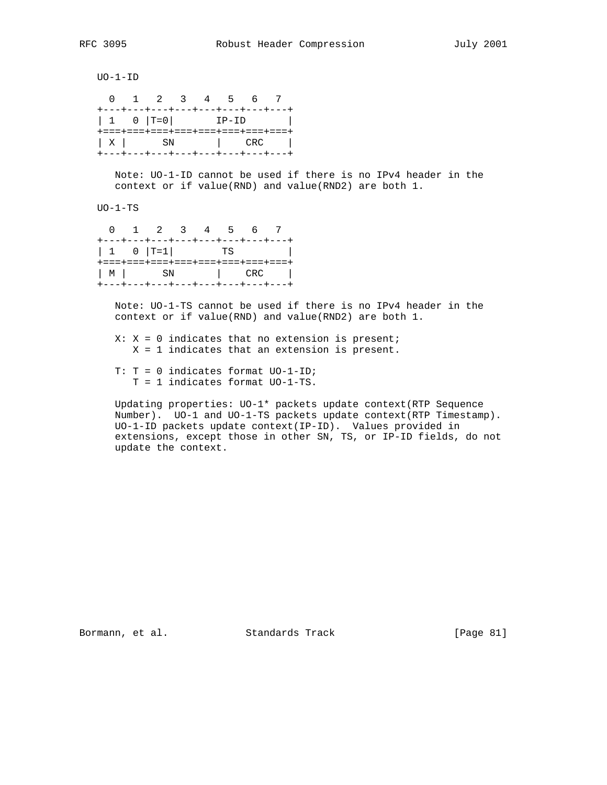UO-1-ID

|                                          |  | 0 1 2 3 4 5 6 7 |         |  |
|------------------------------------------|--|-----------------|---------|--|
| +---+---+---+---+---+---+---+---         |  |                 |         |  |
| $1 \t 0 \t  T=0$                         |  |                 | $IP-ID$ |  |
| +===+===+===+===+===+===+===+===+        |  |                 |         |  |
| $\vert$ X $\vert$ SN $\vert$ CRC $\vert$ |  |                 |         |  |
| +---+---+---+---+---+---+---+---+        |  |                 |         |  |

 Note: UO-1-ID cannot be used if there is no IPv4 header in the context or if value(RND) and value(RND2) are both 1.

UO-1-TS

|  | 0 1 2 3 4 5 6 7                   |  |  |  |
|--|-----------------------------------|--|--|--|
|  | +---+---+---+---+---+---+---+---+ |  |  |  |
|  |                                   |  |  |  |
|  | +===+===+===+===+===+===+===+===+ |  |  |  |
|  | $ M $ SN $ $ CRC $ $              |  |  |  |
|  | +---+---+---+---+---+---+---+---  |  |  |  |

 Note: UO-1-TS cannot be used if there is no IPv4 header in the context or if value(RND) and value(RND2) are both 1.

 $X: X = 0$  indicates that no extension is present; X = 1 indicates that an extension is present.

 T: T = 0 indicates format UO-1-ID; T = 1 indicates format UO-1-TS.

 Updating properties: UO-1\* packets update context(RTP Sequence Number). UO-1 and UO-1-TS packets update context(RTP Timestamp). UO-1-ID packets update context(IP-ID). Values provided in extensions, except those in other SN, TS, or IP-ID fields, do not update the context.

Bormann, et al. Standards Track [Page 81]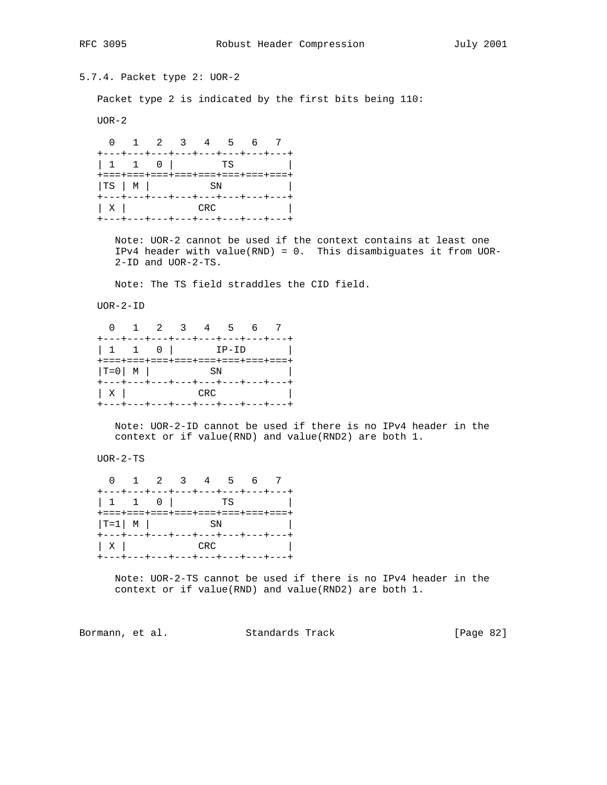5.7.4. Packet type 2: UOR-2

Packet type 2 is indicated by the first bits being 110:

UOR-2

 0 1 2 3 4 5 6 7 +---+---+---+---+---+---+---+---+ | 1 1 0 | TS | +===+===+===+===+===+===+===+===+ | TS | M | SN | SN +---+---+---+---+---+---+---+---+ | X | CRC | +---+---+---+---+---+---+---+---+

 Note: UOR-2 cannot be used if the context contains at least one IPv4 header with value(RND) = 0. This disambiguates it from UOR- 2-ID and UOR-2-TS.

Note: The TS field straddles the CID field.

UOR-2-ID

|                                   |                                                                   |  | 0 1 2 3 4 5 6 7 |  |  |  |  |
|-----------------------------------|-------------------------------------------------------------------|--|-----------------|--|--|--|--|
| +---+---+---+---+---+---+---+---  |                                                                   |  |                 |  |  |  |  |
|                                   |                                                                   |  |                 |  |  |  |  |
| +===+===+===+===+===+===+===+===+ |                                                                   |  |                 |  |  |  |  |
| $ T=0 $ M $ $ SN $ $              |                                                                   |  |                 |  |  |  |  |
| +---+---+---+---+---+---+---+---  |                                                                   |  |                 |  |  |  |  |
|                                   | $\begin{array}{ c c c c c }\n\hline\nX & \text{CRC}\n\end{array}$ |  |                 |  |  |  |  |
| +---+---+---+---+---+---+---+---  |                                                                   |  |                 |  |  |  |  |

 Note: UOR-2-ID cannot be used if there is no IPv4 header in the context or if value(RND) and value(RND2) are both 1.

UOR-2-TS

|                                                                                      |  | 0 1 2 3 4 5 6 7 |  |                                 |
|--------------------------------------------------------------------------------------|--|-----------------|--|---------------------------------|
| +---+---+---+---+---+---+---+---                                                     |  |                 |  |                                 |
| +===+===+===+===+===+===+===+===+<br>$ T=1$ M SN<br>+---+---+---+---+---+---+---+--- |  |                 |  | the contract of the contract of |
| $\begin{array}{ c c c c }\n\hline\nX & \text{CRC}\n\end{array}$                      |  |                 |  |                                 |
| +---+---+---+---+---+---+---+---+                                                    |  |                 |  |                                 |

 Note: UOR-2-TS cannot be used if there is no IPv4 header in the context or if value(RND) and value(RND2) are both 1.

Bormann, et al. Standards Track [Page 82]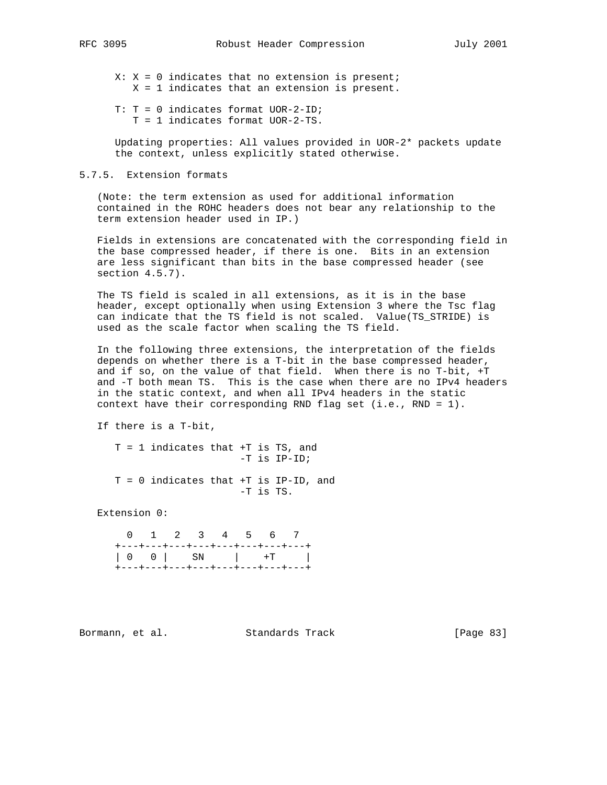- $X: X = 0$  indicates that no extension is present; X = 1 indicates that an extension is present.
- T: T = 0 indicates format UOR-2-ID; T = 1 indicates format UOR-2-TS.

 Updating properties: All values provided in UOR-2\* packets update the context, unless explicitly stated otherwise.

## 5.7.5. Extension formats

 (Note: the term extension as used for additional information contained in the ROHC headers does not bear any relationship to the term extension header used in IP.)

 Fields in extensions are concatenated with the corresponding field in the base compressed header, if there is one. Bits in an extension are less significant than bits in the base compressed header (see section 4.5.7).

 The TS field is scaled in all extensions, as it is in the base header, except optionally when using Extension 3 where the Tsc flag can indicate that the TS field is not scaled. Value(TS\_STRIDE) is used as the scale factor when scaling the TS field.

 In the following three extensions, the interpretation of the fields depends on whether there is a T-bit in the base compressed header, and if so, on the value of that field. When there is no T-bit, +T and -T both mean TS. This is the case when there are no IPv4 headers in the static context, and when all IPv4 headers in the static context have their corresponding RND flag set (i.e., RND = 1).

If there is a T-bit,

 T = 1 indicates that +T is TS, and -T is IP-ID; T = 0 indicates that +T is IP-ID, and -T is TS.

Extension 0:

 0 1 2 3 4 5 6 7 +---+---+---+---+---+---+---+---+ | 0 0 | SN | +T | +---+---+---+---+---+---+---+---+

Bormann, et al. Standards Track [Page 83]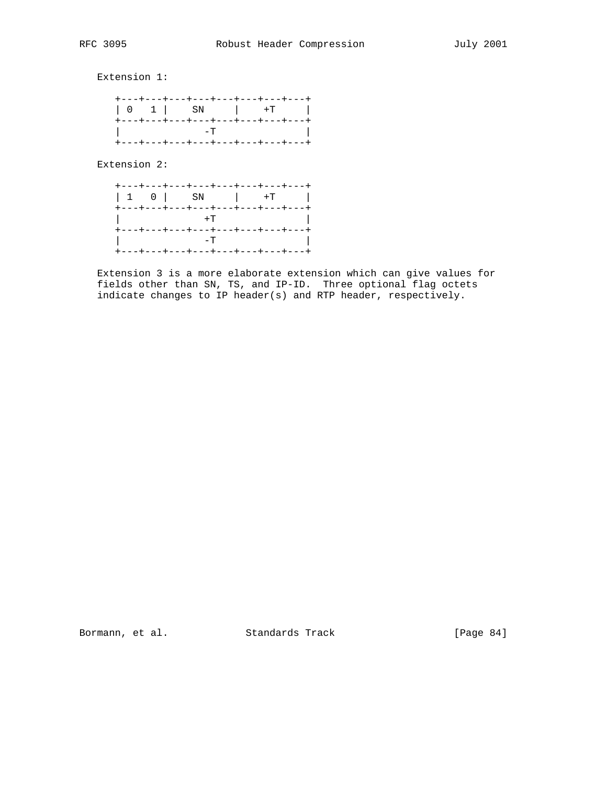Extension 1:

|  |  | +---+---+---+---+---+---+---+---                                                        |
|--|--|-----------------------------------------------------------------------------------------|
|  |  | +---+---+---+---+---+---+---+---+                                                       |
|  |  | . The contract of $-{\bf T}$ is a contract of $\ $<br>+---+---+---+---+---+---+---+---+ |

Extension 2:

|  | +---+---+---+---+---+---+---+---<br>$\begin{array}{ c c c c c c c c } \hline 1 & 0 & \text{SN} & +\text{T} & \end{array}$                                 |  |  |
|--|-----------------------------------------------------------------------------------------------------------------------------------------------------------|--|--|
|  | +---+---+---+---+---+---+---+---+<br>$\vert$ +T $\vert$                                                                                                   |  |  |
|  | +---+---+---+---+---+---+---+---+<br>$\begin{bmatrix} 1 & 1 & 1 & 1 \\ 1 & 1 & 1 & 1 \\ 1 & 1 & 1 & 1 \end{bmatrix}$<br>+---+---+---+---+---+---+---+---+ |  |  |

 Extension 3 is a more elaborate extension which can give values for fields other than SN, TS, and IP-ID. Three optional flag octets indicate changes to IP header(s) and RTP header, respectively.

Bormann, et al. Standards Track [Page 84]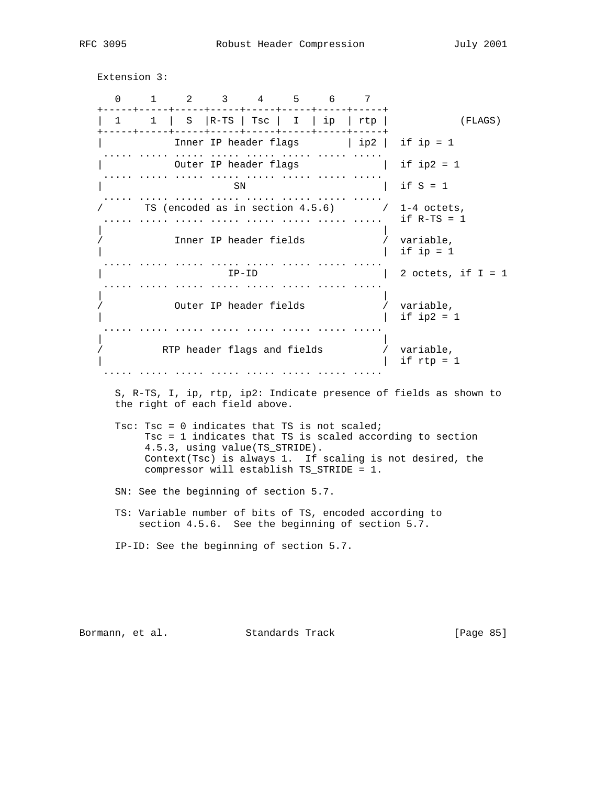Extension 3:

 0 1 2 3 4 5 6 7 +-----+-----+-----+-----+-----+-----+-----+-----+ | 1 1 | S |R-TS | Tsc | I | ip | rtp | (FLAGS) +-----+-----+-----+-----+-----+-----+-----+-----+ | Inner IP header flags | ip2 | if ip = 1 ..... ..... ..... ..... ..... ..... ..... ..... | Outer IP header flags | if ip2 = 1 ..... ..... ..... ..... ..... ..... ..... ..... | if S = 1 ..... ..... ..... ..... ..... ..... ..... ..... / TS (encoded as in section 4.5.6) / 1-4 octets, ..... ..... ..... ..... ..... ..... ..... ..... if R-TS = 1 | | / Inner IP header fields / variable,  $\vert$  if ip = 1 ..... ..... ..... ..... ..... ..... ..... .....  $IP-ID$  | 2 octets, if  $I = 1$  ..... ..... ..... ..... ..... ..... ..... ..... | | / Outer IP header fields / variable,  $\frac{1}{\pi}$  if ip2 = 1 ..... ..... ..... ..... ..... ..... ..... ..... | | / RTP header flags and fields / variable,  $\vert$  if rtp = 1 ..... ..... ..... ..... ..... ..... ..... .....

 S, R-TS, I, ip, rtp, ip2: Indicate presence of fields as shown to the right of each field above.

 Tsc: Tsc = 0 indicates that TS is not scaled; Tsc = 1 indicates that TS is scaled according to section 4.5.3, using value(TS\_STRIDE). Context(Tsc) is always 1. If scaling is not desired, the compressor will establish TS\_STRIDE = 1.

SN: See the beginning of section 5.7.

 TS: Variable number of bits of TS, encoded according to section 4.5.6. See the beginning of section 5.7.

IP-ID: See the beginning of section 5.7.

Bormann, et al. Standards Track [Page 85]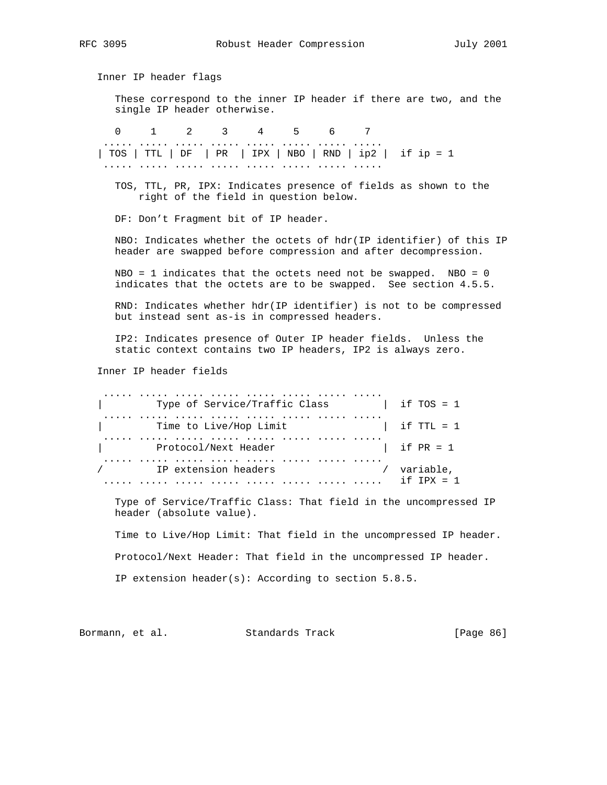Inner IP header flags These correspond to the inner IP header if there are two, and the single IP header otherwise. 0 1 2 3 4 5 6 7 ..... ..... ..... ..... ..... ..... ..... ..... | TOS | TTL | DF | PR | IPX | NBO | RND | ip2 | if ip = 1 ..... ..... ..... ..... ..... ..... ..... ..... TOS, TTL, PR, IPX: Indicates presence of fields as shown to the right of the field in question below. DF: Don't Fragment bit of IP header. NBO: Indicates whether the octets of hdr(IP identifier) of this IP header are swapped before compression and after decompression.  $NBO = 1$  indicates that the octets need not be swapped.  $NBO = 0$  indicates that the octets are to be swapped. See section 4.5.5. RND: Indicates whether hdr(IP identifier) is not to be compressed but instead sent as-is in compressed headers. IP2: Indicates presence of Outer IP header fields. Unless the static context contains two IP headers, IP2 is always zero. Inner IP header fields ..... ..... ..... ..... ..... ..... ..... ..... | Type of Service/Traffic Class | if TOS = 1 ..... ..... ..... ..... ..... ..... ..... ..... | Time to Live/Hop Limit ..... ..... ..... ..... ..... ..... ..... ..... Protocol/Next Header | if PR = 1 ..... ..... ..... ..... ..... ..... ..... ..... / TP extension headers ..... ..... ..... ..... ..... ..... ..... ..... if IPX = 1 Type of Service/Traffic Class: That field in the uncompressed IP header (absolute value). Time to Live/Hop Limit: That field in the uncompressed IP header. Protocol/Next Header: That field in the uncompressed IP header. IP extension header(s): According to section 5.8.5.

Bormann, et al. Standards Track [Page 86]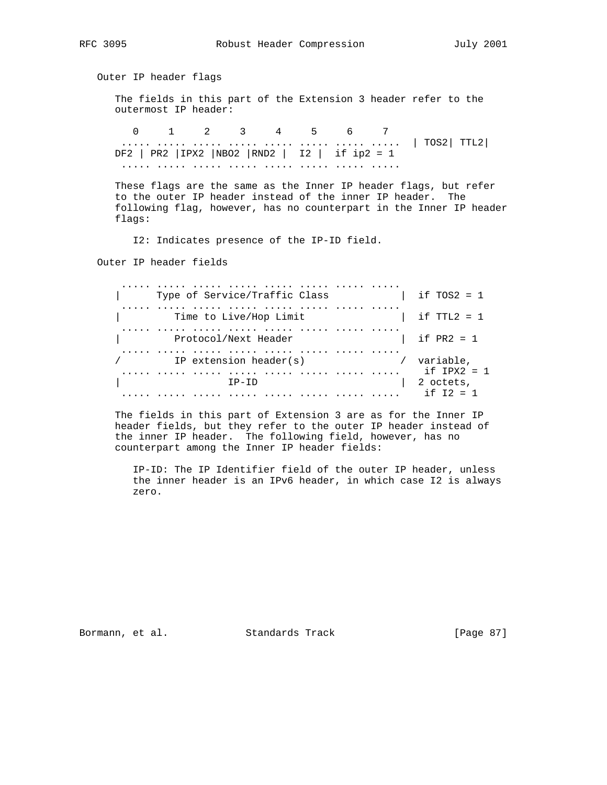Outer IP header flags The fields in this part of the Extension 3 header refer to the outermost IP header: 0 1 2 3 4 5 6 7

 ..... ..... ..... ..... ..... ..... ..... ..... | TOS2| TTL2| DF2 | PR2 |IPX2 |NBO2 |RND2 | I2 | if ip2 = 1 ..... ..... ..... ..... ..... ..... ..... .....

 These flags are the same as the Inner IP header flags, but refer to the outer IP header instead of the inner IP header. The following flag, however, has no counterpart in the Inner IP header flags:

I2: Indicates presence of the IP-ID field.

Outer IP header fields

 ..... ..... ..... ..... ..... ..... ..... ..... | Type of Service/Traffic Class | if TOS2 = 1 ..... ..... ..... ..... ..... ..... ..... ..... | Time to Live/Hop Limit | if TTL2 = 1 ..... ..... ..... ..... ..... ..... ..... ..... | Protocol/Next Header | if PR2 = 1 ..... ..... ..... ..... ..... ..... ..... ..... / IP extension header(s) / variable, ..... ..... ..... ..... ..... ..... ..... ..... if IPX2 = 1 IP-ID | 2 octets, ..... ..... ..... ..... ..... ..... ..... ..... if I2 = 1

 The fields in this part of Extension 3 are as for the Inner IP header fields, but they refer to the outer IP header instead of the inner IP header. The following field, however, has no counterpart among the Inner IP header fields:

 IP-ID: The IP Identifier field of the outer IP header, unless the inner header is an IPv6 header, in which case I2 is always zero.

Bormann, et al. Standards Track [Page 87]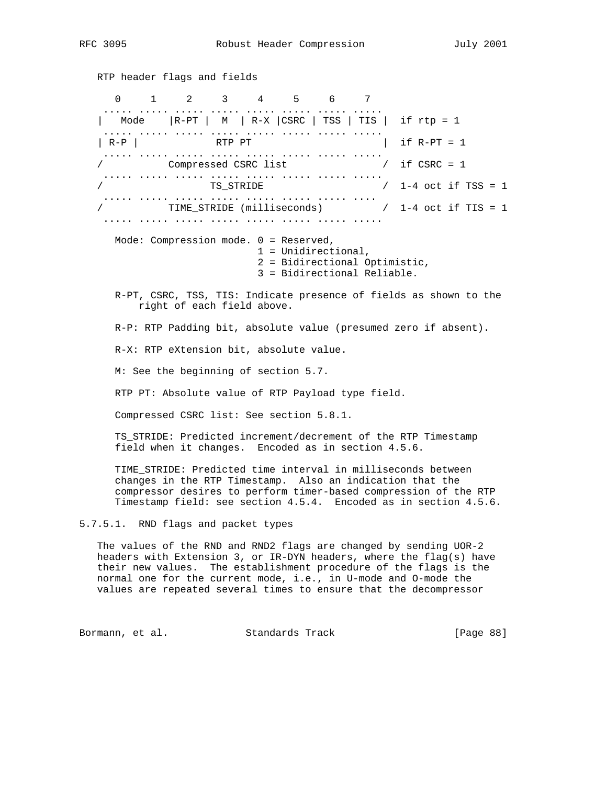RTP header flags and fields 0 1 2 3 4 5 6 7 ..... ..... ..... ..... ..... ..... ..... ..... | Mode |R-PT | M | R-X |CSRC | TSS | TIS | if rtp = 1 ..... ..... ..... ..... ..... ..... ..... ..... | R-P | RTP PT | if R-PT = 1 ..... ..... ..... ..... ..... ..... ..... ..... / Compressed CSRC list / if CSRC = 1 ..... ..... ..... ..... ..... ..... ..... ..... / TS\_STRIDE / 1-4 oct if TSS = 1 ..... ..... ..... ..... ..... ..... ..... .... / TIME\_STRIDE (milliseconds) / 1-4 oct if TIS = 1 ..... ..... ..... ..... ..... ..... ..... ..... Mode: Compression mode. 0 = Reserved, 1 = Unidirectional, 2 = Bidirectional Optimistic, 3 = Bidirectional Reliable. R-PT, CSRC, TSS, TIS: Indicate presence of fields as shown to the right of each field above. R-P: RTP Padding bit, absolute value (presumed zero if absent). R-X: RTP eXtension bit, absolute value. M: See the beginning of section 5.7. RTP PT: Absolute value of RTP Payload type field. Compressed CSRC list: See section 5.8.1. TS\_STRIDE: Predicted increment/decrement of the RTP Timestamp field when it changes. Encoded as in section 4.5.6. TIME\_STRIDE: Predicted time interval in milliseconds between changes in the RTP Timestamp. Also an indication that the compressor desires to perform timer-based compression of the RTP Timestamp field: see section 4.5.4. Encoded as in section 4.5.6. 5.7.5.1. RND flags and packet types The values of the RND and RND2 flags are changed by sending UOR-2 headers with Extension 3, or IR-DYN headers, where the flag(s) have their new values. The establishment procedure of the flags is the normal one for the current mode, i.e., in U-mode and O-mode the values are repeated several times to ensure that the decompressor

Bormann, et al. Standards Track [Page 88]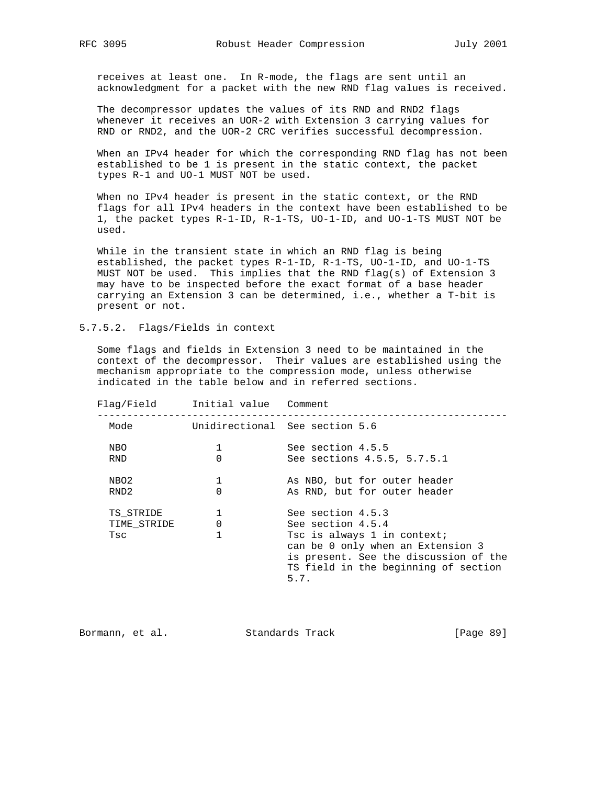receives at least one. In R-mode, the flags are sent until an acknowledgment for a packet with the new RND flag values is received.

 The decompressor updates the values of its RND and RND2 flags whenever it receives an UOR-2 with Extension 3 carrying values for RND or RND2, and the UOR-2 CRC verifies successful decompression.

 When an IPv4 header for which the corresponding RND flag has not been established to be 1 is present in the static context, the packet types R-1 and UO-1 MUST NOT be used.

 When no IPv4 header is present in the static context, or the RND flags for all IPv4 headers in the context have been established to be 1, the packet types R-1-ID, R-1-TS, UO-1-ID, and UO-1-TS MUST NOT be used.

 While in the transient state in which an RND flag is being established, the packet types R-1-ID, R-1-TS, UO-1-ID, and UO-1-TS MUST NOT be used. This implies that the RND flag(s) of Extension 3 may have to be inspected before the exact format of a base header carrying an Extension 3 can be determined, i.e., whether a T-bit is present or not.

5.7.5.2. Flags/Fields in context

 Some flags and fields in Extension 3 need to be maintained in the context of the decompressor. Their values are established using the mechanism appropriate to the compression mode, unless otherwise indicated in the table below and in referred sections.

 Flag/Field Initial value Comment --------------------------------------------------------------------- Mode **Unidirectional** See section 5.6 NBO 1 See section 4.5.5<br>RND 0 See sections 4.5.5 RND 0 See sections 4.5.5, 5.7.5.1 NBO2 1 1 As NBO, but for outer header RND2 0 As RND, but for outer header TS\_STRIDE 1 See section 4.5.3 TIME\_STRIDE 0 5ee section 4.5.4 Tsc 1 1 Tsc is always 1 in context; can be 0 only when an Extension 3 is present. See the discussion of the TS field in the beginning of section 5.7.

Bormann, et al. Standards Track [Page 89]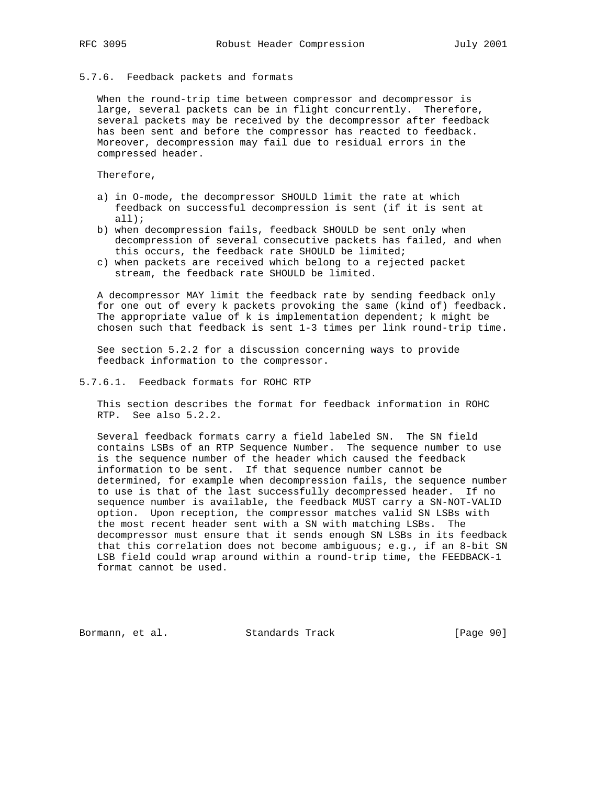### 5.7.6. Feedback packets and formats

 When the round-trip time between compressor and decompressor is large, several packets can be in flight concurrently. Therefore, several packets may be received by the decompressor after feedback has been sent and before the compressor has reacted to feedback. Moreover, decompression may fail due to residual errors in the compressed header.

Therefore,

- a) in O-mode, the decompressor SHOULD limit the rate at which feedback on successful decompression is sent (if it is sent at all);
- b) when decompression fails, feedback SHOULD be sent only when decompression of several consecutive packets has failed, and when this occurs, the feedback rate SHOULD be limited;
- c) when packets are received which belong to a rejected packet stream, the feedback rate SHOULD be limited.

 A decompressor MAY limit the feedback rate by sending feedback only for one out of every k packets provoking the same (kind of) feedback. The appropriate value of  $k$  is implementation dependent;  $k$  might be chosen such that feedback is sent 1-3 times per link round-trip time.

 See section 5.2.2 for a discussion concerning ways to provide feedback information to the compressor.

5.7.6.1. Feedback formats for ROHC RTP

 This section describes the format for feedback information in ROHC RTP. See also 5.2.2.

 Several feedback formats carry a field labeled SN. The SN field contains LSBs of an RTP Sequence Number. The sequence number to use is the sequence number of the header which caused the feedback information to be sent. If that sequence number cannot be determined, for example when decompression fails, the sequence number to use is that of the last successfully decompressed header. If no sequence number is available, the feedback MUST carry a SN-NOT-VALID option. Upon reception, the compressor matches valid SN LSBs with the most recent header sent with a SN with matching LSBs. The decompressor must ensure that it sends enough SN LSBs in its feedback that this correlation does not become ambiguous; e.g., if an 8-bit SN LSB field could wrap around within a round-trip time, the FEEDBACK-1 format cannot be used.

Bormann, et al. Standards Track [Page 90]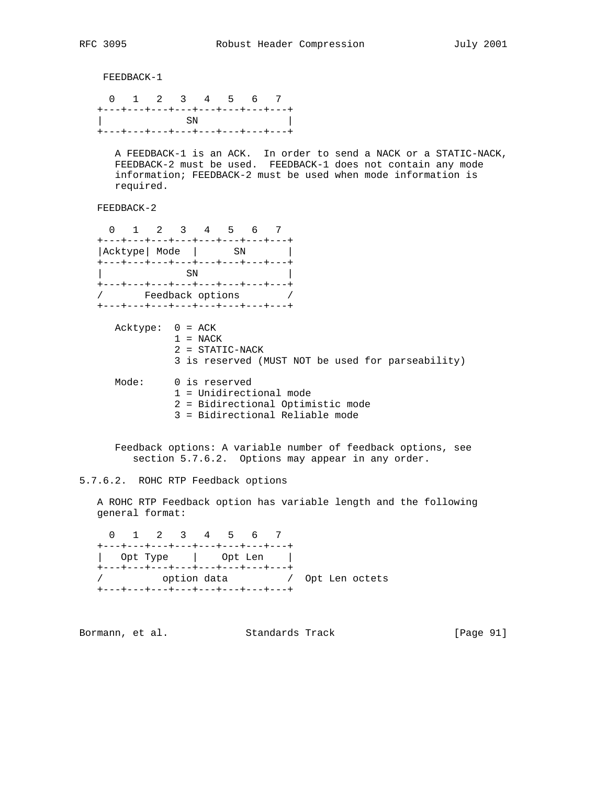FEEDBACK-1 0 1 2 3 4 5 6 7 +---+---+---+---+---+---+---+---+  $\text{SN}$  +---+---+---+---+---+---+---+---+ A FEEDBACK-1 is an ACK. In order to send a NACK or a STATIC-NACK, FEEDBACK-2 must be used. FEEDBACK-1 does not contain any mode information; FEEDBACK-2 must be used when mode information is required. FEEDBACK-2 0 1 2 3 4 5 6 7 +---+---+---+---+---+---+---+---+ |Acktype| Mode | SN | +---+---+---+---+---+---+---+---+  $\rm SN$  +---+---+---+---+---+---+---+---+ / Feedback options / +---+---+---+---+---+---+---+---+ Acktype: 0 = ACK  $1 = NACK$  2 = STATIC-NACK 3 is reserved (MUST NOT be used for parseability) Mode: 0 is reserved 1 = Unidirectional mode 2 = Bidirectional Optimistic mode 3 = Bidirectional Reliable mode Feedback options: A variable number of feedback options, see section 5.7.6.2. Options may appear in any order. 5.7.6.2. ROHC RTP Feedback options

 A ROHC RTP Feedback option has variable length and the following general format:

 0 1 2 3 4 5 6 7 +---+---+---+---+---+---+---+---+ | Opt Type | Opt Len | +---+---+---+---+---+---+---+---+ / option data / Opt Len octets +---+---+---+---+---+---+---+---+

Bormann, et al. Standards Track [Page 91]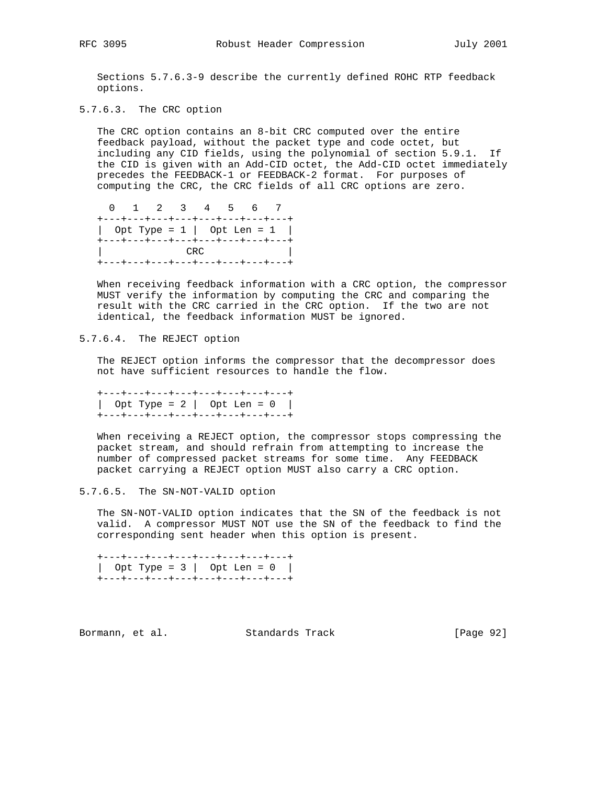Sections 5.7.6.3-9 describe the currently defined ROHC RTP feedback options.

5.7.6.3. The CRC option

 The CRC option contains an 8-bit CRC computed over the entire feedback payload, without the packet type and code octet, but including any CID fields, using the polynomial of section 5.9.1. If the CID is given with an Add-CID octet, the Add-CID octet immediately precedes the FEEDBACK-1 or FEEDBACK-2 format. For purposes of computing the CRC, the CRC fields of all CRC options are zero.

 0 1 2 3 4 5 6 7 +---+---+---+---+---+---+---+---+ | Opt Type = 1 | Opt Len = 1 | +---+---+---+---+---+---+---+---+ | CRC | +---+---+---+---+---+---+---+---+

 When receiving feedback information with a CRC option, the compressor MUST verify the information by computing the CRC and comparing the result with the CRC carried in the CRC option. If the two are not identical, the feedback information MUST be ignored.

5.7.6.4. The REJECT option

 The REJECT option informs the compressor that the decompressor does not have sufficient resources to handle the flow.

 +---+---+---+---+---+---+---+---+ | Opt Type = 2 | Opt Len = 0 | +---+---+---+---+---+---+---+---+

 When receiving a REJECT option, the compressor stops compressing the packet stream, and should refrain from attempting to increase the number of compressed packet streams for some time. Any FEEDBACK packet carrying a REJECT option MUST also carry a CRC option.

5.7.6.5. The SN-NOT-VALID option

 The SN-NOT-VALID option indicates that the SN of the feedback is not valid. A compressor MUST NOT use the SN of the feedback to find the corresponding sent header when this option is present.

 +---+---+---+---+---+---+---+---+ | Opt Type =  $3$  | Opt Len =  $0$  | +---+---+---+---+---+---+---+---+

Bormann, et al. Standards Track [Page 92]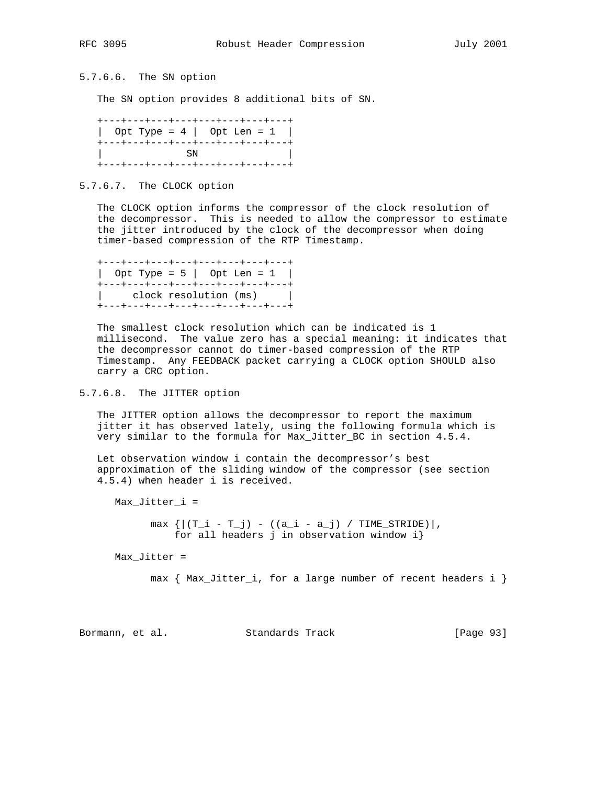5.7.6.6. The SN option

The SN option provides 8 additional bits of SN.

|  | +---+---+---+---+---+---+---+---+                |  |  |
|--|--------------------------------------------------|--|--|
|  | $\vert$ Opt Type = 4 $\vert$ Opt Len = 1 $\vert$ |  |  |
|  | +---+---+---+---+---+---+---+---+                |  |  |
|  | SN.                                              |  |  |
|  | +---+---+---+---+---+---+---+---+                |  |  |

5.7.6.7. The CLOCK option

 The CLOCK option informs the compressor of the clock resolution of the decompressor. This is needed to allow the compressor to estimate the jitter introduced by the clock of the decompressor when doing timer-based compression of the RTP Timestamp.

 +---+---+---+---+---+---+---+---+ | Opt Type = 5 | Opt Len = 1 | +---+---+---+---+---+---+---+---+ | clock resolution (ms) | +---+---+---+---+---+---+---+---+

 The smallest clock resolution which can be indicated is 1 millisecond. The value zero has a special meaning: it indicates that the decompressor cannot do timer-based compression of the RTP Timestamp. Any FEEDBACK packet carrying a CLOCK option SHOULD also carry a CRC option.

5.7.6.8. The JITTER option

 The JITTER option allows the decompressor to report the maximum jitter it has observed lately, using the following formula which is very similar to the formula for Max\_Jitter\_BC in section 4.5.4.

 Let observation window i contain the decompressor's best approximation of the sliding window of the compressor (see section 4.5.4) when header i is received.

Max\_Jitter\_i =

 $max \{ | (T_i - T_j) - ((a_i - a_j) / TIME_STRIDE) | \}$ for all headers j in observation window i}

Max\_Jitter =

max { Max\_Jitter\_i, for a large number of recent headers i }

Bormann, et al. Standards Track [Page 93]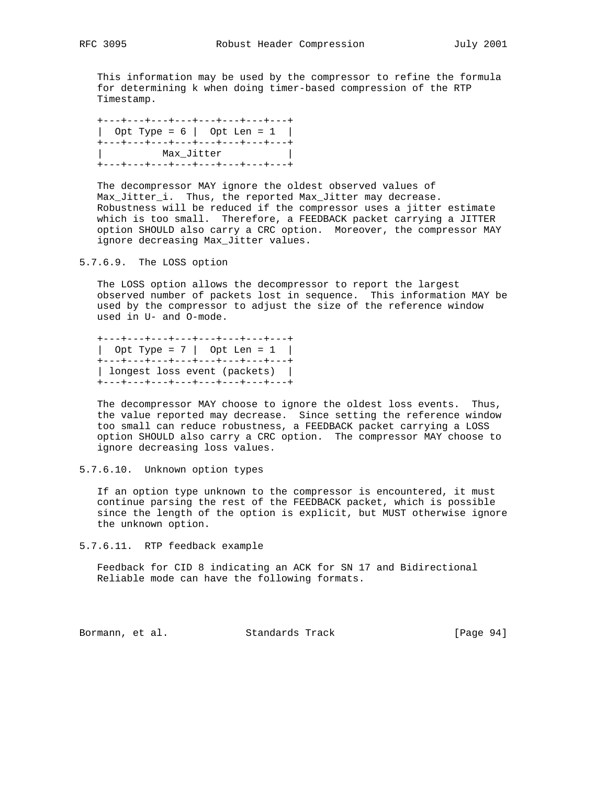This information may be used by the compressor to refine the formula for determining k when doing timer-based compression of the RTP Timestamp.

 +---+---+---+---+---+---+---+---+ | Opt Type =  $6$  | Opt Len =  $1$  | +---+---+---+---+---+---+---+---+ | Max\_Jitter | +---+---+---+---+---+---+---+---+

 The decompressor MAY ignore the oldest observed values of Max\_Jitter\_i. Thus, the reported Max\_Jitter may decrease. Robustness will be reduced if the compressor uses a jitter estimate which is too small. Therefore, a FEEDBACK packet carrying a JITTER option SHOULD also carry a CRC option. Moreover, the compressor MAY ignore decreasing Max\_Jitter values.

5.7.6.9. The LOSS option

 The LOSS option allows the decompressor to report the largest observed number of packets lost in sequence. This information MAY be used by the compressor to adjust the size of the reference window used in U- and O-mode.

 +---+---+---+---+---+---+---+---+ | Opt Type = 7 | Opt Len = 1 | +---+---+---+---+---+---+---+---+ | longest loss event (packets) | +---+---+---+---+---+---+---+---+

 The decompressor MAY choose to ignore the oldest loss events. Thus, the value reported may decrease. Since setting the reference window too small can reduce robustness, a FEEDBACK packet carrying a LOSS option SHOULD also carry a CRC option. The compressor MAY choose to ignore decreasing loss values.

5.7.6.10. Unknown option types

 If an option type unknown to the compressor is encountered, it must continue parsing the rest of the FEEDBACK packet, which is possible since the length of the option is explicit, but MUST otherwise ignore the unknown option.

5.7.6.11. RTP feedback example

 Feedback for CID 8 indicating an ACK for SN 17 and Bidirectional Reliable mode can have the following formats.

Bormann, et al. Standards Track [Page 94]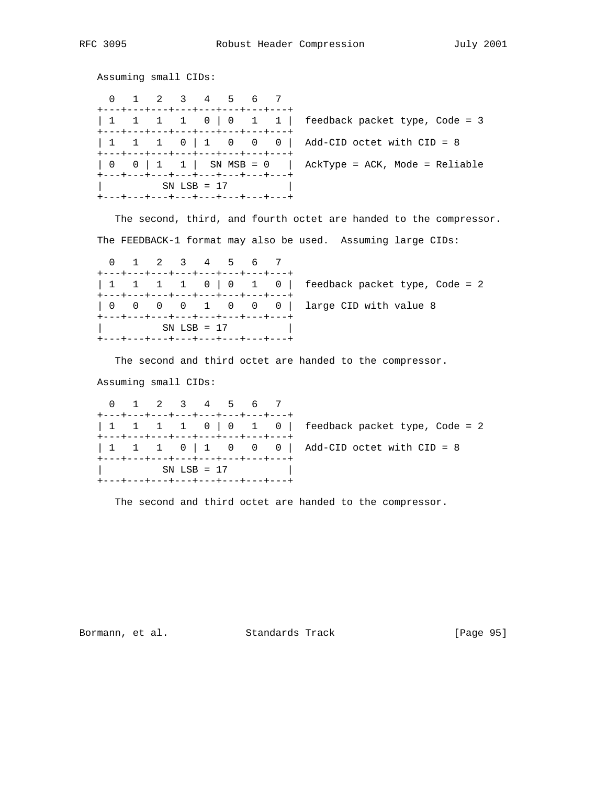Assuming small CIDs:

|                                                                                         |  |  | 0 1 2 3 4 5 6 7 |  |  | +---+---+---+---+---+---+---+---+                                      |                                                         |
|-----------------------------------------------------------------------------------------|--|--|-----------------|--|--|------------------------------------------------------------------------|---------------------------------------------------------|
|                                                                                         |  |  |                 |  |  |                                                                        |                                                         |
|                                                                                         |  |  |                 |  |  | +---+---+---+---+---+---+---+---+<br>+---+---+---+---+---+---+---+---+ |                                                         |
|                                                                                         |  |  |                 |  |  |                                                                        | 0 0   1 1   SN MSB = 0   AckType = ACK, Mode = Reliable |
| +---+---+---+---+---+---+---+---+<br>$SN LSB = 17$<br>+---+---+---+---+---+---+---+---+ |  |  |                 |  |  |                                                                        |                                                         |

 The second, third, and fourth octet are handed to the compressor. The FEEDBACK-1 format may also be used. Assuming large CIDs:

 0 1 2 3 4 5 6 7 +---+---+---+---+---+---+---+---+ | 1 1 1 1 0 | 0 1 0 | feedback packet type, Code = 2 +---+---+---+---+---+---+---+---+ | 0 0 0 0 1 0 0 0 | large CID with value 8 +---+---+---+---+---+---+---+---+ | SN LSB = 17 | +---+---+---+---+---+---+---+---+

The second and third octet are handed to the compressor.

Assuming small CIDs:

 0 1 2 3 4 5 6 7 +---+---+---+---+---+---+---+---+  $\begin{array}{cccc} \vert & 1 & 1 & 1 & 0 \vert & 0 & 1 & 0 \vert \end{array}$  feedback packet type, Code = 2 +---+---+---+---+---+---+---+---+  $| 1 1 1 0 | 1 0 0 0 |$  Add-CID octet with CID = 8 +---+---+---+---+---+---+---+---+  $SN LSB = 17$ +---+---+---+---+---+---+---+---+

The second and third octet are handed to the compressor.

Bormann, et al. Standards Track [Page 95]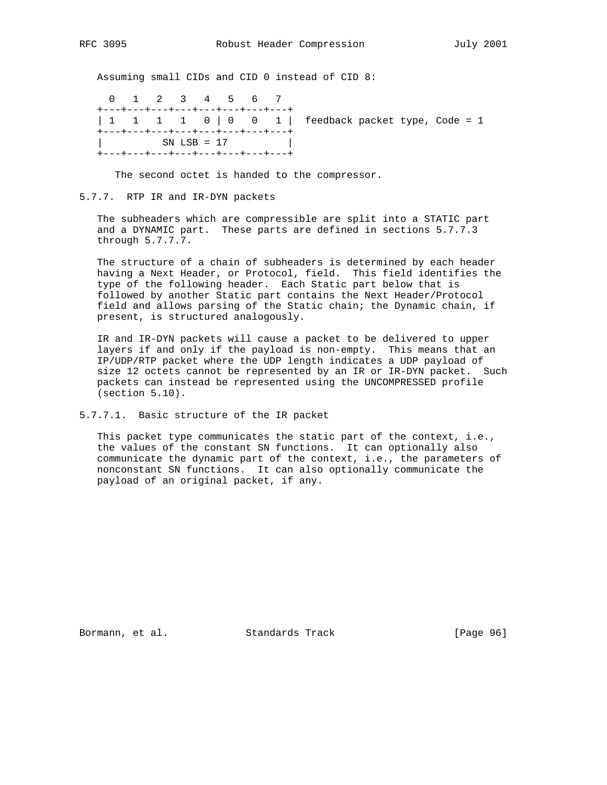Assuming small CIDs and CID 0 instead of CID 8:

 0 1 2 3 4 5 6 7 +---+---+---+---+---+---+---+---+ | 1 1 1 1 0 | 0 0 1 | feedback packet type, Code = 1 .<br>+---+---+---+---+---+---+---+---+ | SN LSB = 17 | +---+---+---+---+---+---+---+---+

The second octet is handed to the compressor.

## 5.7.7. RTP IR and IR-DYN packets

 The subheaders which are compressible are split into a STATIC part and a DYNAMIC part. These parts are defined in sections 5.7.7.3 through 5.7.7.7.

 The structure of a chain of subheaders is determined by each header having a Next Header, or Protocol, field. This field identifies the type of the following header. Each Static part below that is followed by another Static part contains the Next Header/Protocol field and allows parsing of the Static chain; the Dynamic chain, if present, is structured analogously.

 IR and IR-DYN packets will cause a packet to be delivered to upper layers if and only if the payload is non-empty. This means that an IP/UDP/RTP packet where the UDP length indicates a UDP payload of size 12 octets cannot be represented by an IR or IR-DYN packet. Such packets can instead be represented using the UNCOMPRESSED profile (section 5.10).

5.7.7.1. Basic structure of the IR packet

 This packet type communicates the static part of the context, i.e., the values of the constant SN functions. It can optionally also communicate the dynamic part of the context, i.e., the parameters of nonconstant SN functions. It can also optionally communicate the payload of an original packet, if any.

Bormann, et al. Standards Track [Page 96]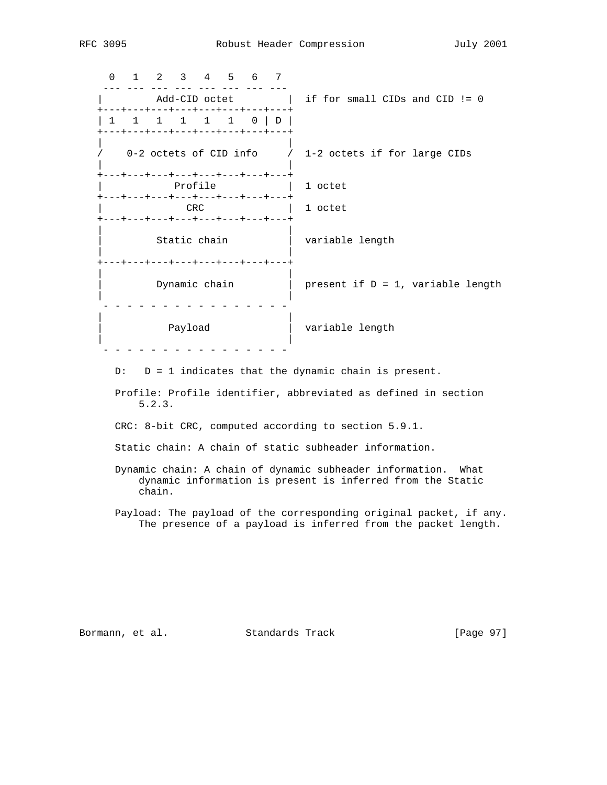0 1 2 3 4 5 6 7 --- --- --- --- --- --- --- --- | Add-CID octet | if for small CIDs and CID != 0 +---+---+---+---+---+---+---+---+ | 1 1 1 1 1 1 0 | D | .<br>+---+---+---+---+---+---+---+---+ | | / 0-2 octets of CID info / 1-2 octets if for large CIDs | | +---+---+---+---+---+---+---+---+ | Profile | 1 octet +---+---+---+---+---+---+---+---+ | 1 octet +---+---+---+---+---+---+---+---+ | | | Static chain | variable length | | +---+---+---+---+---+---+---+---+ | | | Dynamic chain | present if D = 1, variable length | | - - - - - - - - - - - - - - - - | | | Payload | variable length | | - - - - - - - - - - - - - - - -

 $D: D = 1$  indicates that the dynamic chain is present.

 Profile: Profile identifier, abbreviated as defined in section 5.2.3.

CRC: 8-bit CRC, computed according to section 5.9.1.

Static chain: A chain of static subheader information.

- Dynamic chain: A chain of dynamic subheader information. What dynamic information is present is inferred from the Static chain.
- Payload: The payload of the corresponding original packet, if any. The presence of a payload is inferred from the packet length.

Bormann, et al. Standards Track [Page 97]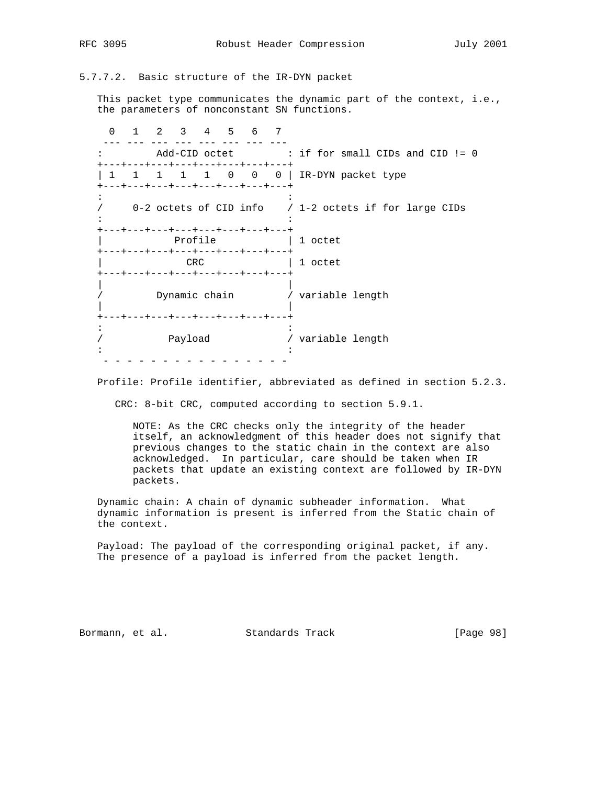5.7.7.2. Basic structure of the IR-DYN packet

 This packet type communicates the dynamic part of the context, i.e., the parameters of nonconstant SN functions.

 0 1 2 3 4 5 6 7 --- --- --- --- --- --- --- --- : Add-CID octet : if for small CIDs and CID != 0 +---+---+---+---+---+---+---+---+ | 1 1 1 1 1 0 0 0 | IR-DYN packet type +---+---+---+---+---+---+---+---+ in the second control of the second control of the second control of the second control of the second control of / 0-2 octets of CID info / 1-2 octets if for large CIDs  $\mathbf{r} \cdot \mathbf{r} = \mathbf{r} \cdot \mathbf{r}$  :  $\mathbf{r} \cdot \mathbf{r} = \mathbf{r} \cdot \mathbf{r}$  ,  $\mathbf{r} \cdot \mathbf{r} = \mathbf{r} \cdot \mathbf{r}$  +---+---+---+---+---+---+---+---+ Profile  $\vert$  1 octet +---+---+---+---+---+---+---+---+ | CRC | 1 octet +---+---+---+---+---+---+---+---+ | | / Dynamic chain / variable length | | +---+---+---+---+---+---+---+---+ in the second control of the second control of the second control of the second control of the second control of / Payload / variable length  $\mathbf{r} \cdot \mathbf{r} = \mathbf{r} \cdot \mathbf{r}$  :  $\mathbf{r} \cdot \mathbf{r} = \mathbf{r} \cdot \mathbf{r}$  ,  $\mathbf{r} \cdot \mathbf{r} = \mathbf{r} \cdot \mathbf{r}$ - - - - - - - - - - - - - - - -

Profile: Profile identifier, abbreviated as defined in section 5.2.3.

CRC: 8-bit CRC, computed according to section 5.9.1.

 NOTE: As the CRC checks only the integrity of the header itself, an acknowledgment of this header does not signify that previous changes to the static chain in the context are also acknowledged. In particular, care should be taken when IR packets that update an existing context are followed by IR-DYN packets.

 Dynamic chain: A chain of dynamic subheader information. What dynamic information is present is inferred from the Static chain of the context.

 Payload: The payload of the corresponding original packet, if any. The presence of a payload is inferred from the packet length.

Bormann, et al. Standards Track [Page 98]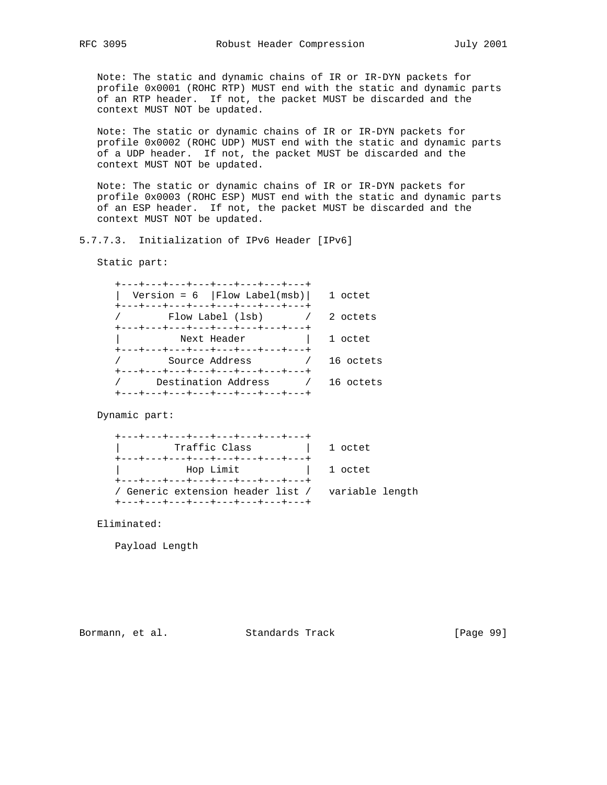Note: The static and dynamic chains of IR or IR-DYN packets for profile 0x0001 (ROHC RTP) MUST end with the static and dynamic parts of an RTP header. If not, the packet MUST be discarded and the context MUST NOT be updated.

 Note: The static or dynamic chains of IR or IR-DYN packets for profile 0x0002 (ROHC UDP) MUST end with the static and dynamic parts of a UDP header. If not, the packet MUST be discarded and the context MUST NOT be updated.

 Note: The static or dynamic chains of IR or IR-DYN packets for profile 0x0003 (ROHC ESP) MUST end with the static and dynamic parts of an ESP header. If not, the packet MUST be discarded and the context MUST NOT be updated.

# 5.7.7.3. Initialization of IPv6 Header [IPv6]

Static part:

| +---+---+---+---+---+---+---+---                                                     |           |
|--------------------------------------------------------------------------------------|-----------|
| Version = $6$   Flow Label(msb)                                                      | 1 octet   |
| +---+---+---+---+---+---+---+---<br>Flow Label (lsb)                                 | 2 octets  |
| +---+---+---+---+---+---+---+---<br>Next Header<br>+---+---+---+---+---+---+---+---+ | 1 octet   |
| Source Address                                                                       | 16 octets |
| +---+---+---+---+---+---+---+---<br>Destination Address                              | 16 octets |
| +---+---+---+---+---+---+---+---                                                     |           |

Dynamic part:

| +---+---+---+---+---+---+---+---+                                                                                             |         |
|-------------------------------------------------------------------------------------------------------------------------------|---------|
| Traffic Class                                                                                                                 | 1 octet |
| +---+---+---+---+---+---+---+---+                                                                                             |         |
| Hop Limit<br>and the set of the set of the set of the set of the set of the set of the set of the set of the set of the set o |         |
| +---+---+---+---+---+---+---+---+                                                                                             |         |
| Generic extension header list / variable length                                                                               |         |
| +---+---+---+---+---+---+---+---+                                                                                             |         |
|                                                                                                                               |         |

Eliminated:

Payload Length

Bormann, et al. Standards Track [Page 99]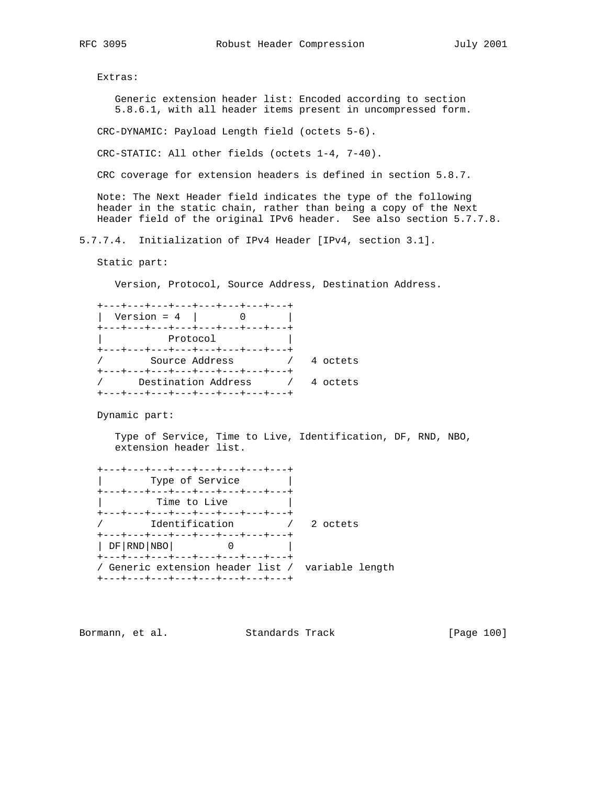Extras:

 Generic extension header list: Encoded according to section 5.8.6.1, with all header items present in uncompressed form.

CRC-DYNAMIC: Payload Length field (octets 5-6).

CRC-STATIC: All other fields (octets 1-4, 7-40).

CRC coverage for extension headers is defined in section 5.8.7.

 Note: The Next Header field indicates the type of the following header in the static chain, rather than being a copy of the Next Header field of the original IPv6 header. See also section 5.7.7.8.

5.7.7.4. Initialization of IPv4 Header [IPv4, section 3.1].

Static part:

Version, Protocol, Source Address, Destination Address.

| +---+---+---+---+---+---+---+---  |          |
|-----------------------------------|----------|
| Version = $4$                     |          |
| +---+---+---+---+---+---+---+---+ |          |
| Protocol                          |          |
| +---+---+---+---+---+---+---+---  |          |
| Source Address                    | 4 octets |
| +---+---+---+---+---+---+---+---  |          |
| Destination Address               | 4 octets |
| ---+---+---+---+---+---+---+---+  |          |

Dynamic part:

 Type of Service, Time to Live, Identification, DF, RND, NBO, extension header list.

| +---+---+---+---+---+---+---+---  |                                                    |
|-----------------------------------|----------------------------------------------------|
| Type of Service                   |                                                    |
| +---+---+---+---+---+---+---+---  |                                                    |
| Time to Live                      |                                                    |
| +---+---+---+---+---+---+---+---  |                                                    |
| Identification                    | - 2 octets                                         |
| +---+---+---+---+---+---+---+---  |                                                    |
| DF   RND   NBO                    |                                                    |
| +---+---+---+---+---+---+---+---+ |                                                    |
|                                   |                                                    |
| +---+---+---+---+---+---+---+---+ |                                                    |
|                                   | / Generic extension header list /  variable length |

Bormann, et al. Standards Track [Page 100]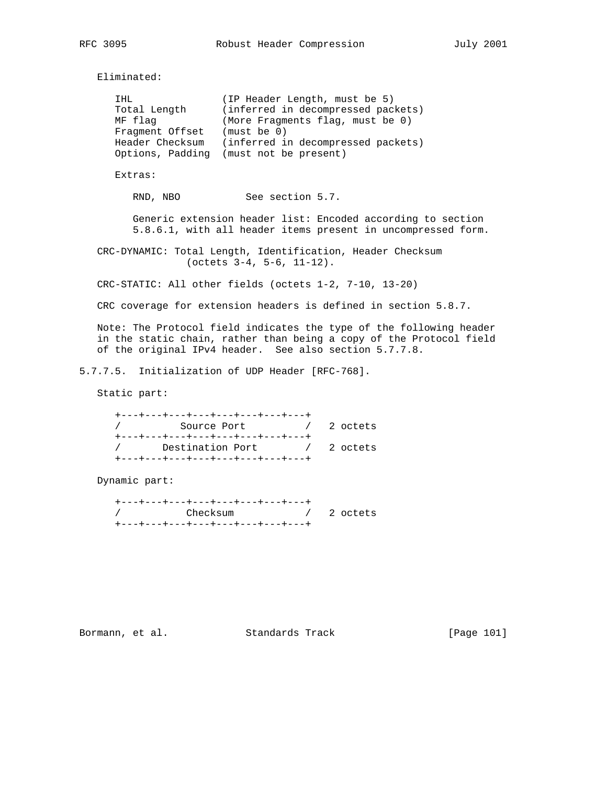Eliminated:

| IHL<br>Total Length<br>MF flag<br>Fragment Offset<br>Header Checksum | (IP Header Length, must be 5)<br>(inferred in decompressed packets)<br>(More Fragments flag, must be 0)<br>(must be 0)<br>(inferred in decompressed packets)<br>Options, Padding (must not be present) |
|----------------------------------------------------------------------|--------------------------------------------------------------------------------------------------------------------------------------------------------------------------------------------------------|
| Extras:                                                              |                                                                                                                                                                                                        |
| RND.<br>NBO                                                          | See section 5.7.                                                                                                                                                                                       |

 Generic extension header list: Encoded according to section 5.8.6.1, with all header items present in uncompressed form.

 CRC-DYNAMIC: Total Length, Identification, Header Checksum (octets 3-4, 5-6, 11-12).

CRC-STATIC: All other fields (octets 1-2, 7-10, 13-20)

CRC coverage for extension headers is defined in section 5.8.7.

 Note: The Protocol field indicates the type of the following header in the static chain, rather than being a copy of the Protocol field of the original IPv4 header. See also section 5.7.7.8.

5.7.7.5. Initialization of UDP Header [RFC-768].

Static part:

| +---+---+---+---+---+---+---+---+                     |  |
|-------------------------------------------------------|--|
| and the contract of the 2 octets.<br>Source Port      |  |
| +---+---+---+---+---+---+---+---+                     |  |
| Destination Port<br>and the contract of the 2 octets. |  |
| +---+---+---+---+---+---+---+---+                     |  |

Dynamic part:

| +---+---+---+---+---+---+---+--- |                                                                                                                                                                                                                                |  |
|----------------------------------|--------------------------------------------------------------------------------------------------------------------------------------------------------------------------------------------------------------------------------|--|
| / Checksum                       | and the contract of the contract of the contract of the contract of the contract of the contract of the contract of the contract of the contract of the contract of the contract of the contract of the contract of the contra |  |
| +---+---+---+---+---+---+---+--- |                                                                                                                                                                                                                                |  |

Bormann, et al. Standards Track [Page 101]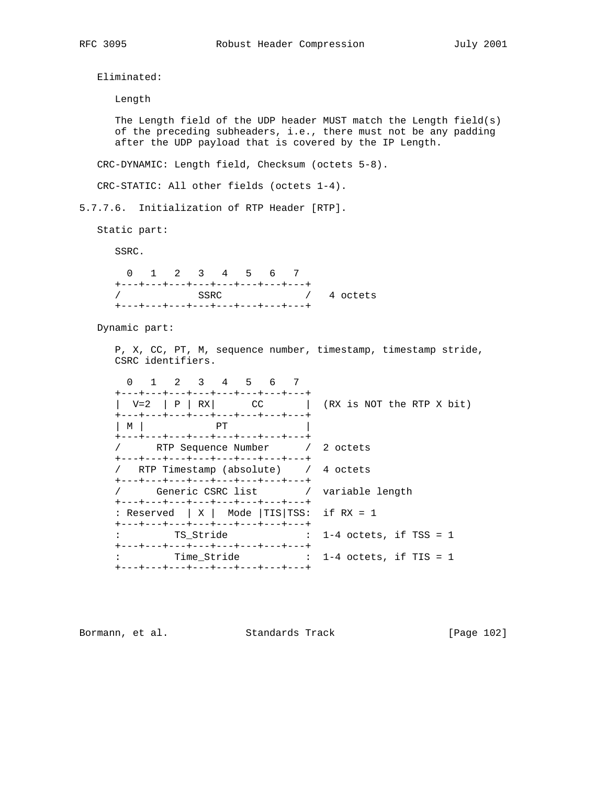Eliminated:

 Length The Length field of the UDP header MUST match the Length field(s) of the preceding subheaders, i.e., there must not be any padding after the UDP payload that is covered by the IP Length. CRC-DYNAMIC: Length field, Checksum (octets 5-8). CRC-STATIC: All other fields (octets 1-4). 5.7.7.6. Initialization of RTP Header [RTP]. Static part: SSRC. 0 1 2 3 4 5 6 7 +---+---+---+---+---+---+---+---+ / SSRC / 4 octets +---+---+---+---+---+---+---+---+ Dynamic part: P, X, CC, PT, M, sequence number, timestamp, timestamp stride, CSRC identifiers. 0 1 2 3 4 5 6 7 +---+---+---+---+---+---+---+---+  $| V=2 | P | RX$  CC  $| (RX \text{ is NOT the RTP X bit})$  +---+---+---+---+---+---+---+---+ | M | PT | +---+---+---+---+---+---+---+---+ / RTP Sequence Number / 2 octets +---+---+---+---+---+---+---+---+ / RTP Timestamp (absolute) / 4 octets +---+---+---+---+---+---+---+---+ Generic CSRC list / variable length +---+---+---+---+---+---+---+---+ : Reserved | X | Mode |TIS|TSS: if RX = 1 +---+---+---+---+---+---+---+---+ : TS\_Stride : 1-4 octets, if TSS = 1 +---+---+---+---+---+---+---+---+ : Time\_Stride : 1-4 octets, if TIS = 1 +---+---+---+---+---+---+---+---+

Bormann, et al. Standards Track [Page 102]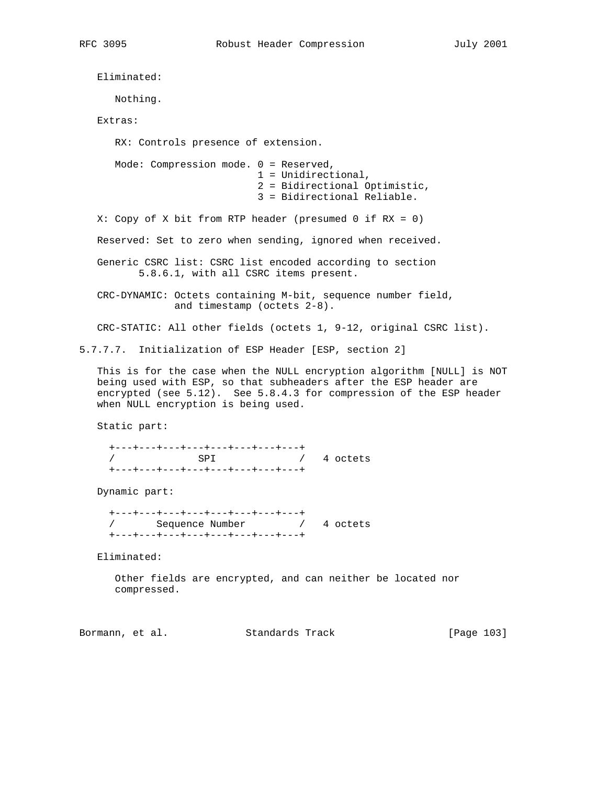Eliminated: Nothing. Extras: RX: Controls presence of extension. Mode: Compression mode. 0 = Reserved, 1 = Unidirectional, 2 = Bidirectional Optimistic, 3 = Bidirectional Reliable. X: Copy of X bit from RTP header (presumed 0 if RX = 0) Reserved: Set to zero when sending, ignored when received. Generic CSRC list: CSRC list encoded according to section 5.8.6.1, with all CSRC items present. CRC-DYNAMIC: Octets containing M-bit, sequence number field, and timestamp (octets 2-8). CRC-STATIC: All other fields (octets 1, 9-12, original CSRC list). 5.7.7.7. Initialization of ESP Header [ESP, section 2] This is for the case when the NULL encryption algorithm [NULL] is NOT being used with ESP, so that subheaders after the ESP header are encrypted (see 5.12). See 5.8.4.3 for compression of the ESP header when NULL encryption is being used. Static part: +---+---+---+---+---+---+---+---+ / SPI / 4 octets +---+---+---+---+---+---+---+---+ Dynamic part: +---+---+---+---+---+---+---+---+ / Sequence Number / 4 octets +---+---+---+---+---+---+---+---+ Eliminated:

 Other fields are encrypted, and can neither be located nor compressed.

Bormann, et al. Standards Track [Page 103]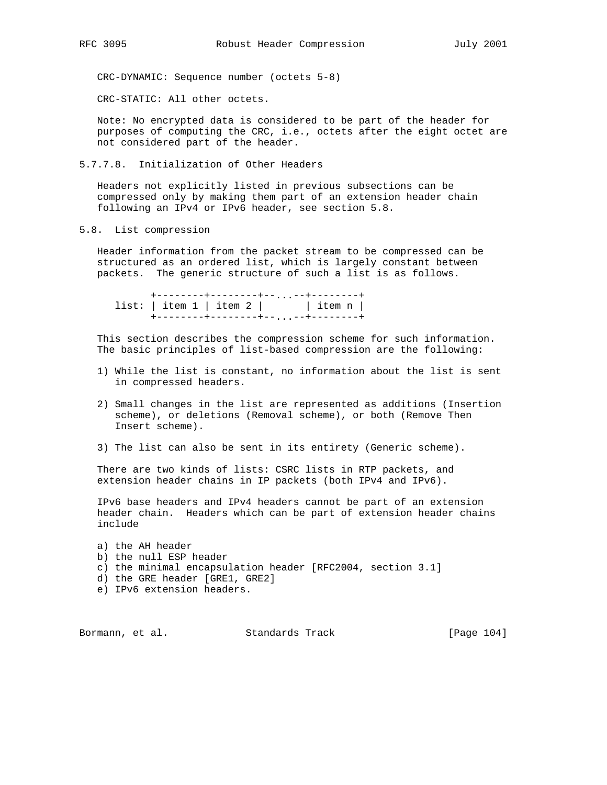CRC-DYNAMIC: Sequence number (octets 5-8)

CRC-STATIC: All other octets.

 Note: No encrypted data is considered to be part of the header for purposes of computing the CRC, i.e., octets after the eight octet are not considered part of the header.

5.7.7.8. Initialization of Other Headers

 Headers not explicitly listed in previous subsections can be compressed only by making them part of an extension header chain following an IPv4 or IPv6 header, see section 5.8.

5.8. List compression

 Header information from the packet stream to be compressed can be structured as an ordered list, which is largely constant between packets. The generic structure of such a list is as follows.

 +--------+--------+--...--+--------+ list: | item 1 | item 2 | | item n | +--------+--------+--...--+--------+

 This section describes the compression scheme for such information. The basic principles of list-based compression are the following:

- 1) While the list is constant, no information about the list is sent in compressed headers.
- 2) Small changes in the list are represented as additions (Insertion scheme), or deletions (Removal scheme), or both (Remove Then Insert scheme).
- 3) The list can also be sent in its entirety (Generic scheme).

 There are two kinds of lists: CSRC lists in RTP packets, and extension header chains in IP packets (both IPv4 and IPv6).

 IPv6 base headers and IPv4 headers cannot be part of an extension header chain. Headers which can be part of extension header chains include

 a) the AH header b) the null ESP header c) the minimal encapsulation header [RFC2004, section 3.1] d) the GRE header [GRE1, GRE2] e) IPv6 extension headers.

Bormann, et al. Standards Track [Page 104]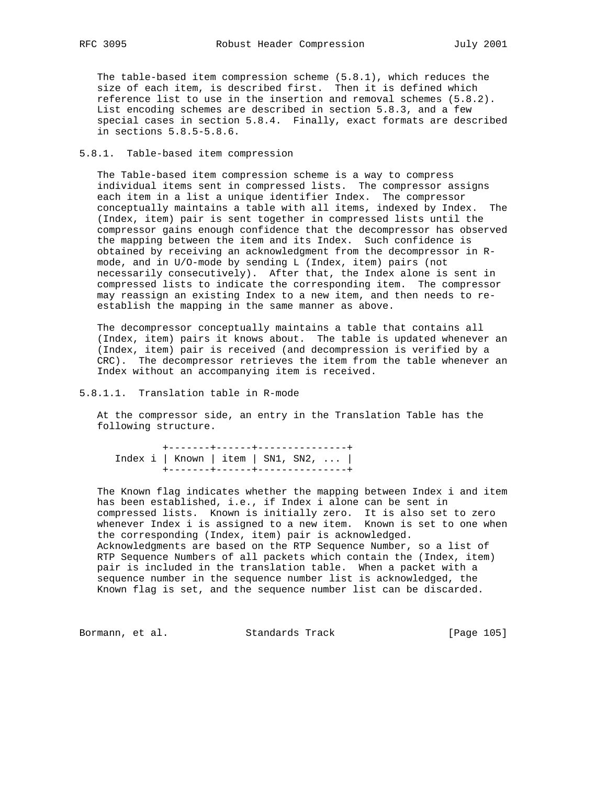The table-based item compression scheme (5.8.1), which reduces the size of each item, is described first. Then it is defined which reference list to use in the insertion and removal schemes (5.8.2). List encoding schemes are described in section 5.8.3, and a few special cases in section 5.8.4. Finally, exact formats are described in sections 5.8.5-5.8.6.

### 5.8.1. Table-based item compression

 The Table-based item compression scheme is a way to compress individual items sent in compressed lists. The compressor assigns each item in a list a unique identifier Index. The compressor conceptually maintains a table with all items, indexed by Index. The (Index, item) pair is sent together in compressed lists until the compressor gains enough confidence that the decompressor has observed the mapping between the item and its Index. Such confidence is obtained by receiving an acknowledgment from the decompressor in R mode, and in U/O-mode by sending L (Index, item) pairs (not necessarily consecutively). After that, the Index alone is sent in compressed lists to indicate the corresponding item. The compressor may reassign an existing Index to a new item, and then needs to re establish the mapping in the same manner as above.

 The decompressor conceptually maintains a table that contains all (Index, item) pairs it knows about. The table is updated whenever an (Index, item) pair is received (and decompression is verified by a CRC). The decompressor retrieves the item from the table whenever an Index without an accompanying item is received.

# 5.8.1.1. Translation table in R-mode

 At the compressor side, an entry in the Translation Table has the following structure.

 +-------+------+---------------+ Index i | Known | item | SN1, SN2, ... | +-------+------+---------------+

 The Known flag indicates whether the mapping between Index i and item has been established, i.e., if Index i alone can be sent in compressed lists. Known is initially zero. It is also set to zero whenever Index i is assigned to a new item. Known is set to one when the corresponding (Index, item) pair is acknowledged. Acknowledgments are based on the RTP Sequence Number, so a list of RTP Sequence Numbers of all packets which contain the (Index, item) pair is included in the translation table. When a packet with a sequence number in the sequence number list is acknowledged, the Known flag is set, and the sequence number list can be discarded.

Bormann, et al. Standards Track [Page 105]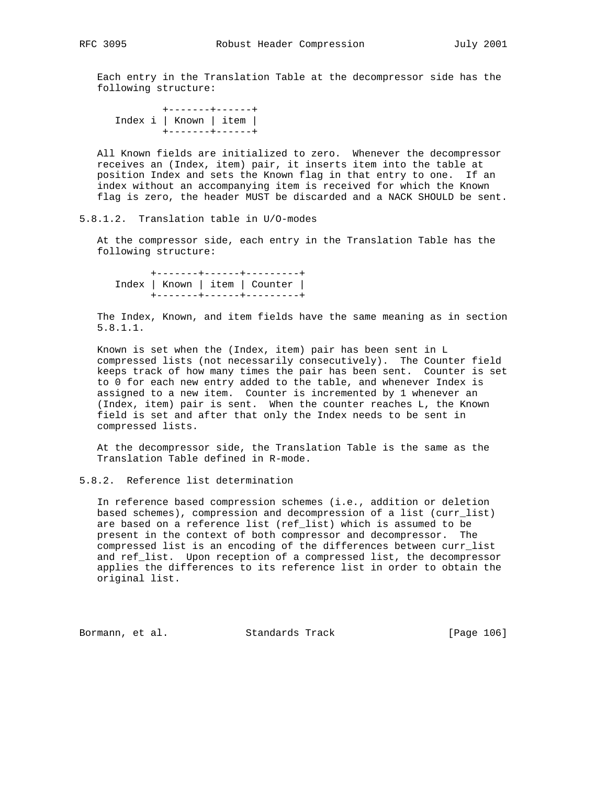Each entry in the Translation Table at the decompressor side has the following structure:

 +-------+------+ Index i | Known | item | +-------+------+

 All Known fields are initialized to zero. Whenever the decompressor receives an (Index, item) pair, it inserts item into the table at position Index and sets the Known flag in that entry to one. If an index without an accompanying item is received for which the Known flag is zero, the header MUST be discarded and a NACK SHOULD be sent.

5.8.1.2. Translation table in U/O-modes

 At the compressor side, each entry in the Translation Table has the following structure:

 +-------+------+---------+ Index | Known | item | Counter | +-------+------+---------+

 The Index, Known, and item fields have the same meaning as in section 5.8.1.1.

 Known is set when the (Index, item) pair has been sent in L compressed lists (not necessarily consecutively). The Counter field keeps track of how many times the pair has been sent. Counter is set to 0 for each new entry added to the table, and whenever Index is assigned to a new item. Counter is incremented by 1 whenever an (Index, item) pair is sent. When the counter reaches L, the Known field is set and after that only the Index needs to be sent in compressed lists.

 At the decompressor side, the Translation Table is the same as the Translation Table defined in R-mode.

# 5.8.2. Reference list determination

 In reference based compression schemes (i.e., addition or deletion based schemes), compression and decompression of a list (curr\_list) are based on a reference list (ref\_list) which is assumed to be present in the context of both compressor and decompressor. The compressed list is an encoding of the differences between curr\_list and ref\_list. Upon reception of a compressed list, the decompressor applies the differences to its reference list in order to obtain the original list.

Bormann, et al. Standards Track [Page 106]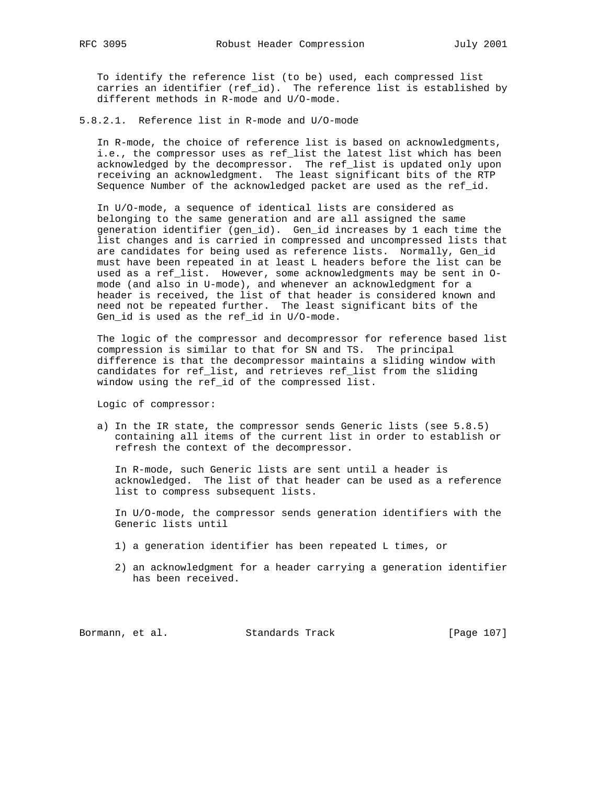To identify the reference list (to be) used, each compressed list carries an identifier (ref\_id). The reference list is established by different methods in R-mode and U/O-mode.

5.8.2.1. Reference list in R-mode and U/O-mode

 In R-mode, the choice of reference list is based on acknowledgments, i.e., the compressor uses as ref\_list the latest list which has been acknowledged by the decompressor. The ref\_list is updated only upon receiving an acknowledgment. The least significant bits of the RTP Sequence Number of the acknowledged packet are used as the ref\_id.

 In U/O-mode, a sequence of identical lists are considered as belonging to the same generation and are all assigned the same generation identifier (gen\_id). Gen\_id increases by 1 each time the list changes and is carried in compressed and uncompressed lists that are candidates for being used as reference lists. Normally, Gen\_id must have been repeated in at least L headers before the list can be used as a ref\_list. However, some acknowledgments may be sent in O mode (and also in U-mode), and whenever an acknowledgment for a header is received, the list of that header is considered known and need not be repeated further. The least significant bits of the Gen\_id is used as the ref\_id in U/O-mode.

 The logic of the compressor and decompressor for reference based list compression is similar to that for SN and TS. The principal difference is that the decompressor maintains a sliding window with candidates for ref\_list, and retrieves ref\_list from the sliding window using the ref\_id of the compressed list.

Logic of compressor:

 a) In the IR state, the compressor sends Generic lists (see 5.8.5) containing all items of the current list in order to establish or refresh the context of the decompressor.

 In R-mode, such Generic lists are sent until a header is acknowledged. The list of that header can be used as a reference list to compress subsequent lists.

 In U/O-mode, the compressor sends generation identifiers with the Generic lists until

- 1) a generation identifier has been repeated L times, or
- 2) an acknowledgment for a header carrying a generation identifier has been received.

Bormann, et al. Standards Track [Page 107]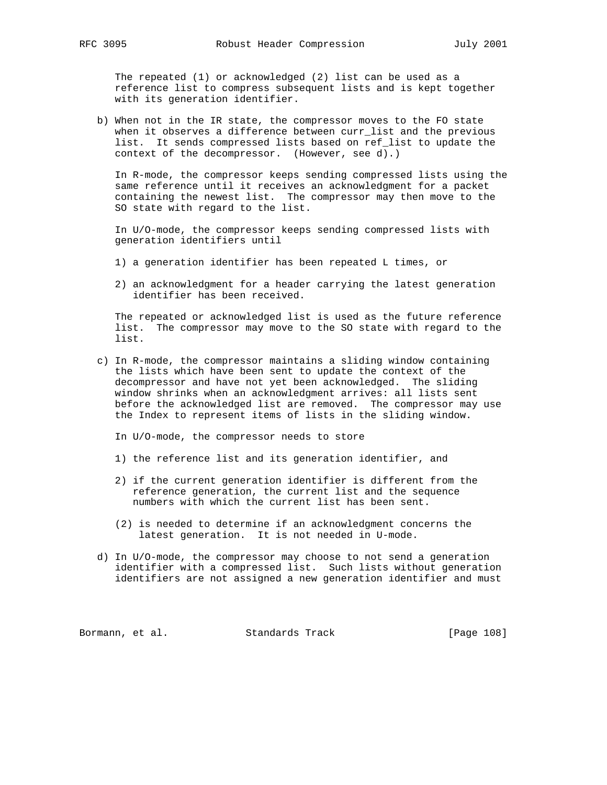The repeated (1) or acknowledged (2) list can be used as a reference list to compress subsequent lists and is kept together with its generation identifier.

 b) When not in the IR state, the compressor moves to the FO state when it observes a difference between curr\_list and the previous list. It sends compressed lists based on ref\_list to update the context of the decompressor. (However, see d).)

 In R-mode, the compressor keeps sending compressed lists using the same reference until it receives an acknowledgment for a packet containing the newest list. The compressor may then move to the SO state with regard to the list.

 In U/O-mode, the compressor keeps sending compressed lists with generation identifiers until

- 1) a generation identifier has been repeated L times, or
- 2) an acknowledgment for a header carrying the latest generation identifier has been received.

 The repeated or acknowledged list is used as the future reference list. The compressor may move to the SO state with regard to the list.

- c) In R-mode, the compressor maintains a sliding window containing the lists which have been sent to update the context of the decompressor and have not yet been acknowledged. The sliding window shrinks when an acknowledgment arrives: all lists sent before the acknowledged list are removed. The compressor may use the Index to represent items of lists in the sliding window.
	- In U/O-mode, the compressor needs to store
	- 1) the reference list and its generation identifier, and
	- 2) if the current generation identifier is different from the reference generation, the current list and the sequence numbers with which the current list has been sent.
	- (2) is needed to determine if an acknowledgment concerns the latest generation. It is not needed in U-mode.
- d) In U/O-mode, the compressor may choose to not send a generation identifier with a compressed list. Such lists without generation identifiers are not assigned a new generation identifier and must

Bormann, et al. Standards Track [Page 108]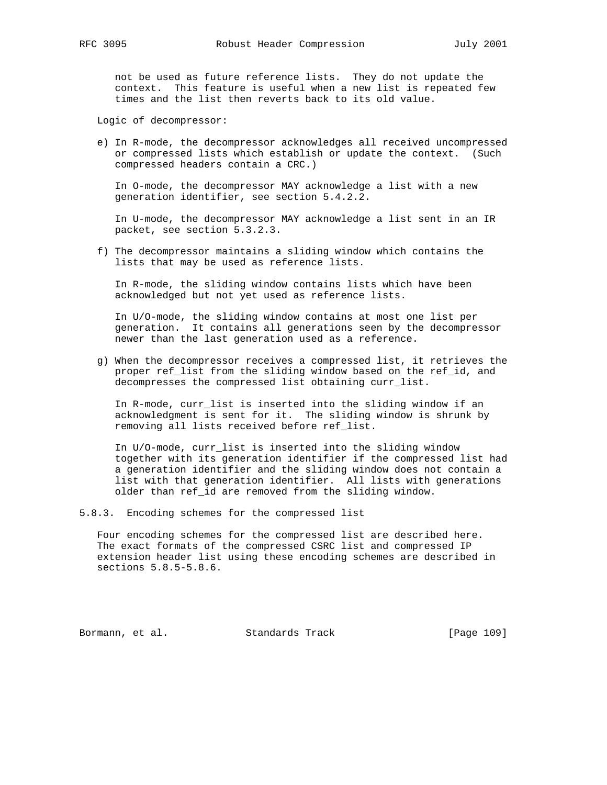not be used as future reference lists. They do not update the context. This feature is useful when a new list is repeated few times and the list then reverts back to its old value.

Logic of decompressor:

 e) In R-mode, the decompressor acknowledges all received uncompressed or compressed lists which establish or update the context. (Such compressed headers contain a CRC.)

 In O-mode, the decompressor MAY acknowledge a list with a new generation identifier, see section 5.4.2.2.

 In U-mode, the decompressor MAY acknowledge a list sent in an IR packet, see section 5.3.2.3.

 f) The decompressor maintains a sliding window which contains the lists that may be used as reference lists.

 In R-mode, the sliding window contains lists which have been acknowledged but not yet used as reference lists.

 In U/O-mode, the sliding window contains at most one list per generation. It contains all generations seen by the decompressor newer than the last generation used as a reference.

 g) When the decompressor receives a compressed list, it retrieves the proper ref\_list from the sliding window based on the ref\_id, and decompresses the compressed list obtaining curr\_list.

 In R-mode, curr\_list is inserted into the sliding window if an acknowledgment is sent for it. The sliding window is shrunk by removing all lists received before ref\_list.

 In U/O-mode, curr\_list is inserted into the sliding window together with its generation identifier if the compressed list had a generation identifier and the sliding window does not contain a list with that generation identifier. All lists with generations older than ref\_id are removed from the sliding window.

5.8.3. Encoding schemes for the compressed list

 Four encoding schemes for the compressed list are described here. The exact formats of the compressed CSRC list and compressed IP extension header list using these encoding schemes are described in sections 5.8.5-5.8.6.

Bormann, et al. Standards Track [Page 109]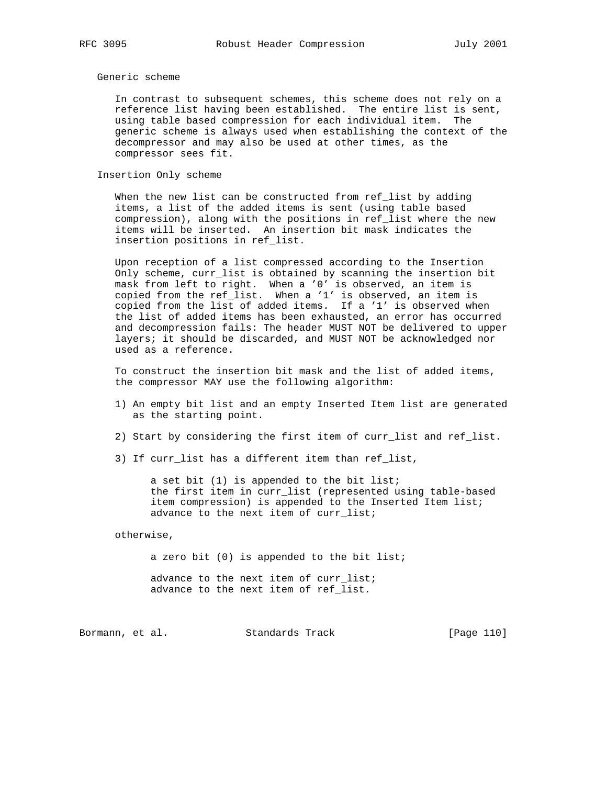# Generic scheme

 In contrast to subsequent schemes, this scheme does not rely on a reference list having been established. The entire list is sent, using table based compression for each individual item. The generic scheme is always used when establishing the context of the decompressor and may also be used at other times, as the compressor sees fit.

#### Insertion Only scheme

 When the new list can be constructed from ref\_list by adding items, a list of the added items is sent (using table based compression), along with the positions in ref\_list where the new items will be inserted. An insertion bit mask indicates the insertion positions in ref\_list.

 Upon reception of a list compressed according to the Insertion Only scheme, curr\_list is obtained by scanning the insertion bit mask from left to right. When a '0' is observed, an item is copied from the ref\_list. When a '1' is observed, an item is copied from the list of added items. If a '1' is observed when the list of added items has been exhausted, an error has occurred and decompression fails: The header MUST NOT be delivered to upper layers; it should be discarded, and MUST NOT be acknowledged nor used as a reference.

 To construct the insertion bit mask and the list of added items, the compressor MAY use the following algorithm:

- 1) An empty bit list and an empty Inserted Item list are generated as the starting point.
- 2) Start by considering the first item of curr\_list and ref\_list.
- 3) If curr\_list has a different item than ref\_list,

 a set bit (1) is appended to the bit list; the first item in curr\_list (represented using table-based item compression) is appended to the Inserted Item list; advance to the next item of curr\_list;

otherwise,

 a zero bit (0) is appended to the bit list; advance to the next item of curr\_list; advance to the next item of ref\_list.

Bormann, et al. Standards Track [Page 110]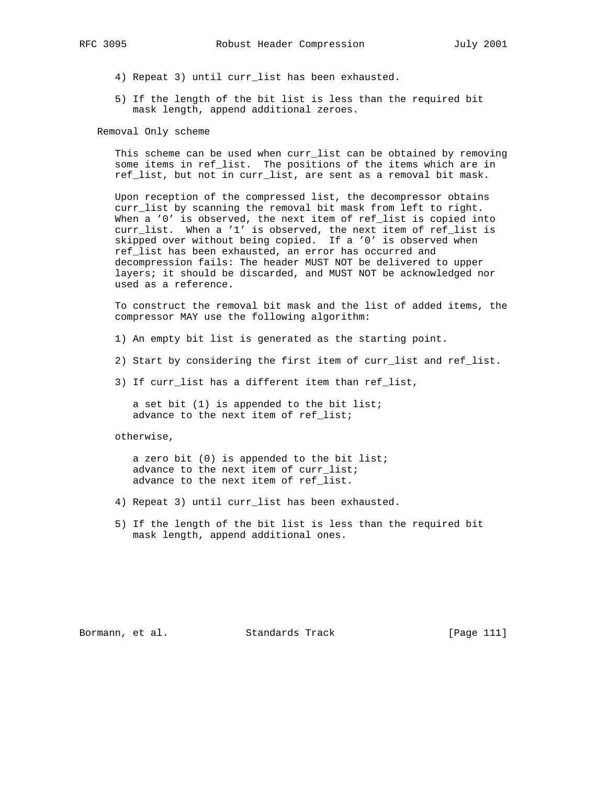- 4) Repeat 3) until curr\_list has been exhausted.
- 5) If the length of the bit list is less than the required bit mask length, append additional zeroes.

Removal Only scheme

 This scheme can be used when curr\_list can be obtained by removing some items in ref\_list. The positions of the items which are in ref\_list, but not in curr\_list, are sent as a removal bit mask.

 Upon reception of the compressed list, the decompressor obtains curr\_list by scanning the removal bit mask from left to right. When a '0' is observed, the next item of ref\_list is copied into curr\_list. When a '1' is observed, the next item of ref\_list is skipped over without being copied. If a '0' is observed when ref\_list has been exhausted, an error has occurred and decompression fails: The header MUST NOT be delivered to upper layers; it should be discarded, and MUST NOT be acknowledged nor used as a reference.

 To construct the removal bit mask and the list of added items, the compressor MAY use the following algorithm:

- 1) An empty bit list is generated as the starting point.
- 2) Start by considering the first item of curr\_list and ref\_list.
- 3) If curr\_list has a different item than ref\_list,

 a set bit (1) is appended to the bit list; advance to the next item of ref\_list;

otherwise,

 a zero bit (0) is appended to the bit list; advance to the next item of curr\_list; advance to the next item of ref\_list.

- 4) Repeat 3) until curr\_list has been exhausted.
- 5) If the length of the bit list is less than the required bit mask length, append additional ones.

Bormann, et al. Standards Track [Page 111]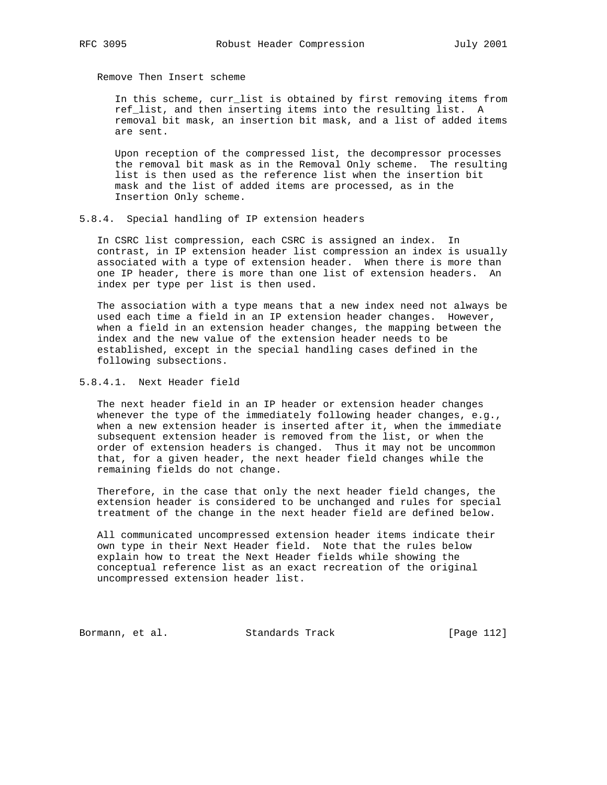Remove Then Insert scheme

 In this scheme, curr\_list is obtained by first removing items from ref\_list, and then inserting items into the resulting list. A removal bit mask, an insertion bit mask, and a list of added items are sent.

 Upon reception of the compressed list, the decompressor processes the removal bit mask as in the Removal Only scheme. The resulting list is then used as the reference list when the insertion bit mask and the list of added items are processed, as in the Insertion Only scheme.

#### 5.8.4. Special handling of IP extension headers

 In CSRC list compression, each CSRC is assigned an index. In contrast, in IP extension header list compression an index is usually associated with a type of extension header. When there is more than one IP header, there is more than one list of extension headers. An index per type per list is then used.

 The association with a type means that a new index need not always be used each time a field in an IP extension header changes. However, when a field in an extension header changes, the mapping between the index and the new value of the extension header needs to be established, except in the special handling cases defined in the following subsections.

5.8.4.1. Next Header field

 The next header field in an IP header or extension header changes whenever the type of the immediately following header changes, e.g., when a new extension header is inserted after it, when the immediate subsequent extension header is removed from the list, or when the order of extension headers is changed. Thus it may not be uncommon that, for a given header, the next header field changes while the remaining fields do not change.

 Therefore, in the case that only the next header field changes, the extension header is considered to be unchanged and rules for special treatment of the change in the next header field are defined below.

 All communicated uncompressed extension header items indicate their own type in their Next Header field. Note that the rules below explain how to treat the Next Header fields while showing the conceptual reference list as an exact recreation of the original uncompressed extension header list.

Bormann, et al. Standards Track [Page 112]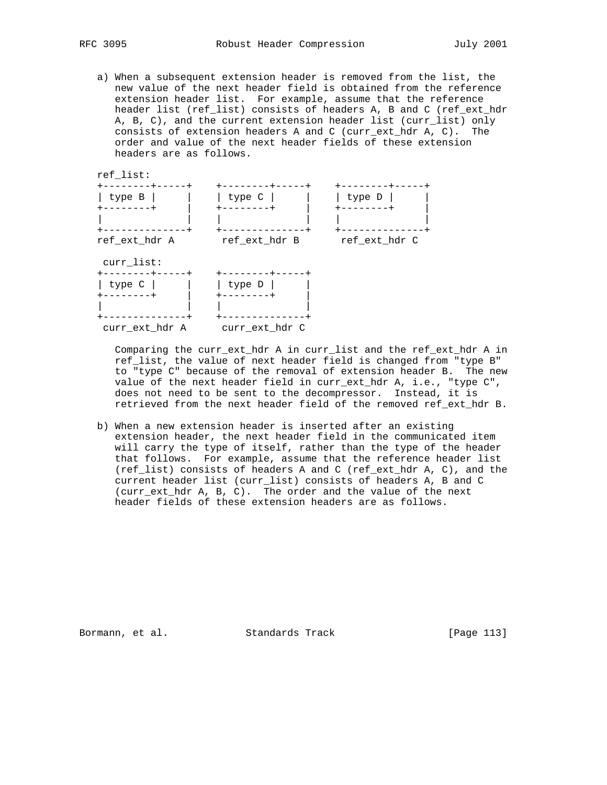a) When a subsequent extension header is removed from the list, the new value of the next header field is obtained from the reference extension header list. For example, assume that the reference header list (ref\_list) consists of headers A, B and C (ref\_ext\_hdr A, B, C), and the current extension header list (curr\_list) only consists of extension headers A and C (curr\_ext\_hdr A, C). The order and value of the next header fields of these extension headers are as follows.

ref\_list:



 Comparing the curr\_ext\_hdr A in curr\_list and the ref\_ext\_hdr A in ref list, the value of next header field is changed from "type B" to "type C" because of the removal of extension header B. The new value of the next header field in curr\_ext\_hdr A, i.e., "type C", does not need to be sent to the decompressor. Instead, it is retrieved from the next header field of the removed ref\_ext\_hdr B.

 b) When a new extension header is inserted after an existing extension header, the next header field in the communicated item will carry the type of itself, rather than the type of the header that follows. For example, assume that the reference header list (ref list) consists of headers A and C (ref ext hdr A, C), and the current header list (curr\_list) consists of headers A, B and C (curr\_ext\_hdr A, B, C). The order and the value of the next header fields of these extension headers are as follows.

Bormann, et al. Standards Track [Page 113]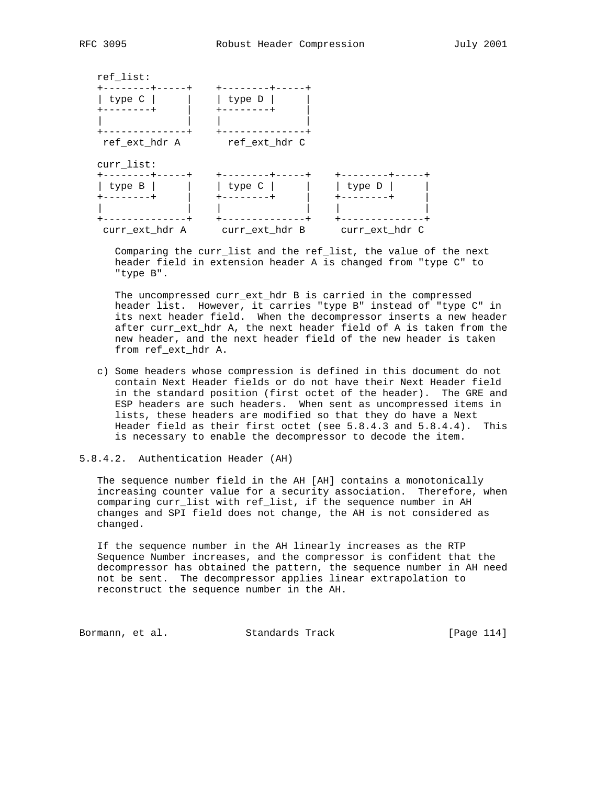

 Comparing the curr\_list and the ref\_list, the value of the next header field in extension header A is changed from "type C" to "type B".

 The uncompressed curr\_ext\_hdr B is carried in the compressed header list. However, it carries "type B" instead of "type C" in its next header field. When the decompressor inserts a new header after curr\_ext\_hdr A, the next header field of A is taken from the new header, and the next header field of the new header is taken from ref\_ext\_hdr A.

 c) Some headers whose compression is defined in this document do not contain Next Header fields or do not have their Next Header field in the standard position (first octet of the header). The GRE and ESP headers are such headers. When sent as uncompressed items in lists, these headers are modified so that they do have a Next Header field as their first octet (see 5.8.4.3 and 5.8.4.4). This is necessary to enable the decompressor to decode the item.

# 5.8.4.2. Authentication Header (AH)

 The sequence number field in the AH [AH] contains a monotonically increasing counter value for a security association. Therefore, when comparing curr\_list with ref\_list, if the sequence number in AH changes and SPI field does not change, the AH is not considered as changed.

 If the sequence number in the AH linearly increases as the RTP Sequence Number increases, and the compressor is confident that the decompressor has obtained the pattern, the sequence number in AH need not be sent. The decompressor applies linear extrapolation to reconstruct the sequence number in the AH.

Bormann, et al. Standards Track [Page 114]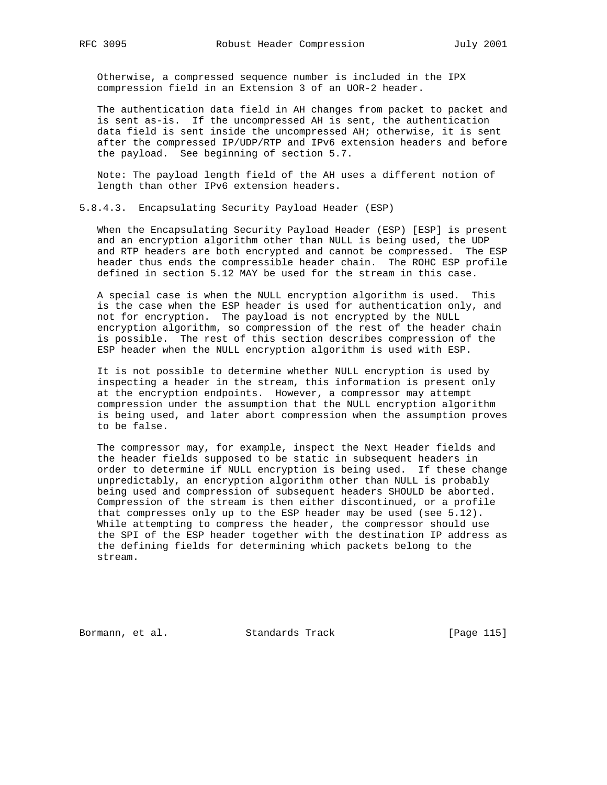Otherwise, a compressed sequence number is included in the IPX compression field in an Extension 3 of an UOR-2 header.

 The authentication data field in AH changes from packet to packet and is sent as-is. If the uncompressed AH is sent, the authentication data field is sent inside the uncompressed AH; otherwise, it is sent after the compressed IP/UDP/RTP and IPv6 extension headers and before the payload. See beginning of section 5.7.

 Note: The payload length field of the AH uses a different notion of length than other IPv6 extension headers.

5.8.4.3. Encapsulating Security Payload Header (ESP)

 When the Encapsulating Security Payload Header (ESP) [ESP] is present and an encryption algorithm other than NULL is being used, the UDP and RTP headers are both encrypted and cannot be compressed. The ESP header thus ends the compressible header chain. The ROHC ESP profile defined in section 5.12 MAY be used for the stream in this case.

 A special case is when the NULL encryption algorithm is used. This is the case when the ESP header is used for authentication only, and not for encryption. The payload is not encrypted by the NULL encryption algorithm, so compression of the rest of the header chain is possible. The rest of this section describes compression of the ESP header when the NULL encryption algorithm is used with ESP.

 It is not possible to determine whether NULL encryption is used by inspecting a header in the stream, this information is present only at the encryption endpoints. However, a compressor may attempt compression under the assumption that the NULL encryption algorithm is being used, and later abort compression when the assumption proves to be false.

 The compressor may, for example, inspect the Next Header fields and the header fields supposed to be static in subsequent headers in order to determine if NULL encryption is being used. If these change unpredictably, an encryption algorithm other than NULL is probably being used and compression of subsequent headers SHOULD be aborted. Compression of the stream is then either discontinued, or a profile that compresses only up to the ESP header may be used (see 5.12). While attempting to compress the header, the compressor should use the SPI of the ESP header together with the destination IP address as the defining fields for determining which packets belong to the stream.

Bormann, et al. Standards Track [Page 115]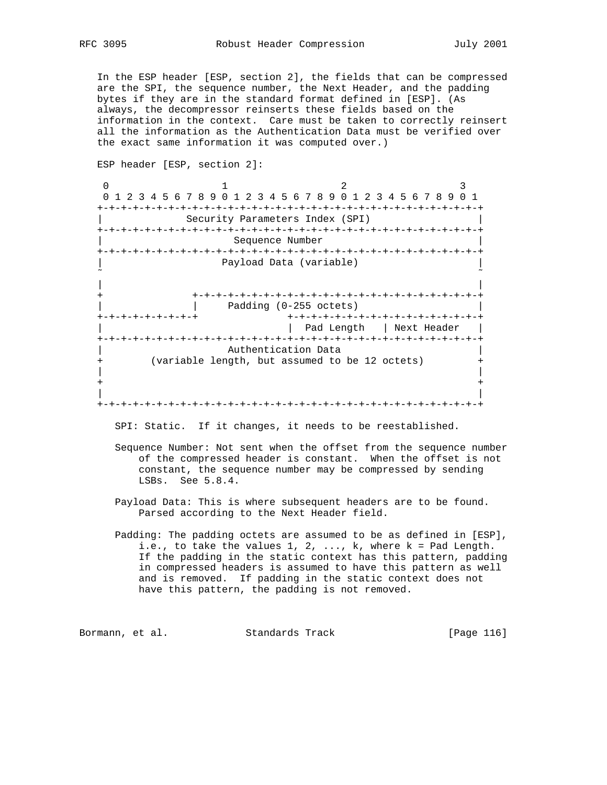In the ESP header [ESP, section 2], the fields that can be compressed are the SPI, the sequence number, the Next Header, and the padding bytes if they are in the standard format defined in [ESP]. (As always, the decompressor reinserts these fields based on the information in the context. Care must be taken to correctly reinsert all the information as the Authentication Data must be verified over the exact same information it was computed over.)

 ESP header [ESP, section 2]: 0  $1$  2 3 0 1 2 3 4 5 6 7 8 9 0 1 2 3 4 5 6 7 8 9 0 1 2 3 4 5 6 7 8 9 0 1 +-+-+-+-+-+-+-+-+-+-+-+-+-+-+-+-+-+-+-+-+-+-+-+-+-+-+-+-+-+-+-+-+ Security Parameters Index (SPI) +-+-+-+-+-+-+-+-+-+-+-+-+-+-+-+-+-+-+-+-+-+-+-+-+-+-+-+-+-+-+-+-+ Sequence Number +-+-+-+-+-+-+-+-+-+-+-+-+-+-+-+-+-+-+-+-+-+-+-+-+-+-+-+-+-+-+-+-+ Payload Data (variable) ˜ ˜ | | + +-+-+-+-+-+-+-+-+-+-+-+-+-+-+-+-+-+-+-+-+-+-+-+-+ | | Padding (0-255 octets) | +-+-+-+-+-+-+-+-+ +-+-+-+-+-+-+-+-+-+-+-+-+-+-+-+-+ | | Pad Length | Next Header | +-+-+-+-+-+-+-+-+-+-+-+-+-+-+-+-+-+-+-+-+-+-+-+-+-+-+-+-+-+-+-+-+ Authentication Data (variable length, but assumed to be 12 octets) | | + + | | +-+-+-+-+-+-+-+-+-+-+-+-+-+-+-+-+-+-+-+-+-+-+-+-+-+-+-+-+-+-+-+-+

SPI: Static. If it changes, it needs to be reestablished.

- Sequence Number: Not sent when the offset from the sequence number of the compressed header is constant. When the offset is not constant, the sequence number may be compressed by sending LSBs. See 5.8.4.
- Payload Data: This is where subsequent headers are to be found. Parsed according to the Next Header field.
- Padding: The padding octets are assumed to be as defined in [ESP], i.e., to take the values  $1, 2, \ldots$ , k, where  $k = Pad$  Length. If the padding in the static context has this pattern, padding in compressed headers is assumed to have this pattern as well and is removed. If padding in the static context does not have this pattern, the padding is not removed.

Bormann, et al. Standards Track [Page 116]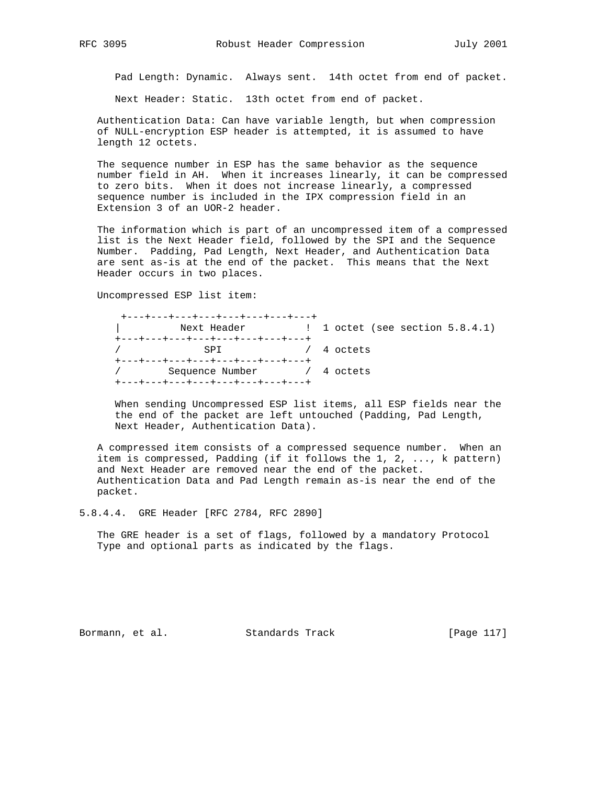Pad Length: Dynamic. Always sent. 14th octet from end of packet.

Next Header: Static. 13th octet from end of packet.

 Authentication Data: Can have variable length, but when compression of NULL-encryption ESP header is attempted, it is assumed to have length 12 octets.

 The sequence number in ESP has the same behavior as the sequence number field in AH. When it increases linearly, it can be compressed to zero bits. When it does not increase linearly, a compressed sequence number is included in the IPX compression field in an Extension 3 of an UOR-2 header.

 The information which is part of an uncompressed item of a compressed list is the Next Header field, followed by the SPI and the Sequence Number. Padding, Pad Length, Next Header, and Authentication Data are sent as-is at the end of the packet. This means that the Next Header occurs in two places.

Uncompressed ESP list item:

| +---+---+---+---+---+---+---+---+ |  |
|-----------------------------------|--|
|                                   |  |
| +---+---+---+---+---+---+---+---+ |  |
|                                   |  |
| +---+---+---+---+---+---+---+---  |  |
| / Sequence Number / 4 octets      |  |
| +---+---+---+---+---+---+---+---+ |  |

 When sending Uncompressed ESP list items, all ESP fields near the the end of the packet are left untouched (Padding, Pad Length, Next Header, Authentication Data).

 A compressed item consists of a compressed sequence number. When an item is compressed, Padding (if it follows the 1, 2, ..., k pattern) and Next Header are removed near the end of the packet. Authentication Data and Pad Length remain as-is near the end of the packet.

5.8.4.4. GRE Header [RFC 2784, RFC 2890]

 The GRE header is a set of flags, followed by a mandatory Protocol Type and optional parts as indicated by the flags.

Bormann, et al. Standards Track [Page 117]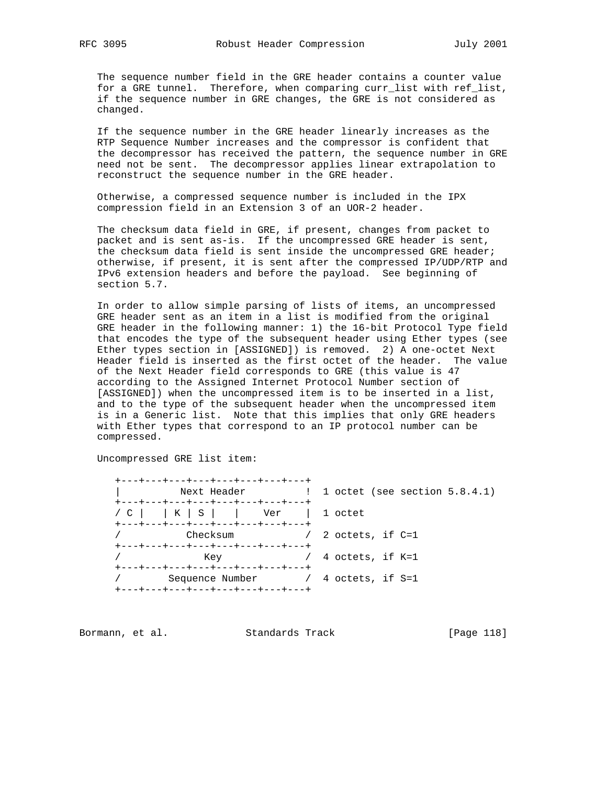The sequence number field in the GRE header contains a counter value for a GRE tunnel. Therefore, when comparing curr\_list with ref\_list, if the sequence number in GRE changes, the GRE is not considered as changed.

 If the sequence number in the GRE header linearly increases as the RTP Sequence Number increases and the compressor is confident that the decompressor has received the pattern, the sequence number in GRE need not be sent. The decompressor applies linear extrapolation to reconstruct the sequence number in the GRE header.

 Otherwise, a compressed sequence number is included in the IPX compression field in an Extension 3 of an UOR-2 header.

 The checksum data field in GRE, if present, changes from packet to packet and is sent as-is. If the uncompressed GRE header is sent, the checksum data field is sent inside the uncompressed GRE header; otherwise, if present, it is sent after the compressed IP/UDP/RTP and IPv6 extension headers and before the payload. See beginning of section 5.7.

 In order to allow simple parsing of lists of items, an uncompressed GRE header sent as an item in a list is modified from the original GRE header in the following manner: 1) the 16-bit Protocol Type field that encodes the type of the subsequent header using Ether types (see Ether types section in [ASSIGNED]) is removed. 2) A one-octet Next Header field is inserted as the first octet of the header. The value of the Next Header field corresponds to GRE (this value is 47 according to the Assigned Internet Protocol Number section of [ASSIGNED]) when the uncompressed item is to be inserted in a list, and to the type of the subsequent header when the uncompressed item is in a Generic list. Note that this implies that only GRE headers with Ether types that correspond to an IP protocol number can be compressed.

Uncompressed GRE list item:

 +---+---+---+---+---+---+---+---+ | Next Header | 1 octet (see section 5.8.4.1) +---+---+---+---+---+---+---+---+ / C | | K | S | | Ver | 1 octet +---+---+---+---+---+---+---+---+ / Checksum / 2 octets, if C=1 +---+---+---+---+---+---+---+---+ / Key / 4 octets, if K=1 +---+---+---+---+---+---+---+---+ / Sequence Number / 4 octets, if S=1 +---+---+---+---+---+---+---+---+

Bormann, et al. Standards Track [Page 118]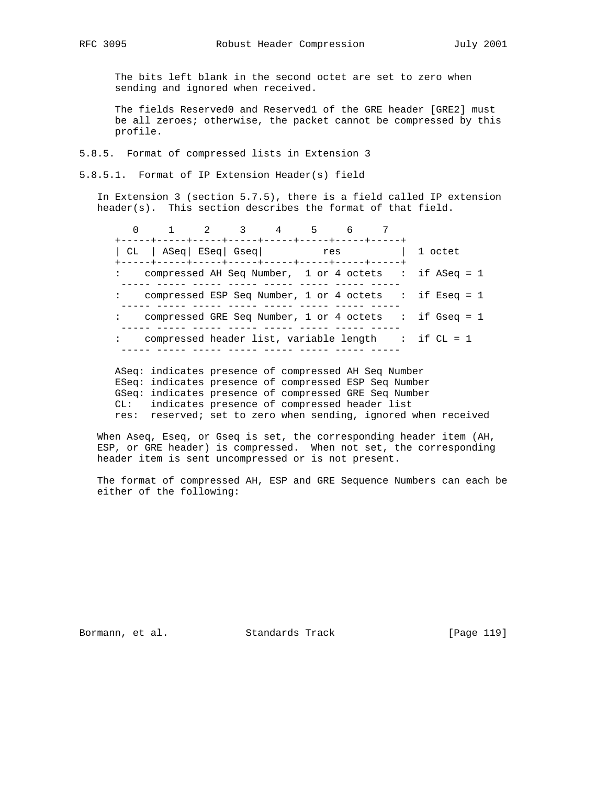The bits left blank in the second octet are set to zero when sending and ignored when received.

 The fields Reserved0 and Reserved1 of the GRE header [GRE2] must be all zeroes; otherwise, the packet cannot be compressed by this profile.

5.8.5. Format of compressed lists in Extension 3

5.8.5.1. Format of IP Extension Header(s) field

 In Extension 3 (section 5.7.5), there is a field called IP extension header(s). This section describes the format of that field.

 0 1 2 3 4 5 6 7 +-----+-----+-----+-----+-----+-----+-----+-----+ | CL | ASeq| ESeq| Gseq| res | 1 octet +-----+-----+-----+-----+-----+-----+-----+-----+ : compressed AH Seq Number, 1 or 4 octets : if ASeq = 1 ----- ----- ----- ----- ----- ----- ----- ----- : compressed ESP Seq Number, 1 or 4 octets : if Eseq = 1 ----- ----- ----- ----- ----- ----- ----- ----- : compressed GRE Seq Number, 1 or 4 octets : if Gseq = 1 ----- ----- ----- ----- ----- ----- ----- ----- : compressed header list, variable length : if CL = 1 ----- ----- ----- ----- ----- ----- ----- -----

 ASeq: indicates presence of compressed AH Seq Number ESeq: indicates presence of compressed ESP Seq Number GSeq: indicates presence of compressed GRE Seq Number CL: indicates presence of compressed header list res: reserved; set to zero when sending, ignored when received

 When Aseq, Eseq, or Gseq is set, the corresponding header item (AH, ESP, or GRE header) is compressed. When not set, the corresponding header item is sent uncompressed or is not present.

 The format of compressed AH, ESP and GRE Sequence Numbers can each be either of the following:

Bormann, et al. Standards Track [Page 119]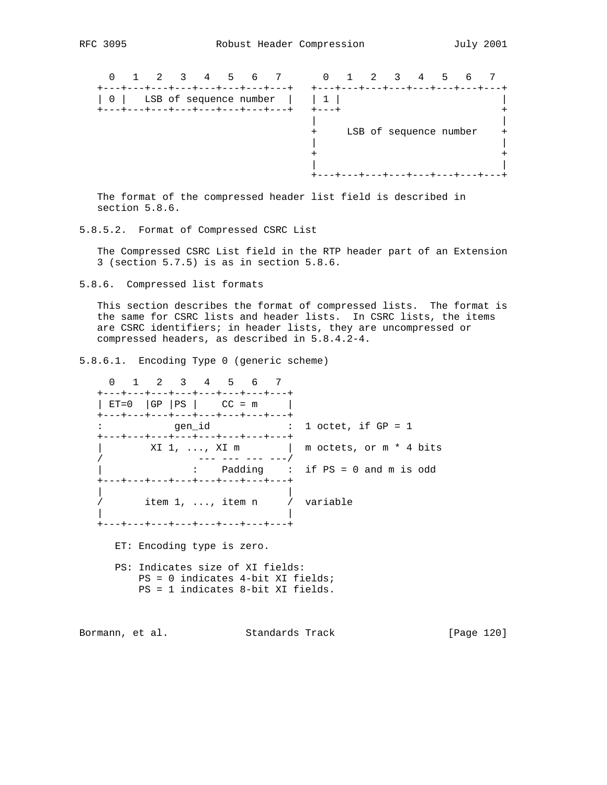| 2<br>$4 \quad$<br>7<br>6<br>5                                                   | 3<br>$\Omega$<br>2<br>5.<br>4<br>6 |  |
|---------------------------------------------------------------------------------|------------------------------------|--|
| LSB of sequence number<br>0 <sup>1</sup><br>--+---+---+---+---+---+---+<br>--+- | LSB of sequence number<br>$\pm$    |  |
|                                                                                 |                                    |  |

 The format of the compressed header list field is described in section 5.8.6.

5.8.5.2. Format of Compressed CSRC List

 The Compressed CSRC List field in the RTP header part of an Extension 3 (section 5.7.5) is as in section 5.8.6.

5.8.6. Compressed list formats

 This section describes the format of compressed lists. The format is the same for CSRC lists and header lists. In CSRC lists, the items are CSRC identifiers; in header lists, they are uncompressed or compressed headers, as described in 5.8.4.2-4.

5.8.6.1. Encoding Type 0 (generic scheme)

 0 1 2 3 4 5 6 7 +---+---+---+---+---+---+---+---+  $|$  ET=0  $|$ GP  $|$ PS  $|$  CC = m +---+---+---+---+---+---+---+---+ : gen\_id : 1 octet, if GP = 1 +---+---+---+---+---+---+---+---+  $XI_1$ , ...,  $XI_m$  | m octets, or  $m * 4$  bits / --- --- --- ---/ | : Padding : if PS = 0 and m is odd +---+---+---+---+---+---+---+---+ | | item 1, ..., item n / variable | | .<br>+---+---+---+---+---+---+---+---+ ET: Encoding type is zero. PS: Indicates size of XI fields: PS = 0 indicates 4-bit XI fields; PS = 1 indicates 8-bit XI fields.

Bormann, et al. Standards Track [Page 120]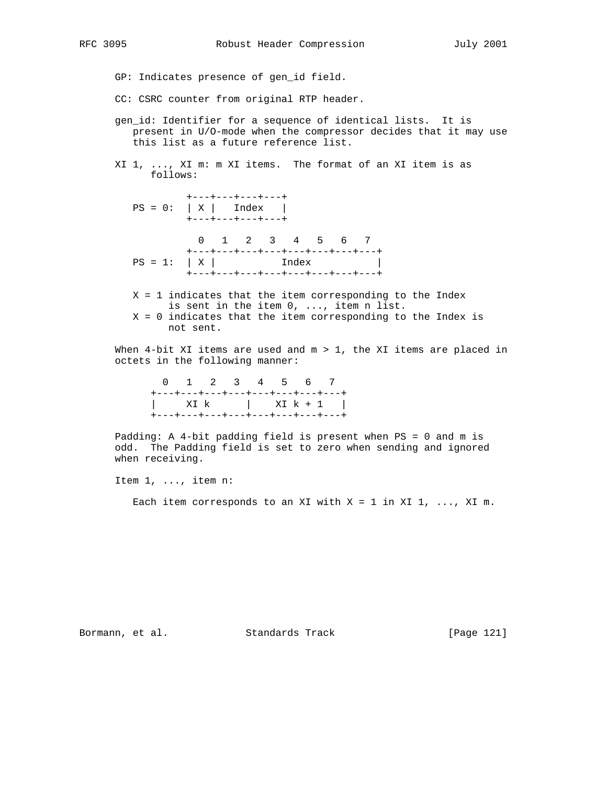GP: Indicates presence of gen\_id field.

- CC: CSRC counter from original RTP header.
- gen\_id: Identifier for a sequence of identical lists. It is present in U/O-mode when the compressor decides that it may use this list as a future reference list.
- XI 1, ..., XI m: m XI items. The format of an XI item is as follows:

 +---+---+---+---+  $PS = 0: |X|$  Index | +---+---+---+---+ 0 1 2 3 4 5 6 7 +---+---+---+---+---+---+---+---+  $PS = 1: |X|$  Index | +---+---+---+---+---+---+---+---+

 $X = 1$  indicates that the item corresponding to the Index is sent in the item 0, ..., item n list. X = 0 indicates that the item corresponding to the Index is not sent.

When  $4$ -bit XI items are used and  $m > 1$ , the XI items are placed in octets in the following manner:

| 0 1 2 3 4 5 6 7                   |  |  |  |                 |
|-----------------------------------|--|--|--|-----------------|
| +---+---+---+---+---+---+---+---+ |  |  |  |                 |
|                                   |  |  |  | XI k   XI k + 1 |
| +---+---+---+---+---+---+---+---  |  |  |  |                 |

 Padding: A 4-bit padding field is present when PS = 0 and m is odd. The Padding field is set to zero when sending and ignored when receiving.

Item 1, ..., item n:

Each item corresponds to an XI with  $X = 1$  in XI 1, ..., XI m.

Bormann, et al. Standards Track [Page 121]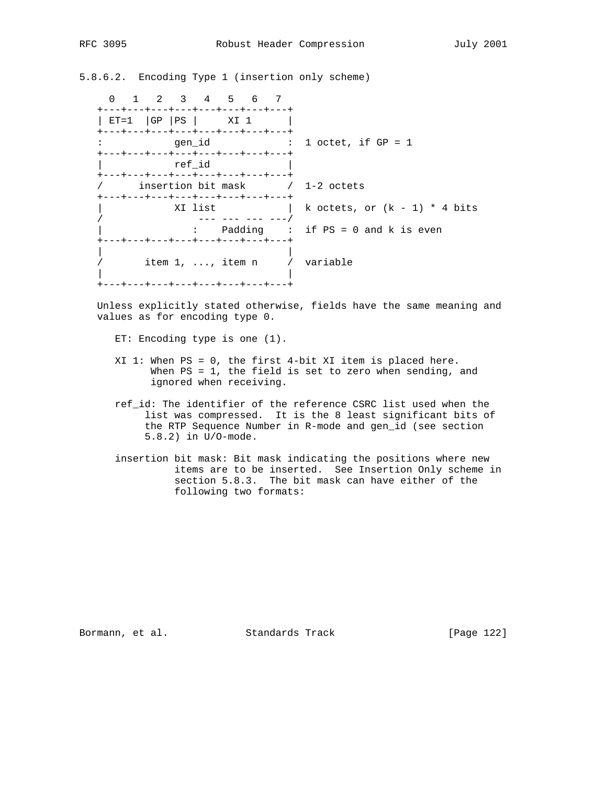5.8.6.2. Encoding Type 1 (insertion only scheme)

 0 1 2 3 4 5 6 7 +---+---+---+---+---+---+---+---+ | ET=1 | GP | PS | XI 1 | +---+---+---+---+---+---+---+---+ : gen\_id : 1 octet, if GP = 1 +---+---+---+---+---+---+---+---+ | ref\_id | +---+---+---+---+---+---+---+---+ / insertion bit mask / 1-2 octets +---+---+---+---+---+---+---+---+ XI list  $| k \cdot \text{octets}, \text{ or } (k - 1) * 4 \text{ bits}$  / --- --- --- ---/ | : Padding : if PS = 0 and k is even +---+---+---+---+---+---+---+---+ | | / item 1, ..., item n / variable | | +---+---+---+---+---+---+---+---+

 Unless explicitly stated otherwise, fields have the same meaning and values as for encoding type 0.

ET: Encoding type is one (1).

- XI 1: When PS = 0, the first 4-bit XI item is placed here. When PS = 1, the field is set to zero when sending, and ignored when receiving.
- ref\_id: The identifier of the reference CSRC list used when the list was compressed. It is the 8 least significant bits of the RTP Sequence Number in R-mode and gen\_id (see section 5.8.2) in U/O-mode.
- insertion bit mask: Bit mask indicating the positions where new items are to be inserted. See Insertion Only scheme in section 5.8.3. The bit mask can have either of the following two formats:

Bormann, et al. Standards Track [Page 122]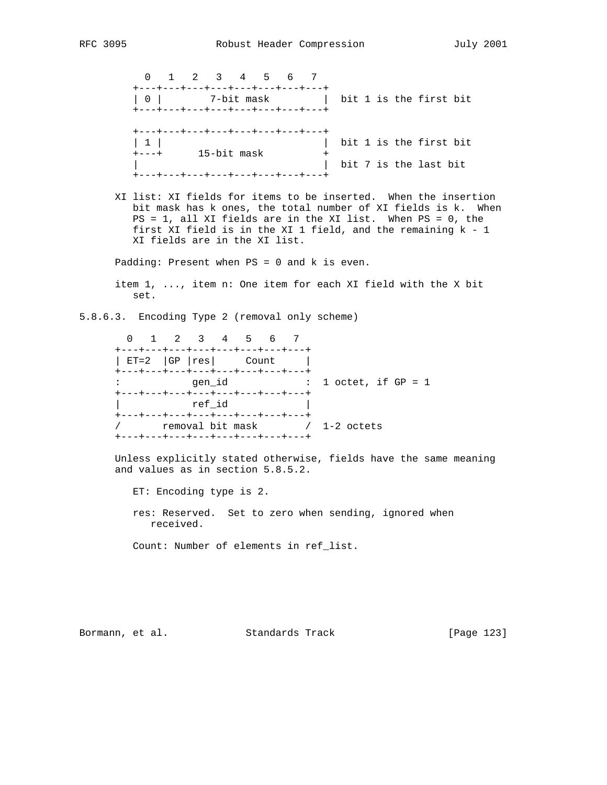0 1 2 3 4 5 6 7 +---+---+---+---+---+---+---+---+ | 0 | 7-bit mask | bit 1 is the first bit +---+---+---+---+---+---+---+---+ +---+---+---+---+---+---+---+---+ | 1 | | bit 1 is the first bit +---+ 15-bit mask + | | bit 7 is the last bit +---+---+---+---+---+---+---+---+

 XI list: XI fields for items to be inserted. When the insertion bit mask has k ones, the total number of XI fields is k. When PS = 1, all XI fields are in the XI list. When PS = 0, the first XI field is in the XI 1 field, and the remaining k - 1 XI fields are in the XI list.

Padding: Present when PS = 0 and k is even.

 item 1, ..., item n: One item for each XI field with the X bit set.

5.8.6.3. Encoding Type 2 (removal only scheme)

 0 1 2 3 4 5 6 7 +---+---+---+---+---+---+---+---+ | ET=2 |GP |res| Count | +---+---+---+---+---+---+---+---+ : gen\_id : 1 octet, if GP = 1 +---+---+---+---+---+---+---+---+ ref\_id +---+---+---+---+---+---+---+---+ / removal bit mask / 1-2 octets +---+---+---+---+---+---+---+---+

 Unless explicitly stated otherwise, fields have the same meaning and values as in section 5.8.5.2.

ET: Encoding type is 2.

 res: Reserved. Set to zero when sending, ignored when received.

Count: Number of elements in ref\_list.

Bormann, et al. Standards Track [Page 123]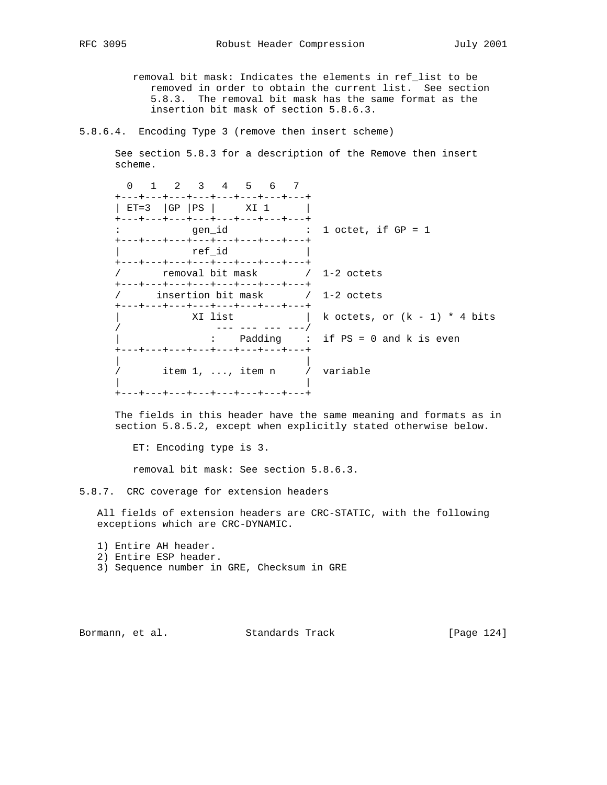removal bit mask: Indicates the elements in ref\_list to be

 removed in order to obtain the current list. See section 5.8.3. The removal bit mask has the same format as the insertion bit mask of section 5.8.6.3.

5.8.6.4. Encoding Type 3 (remove then insert scheme)

 See section 5.8.3 for a description of the Remove then insert scheme.

|  |  |                             |                         | $\therefore$ 1 octet, if GP = 1                                                                                                                                                                                                                                                                                                                                                                                                 |
|--|--|-----------------------------|-------------------------|---------------------------------------------------------------------------------------------------------------------------------------------------------------------------------------------------------------------------------------------------------------------------------------------------------------------------------------------------------------------------------------------------------------------------------|
|  |  |                             |                         |                                                                                                                                                                                                                                                                                                                                                                                                                                 |
|  |  |                             |                         |                                                                                                                                                                                                                                                                                                                                                                                                                                 |
|  |  |                             |                         |                                                                                                                                                                                                                                                                                                                                                                                                                                 |
|  |  |                             |                         | k octets, or $(k - 1)$ * 4 bits                                                                                                                                                                                                                                                                                                                                                                                                 |
|  |  |                             |                         | : Padding : if $PS = 0$ and k is even                                                                                                                                                                                                                                                                                                                                                                                           |
|  |  |                             |                         |                                                                                                                                                                                                                                                                                                                                                                                                                                 |
|  |  | gen id<br>ref id<br>XI list | $ET=3$ $ GP  PS   XI 1$ | 1 2 3 4 5 6 7<br>+---+---+---+---+---+---+---+---+<br>+---+---+---+---+---+---+---+---+<br>+---+---+---+---+---+---+---+---+--<br>+---+---+---+---+---+---+---+---+<br>+---+---+---+---+---+---+---+---+-<br>/ insertion bit mask / 1-2 octets<br>+---+---+---+---+---+---+---+---+<br>--- --- --- ---<br>+---+---+---+---+---+---+---+---+<br>item $1, \ldots,$ item $n \times N$ variable<br>+---+---+---+---+---+---+---+--- |

 The fields in this header have the same meaning and formats as in section 5.8.5.2, except when explicitly stated otherwise below.

ET: Encoding type is 3.

removal bit mask: See section 5.8.6.3.

5.8.7. CRC coverage for extension headers

 All fields of extension headers are CRC-STATIC, with the following exceptions which are CRC-DYNAMIC.

- 1) Entire AH header.
- 2) Entire ESP header.
- 3) Sequence number in GRE, Checksum in GRE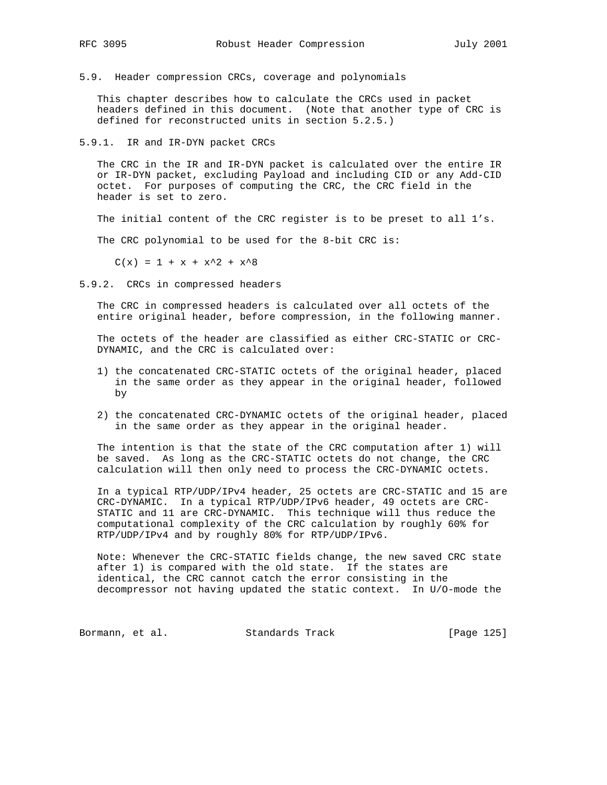5.9. Header compression CRCs, coverage and polynomials

 This chapter describes how to calculate the CRCs used in packet headers defined in this document. (Note that another type of CRC is defined for reconstructed units in section 5.2.5.)

5.9.1. IR and IR-DYN packet CRCs

 The CRC in the IR and IR-DYN packet is calculated over the entire IR or IR-DYN packet, excluding Payload and including CID or any Add-CID octet. For purposes of computing the CRC, the CRC field in the header is set to zero.

The initial content of the CRC register is to be preset to all 1's.

The CRC polynomial to be used for the 8-bit CRC is:

 $C(x) = 1 + x + x^2 + x^8$ 

5.9.2. CRCs in compressed headers

 The CRC in compressed headers is calculated over all octets of the entire original header, before compression, in the following manner.

 The octets of the header are classified as either CRC-STATIC or CRC- DYNAMIC, and the CRC is calculated over:

- 1) the concatenated CRC-STATIC octets of the original header, placed in the same order as they appear in the original header, followed by
- 2) the concatenated CRC-DYNAMIC octets of the original header, placed in the same order as they appear in the original header.

 The intention is that the state of the CRC computation after 1) will be saved. As long as the CRC-STATIC octets do not change, the CRC calculation will then only need to process the CRC-DYNAMIC octets.

 In a typical RTP/UDP/IPv4 header, 25 octets are CRC-STATIC and 15 are CRC-DYNAMIC. In a typical RTP/UDP/IPv6 header, 49 octets are CRC- STATIC and 11 are CRC-DYNAMIC. This technique will thus reduce the computational complexity of the CRC calculation by roughly 60% for RTP/UDP/IPv4 and by roughly 80% for RTP/UDP/IPv6.

 Note: Whenever the CRC-STATIC fields change, the new saved CRC state after 1) is compared with the old state. If the states are identical, the CRC cannot catch the error consisting in the decompressor not having updated the static context. In U/O-mode the

Bormann, et al. Standards Track [Page 125]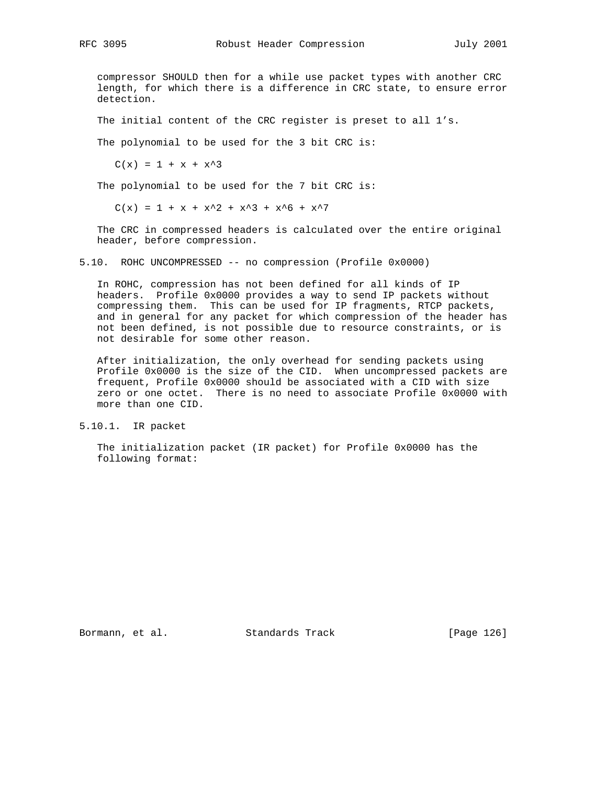compressor SHOULD then for a while use packet types with another CRC length, for which there is a difference in CRC state, to ensure error detection.

The initial content of the CRC register is preset to all 1's.

The polynomial to be used for the 3 bit CRC is:

 $C(x) = 1 + x + x^3$ 

The polynomial to be used for the 7 bit CRC is:

 $C(x) = 1 + x + x^2 + x^3 + x^6 + x^7$ 

 The CRC in compressed headers is calculated over the entire original header, before compression.

5.10. ROHC UNCOMPRESSED -- no compression (Profile 0x0000)

 In ROHC, compression has not been defined for all kinds of IP headers. Profile 0x0000 provides a way to send IP packets without compressing them. This can be used for IP fragments, RTCP packets, and in general for any packet for which compression of the header has not been defined, is not possible due to resource constraints, or is not desirable for some other reason.

 After initialization, the only overhead for sending packets using Profile 0x0000 is the size of the CID. When uncompressed packets are frequent, Profile 0x0000 should be associated with a CID with size zero or one octet. There is no need to associate Profile 0x0000 with more than one CID.

5.10.1. IR packet

 The initialization packet (IR packet) for Profile 0x0000 has the following format:

Bormann, et al. Standards Track [Page 126]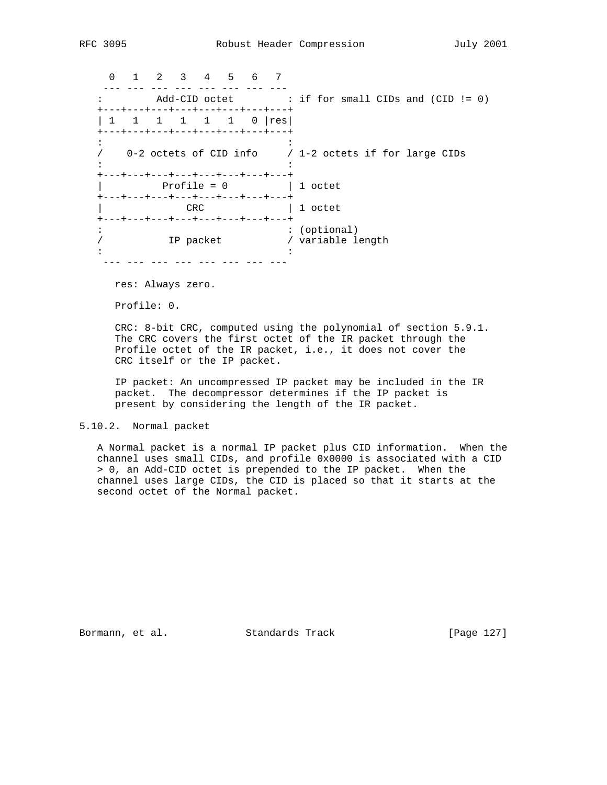0 1 2 3 4 5 6 7 --- --- --- --- --- --- --- --- : Add-CID octet : if for small CIDs and (CID != 0) +---+---+---+---+---+---+---+---+ | 1 1 1 1 1 1 0 | res | .<br>+---+---+---+---+---+---+---+---+  $\mathbf{r} \cdot \mathbf{r} = \mathbf{r} \cdot \mathbf{r}$  :  $\mathbf{r} \cdot \mathbf{r} = \mathbf{r} \cdot \mathbf{r}$  ,  $\mathbf{r} \cdot \mathbf{r} = \mathbf{r} \cdot \mathbf{r}$  / 0-2 octets of CID info / 1-2 octets if for large CIDs the distribution of the state of the state of the state of the state of the state of the state of the state of +---+---+---+---+---+---+---+---+ | Profile = 0 | 1 octet +---+---+---+---+---+---+---+---+ | CRC | 1 octet +---+---+---+---+---+---+---+---+ : : (optional) / TP packet / variable length  $\mathbf{r} \cdot \mathbf{r} = \mathbf{r} \cdot \mathbf{r}$  :  $\mathbf{r} \cdot \mathbf{r} = \mathbf{r} \cdot \mathbf{r}$  ,  $\mathbf{r} \cdot \mathbf{r} = \mathbf{r} \cdot \mathbf{r}$ --- --- --- --- --- --- --- ---

res: Always zero.

Profile: 0.

 CRC: 8-bit CRC, computed using the polynomial of section 5.9.1. The CRC covers the first octet of the IR packet through the Profile octet of the IR packet, i.e., it does not cover the CRC itself or the IP packet.

 IP packet: An uncompressed IP packet may be included in the IR packet. The decompressor determines if the IP packet is present by considering the length of the IR packet.

### 5.10.2. Normal packet

 A Normal packet is a normal IP packet plus CID information. When the channel uses small CIDs, and profile 0x0000 is associated with a CID > 0, an Add-CID octet is prepended to the IP packet. When the channel uses large CIDs, the CID is placed so that it starts at the second octet of the Normal packet.

Bormann, et al. Standards Track [Page 127]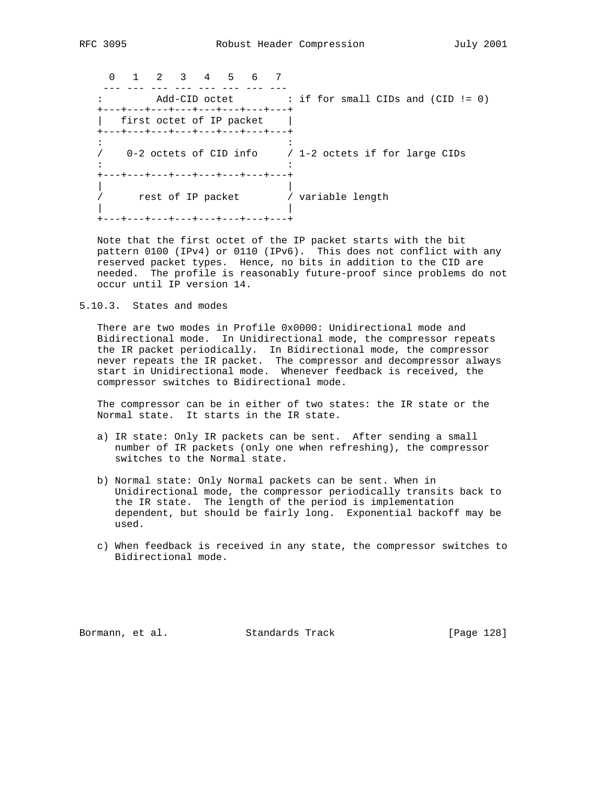0 1 2 3 4 5 6 7 --- --- --- --- --- --- --- --- : Add-CID octet : if for small CIDs and (CID != 0) +---+---+---+---+---+---+---+---+ | first octet of IP packet | +---+---+---+---+---+---+---+---+  $\mathbf{r} \cdot \mathbf{r} = \mathbf{r} \cdot \mathbf{r}$  :  $\mathbf{r} \cdot \mathbf{r} = \mathbf{r} \cdot \mathbf{r}$  ,  $\mathbf{r} \cdot \mathbf{r} = \mathbf{r} \cdot \mathbf{r}$  / 0-2 octets of CID info / 1-2 octets if for large CIDs the distribution of the state of the state of the state of the state of the state of the state of the state of +---+---+---+---+---+---+---+---+ | | / rest of IP packet / variable length | | +---+---+---+---+---+---+---+---+

 Note that the first octet of the IP packet starts with the bit pattern 0100 (IPv4) or 0110 (IPv6). This does not conflict with any reserved packet types. Hence, no bits in addition to the CID are needed. The profile is reasonably future-proof since problems do not occur until IP version 14.

5.10.3. States and modes

 There are two modes in Profile 0x0000: Unidirectional mode and Bidirectional mode. In Unidirectional mode, the compressor repeats the IR packet periodically. In Bidirectional mode, the compressor never repeats the IR packet. The compressor and decompressor always start in Unidirectional mode. Whenever feedback is received, the compressor switches to Bidirectional mode.

 The compressor can be in either of two states: the IR state or the Normal state. It starts in the IR state.

- a) IR state: Only IR packets can be sent. After sending a small number of IR packets (only one when refreshing), the compressor switches to the Normal state.
- b) Normal state: Only Normal packets can be sent. When in Unidirectional mode, the compressor periodically transits back to the IR state. The length of the period is implementation dependent, but should be fairly long. Exponential backoff may be used.
- c) When feedback is received in any state, the compressor switches to Bidirectional mode.

Bormann, et al. Standards Track [Page 128]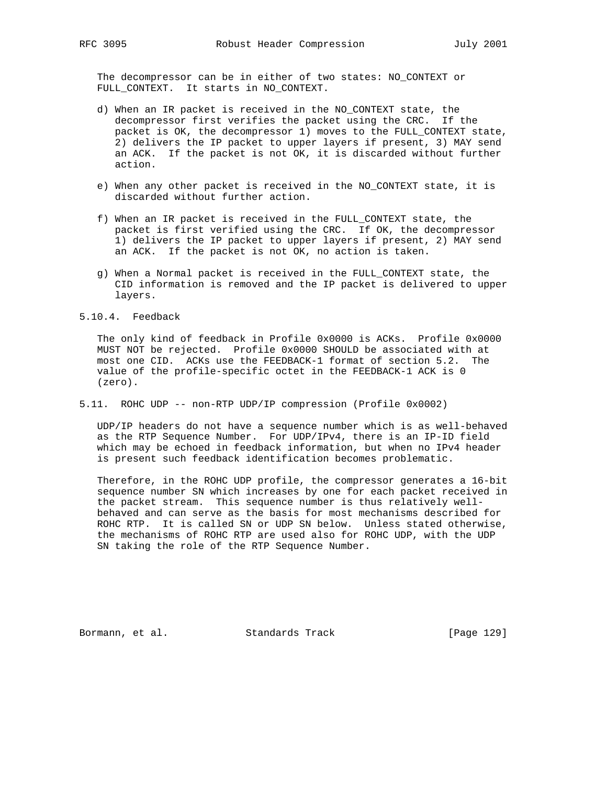The decompressor can be in either of two states: NO\_CONTEXT or FULL\_CONTEXT. It starts in NO\_CONTEXT.

- d) When an IR packet is received in the NO\_CONTEXT state, the decompressor first verifies the packet using the CRC. If the packet is OK, the decompressor 1) moves to the FULL\_CONTEXT state, 2) delivers the IP packet to upper layers if present, 3) MAY send an ACK. If the packet is not OK, it is discarded without further action.
- e) When any other packet is received in the NO\_CONTEXT state, it is discarded without further action.
- f) When an IR packet is received in the FULL\_CONTEXT state, the packet is first verified using the CRC. If OK, the decompressor 1) delivers the IP packet to upper layers if present, 2) MAY send an ACK. If the packet is not OK, no action is taken.
- g) When a Normal packet is received in the FULL\_CONTEXT state, the CID information is removed and the IP packet is delivered to upper layers.

5.10.4. Feedback

 The only kind of feedback in Profile 0x0000 is ACKs. Profile 0x0000 MUST NOT be rejected. Profile 0x0000 SHOULD be associated with at most one CID. ACKs use the FEEDBACK-1 format of section 5.2. The value of the profile-specific octet in the FEEDBACK-1 ACK is 0 (zero).

5.11. ROHC UDP -- non-RTP UDP/IP compression (Profile 0x0002)

 UDP/IP headers do not have a sequence number which is as well-behaved as the RTP Sequence Number. For UDP/IPv4, there is an IP-ID field which may be echoed in feedback information, but when no IPv4 header is present such feedback identification becomes problematic.

 Therefore, in the ROHC UDP profile, the compressor generates a 16-bit sequence number SN which increases by one for each packet received in the packet stream. This sequence number is thus relatively well behaved and can serve as the basis for most mechanisms described for ROHC RTP. It is called SN or UDP SN below. Unless stated otherwise, the mechanisms of ROHC RTP are used also for ROHC UDP, with the UDP SN taking the role of the RTP Sequence Number.

Bormann, et al. Standards Track [Page 129]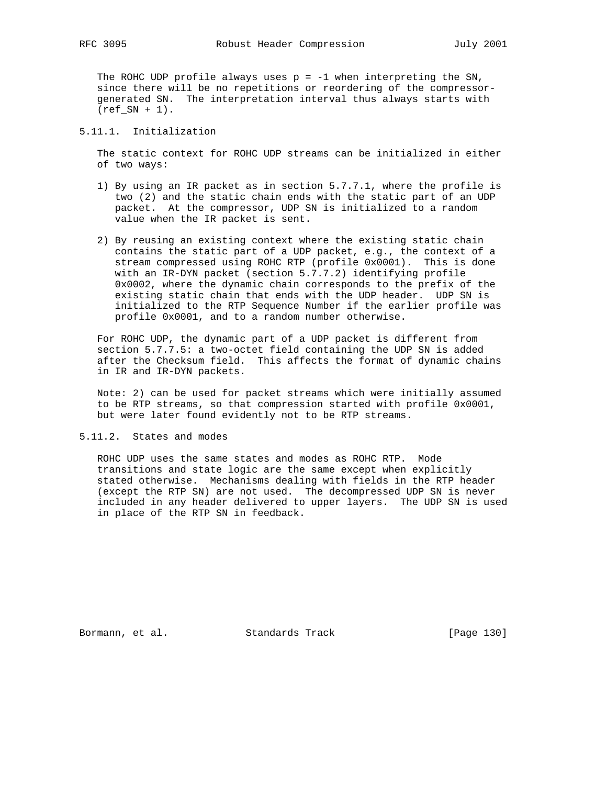The ROHC UDP profile always uses  $p = -1$  when interpreting the SN, since there will be no repetitions or reordering of the compressor generated SN. The interpretation interval thus always starts with  $(ref SN + 1)$ .

# 5.11.1. Initialization

 The static context for ROHC UDP streams can be initialized in either of two ways:

- 1) By using an IR packet as in section 5.7.7.1, where the profile is two (2) and the static chain ends with the static part of an UDP packet. At the compressor, UDP SN is initialized to a random value when the IR packet is sent.
- 2) By reusing an existing context where the existing static chain contains the static part of a UDP packet, e.g., the context of a stream compressed using ROHC RTP (profile 0x0001). This is done with an IR-DYN packet (section 5.7.7.2) identifying profile 0x0002, where the dynamic chain corresponds to the prefix of the existing static chain that ends with the UDP header. UDP SN is initialized to the RTP Sequence Number if the earlier profile was profile 0x0001, and to a random number otherwise.

 For ROHC UDP, the dynamic part of a UDP packet is different from section 5.7.7.5: a two-octet field containing the UDP SN is added after the Checksum field. This affects the format of dynamic chains in IR and IR-DYN packets.

 Note: 2) can be used for packet streams which were initially assumed to be RTP streams, so that compression started with profile 0x0001, but were later found evidently not to be RTP streams.

5.11.2. States and modes

 ROHC UDP uses the same states and modes as ROHC RTP. Mode transitions and state logic are the same except when explicitly stated otherwise. Mechanisms dealing with fields in the RTP header (except the RTP SN) are not used. The decompressed UDP SN is never included in any header delivered to upper layers. The UDP SN is used in place of the RTP SN in feedback.

Bormann, et al. Standards Track [Page 130]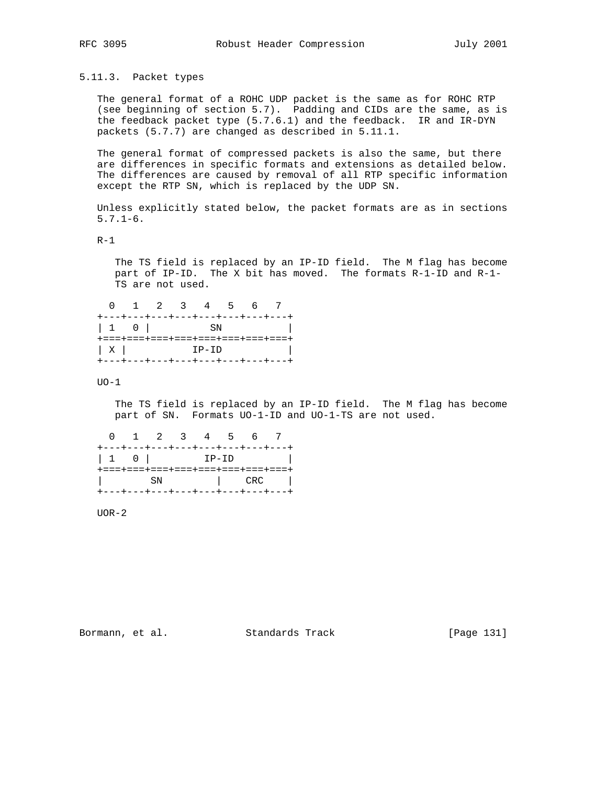5.11.3. Packet types

 The general format of a ROHC UDP packet is the same as for ROHC RTP (see beginning of section 5.7). Padding and CIDs are the same, as is the feedback packet type (5.7.6.1) and the feedback. IR and IR-DYN packets (5.7.7) are changed as described in 5.11.1.

 The general format of compressed packets is also the same, but there are differences in specific formats and extensions as detailed below. The differences are caused by removal of all RTP specific information except the RTP SN, which is replaced by the UDP SN.

 Unless explicitly stated below, the packet formats are as in sections 5.7.1-6.

 $R-1$ 

 The TS field is replaced by an IP-ID field. The M flag has become part of IP-ID. The X bit has moved. The formats R-1-ID and R-1- TS are not used.

 0 1 2 3 4 5 6 7 +---+---+---+---+---+---+---+---+ | 1 0 | SN | +===+===+===+===+===+===+===+===+  $\begin{array}{|c|c|c|c|c|}\n\hline\nX & \text{IP-ID} & \text{I} & \text{I} & \text{I} & \text{I} & \text{I} & \text{I} & \text{I} & \text{I} & \text{I} & \text{I} & \text{I} & \text{I} & \text{I} & \text{I} & \text{I} & \text{I} & \text{I} & \text{I} & \text{I} & \text{I} & \text{I} & \text{I} & \text{I} & \text{I} & \text{I} & \text{I} & \text{I} & \text{I} & \text{I} & \text{I} & \text{I} & \text{$ +---+---+---+---+---+---+---+---+

UO-1

 The TS field is replaced by an IP-ID field. The M flag has become part of SN. Formats UO-1-ID and UO-1-TS are not used.

|  | 0 1 2 3 4 5 6 7                                                                                 |  |  |  |
|--|-------------------------------------------------------------------------------------------------|--|--|--|
|  | +---+---+---+---+---+---+---+---+                                                               |  |  |  |
|  | $\begin{array}{ c c c } \hline 1 & 0 & \multicolumn{1}{ c }{\text{IP-ID}} \ \hline \end{array}$ |  |  |  |
|  | +===+===+===+===+===+===+===+===+                                                               |  |  |  |
|  | SN   CRC                                                                                        |  |  |  |
|  | +---+---+---+---+---+---+---+---+                                                               |  |  |  |

UOR-2

Bormann, et al. Standards Track [Page 131]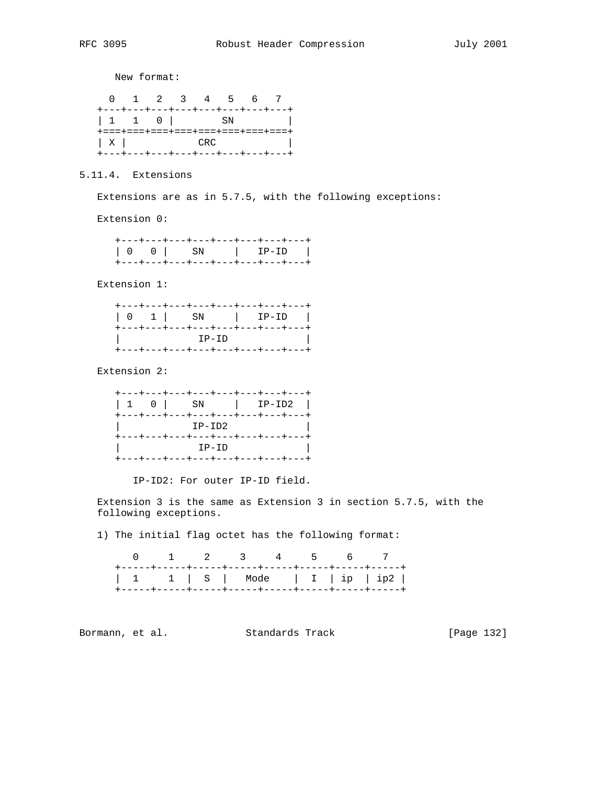New format:

|                                                                                          | 0 1 2 3 4 5 6 7 |  |  |                                   |
|------------------------------------------------------------------------------------------|-----------------|--|--|-----------------------------------|
| +---+---+---+---+---+---+---+---+                                                        |                 |  |  |                                   |
|                                                                                          |                 |  |  |                                   |
|                                                                                          |                 |  |  | +===+===+===+===+===+===+===+===+ |
| $\begin{array}{ c c c c c }\n\hline\n&{\bf X} & & & & & \text{CRC}\n\hline\n\end{array}$ |                 |  |  |                                   |
| +---+---+---+---+---+---+---+---+                                                        |                 |  |  |                                   |

5.11.4. Extensions

Extensions are as in 5.7.5, with the following exceptions:

Extension 0:

|  | +---+---+---+---+---+---+---+---+ |  |
|--|-----------------------------------|--|
|  |                                   |  |
|  | +---+---+---+---+---+---+---+---  |  |

Extension 1:

|  |         | +---+---+---+---+---+---+---+---                                     |
|--|---------|----------------------------------------------------------------------|
|  | $IP-ID$ | +---+---+---+---+---+---+---+---<br>+---+---+---+---+---+---+---+--- |

Extension 2:

|  |        | +---+---+---+---+---+---+---+---                                      |
|--|--------|-----------------------------------------------------------------------|
|  | IP-ID2 | +---+---+---+---+---+---+---+---+                                     |
|  | IP-ID  | +---+---+---+---+---+---+---+---+<br>+---+---+---+---+---+---+---+--- |

IP-ID2: For outer IP-ID field.

 Extension 3 is the same as Extension 3 in section 5.7.5, with the following exceptions.

1) The initial flag octet has the following format:

|  | 0 1 2 3 4 5 6 7 |  |  |
|--|-----------------|--|--|
|  |                 |  |  |

Bormann, et al. Standards Track [Page 132]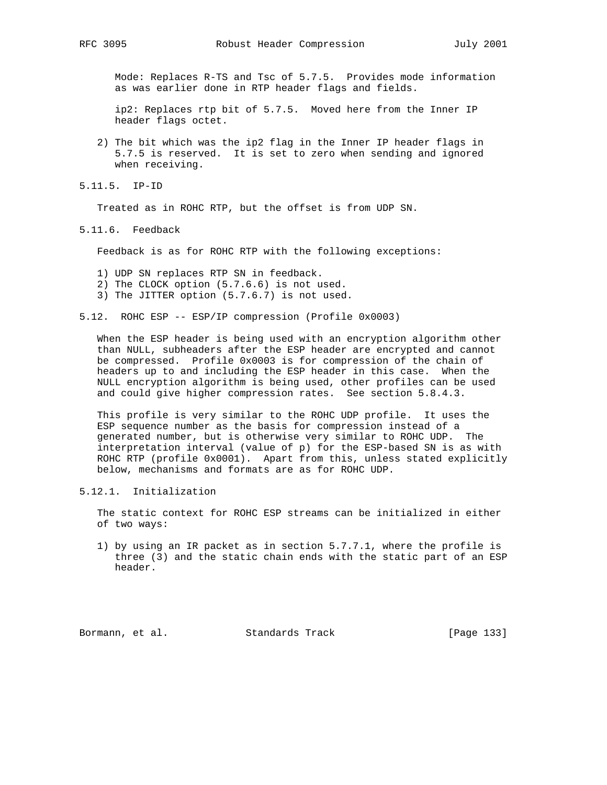Mode: Replaces R-TS and Tsc of 5.7.5. Provides mode information as was earlier done in RTP header flags and fields.

 ip2: Replaces rtp bit of 5.7.5. Moved here from the Inner IP header flags octet.

- 2) The bit which was the ip2 flag in the Inner IP header flags in 5.7.5 is reserved. It is set to zero when sending and ignored when receiving.
- 5.11.5. IP-ID

Treated as in ROHC RTP, but the offset is from UDP SN.

5.11.6. Feedback

Feedback is as for ROHC RTP with the following exceptions:

- 1) UDP SN replaces RTP SN in feedback.
- 2) The CLOCK option (5.7.6.6) is not used.
- 3) The JITTER option (5.7.6.7) is not used.
- 5.12. ROHC ESP -- ESP/IP compression (Profile 0x0003)

 When the ESP header is being used with an encryption algorithm other than NULL, subheaders after the ESP header are encrypted and cannot be compressed. Profile 0x0003 is for compression of the chain of headers up to and including the ESP header in this case. When the NULL encryption algorithm is being used, other profiles can be used and could give higher compression rates. See section 5.8.4.3.

 This profile is very similar to the ROHC UDP profile. It uses the ESP sequence number as the basis for compression instead of a generated number, but is otherwise very similar to ROHC UDP. The interpretation interval (value of p) for the ESP-based SN is as with ROHC RTP (profile 0x0001). Apart from this, unless stated explicitly below, mechanisms and formats are as for ROHC UDP.

5.12.1. Initialization

 The static context for ROHC ESP streams can be initialized in either of two ways:

 1) by using an IR packet as in section 5.7.7.1, where the profile is three (3) and the static chain ends with the static part of an ESP header.

Bormann, et al. Standards Track [Page 133]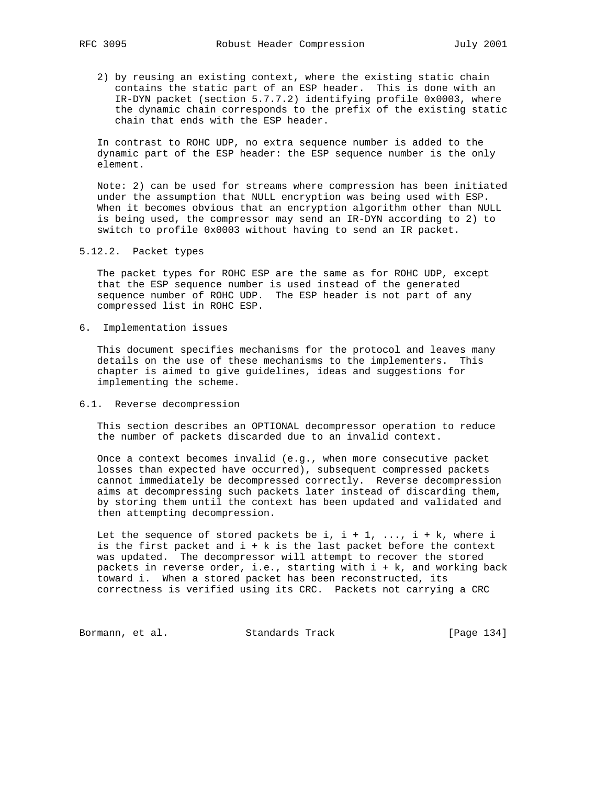2) by reusing an existing context, where the existing static chain contains the static part of an ESP header. This is done with an IR-DYN packet (section 5.7.7.2) identifying profile 0x0003, where the dynamic chain corresponds to the prefix of the existing static chain that ends with the ESP header.

 In contrast to ROHC UDP, no extra sequence number is added to the dynamic part of the ESP header: the ESP sequence number is the only element.

 Note: 2) can be used for streams where compression has been initiated under the assumption that NULL encryption was being used with ESP. When it becomes obvious that an encryption algorithm other than NULL is being used, the compressor may send an IR-DYN according to 2) to switch to profile 0x0003 without having to send an IR packet.

5.12.2. Packet types

 The packet types for ROHC ESP are the same as for ROHC UDP, except that the ESP sequence number is used instead of the generated sequence number of ROHC UDP. The ESP header is not part of any compressed list in ROHC ESP.

6. Implementation issues

 This document specifies mechanisms for the protocol and leaves many details on the use of these mechanisms to the implementers. This chapter is aimed to give guidelines, ideas and suggestions for implementing the scheme.

### 6.1. Reverse decompression

 This section describes an OPTIONAL decompressor operation to reduce the number of packets discarded due to an invalid context.

 Once a context becomes invalid (e.g., when more consecutive packet losses than expected have occurred), subsequent compressed packets cannot immediately be decompressed correctly. Reverse decompression aims at decompressing such packets later instead of discarding them, by storing them until the context has been updated and validated and then attempting decompression.

Let the sequence of stored packets be i,  $i + 1$ , ...,  $i + k$ , where i is the first packet and  $i + k$  is the last packet before the context was updated. The decompressor will attempt to recover the stored packets in reverse order, i.e., starting with i + k, and working back toward i. When a stored packet has been reconstructed, its correctness is verified using its CRC. Packets not carrying a CRC

Bormann, et al. Standards Track [Page 134]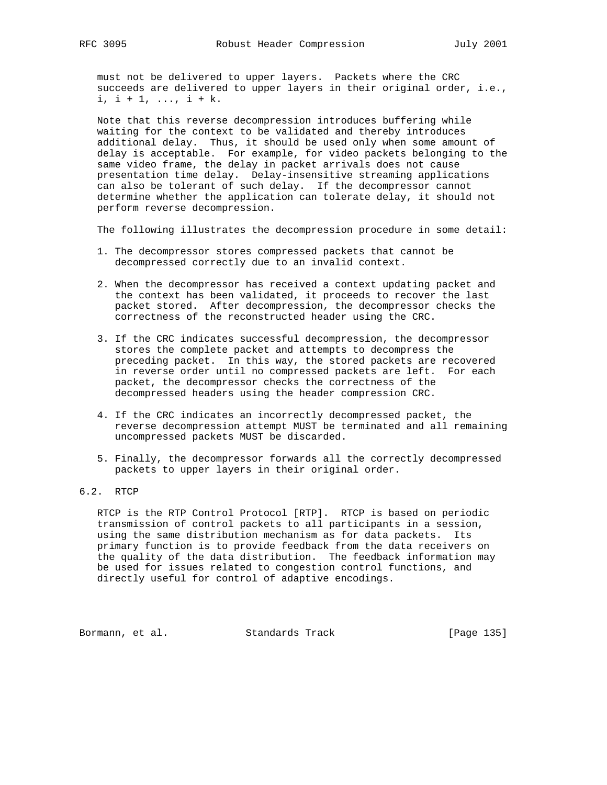must not be delivered to upper layers. Packets where the CRC succeeds are delivered to upper layers in their original order, i.e.,  $i, i + 1, \ldots, i + k.$ 

 Note that this reverse decompression introduces buffering while waiting for the context to be validated and thereby introduces additional delay. Thus, it should be used only when some amount of delay is acceptable. For example, for video packets belonging to the same video frame, the delay in packet arrivals does not cause presentation time delay. Delay-insensitive streaming applications can also be tolerant of such delay. If the decompressor cannot determine whether the application can tolerate delay, it should not perform reverse decompression.

The following illustrates the decompression procedure in some detail:

- 1. The decompressor stores compressed packets that cannot be decompressed correctly due to an invalid context.
- 2. When the decompressor has received a context updating packet and the context has been validated, it proceeds to recover the last packet stored. After decompression, the decompressor checks the correctness of the reconstructed header using the CRC.
- 3. If the CRC indicates successful decompression, the decompressor stores the complete packet and attempts to decompress the preceding packet. In this way, the stored packets are recovered in reverse order until no compressed packets are left. For each packet, the decompressor checks the correctness of the decompressed headers using the header compression CRC.
- 4. If the CRC indicates an incorrectly decompressed packet, the reverse decompression attempt MUST be terminated and all remaining uncompressed packets MUST be discarded.
- 5. Finally, the decompressor forwards all the correctly decompressed packets to upper layers in their original order.

# 6.2. RTCP

 RTCP is the RTP Control Protocol [RTP]. RTCP is based on periodic transmission of control packets to all participants in a session, using the same distribution mechanism as for data packets. Its primary function is to provide feedback from the data receivers on the quality of the data distribution. The feedback information may be used for issues related to congestion control functions, and directly useful for control of adaptive encodings.

Bormann, et al. Standards Track [Page 135]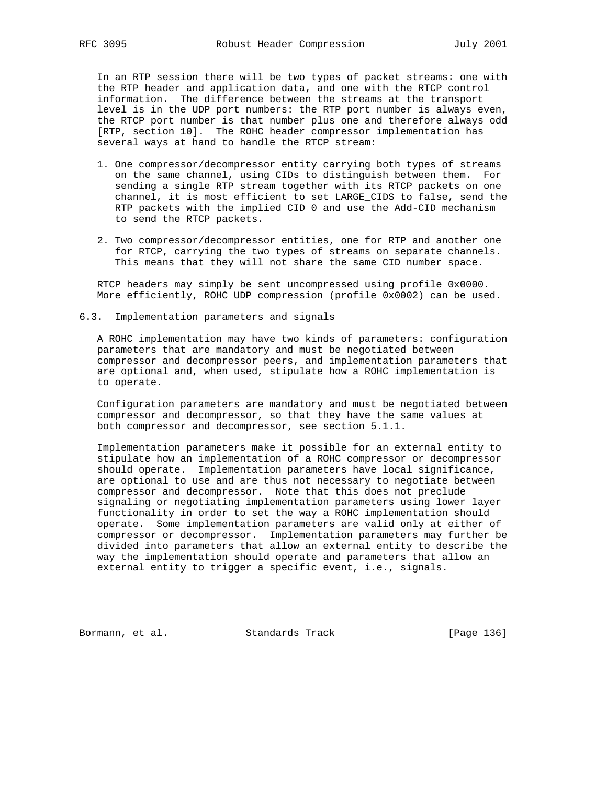In an RTP session there will be two types of packet streams: one with the RTP header and application data, and one with the RTCP control information. The difference between the streams at the transport level is in the UDP port numbers: the RTP port number is always even, the RTCP port number is that number plus one and therefore always odd [RTP, section 10]. The ROHC header compressor implementation has several ways at hand to handle the RTCP stream:

- 1. One compressor/decompressor entity carrying both types of streams on the same channel, using CIDs to distinguish between them. For sending a single RTP stream together with its RTCP packets on one channel, it is most efficient to set LARGE\_CIDS to false, send the RTP packets with the implied CID 0 and use the Add-CID mechanism to send the RTCP packets.
- 2. Two compressor/decompressor entities, one for RTP and another one for RTCP, carrying the two types of streams on separate channels. This means that they will not share the same CID number space.

 RTCP headers may simply be sent uncompressed using profile 0x0000. More efficiently, ROHC UDP compression (profile 0x0002) can be used.

6.3. Implementation parameters and signals

 A ROHC implementation may have two kinds of parameters: configuration parameters that are mandatory and must be negotiated between compressor and decompressor peers, and implementation parameters that are optional and, when used, stipulate how a ROHC implementation is to operate.

 Configuration parameters are mandatory and must be negotiated between compressor and decompressor, so that they have the same values at both compressor and decompressor, see section 5.1.1.

 Implementation parameters make it possible for an external entity to stipulate how an implementation of a ROHC compressor or decompressor should operate. Implementation parameters have local significance, are optional to use and are thus not necessary to negotiate between compressor and decompressor. Note that this does not preclude signaling or negotiating implementation parameters using lower layer functionality in order to set the way a ROHC implementation should operate. Some implementation parameters are valid only at either of compressor or decompressor. Implementation parameters may further be divided into parameters that allow an external entity to describe the way the implementation should operate and parameters that allow an external entity to trigger a specific event, i.e., signals.

Bormann, et al. Standards Track [Page 136]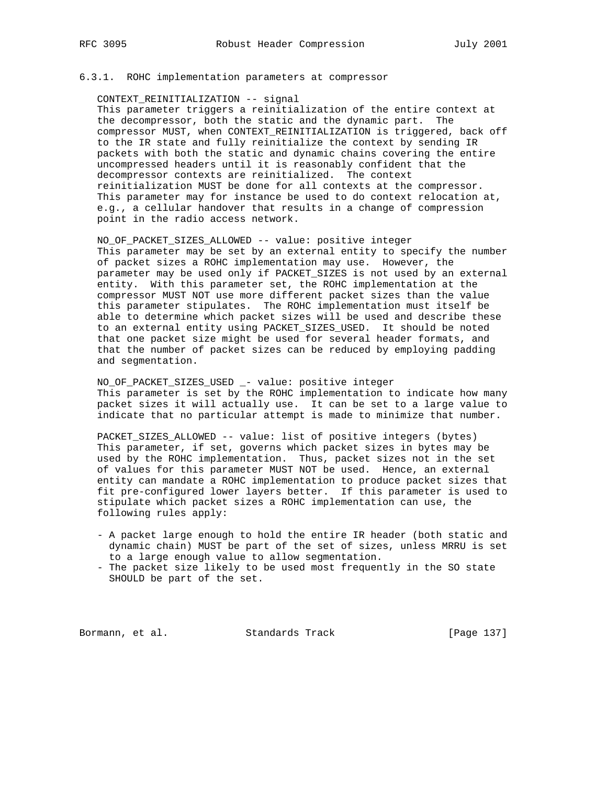#### 6.3.1. ROHC implementation parameters at compressor

CONTEXT\_REINITIALIZATION -- signal

 This parameter triggers a reinitialization of the entire context at the decompressor, both the static and the dynamic part. The compressor MUST, when CONTEXT\_REINITIALIZATION is triggered, back off to the IR state and fully reinitialize the context by sending IR packets with both the static and dynamic chains covering the entire uncompressed headers until it is reasonably confident that the decompressor contexts are reinitialized. The context reinitialization MUST be done for all contexts at the compressor. This parameter may for instance be used to do context relocation at, e.g., a cellular handover that results in a change of compression point in the radio access network.

 NO\_OF\_PACKET\_SIZES\_ALLOWED -- value: positive integer This parameter may be set by an external entity to specify the number of packet sizes a ROHC implementation may use. However, the parameter may be used only if PACKET\_SIZES is not used by an external entity. With this parameter set, the ROHC implementation at the compressor MUST NOT use more different packet sizes than the value this parameter stipulates. The ROHC implementation must itself be able to determine which packet sizes will be used and describe these to an external entity using PACKET\_SIZES\_USED. It should be noted that one packet size might be used for several header formats, and that the number of packet sizes can be reduced by employing padding and segmentation.

 NO\_OF\_PACKET\_SIZES\_USED \_- value: positive integer This parameter is set by the ROHC implementation to indicate how many packet sizes it will actually use. It can be set to a large value to indicate that no particular attempt is made to minimize that number.

 PACKET\_SIZES\_ALLOWED -- value: list of positive integers (bytes) This parameter, if set, governs which packet sizes in bytes may be used by the ROHC implementation. Thus, packet sizes not in the set of values for this parameter MUST NOT be used. Hence, an external entity can mandate a ROHC implementation to produce packet sizes that fit pre-configured lower layers better. If this parameter is used to stipulate which packet sizes a ROHC implementation can use, the following rules apply:

- A packet large enough to hold the entire IR header (both static and dynamic chain) MUST be part of the set of sizes, unless MRRU is set to a large enough value to allow segmentation.
- The packet size likely to be used most frequently in the SO state SHOULD be part of the set.

Bormann, et al. Standards Track [Page 137]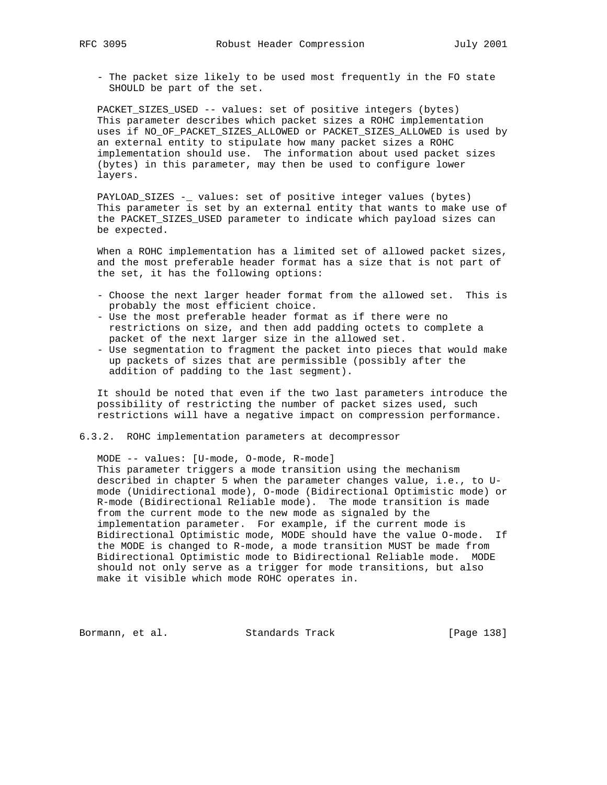- The packet size likely to be used most frequently in the FO state SHOULD be part of the set.

 PACKET\_SIZES\_USED -- values: set of positive integers (bytes) This parameter describes which packet sizes a ROHC implementation uses if NO\_OF\_PACKET\_SIZES\_ALLOWED or PACKET\_SIZES\_ALLOWED is used by an external entity to stipulate how many packet sizes a ROHC implementation should use. The information about used packet sizes (bytes) in this parameter, may then be used to configure lower layers.

 PAYLOAD\_SIZES -\_ values: set of positive integer values (bytes) This parameter is set by an external entity that wants to make use of the PACKET\_SIZES\_USED parameter to indicate which payload sizes can be expected.

 When a ROHC implementation has a limited set of allowed packet sizes, and the most preferable header format has a size that is not part of the set, it has the following options:

- Choose the next larger header format from the allowed set. This is probably the most efficient choice.
- Use the most preferable header format as if there were no restrictions on size, and then add padding octets to complete a packet of the next larger size in the allowed set.
- Use segmentation to fragment the packet into pieces that would make up packets of sizes that are permissible (possibly after the addition of padding to the last segment).

 It should be noted that even if the two last parameters introduce the possibility of restricting the number of packet sizes used, such restrictions will have a negative impact on compression performance.

# 6.3.2. ROHC implementation parameters at decompressor

 MODE -- values: [U-mode, O-mode, R-mode] This parameter triggers a mode transition using the mechanism described in chapter 5 when the parameter changes value, i.e., to U mode (Unidirectional mode), O-mode (Bidirectional Optimistic mode) or R-mode (Bidirectional Reliable mode). The mode transition is made from the current mode to the new mode as signaled by the implementation parameter. For example, if the current mode is Bidirectional Optimistic mode, MODE should have the value O-mode. If the MODE is changed to R-mode, a mode transition MUST be made from Bidirectional Optimistic mode to Bidirectional Reliable mode. MODE should not only serve as a trigger for mode transitions, but also make it visible which mode ROHC operates in.

Bormann, et al. Standards Track [Page 138]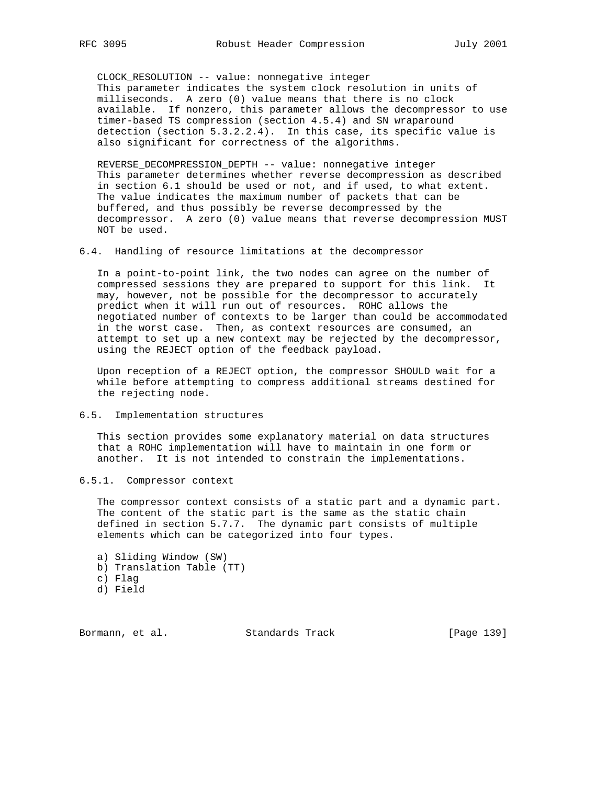CLOCK\_RESOLUTION -- value: nonnegative integer This parameter indicates the system clock resolution in units of milliseconds. A zero (0) value means that there is no clock available. If nonzero, this parameter allows the decompressor to use timer-based TS compression (section 4.5.4) and SN wraparound detection (section 5.3.2.2.4). In this case, its specific value is also significant for correctness of the algorithms.

 REVERSE\_DECOMPRESSION\_DEPTH -- value: nonnegative integer This parameter determines whether reverse decompression as described in section 6.1 should be used or not, and if used, to what extent. The value indicates the maximum number of packets that can be buffered, and thus possibly be reverse decompressed by the decompressor. A zero (0) value means that reverse decompression MUST NOT be used.

#### 6.4. Handling of resource limitations at the decompressor

 In a point-to-point link, the two nodes can agree on the number of compressed sessions they are prepared to support for this link. It may, however, not be possible for the decompressor to accurately predict when it will run out of resources. ROHC allows the negotiated number of contexts to be larger than could be accommodated in the worst case. Then, as context resources are consumed, an attempt to set up a new context may be rejected by the decompressor, using the REJECT option of the feedback payload.

 Upon reception of a REJECT option, the compressor SHOULD wait for a while before attempting to compress additional streams destined for the rejecting node.

6.5. Implementation structures

 This section provides some explanatory material on data structures that a ROHC implementation will have to maintain in one form or another. It is not intended to constrain the implementations.

6.5.1. Compressor context

 The compressor context consists of a static part and a dynamic part. The content of the static part is the same as the static chain defined in section 5.7.7. The dynamic part consists of multiple elements which can be categorized into four types.

- a) Sliding Window (SW)
- b) Translation Table (TT)
- c) Flag
- d) Field

Bormann, et al. Standards Track [Page 139]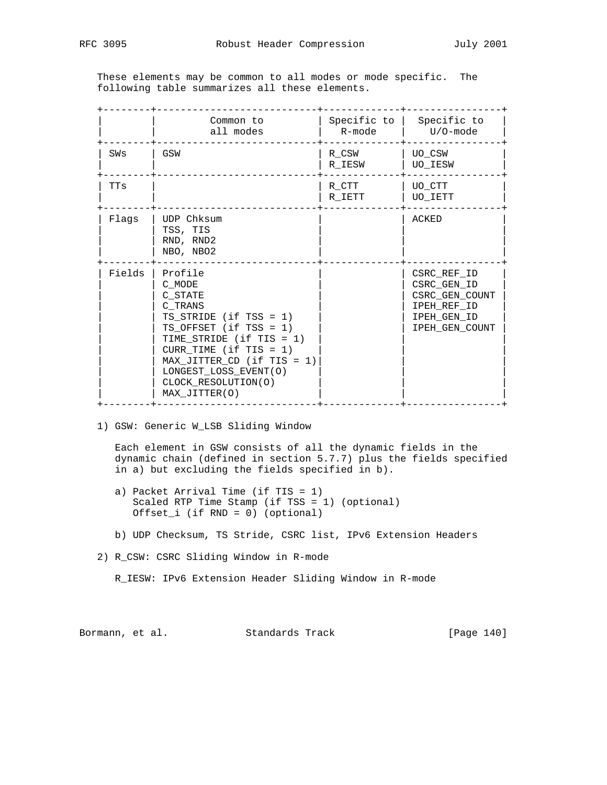These elements may be common to all modes or mode specific. The following table summarizes all these elements.

|        | Common to<br>all modes                                                                                                                                                                                                                                        | Specific to $ $<br>R-mode | Specific to<br>$U/O$ -mode                                                                   |
|--------|---------------------------------------------------------------------------------------------------------------------------------------------------------------------------------------------------------------------------------------------------------------|---------------------------|----------------------------------------------------------------------------------------------|
| SWs    | GSW                                                                                                                                                                                                                                                           | R CSW<br>R IESW           | UO CSW<br>UO IESW                                                                            |
| TTs    |                                                                                                                                                                                                                                                               | R CTT<br>R IETT           | UO CTT<br>UO IETT                                                                            |
| Flags  | UDP Chksum<br>TSS, TIS<br>RND, RND2<br>NBO, NBO2                                                                                                                                                                                                              |                           | ACKED                                                                                        |
| Fields | Profile<br>C MODE<br>C STATE<br>C TRANS<br>$TS\_STRIDE$ (if $TSS = 1$ )<br>TS OFFSET $(if TSS = 1)$<br>TIME_STRIDE (if TIS = 1)<br>CURR_TIME $(if TIS = 1)$<br>$MAX_JITTER\_CD$ (if TIS = 1)<br>LONGEST_LOSS_EVENT(O)<br>CLOCK RESOLUTION(O)<br>MAX_JITTER(O) |                           | CSRC REF ID<br>CSRC GEN ID<br>CSRC GEN COUNT<br>IPEH REF ID<br>IPEH GEN ID<br>IPEH GEN COUNT |

1) GSW: Generic W\_LSB Sliding Window

 Each element in GSW consists of all the dynamic fields in the dynamic chain (defined in section 5.7.7) plus the fields specified in a) but excluding the fields specified in b).

- a) Packet Arrival Time (if TIS = 1) Scaled RTP Time Stamp (if TSS = 1) (optional) Offset\_i (if RND = 0) (optional)
- b) UDP Checksum, TS Stride, CSRC list, IPv6 Extension Headers
- 2) R\_CSW: CSRC Sliding Window in R-mode

R\_IESW: IPv6 Extension Header Sliding Window in R-mode

Bormann, et al. Standards Track [Page 140]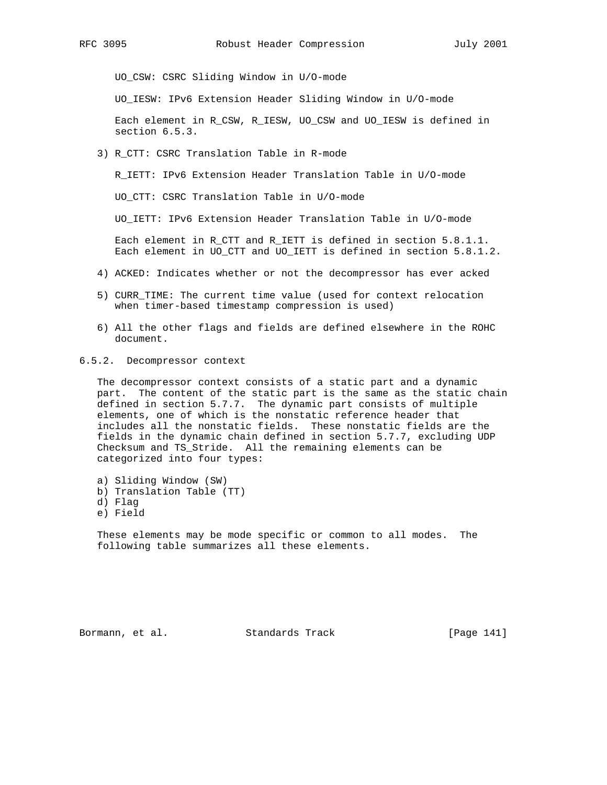UO\_CSW: CSRC Sliding Window in U/O-mode

UO\_IESW: IPv6 Extension Header Sliding Window in U/O-mode

 Each element in R\_CSW, R\_IESW, UO\_CSW and UO\_IESW is defined in section 6.5.3.

3) R\_CTT: CSRC Translation Table in R-mode

R\_IETT: IPv6 Extension Header Translation Table in U/O-mode

UO\_CTT: CSRC Translation Table in U/O-mode

UO\_IETT: IPv6 Extension Header Translation Table in U/O-mode

 Each element in R\_CTT and R\_IETT is defined in section 5.8.1.1. Each element in UO\_CTT and UO\_IETT is defined in section 5.8.1.2.

- 4) ACKED: Indicates whether or not the decompressor has ever acked
- 5) CURR\_TIME: The current time value (used for context relocation when timer-based timestamp compression is used)
- 6) All the other flags and fields are defined elsewhere in the ROHC document.
- 6.5.2. Decompressor context

 The decompressor context consists of a static part and a dynamic part. The content of the static part is the same as the static chain defined in section 5.7.7. The dynamic part consists of multiple elements, one of which is the nonstatic reference header that includes all the nonstatic fields. These nonstatic fields are the fields in the dynamic chain defined in section 5.7.7, excluding UDP Checksum and TS\_Stride. All the remaining elements can be categorized into four types:

- a) Sliding Window (SW)
- b) Translation Table (TT)
- d) Flag
- e) Field

 These elements may be mode specific or common to all modes. The following table summarizes all these elements.

Bormann, et al. Standards Track [Page 141]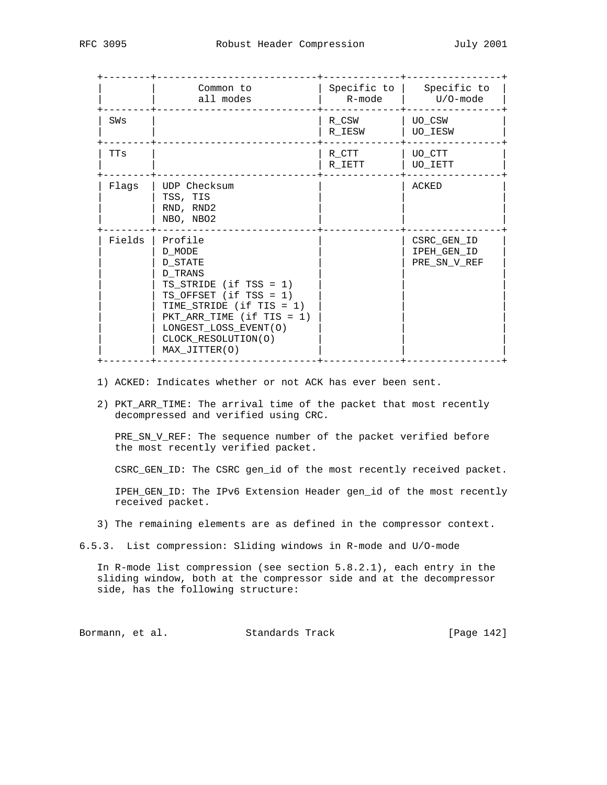|            | Common to<br>all modes                                                                                                                                                                                                         | Specific to $ $<br>R-mode | Specific to<br>U/O-mode                    |
|------------|--------------------------------------------------------------------------------------------------------------------------------------------------------------------------------------------------------------------------------|---------------------------|--------------------------------------------|
| SWs        |                                                                                                                                                                                                                                | R CSW<br>R IESW           | UO CSW<br><b>UO IESW</b>                   |
| <b>TTs</b> |                                                                                                                                                                                                                                | R CTT<br>R IETT           | UO CTT<br>UO IETT                          |
| Flaqs      | UDP Checksum<br>TSS, TIS<br>RND, RND2<br>NBO, NBO2                                                                                                                                                                             |                           | ACKED                                      |
| Fields     | Profile<br>D MODE<br>D STATE<br>D TRANS<br>TS STRIDE (if TSS = $1$ )<br>TS OFFSET $(if TSS = 1)$<br>TIME_STRIDE (if TIS = 1)<br>$PKT\_ARR\_TIME$ (if TIS = 1)<br>LONGEST_LOSS_EVENT(O)<br>CLOCK_RESOLUTION(O)<br>MAX_JITTER(O) |                           | CSRC GEN ID<br>IPEH GEN ID<br>PRE_SN_V_REF |

- 1) ACKED: Indicates whether or not ACK has ever been sent.
- 2) PKT\_ARR\_TIME: The arrival time of the packet that most recently decompressed and verified using CRC.

PRE\_SN\_V\_REF: The sequence number of the packet verified before the most recently verified packet.

CSRC\_GEN\_ID: The CSRC gen\_id of the most recently received packet.

 IPEH\_GEN\_ID: The IPv6 Extension Header gen\_id of the most recently received packet.

- 3) The remaining elements are as defined in the compressor context.
- 6.5.3. List compression: Sliding windows in R-mode and U/O-mode

 In R-mode list compression (see section 5.8.2.1), each entry in the sliding window, both at the compressor side and at the decompressor side, has the following structure:

Bormann, et al. Standards Track [Page 142]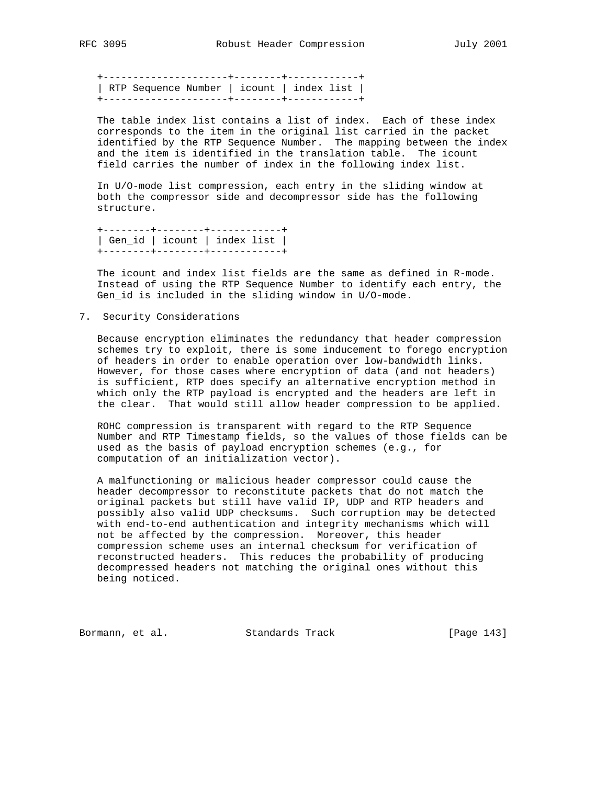+---------------------+--------+------------+ | RTP Sequence Number | icount | index list | +---------------------+--------+------------+

 The table index list contains a list of index. Each of these index corresponds to the item in the original list carried in the packet identified by the RTP Sequence Number. The mapping between the index and the item is identified in the translation table. The icount field carries the number of index in the following index list.

 In U/O-mode list compression, each entry in the sliding window at both the compressor side and decompressor side has the following structure.

 +--------+--------+------------+ | Gen\_id | icount | index list | +--------+--------+------------+

 The icount and index list fields are the same as defined in R-mode. Instead of using the RTP Sequence Number to identify each entry, the Gen\_id is included in the sliding window in U/O-mode.

7. Security Considerations

 Because encryption eliminates the redundancy that header compression schemes try to exploit, there is some inducement to forego encryption of headers in order to enable operation over low-bandwidth links. However, for those cases where encryption of data (and not headers) is sufficient, RTP does specify an alternative encryption method in which only the RTP payload is encrypted and the headers are left in the clear. That would still allow header compression to be applied.

 ROHC compression is transparent with regard to the RTP Sequence Number and RTP Timestamp fields, so the values of those fields can be used as the basis of payload encryption schemes (e.g., for computation of an initialization vector).

 A malfunctioning or malicious header compressor could cause the header decompressor to reconstitute packets that do not match the original packets but still have valid IP, UDP and RTP headers and possibly also valid UDP checksums. Such corruption may be detected with end-to-end authentication and integrity mechanisms which will not be affected by the compression. Moreover, this header compression scheme uses an internal checksum for verification of reconstructed headers. This reduces the probability of producing decompressed headers not matching the original ones without this being noticed.

Bormann, et al. Standards Track [Page 143]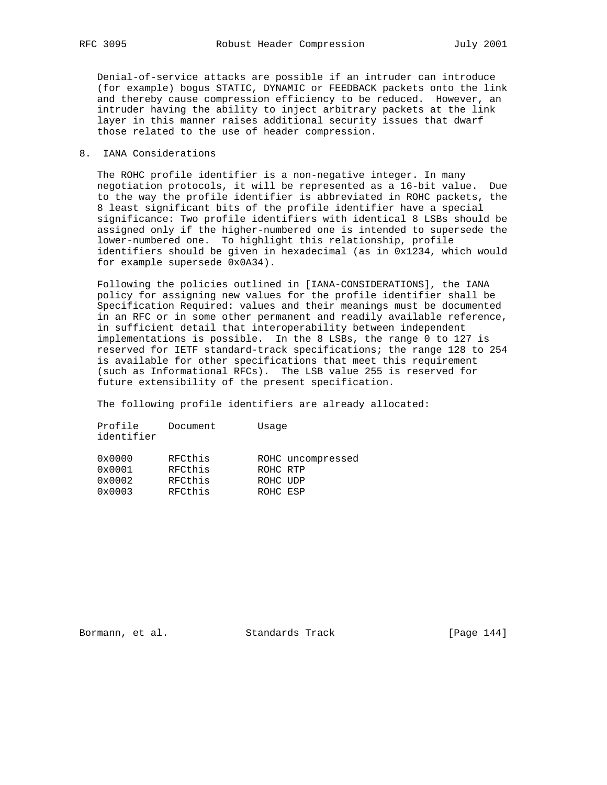Denial-of-service attacks are possible if an intruder can introduce (for example) bogus STATIC, DYNAMIC or FEEDBACK packets onto the link and thereby cause compression efficiency to be reduced. However, an intruder having the ability to inject arbitrary packets at the link layer in this manner raises additional security issues that dwarf those related to the use of header compression.

# 8. IANA Considerations

 The ROHC profile identifier is a non-negative integer. In many negotiation protocols, it will be represented as a 16-bit value. Due to the way the profile identifier is abbreviated in ROHC packets, the 8 least significant bits of the profile identifier have a special significance: Two profile identifiers with identical 8 LSBs should be assigned only if the higher-numbered one is intended to supersede the lower-numbered one. To highlight this relationship, profile identifiers should be given in hexadecimal (as in 0x1234, which would for example supersede 0x0A34).

 Following the policies outlined in [IANA-CONSIDERATIONS], the IANA policy for assigning new values for the profile identifier shall be Specification Required: values and their meanings must be documented in an RFC or in some other permanent and readily available reference, in sufficient detail that interoperability between independent implementations is possible. In the 8 LSBs, the range 0 to 127 is reserved for IETF standard-track specifications; the range 128 to 254 is available for other specifications that meet this requirement (such as Informational RFCs). The LSB value 255 is reserved for future extensibility of the present specification.

The following profile identifiers are already allocated:

| Profile<br>Document<br>identifier | Usage             |
|-----------------------------------|-------------------|
| RFCthis<br>$0 \times 0000$        | ROHC uncompressed |
| RFCthis<br>$0 \times 0001$        | ROHC RTP          |
| RFCthis<br>$0 \times 0002$        | ROHC UDP          |
| RFCthis<br>$0 \times 0003$        | ROHC ESP          |

Bormann, et al. Standards Track [Page 144]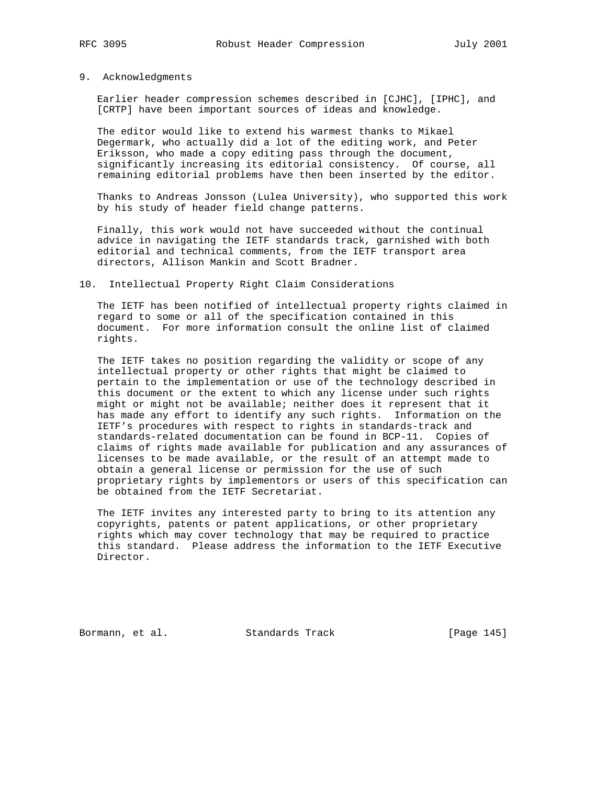# 9. Acknowledgments

 Earlier header compression schemes described in [CJHC], [IPHC], and [CRTP] have been important sources of ideas and knowledge.

 The editor would like to extend his warmest thanks to Mikael Degermark, who actually did a lot of the editing work, and Peter Eriksson, who made a copy editing pass through the document, significantly increasing its editorial consistency. Of course, all remaining editorial problems have then been inserted by the editor.

 Thanks to Andreas Jonsson (Lulea University), who supported this work by his study of header field change patterns.

 Finally, this work would not have succeeded without the continual advice in navigating the IETF standards track, garnished with both editorial and technical comments, from the IETF transport area directors, Allison Mankin and Scott Bradner.

### 10. Intellectual Property Right Claim Considerations

 The IETF has been notified of intellectual property rights claimed in regard to some or all of the specification contained in this document. For more information consult the online list of claimed rights.

 The IETF takes no position regarding the validity or scope of any intellectual property or other rights that might be claimed to pertain to the implementation or use of the technology described in this document or the extent to which any license under such rights might or might not be available; neither does it represent that it has made any effort to identify any such rights. Information on the IETF's procedures with respect to rights in standards-track and standards-related documentation can be found in BCP-11. Copies of claims of rights made available for publication and any assurances of licenses to be made available, or the result of an attempt made to obtain a general license or permission for the use of such proprietary rights by implementors or users of this specification can be obtained from the IETF Secretariat.

 The IETF invites any interested party to bring to its attention any copyrights, patents or patent applications, or other proprietary rights which may cover technology that may be required to practice this standard. Please address the information to the IETF Executive Director.

Bormann, et al. Standards Track [Page 145]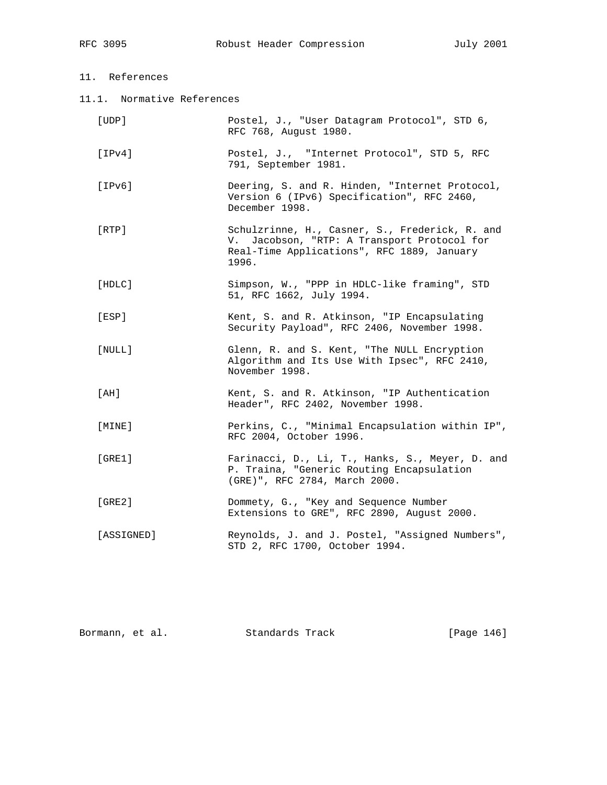11.1. Normative References

| [UDP]        | Postel, J., "User Datagram Protocol", STD 6,<br>RFC 768, August 1980.                                                                                |
|--------------|------------------------------------------------------------------------------------------------------------------------------------------------------|
| [IPv4]       | Postel, J., "Internet Protocol", STD 5, RFC<br>791, September 1981.                                                                                  |
| [IPv6]       | Deering, S. and R. Hinden, "Internet Protocol,<br>Version 6 (IPv6) Specification", RFC 2460,<br>December 1998.                                       |
| [RTP]        | Schulzrinne, H., Casner, S., Frederick, R. and<br>V. Jacobson, "RTP: A Transport Protocol for<br>Real-Time Applications", RFC 1889, January<br>1996. |
| [HDLC]       | Simpson, W., "PPP in HDLC-like framing", STD<br>51, RFC 1662, July 1994.                                                                             |
| [ESP]        | Kent, S. and R. Atkinson, "IP Encapsulating<br>Security Payload", RFC 2406, November 1998.                                                           |
| [NULL]       | Glenn, R. and S. Kent, "The NULL Encryption<br>Algorithm and Its Use With Ipsec", RFC 2410,<br>November 1998.                                        |
| [AH]         | Kent, S. and R. Atkinson, "IP Authentication<br>Header", RFC 2402, November 1998.                                                                    |
| $[$ MINE $]$ | Perkins, C., "Minimal Encapsulation within IP",<br>RFC 2004, October 1996.                                                                           |
| [GRE1]       | Farinacci, D., Li, T., Hanks, S., Meyer, D. and<br>P. Traina, "Generic Routing Encapsulation<br>(GRE)", RFC 2784, March 2000.                        |
| [GRE2]       | Dommety, G., "Key and Sequence Number<br>Extensions to GRE", RFC 2890, August 2000.                                                                  |
| [ASSIGNED]   | Reynolds, J. and J. Postel, "Assigned Numbers",<br>STD 2, RFC 1700, October 1994.                                                                    |
|              |                                                                                                                                                      |

| Standards Track<br>Bormann, et al. | [Page 146] |  |
|------------------------------------|------------|--|
|------------------------------------|------------|--|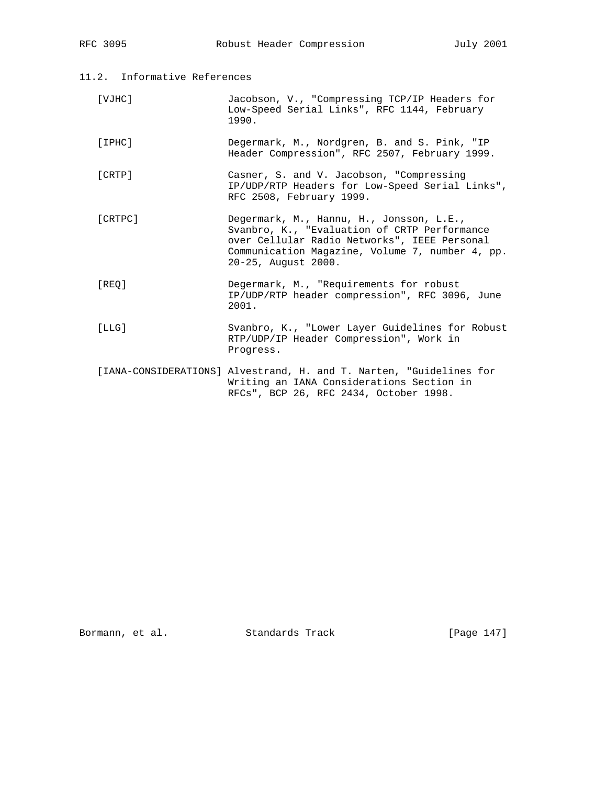| 11.2.<br>Informative References |  |
|---------------------------------|--|
|---------------------------------|--|

| [VJHC]  | Jacobson, V., "Compressing TCP/IP Headers for<br>Low-Speed Serial Links", RFC 1144, February<br>1990.                                                                                                              |
|---------|--------------------------------------------------------------------------------------------------------------------------------------------------------------------------------------------------------------------|
| [IPHC]  | Degermark, M., Nordgren, B. and S. Pink, "IP<br>Header Compression", RFC 2507, February 1999.                                                                                                                      |
| [CRTP]  | Casner, S. and V. Jacobson, "Compressing<br>IP/UDP/RTP Headers for Low-Speed Serial Links",<br>RFC 2508, February 1999.                                                                                            |
| [CRTPC] | Degermark, M., Hannu, H., Jonsson, L.E.,<br>Svanbro, K., "Evaluation of CRTP Performance<br>over Cellular Radio Networks", IEEE Personal<br>Communication Magazine, Volume 7, number 4, pp.<br>20-25, August 2000. |
| [REO]   | Degermark, M., "Requirements for robust<br>IP/UDP/RTP header compression", RFC 3096, June<br>2001.                                                                                                                 |
| [LLG]   | Svanbro, K., "Lower Layer Guidelines for Robust<br>RTP/UDP/IP Header Compression", Work in<br>Progress.                                                                                                            |
|         | [IANA-CONSIDERATIONS] Alvestrand, H. and T. Narten, "Guidelines for<br>Writing an IANA Considerations Section in<br>RFCs", BCP 26, RFC 2434, October 1998.                                                         |

Bormann, et al. Standards Track [Page 147]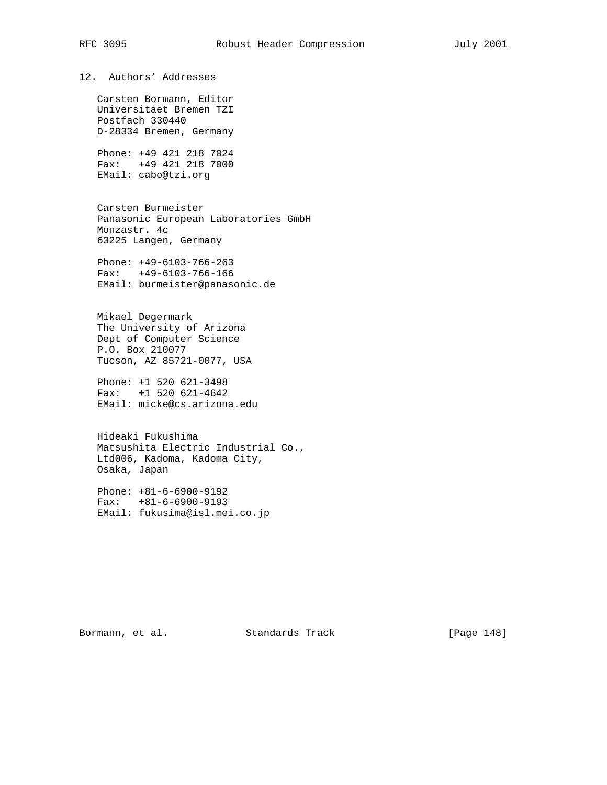12. Authors' Addresses

 Carsten Bormann, Editor Universitaet Bremen TZI Postfach 330440 D-28334 Bremen, Germany

 Phone: +49 421 218 7024 Fax: +49 421 218 7000 EMail: cabo@tzi.org

 Carsten Burmeister Panasonic European Laboratories GmbH Monzastr. 4c 63225 Langen, Germany

 Phone: +49-6103-766-263 Fax: +49-6103-766-166 EMail: burmeister@panasonic.de

 Mikael Degermark The University of Arizona Dept of Computer Science P.O. Box 210077 Tucson, AZ 85721-0077, USA

 Phone: +1 520 621-3498 Fax: +1 520 621-4642 EMail: micke@cs.arizona.edu

 Hideaki Fukushima Matsushita Electric Industrial Co., Ltd006, Kadoma, Kadoma City, Osaka, Japan

 Phone: +81-6-6900-9192 Fax: +81-6-6900-9193 EMail: fukusima@isl.mei.co.jp

Bormann, et al. Standards Track [Page 148]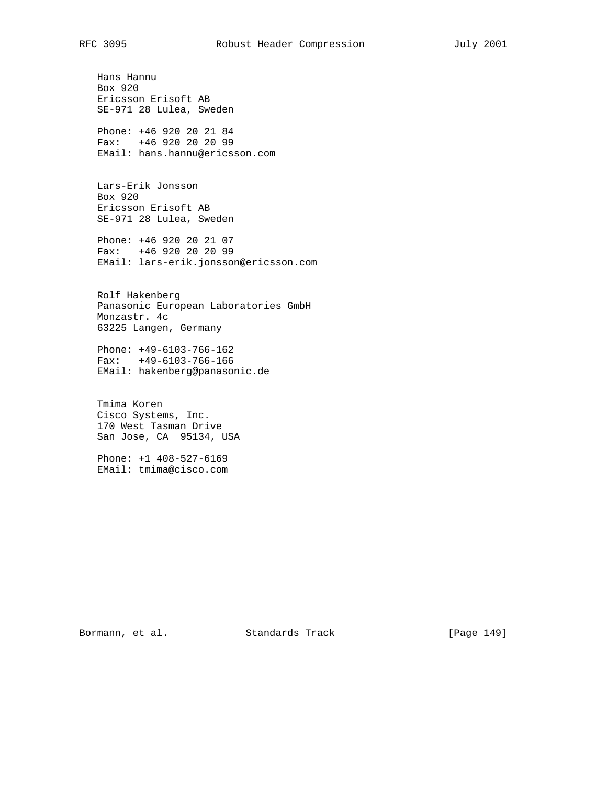Hans Hannu Box 920 Ericsson Erisoft AB SE-971 28 Lulea, Sweden Phone: +46 920 20 21 84

 Fax: +46 920 20 20 99 EMail: hans.hannu@ericsson.com

 Lars-Erik Jonsson Box 920 Ericsson Erisoft AB SE-971 28 Lulea, Sweden

 Phone: +46 920 20 21 07 Fax: +46 920 20 20 99 EMail: lars-erik.jonsson@ericsson.com

 Rolf Hakenberg Panasonic European Laboratories GmbH Monzastr. 4c 63225 Langen, Germany

 Phone: +49-6103-766-162 Fax: +49-6103-766-166 EMail: hakenberg@panasonic.de

 Tmima Koren Cisco Systems, Inc. 170 West Tasman Drive San Jose, CA 95134, USA

 Phone: +1 408-527-6169 EMail: tmima@cisco.com

Bormann, et al. Standards Track [Page 149]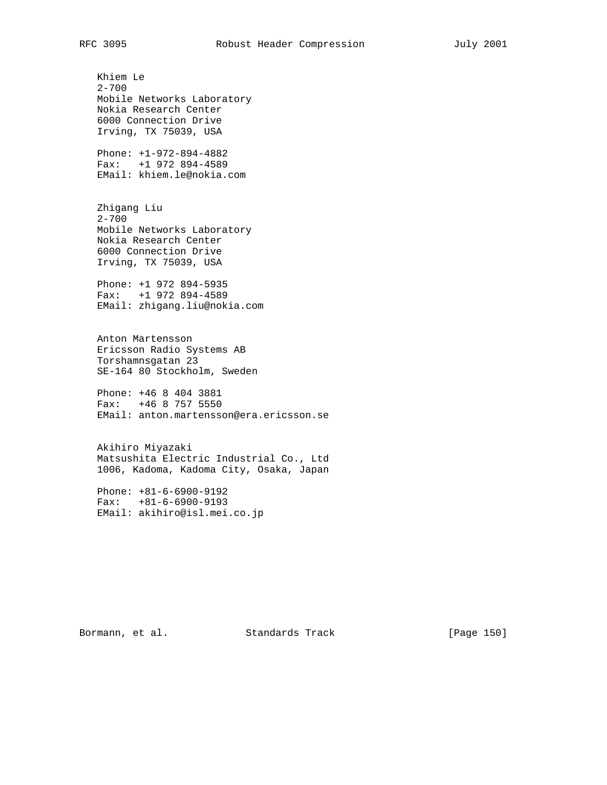Khiem Le 2-700 Mobile Networks Laboratory Nokia Research Center 6000 Connection Drive Irving, TX 75039, USA Phone: +1-972-894-4882 Fax: +1 972 894-4589 EMail: khiem.le@nokia.com

 Zhigang Liu 2-700 Mobile Networks Laboratory Nokia Research Center 6000 Connection Drive Irving, TX 75039, USA

 Phone: +1 972 894-5935 Fax: +1 972 894-4589 EMail: zhigang.liu@nokia.com

 Anton Martensson Ericsson Radio Systems AB Torshamnsgatan 23 SE-164 80 Stockholm, Sweden

 Phone: +46 8 404 3881 Fax: +46 8 757 5550 EMail: anton.martensson@era.ericsson.se

 Akihiro Miyazaki Matsushita Electric Industrial Co., Ltd 1006, Kadoma, Kadoma City, Osaka, Japan

 Phone: +81-6-6900-9192 Fax: +81-6-6900-9193 EMail: akihiro@isl.mei.co.jp

Bormann, et al. Standards Track [Page 150]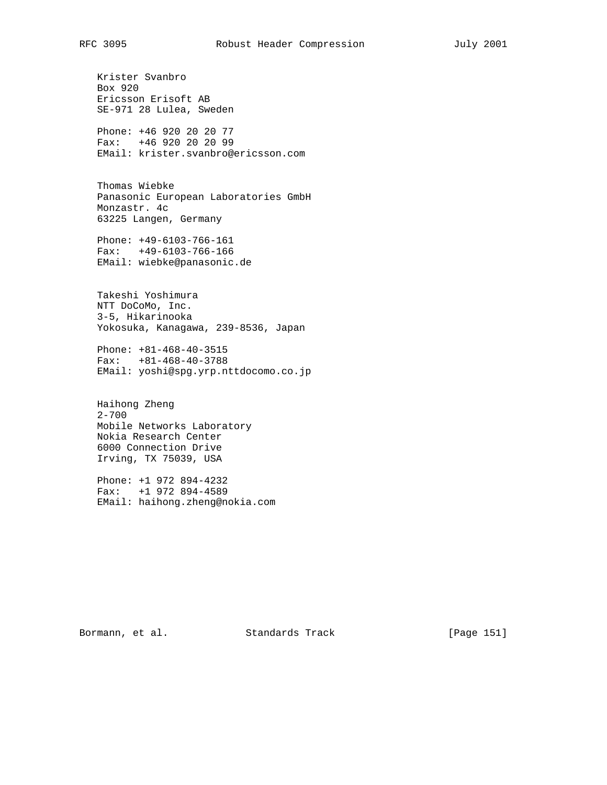Krister Svanbro Box 920 Ericsson Erisoft AB SE-971 28 Lulea, Sweden

 Phone: +46 920 20 20 77 Fax: +46 920 20 20 99 EMail: krister.svanbro@ericsson.com

 Thomas Wiebke Panasonic European Laboratories GmbH Monzastr. 4c 63225 Langen, Germany

 Phone: +49-6103-766-161 Fax: +49-6103-766-166 EMail: wiebke@panasonic.de

 Takeshi Yoshimura NTT DoCoMo, Inc. 3-5, Hikarinooka Yokosuka, Kanagawa, 239-8536, Japan

 Phone: +81-468-40-3515 Fax: +81-468-40-3788 EMail: yoshi@spg.yrp.nttdocomo.co.jp

 Haihong Zheng 2-700 Mobile Networks Laboratory Nokia Research Center 6000 Connection Drive Irving, TX 75039, USA

 Phone: +1 972 894-4232 Fax: +1 972 894-4589 EMail: haihong.zheng@nokia.com

Bormann, et al. Standards Track [Page 151]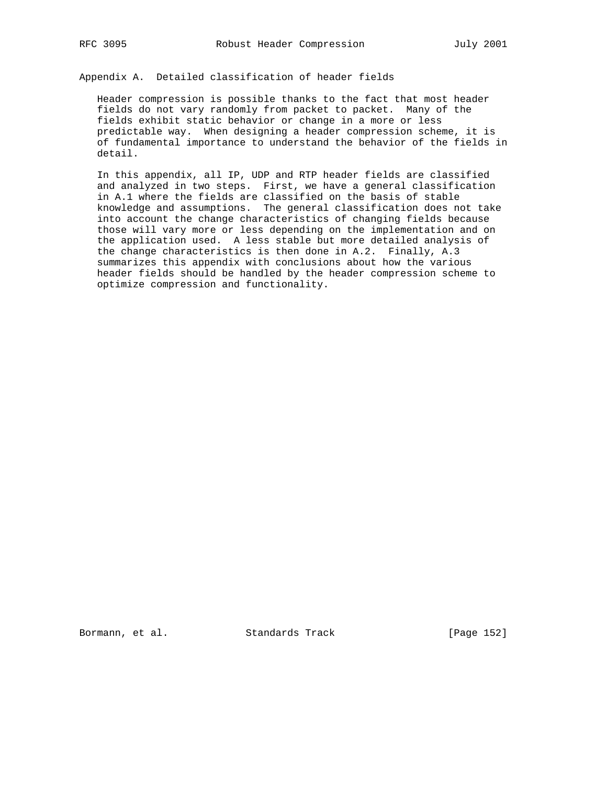Appendix A. Detailed classification of header fields

 Header compression is possible thanks to the fact that most header fields do not vary randomly from packet to packet. Many of the fields exhibit static behavior or change in a more or less predictable way. When designing a header compression scheme, it is of fundamental importance to understand the behavior of the fields in detail.

 In this appendix, all IP, UDP and RTP header fields are classified and analyzed in two steps. First, we have a general classification in A.1 where the fields are classified on the basis of stable knowledge and assumptions. The general classification does not take into account the change characteristics of changing fields because those will vary more or less depending on the implementation and on the application used. A less stable but more detailed analysis of the change characteristics is then done in A.2. Finally, A.3 summarizes this appendix with conclusions about how the various header fields should be handled by the header compression scheme to optimize compression and functionality.

Bormann, et al. Standards Track [Page 152]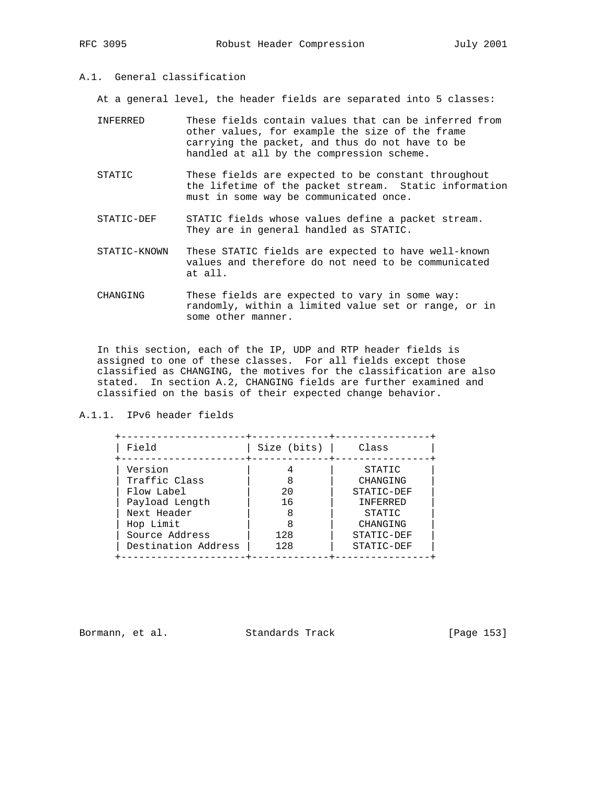# A.1. General classification

At a general level, the header fields are separated into 5 classes:

| TNFFRRED | These fields contain values that can be inferred from<br>other values, for example the size of the frame<br>carrying the packet, and thus do not have to be<br>handled at all by the compression scheme. |
|----------|----------------------------------------------------------------------------------------------------------------------------------------------------------------------------------------------------------|
| STATIC   | These fields are expected to be constant throughout<br>the lifetime of the packet stream. Static information                                                                                             |

- must in some way be communicated once. STATIC-DEF STATIC fields whose values define a packet stream.
- They are in general handled as STATIC.
- STATIC-KNOWN These STATIC fields are expected to have well-known values and therefore do not need to be communicated at all.
- CHANGING These fields are expected to vary in some way: randomly, within a limited value set or range, or in some other manner.

 In this section, each of the IP, UDP and RTP header fields is assigned to one of these classes. For all fields except those classified as CHANGING, the motives for the classification are also stated. In section A.2, CHANGING fields are further examined and classified on the basis of their expected change behavior.

## A.1.1. IPv6 header fields

| Field               | Size $(bits)$ | Class      |
|---------------------|---------------|------------|
| Version             |               | STATIC     |
| Traffic Class       | 8             | CHANGING   |
| Flow Label          | 20            | STATIC-DEF |
| Payload Length      | 16            | INFERRED   |
| Next Header         | 8             | STATIC     |
| Hop Limit           |               | CHANGING   |
| Source Address      | 128           | STATIC-DEF |
| Destination Address | 128           | STATIC-DEF |

Bormann, et al. Standards Track [Page 153]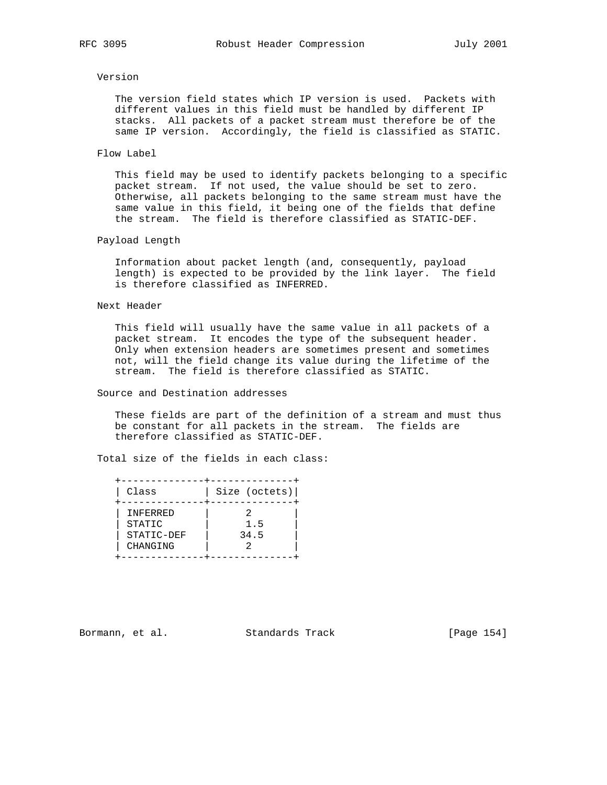## Version

 The version field states which IP version is used. Packets with different values in this field must be handled by different IP stacks. All packets of a packet stream must therefore be of the same IP version. Accordingly, the field is classified as STATIC.

## Flow Label

 This field may be used to identify packets belonging to a specific packet stream. If not used, the value should be set to zero. Otherwise, all packets belonging to the same stream must have the same value in this field, it being one of the fields that define the stream. The field is therefore classified as STATIC-DEF.

Payload Length

 Information about packet length (and, consequently, payload length) is expected to be provided by the link layer. The field is therefore classified as INFERRED.

## Next Header

 This field will usually have the same value in all packets of a packet stream. It encodes the type of the subsequent header. Only when extension headers are sometimes present and sometimes not, will the field change its value during the lifetime of the stream. The field is therefore classified as STATIC.

Source and Destination addresses

 These fields are part of the definition of a stream and must thus be constant for all packets in the stream. The fields are therefore classified as STATIC-DEF.

Total size of the fields in each class:

| Class                                        | Size (octets) |
|----------------------------------------------|---------------|
| INFERRED<br>STATIC<br>STATIC-DEF<br>CHANGING | 1.5<br>34.5   |

Bormann, et al. Standards Track [Page 154]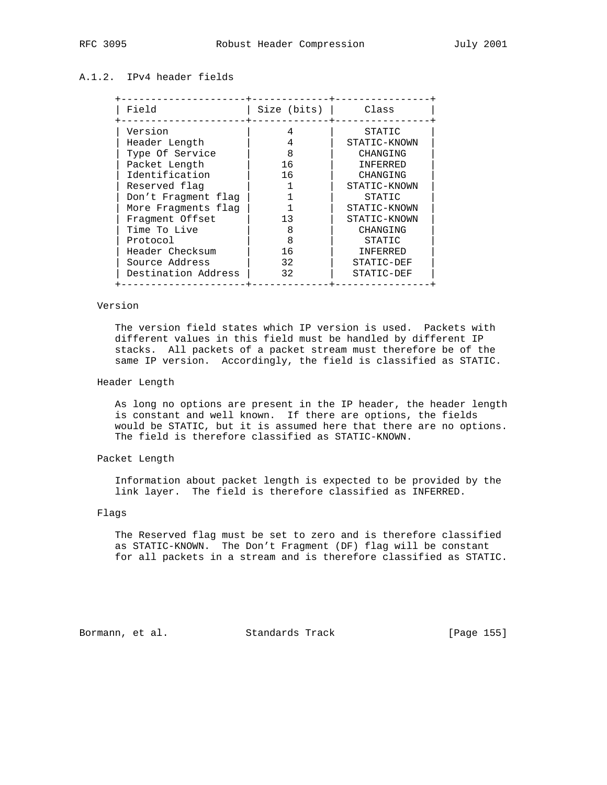# A.1.2. IPv4 header fields

| Field               | Size (bits) | Class        |
|---------------------|-------------|--------------|
| Version             | 4           | STATIC       |
| Header Length       | 4           | STATIC-KNOWN |
| Type Of Service     | 8           | CHANGING     |
| Packet Length       | 16          | INFERRED     |
| Identification      | 16          | CHANGING     |
| Reserved flag       |             | STATIC-KNOWN |
| Don't Fragment flag |             | STATIC       |
| More Fragments flag |             | STATIC-KNOWN |
| Fragment Offset     | 13          | STATIC-KNOWN |
| Time To Live        | 8           | CHANGING     |
| Protocol            | 8           | STATIC       |
| Header Checksum     | 16          | INFERRED     |
| Source Address      | 32          | STATIC-DEF   |
| Destination Address | 32          | STATIC-DEF   |

## Version

 The version field states which IP version is used. Packets with different values in this field must be handled by different IP stacks. All packets of a packet stream must therefore be of the same IP version. Accordingly, the field is classified as STATIC.

## Header Length

 As long no options are present in the IP header, the header length is constant and well known. If there are options, the fields would be STATIC, but it is assumed here that there are no options. The field is therefore classified as STATIC-KNOWN.

## Packet Length

 Information about packet length is expected to be provided by the link layer. The field is therefore classified as INFERRED.

# Flags

 The Reserved flag must be set to zero and is therefore classified as STATIC-KNOWN. The Don't Fragment (DF) flag will be constant for all packets in a stream and is therefore classified as STATIC.

Bormann, et al. Standards Track [Page 155]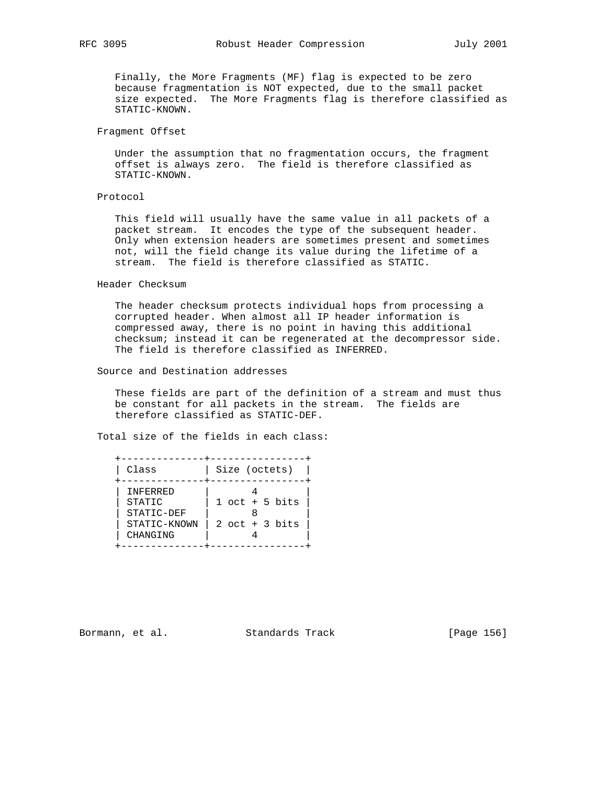Finally, the More Fragments (MF) flag is expected to be zero because fragmentation is NOT expected, due to the small packet size expected. The More Fragments flag is therefore classified as STATIC-KNOWN.

Fragment Offset

 Under the assumption that no fragmentation occurs, the fragment offset is always zero. The field is therefore classified as STATIC-KNOWN.

## Protocol

 This field will usually have the same value in all packets of a packet stream. It encodes the type of the subsequent header. Only when extension headers are sometimes present and sometimes not, will the field change its value during the lifetime of a stream. The field is therefore classified as STATIC.

Header Checksum

 The header checksum protects individual hops from processing a corrupted header. When almost all IP header information is compressed away, there is no point in having this additional checksum; instead it can be regenerated at the decompressor side. The field is therefore classified as INFERRED.

## Source and Destination addresses

 These fields are part of the definition of a stream and must thus be constant for all packets in the stream. The fields are therefore classified as STATIC-DEF.

Total size of the fields in each class:

 +--------------+----------------+ | Class | Size (octets) | +--------------+----------------+ | INFERRED | 4<br>| STATIC | 1 oct + 5 | STATIC | 1 oct + 5 bits | | STATIC-DEF | 8 | | STATIC-KNOWN | 2 oct + 3 bits | | CHANGING | 4 +--------------+----------------+

Bormann, et al. Standards Track [Page 156]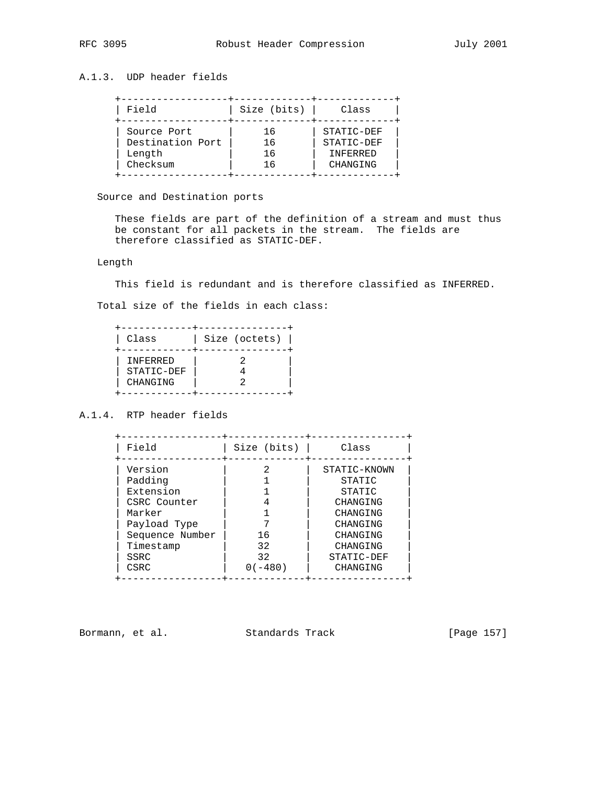# A.1.3. UDP header fields

| Field            | Size (bits) | Class      |
|------------------|-------------|------------|
| Source Port      | 16          | STATIC-DEF |
| Destination Port | 16          | STATIC-DEF |
| Length           | 16          | INFERRED   |
| Checksum         | 16          | CHANGING   |

# Source and Destination ports

 These fields are part of the definition of a stream and must thus be constant for all packets in the stream. The fields are therefore classified as STATIC-DEF.

# Length

This field is redundant and is therefore classified as INFERRED.

Total size of the fields in each class:

| Class                              | Size (octets) |
|------------------------------------|---------------|
| INFERRED<br>STATIC-DEF<br>CHANGING |               |

# A.1.4. RTP header fields

| Field           | Size (bits) | Class        |
|-----------------|-------------|--------------|
| Version         |             | STATIC-KNOWN |
| Padding         |             | STATIC       |
| Extension       |             | STATIC       |
| CSRC Counter    |             | CHANGING     |
| Marker          |             | CHANGING     |
| Payload Type    |             | CHANGING     |
| Sequence Number | 16          | CHANGING     |
| Timestamp       | 32          | CHANGING     |
| SSRC            | 32          | STATIC-DEF   |
| CSRC            | $0(-480)$   | CHANGING     |

Bormann, et al. Standards Track [Page 157]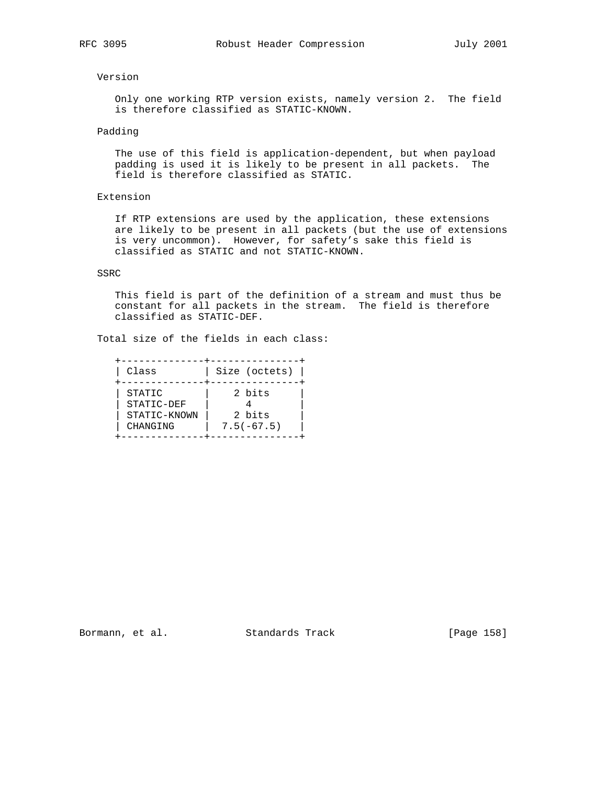## Version

 Only one working RTP version exists, namely version 2. The field is therefore classified as STATIC-KNOWN.

## Padding

 The use of this field is application-dependent, but when payload padding is used it is likely to be present in all packets. The field is therefore classified as STATIC.

# Extension

 If RTP extensions are used by the application, these extensions are likely to be present in all packets (but the use of extensions is very uncommon). However, for safety's sake this field is classified as STATIC and not STATIC-KNOWN.

## SSRC

 This field is part of the definition of a stream and must thus be constant for all packets in the stream. The field is therefore classified as STATIC-DEF.

Total size of the fields in each class:

| Class                                            | Size (octets)                    |
|--------------------------------------------------|----------------------------------|
| STATIC<br>STATIC-DEF<br>STATIC-KNOWN<br>CHANGING | 2 bits<br>2 bits<br>$7.5(-67.5)$ |

Bormann, et al. Standards Track [Page 158]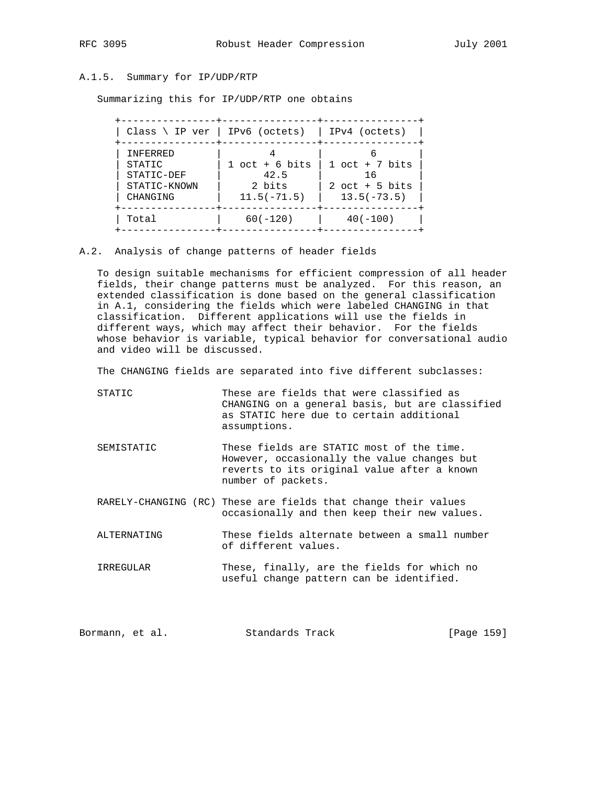# A.1.5. Summary for IP/UDP/RTP

Summarizing this for IP/UDP/RTP one obtains

| Class $\backslash$ IP ver   IPv6 (octets)                    |                                                     | IPv4 (octets)                                               |
|--------------------------------------------------------------|-----------------------------------------------------|-------------------------------------------------------------|
| INFERRED<br>STATIC<br>STATIC-DEF<br>STATIC-KNOWN<br>CHANGING | $1$ oct + 6 bits<br>42.5<br>2 bits<br>$11.5(-71.5)$ | $1$ oct + 7 bits<br>16<br>$2$ oct + 5 bits<br>$13.5(-73.5)$ |
| Total                                                        | $60(-120)$                                          | $40(-100)$                                                  |

A.2. Analysis of change patterns of header fields

 To design suitable mechanisms for efficient compression of all header fields, their change patterns must be analyzed. For this reason, an extended classification is done based on the general classification in A.1, considering the fields which were labeled CHANGING in that classification. Different applications will use the fields in different ways, which may affect their behavior. For the fields whose behavior is variable, typical behavior for conversational audio and video will be discussed.

The CHANGING fields are separated into five different subclasses:

- STATIC These are fields that were classified as CHANGING on a general basis, but are classified as STATIC here due to certain additional assumptions.
- SEMISTATIC These fields are STATIC most of the time. However, occasionally the value changes but reverts to its original value after a known number of packets.
- RARELY-CHANGING (RC) These are fields that change their values occasionally and then keep their new values.
- ALTERNATING These fields alternate between a small number of different values.
- IRREGULAR These, finally, are the fields for which no useful change pattern can be identified.

| Standards Track<br>Bormann, et al. | [Page 159] |  |  |
|------------------------------------|------------|--|--|
|------------------------------------|------------|--|--|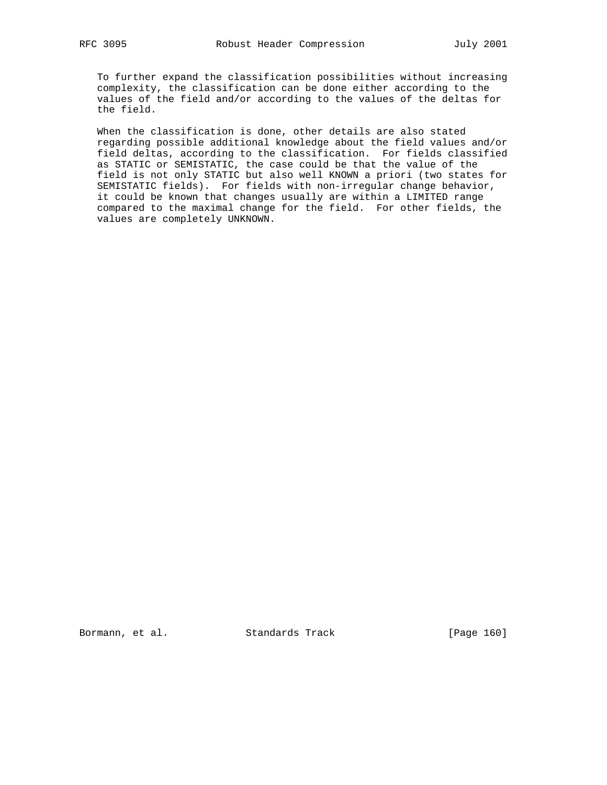To further expand the classification possibilities without increasing complexity, the classification can be done either according to the values of the field and/or according to the values of the deltas for the field.

 When the classification is done, other details are also stated regarding possible additional knowledge about the field values and/or field deltas, according to the classification. For fields classified as STATIC or SEMISTATIC, the case could be that the value of the field is not only STATIC but also well KNOWN a priori (two states for SEMISTATIC fields). For fields with non-irregular change behavior, it could be known that changes usually are within a LIMITED range compared to the maximal change for the field. For other fields, the values are completely UNKNOWN.

Bormann, et al. Standards Track [Page 160]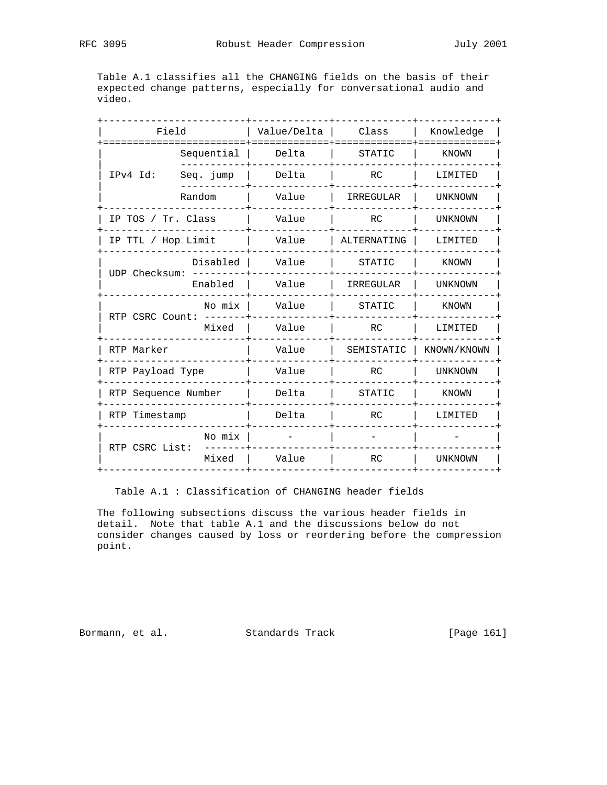Table A.1 classifies all the CHANGING fields on the basis of their expected change patterns, especially for conversational audio and video.

| Field                    |            | Value/Delta | Class       | Knowledge      |
|--------------------------|------------|-------------|-------------|----------------|
| ------------<br>IPv4 Id: | Sequential | Delta       | STATIC      | KNOWN          |
|                          | Seq. jump  | Delta       | RC          | LIMITED        |
|                          | Random     | Value       | IRREGULAR   | UNKNOWN        |
| IP TOS / Tr. Class       |            | Value       | RC          | <b>UNKNOWN</b> |
| IP TTL / Hop Limit       |            | Value       | ALTERNATING | LIMITED        |
| UDP Checksum:            | Disabled   | Value       | STATIC      | KNOWN          |
|                          | Enabled    | Value       | IRREGULAR   | UNKNOWN        |
| RTP CSRC Count:          | No mix     | Value       | STATIC      | KNOWN          |
|                          | Mixed      | Value       | RC          | LIMITED        |
| RTP Marker               |            | Value       | SEMISTATIC  | KNOWN/KNOWN    |
| RTP Payload Type         |            | Value       | RC          | UNKNOWN        |
| RTP Sequence Number      |            | Delta       | STATIC      | KNOWN          |
| RTP Timestamp            |            | Delta       | RC          | LIMITED        |
| RTP CSRC List:           | No mix     |             |             |                |
|                          | Mixed      | Value       | <b>RC</b>   | UNKNOWN        |
|                          |            |             |             |                |

Table A.1 : Classification of CHANGING header fields

 The following subsections discuss the various header fields in detail. Note that table A.1 and the discussions below do not consider changes caused by loss or reordering before the compression point.

Bormann, et al. Standards Track [Page 161]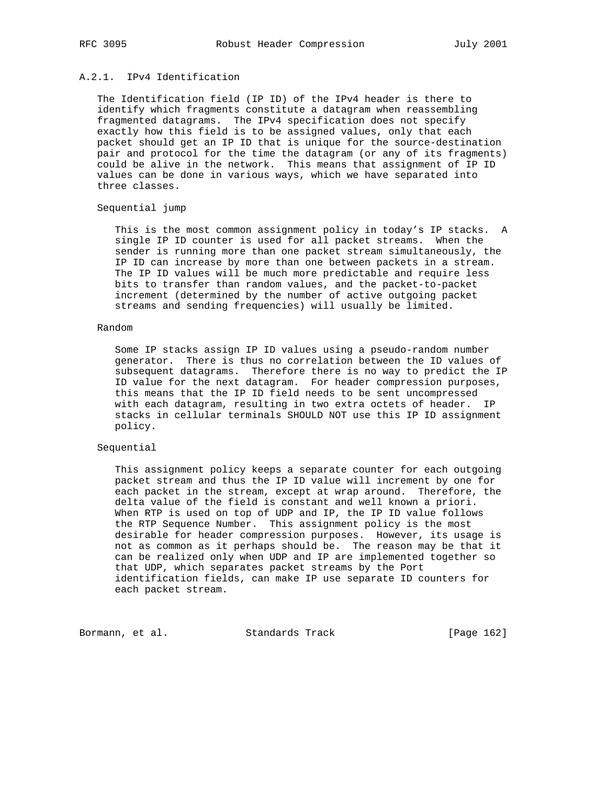# A.2.1. IPv4 Identification

 The Identification field (IP ID) of the IPv4 header is there to identify which fragments constitute a datagram when reassembling fragmented datagrams. The IPv4 specification does not specify exactly how this field is to be assigned values, only that each packet should get an IP ID that is unique for the source-destination pair and protocol for the time the datagram (or any of its fragments) could be alive in the network. This means that assignment of IP ID values can be done in various ways, which we have separated into three classes.

## Sequential jump

 This is the most common assignment policy in today's IP stacks. A single IP ID counter is used for all packet streams. When the sender is running more than one packet stream simultaneously, the IP ID can increase by more than one between packets in a stream. The IP ID values will be much more predictable and require less bits to transfer than random values, and the packet-to-packet increment (determined by the number of active outgoing packet streams and sending frequencies) will usually be limited.

## Random

 Some IP stacks assign IP ID values using a pseudo-random number generator. There is thus no correlation between the ID values of subsequent datagrams. Therefore there is no way to predict the IP ID value for the next datagram. For header compression purposes, this means that the IP ID field needs to be sent uncompressed with each datagram, resulting in two extra octets of header. IP stacks in cellular terminals SHOULD NOT use this IP ID assignment policy.

## Sequential

 This assignment policy keeps a separate counter for each outgoing packet stream and thus the IP ID value will increment by one for each packet in the stream, except at wrap around. Therefore, the delta value of the field is constant and well known a priori. When RTP is used on top of UDP and IP, the IP ID value follows the RTP Sequence Number. This assignment policy is the most desirable for header compression purposes. However, its usage is not as common as it perhaps should be. The reason may be that it can be realized only when UDP and IP are implemented together so that UDP, which separates packet streams by the Port identification fields, can make IP use separate ID counters for each packet stream.

Bormann, et al. Standards Track [Page 162]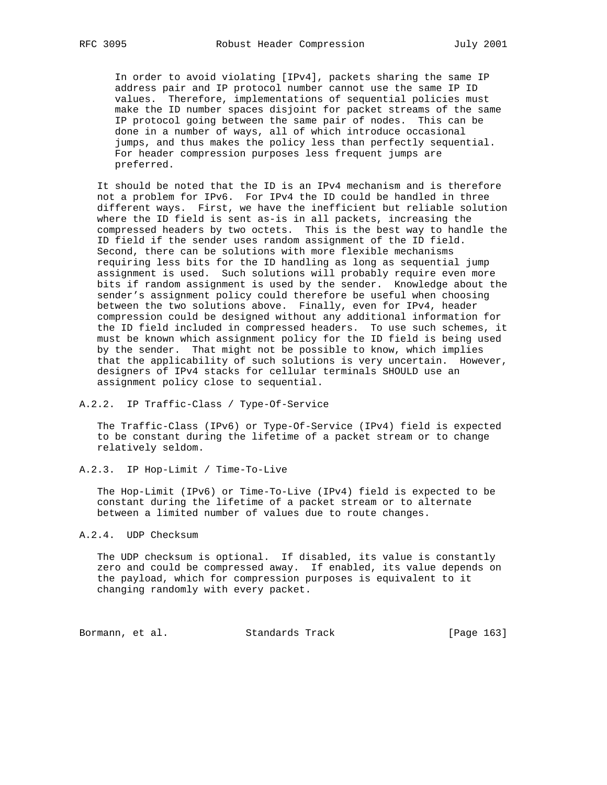In order to avoid violating [IPv4], packets sharing the same IP address pair and IP protocol number cannot use the same IP ID values. Therefore, implementations of sequential policies must make the ID number spaces disjoint for packet streams of the same IP protocol going between the same pair of nodes. This can be done in a number of ways, all of which introduce occasional jumps, and thus makes the policy less than perfectly sequential. For header compression purposes less frequent jumps are preferred.

 It should be noted that the ID is an IPv4 mechanism and is therefore not a problem for IPv6. For IPv4 the ID could be handled in three different ways. First, we have the inefficient but reliable solution where the ID field is sent as-is in all packets, increasing the compressed headers by two octets. This is the best way to handle the ID field if the sender uses random assignment of the ID field. Second, there can be solutions with more flexible mechanisms requiring less bits for the ID handling as long as sequential jump assignment is used. Such solutions will probably require even more bits if random assignment is used by the sender. Knowledge about the sender's assignment policy could therefore be useful when choosing between the two solutions above. Finally, even for IPv4, header compression could be designed without any additional information for the ID field included in compressed headers. To use such schemes, it must be known which assignment policy for the ID field is being used by the sender. That might not be possible to know, which implies that the applicability of such solutions is very uncertain. However, designers of IPv4 stacks for cellular terminals SHOULD use an assignment policy close to sequential.

## A.2.2. IP Traffic-Class / Type-Of-Service

 The Traffic-Class (IPv6) or Type-Of-Service (IPv4) field is expected to be constant during the lifetime of a packet stream or to change relatively seldom.

## A.2.3. IP Hop-Limit / Time-To-Live

 The Hop-Limit (IPv6) or Time-To-Live (IPv4) field is expected to be constant during the lifetime of a packet stream or to alternate between a limited number of values due to route changes.

## A.2.4. UDP Checksum

 The UDP checksum is optional. If disabled, its value is constantly zero and could be compressed away. If enabled, its value depends on the payload, which for compression purposes is equivalent to it changing randomly with every packet.

Bormann, et al. Standards Track [Page 163]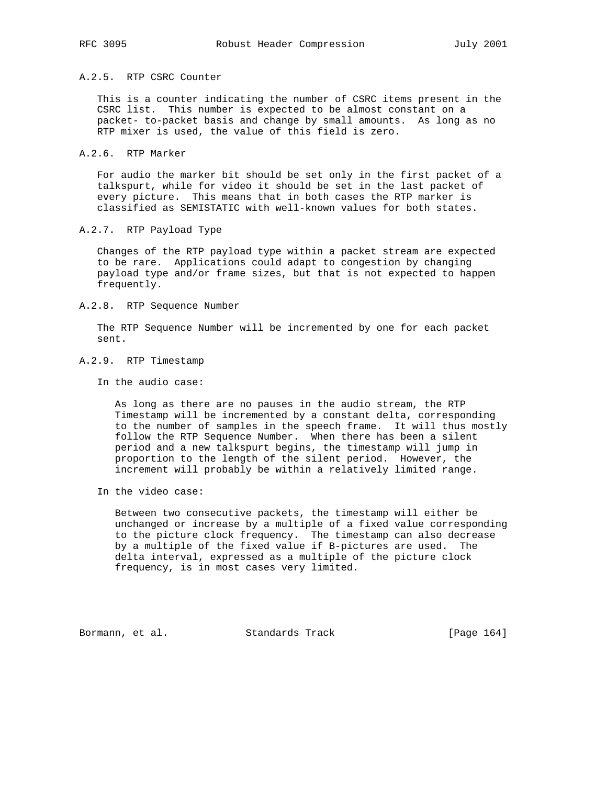## A.2.5. RTP CSRC Counter

 This is a counter indicating the number of CSRC items present in the CSRC list. This number is expected to be almost constant on a packet- to-packet basis and change by small amounts. As long as no RTP mixer is used, the value of this field is zero.

## A.2.6. RTP Marker

 For audio the marker bit should be set only in the first packet of a talkspurt, while for video it should be set in the last packet of every picture. This means that in both cases the RTP marker is classified as SEMISTATIC with well-known values for both states.

## A.2.7. RTP Payload Type

 Changes of the RTP payload type within a packet stream are expected to be rare. Applications could adapt to congestion by changing payload type and/or frame sizes, but that is not expected to happen frequently.

## A.2.8. RTP Sequence Number

 The RTP Sequence Number will be incremented by one for each packet sent.

## A.2.9. RTP Timestamp

In the audio case:

 As long as there are no pauses in the audio stream, the RTP Timestamp will be incremented by a constant delta, corresponding to the number of samples in the speech frame. It will thus mostly follow the RTP Sequence Number. When there has been a silent period and a new talkspurt begins, the timestamp will jump in proportion to the length of the silent period. However, the increment will probably be within a relatively limited range.

In the video case:

 Between two consecutive packets, the timestamp will either be unchanged or increase by a multiple of a fixed value corresponding to the picture clock frequency. The timestamp can also decrease by a multiple of the fixed value if B-pictures are used. The delta interval, expressed as a multiple of the picture clock frequency, is in most cases very limited.

Bormann, et al. Standards Track [Page 164]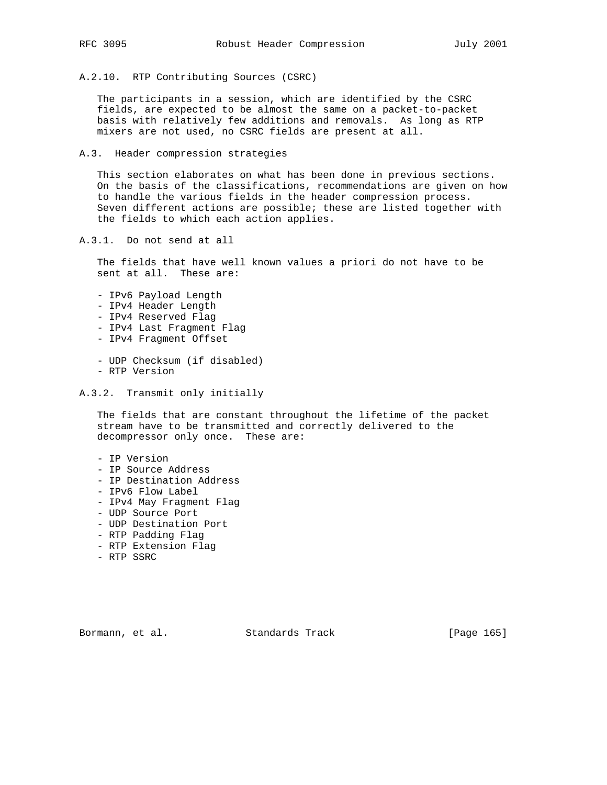A.2.10. RTP Contributing Sources (CSRC)

 The participants in a session, which are identified by the CSRC fields, are expected to be almost the same on a packet-to-packet basis with relatively few additions and removals. As long as RTP mixers are not used, no CSRC fields are present at all.

A.3. Header compression strategies

 This section elaborates on what has been done in previous sections. On the basis of the classifications, recommendations are given on how to handle the various fields in the header compression process. Seven different actions are possible; these are listed together with the fields to which each action applies.

A.3.1. Do not send at all

 The fields that have well known values a priori do not have to be sent at all. These are:

- IPv6 Payload Length
- IPv4 Header Length
- IPv4 Reserved Flag
- IPv4 Last Fragment Flag
- IPv4 Fragment Offset
- UDP Checksum (if disabled)
- RTP Version
- A.3.2. Transmit only initially

 The fields that are constant throughout the lifetime of the packet stream have to be transmitted and correctly delivered to the decompressor only once. These are:

- IP Version
- IP Source Address
- IP Destination Address
- IPv6 Flow Label
- IPv4 May Fragment Flag
- UDP Source Port
- UDP Destination Port
- RTP Padding Flag
- RTP Extension Flag
- RTP SSRC

Bormann, et al. Standards Track [Page 165]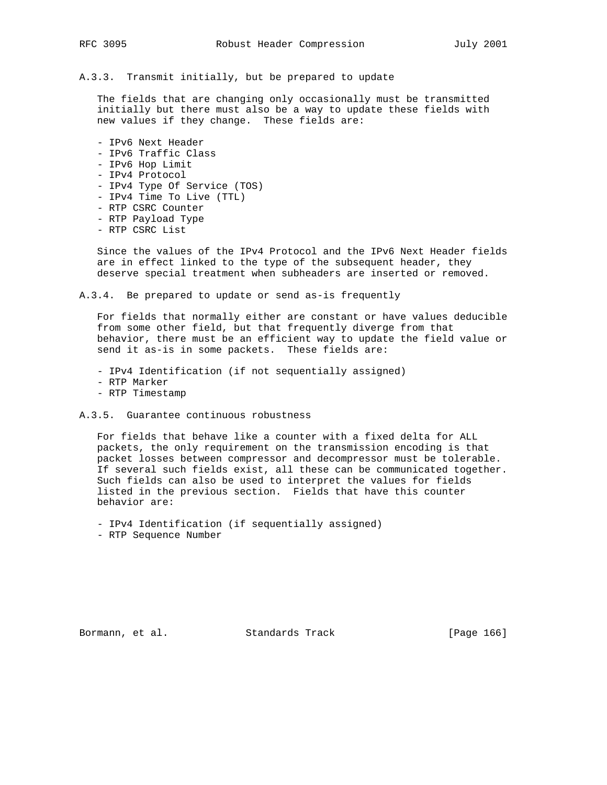A.3.3. Transmit initially, but be prepared to update

 The fields that are changing only occasionally must be transmitted initially but there must also be a way to update these fields with new values if they change. These fields are:

- IPv6 Next Header - IPv6 Traffic Class - IPv6 Hop Limit - IPv4 Protocol - IPv4 Type Of Service (TOS) - IPv4 Time To Live (TTL) - RTP CSRC Counter - RTP Payload Type
- RTP CSRC List

 Since the values of the IPv4 Protocol and the IPv6 Next Header fields are in effect linked to the type of the subsequent header, they deserve special treatment when subheaders are inserted or removed.

A.3.4. Be prepared to update or send as-is frequently

 For fields that normally either are constant or have values deducible from some other field, but that frequently diverge from that behavior, there must be an efficient way to update the field value or send it as-is in some packets. These fields are:

- IPv4 Identification (if not sequentially assigned)

- RTP Marker
- RTP Timestamp
- A.3.5. Guarantee continuous robustness

 For fields that behave like a counter with a fixed delta for ALL packets, the only requirement on the transmission encoding is that packet losses between compressor and decompressor must be tolerable. If several such fields exist, all these can be communicated together. Such fields can also be used to interpret the values for fields listed in the previous section. Fields that have this counter behavior are:

- IPv4 Identification (if sequentially assigned)

- RTP Sequence Number

Bormann, et al. Standards Track [Page 166]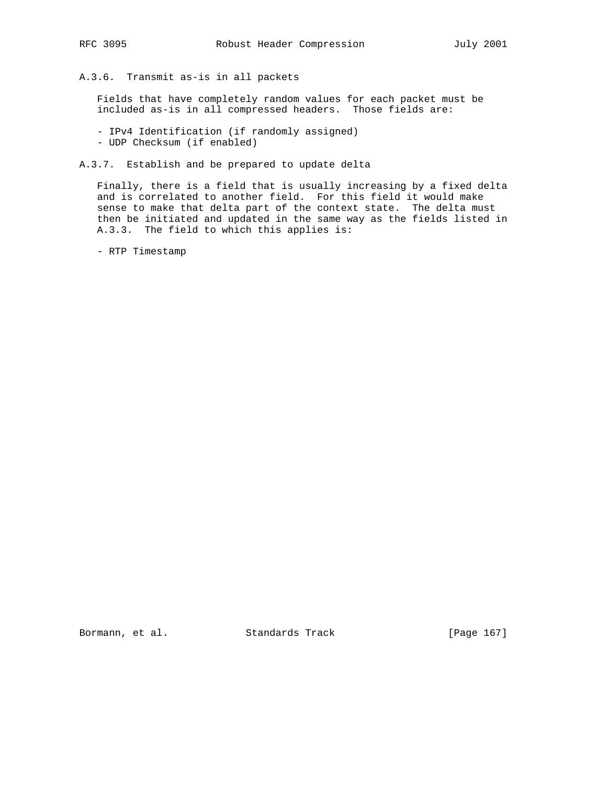A.3.6. Transmit as-is in all packets

 Fields that have completely random values for each packet must be included as-is in all compressed headers. Those fields are:

- IPv4 Identification (if randomly assigned)
- UDP Checksum (if enabled)
- A.3.7. Establish and be prepared to update delta

 Finally, there is a field that is usually increasing by a fixed delta and is correlated to another field. For this field it would make sense to make that delta part of the context state. The delta must then be initiated and updated in the same way as the fields listed in A.3.3. The field to which this applies is:

- RTP Timestamp

Bormann, et al. Standards Track [Page 167]